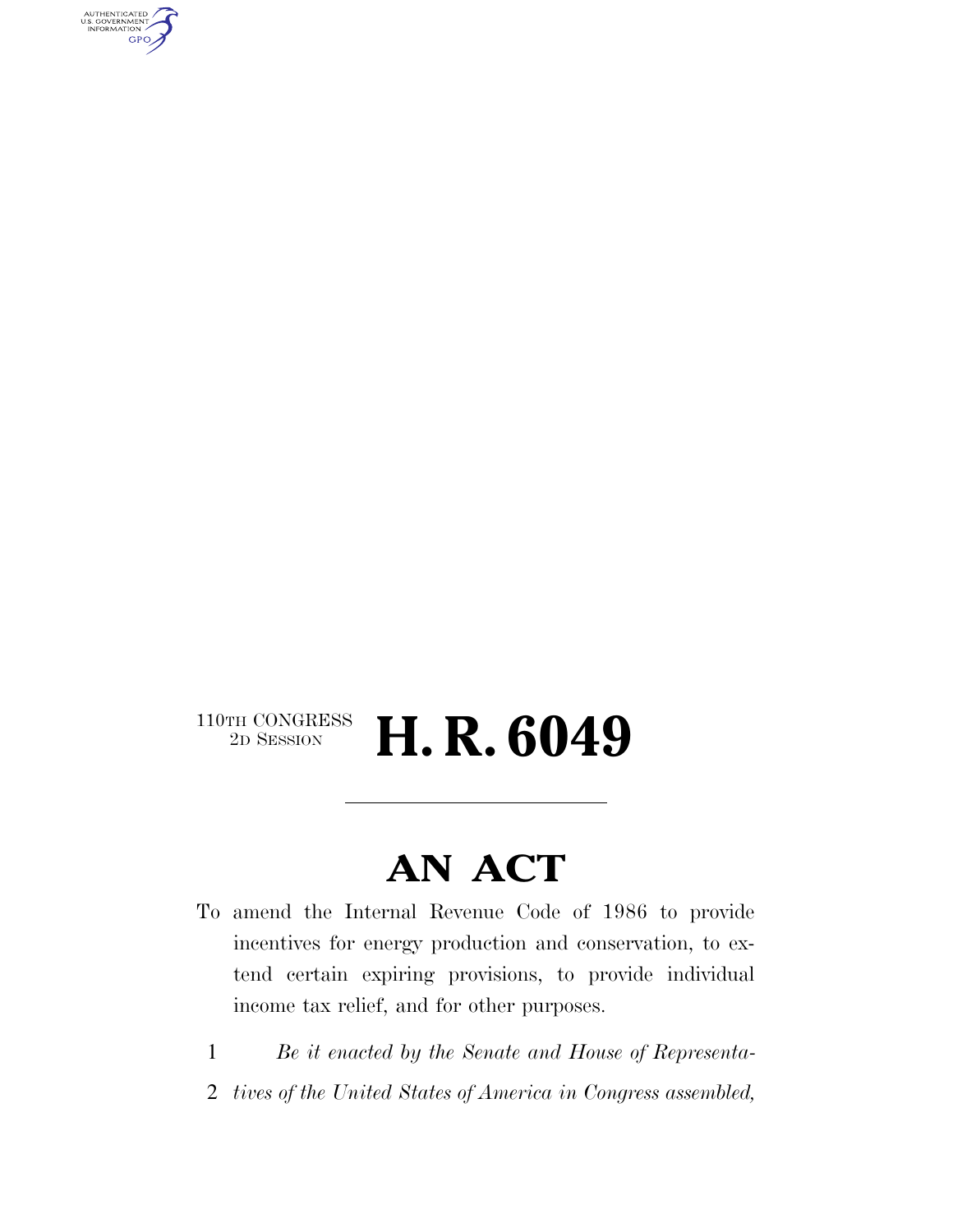AUTHENTICATED<br>U.S. GOVERNMENT<br>INFORMATION **GPO** 

# $\begin{array}{c} \textbf{110TH CONGRESS} \\ \textbf{2D SESION} \end{array}$ 2D SESSION **H. R. 6049**

# **AN ACT**

- To amend the Internal Revenue Code of 1986 to provide incentives for energy production and conservation, to extend certain expiring provisions, to provide individual income tax relief, and for other purposes.
	- 1 *Be it enacted by the Senate and House of Representa-*
- 2 *tives of the United States of America in Congress assembled,*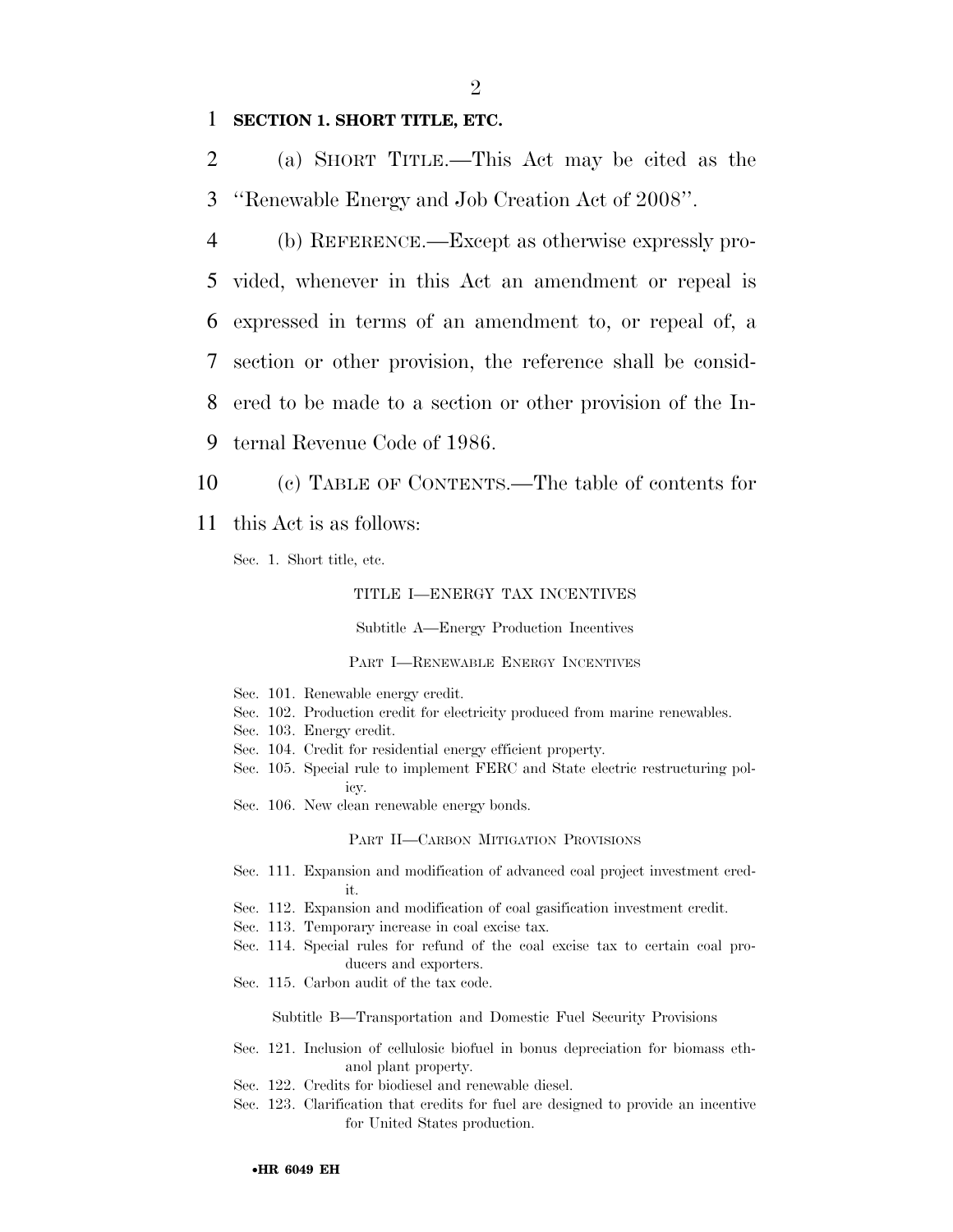# 1 **SECTION 1. SHORT TITLE, ETC.**

2 (a) SHORT TITLE.—This Act may be cited as the 3 ''Renewable Energy and Job Creation Act of 2008''.

 (b) REFERENCE.—Except as otherwise expressly pro- vided, whenever in this Act an amendment or repeal is expressed in terms of an amendment to, or repeal of, a section or other provision, the reference shall be consid- ered to be made to a section or other provision of the In-ternal Revenue Code of 1986.

10 (c) TABLE OF CONTENTS.—The table of contents for

11 this Act is as follows:

Sec. 1. Short title, etc.

# TITLE I—ENERGY TAX INCENTIVES

Subtitle A—Energy Production Incentives

#### PART I—RENEWABLE ENERGY INCENTIVES

- Sec. 101. Renewable energy credit.
- Sec. 102. Production credit for electricity produced from marine renewables.
- Sec. 103. Energy credit.
- Sec. 104. Credit for residential energy efficient property.
- Sec. 105. Special rule to implement FERC and State electric restructuring policy.
- Sec. 106. New clean renewable energy bonds.

#### PART II—CARBON MITIGATION PROVISIONS

- Sec. 111. Expansion and modification of advanced coal project investment credit.
- Sec. 112. Expansion and modification of coal gasification investment credit.
- Sec. 113. Temporary increase in coal excise tax.
- Sec. 114. Special rules for refund of the coal excise tax to certain coal producers and exporters.
- Sec. 115. Carbon audit of the tax code.

Subtitle B—Transportation and Domestic Fuel Security Provisions

- Sec. 121. Inclusion of cellulosic biofuel in bonus depreciation for biomass ethanol plant property.
- Sec. 122. Credits for biodiesel and renewable diesel.
- Sec. 123. Clarification that credits for fuel are designed to provide an incentive for United States production.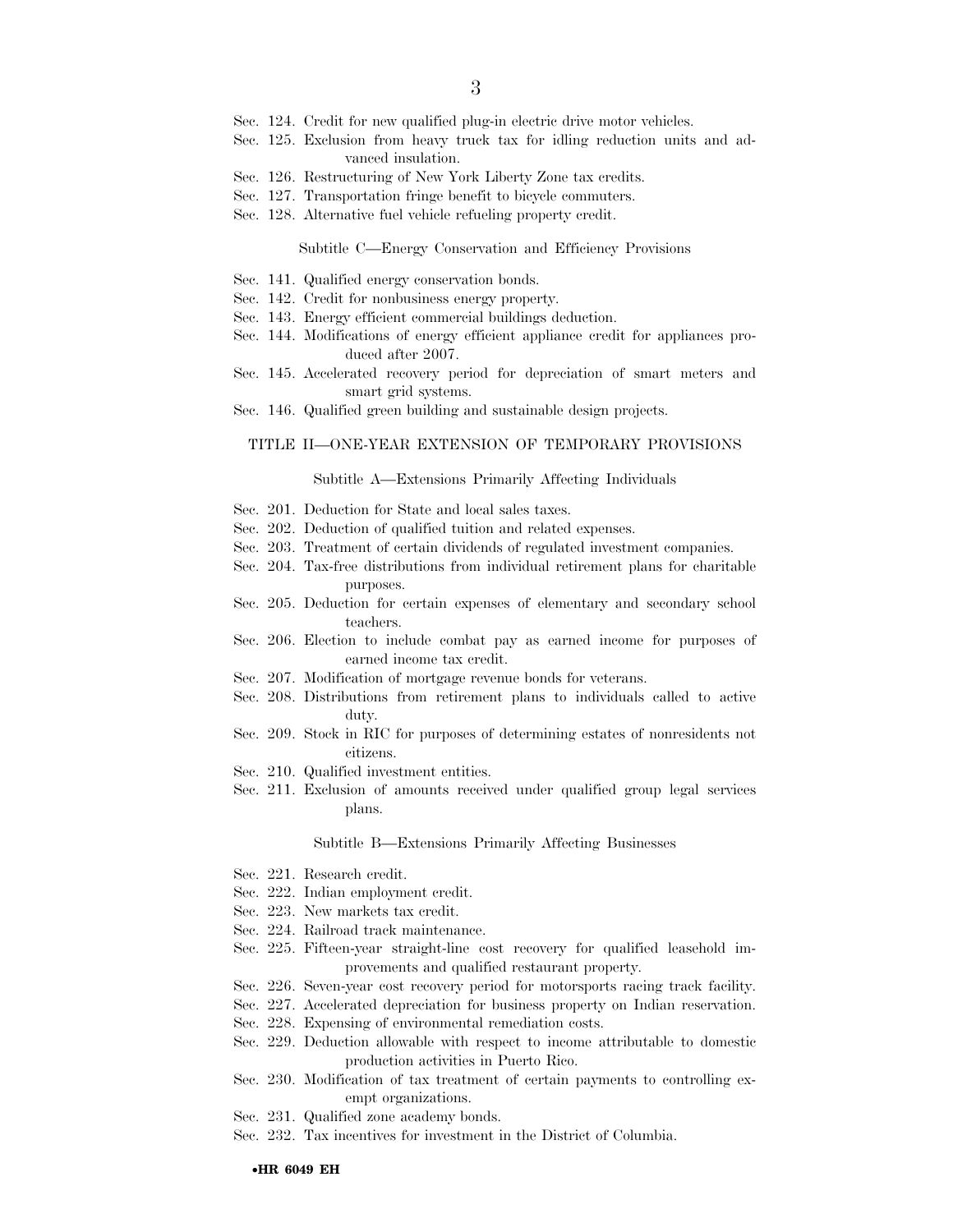- Sec. 124. Credit for new qualified plug-in electric drive motor vehicles.
- Sec. 125. Exclusion from heavy truck tax for idling reduction units and advanced insulation.
- Sec. 126. Restructuring of New York Liberty Zone tax credits.
- Sec. 127. Transportation fringe benefit to bicycle commuters.
- Sec. 128. Alternative fuel vehicle refueling property credit.

#### Subtitle C—Energy Conservation and Efficiency Provisions

- Sec. 141. Qualified energy conservation bonds.
- Sec. 142. Credit for nonbusiness energy property.
- Sec. 143. Energy efficient commercial buildings deduction.
- Sec. 144. Modifications of energy efficient appliance credit for appliances produced after 2007.
- Sec. 145. Accelerated recovery period for depreciation of smart meters and smart grid systems.
- Sec. 146. Qualified green building and sustainable design projects.

# TITLE II—ONE-YEAR EXTENSION OF TEMPORARY PROVISIONS

#### Subtitle A—Extensions Primarily Affecting Individuals

- Sec. 201. Deduction for State and local sales taxes.
- Sec. 202. Deduction of qualified tuition and related expenses.
- Sec. 203. Treatment of certain dividends of regulated investment companies.
- Sec. 204. Tax-free distributions from individual retirement plans for charitable purposes.
- Sec. 205. Deduction for certain expenses of elementary and secondary school teachers.
- Sec. 206. Election to include combat pay as earned income for purposes of earned income tax credit.
- Sec. 207. Modification of mortgage revenue bonds for veterans.
- Sec. 208. Distributions from retirement plans to individuals called to active duty.
- Sec. 209. Stock in RIC for purposes of determining estates of nonresidents not citizens.
- Sec. 210. Qualified investment entities.
- Sec. 211. Exclusion of amounts received under qualified group legal services plans.

#### Subtitle B—Extensions Primarily Affecting Businesses

- Sec. 221. Research credit.
- Sec. 222. Indian employment credit.
- Sec. 223. New markets tax credit.
- Sec. 224. Railroad track maintenance.
- Sec. 225. Fifteen-year straight-line cost recovery for qualified leasehold improvements and qualified restaurant property.
- Sec. 226. Seven-year cost recovery period for motorsports racing track facility.
- Sec. 227. Accelerated depreciation for business property on Indian reservation.
- Sec. 228. Expensing of environmental remediation costs.
- Sec. 229. Deduction allowable with respect to income attributable to domestic production activities in Puerto Rico.
- Sec. 230. Modification of tax treatment of certain payments to controlling exempt organizations.
- Sec. 231. Qualified zone academy bonds.
- Sec. 232. Tax incentives for investment in the District of Columbia.

#### •**HR 6049 EH**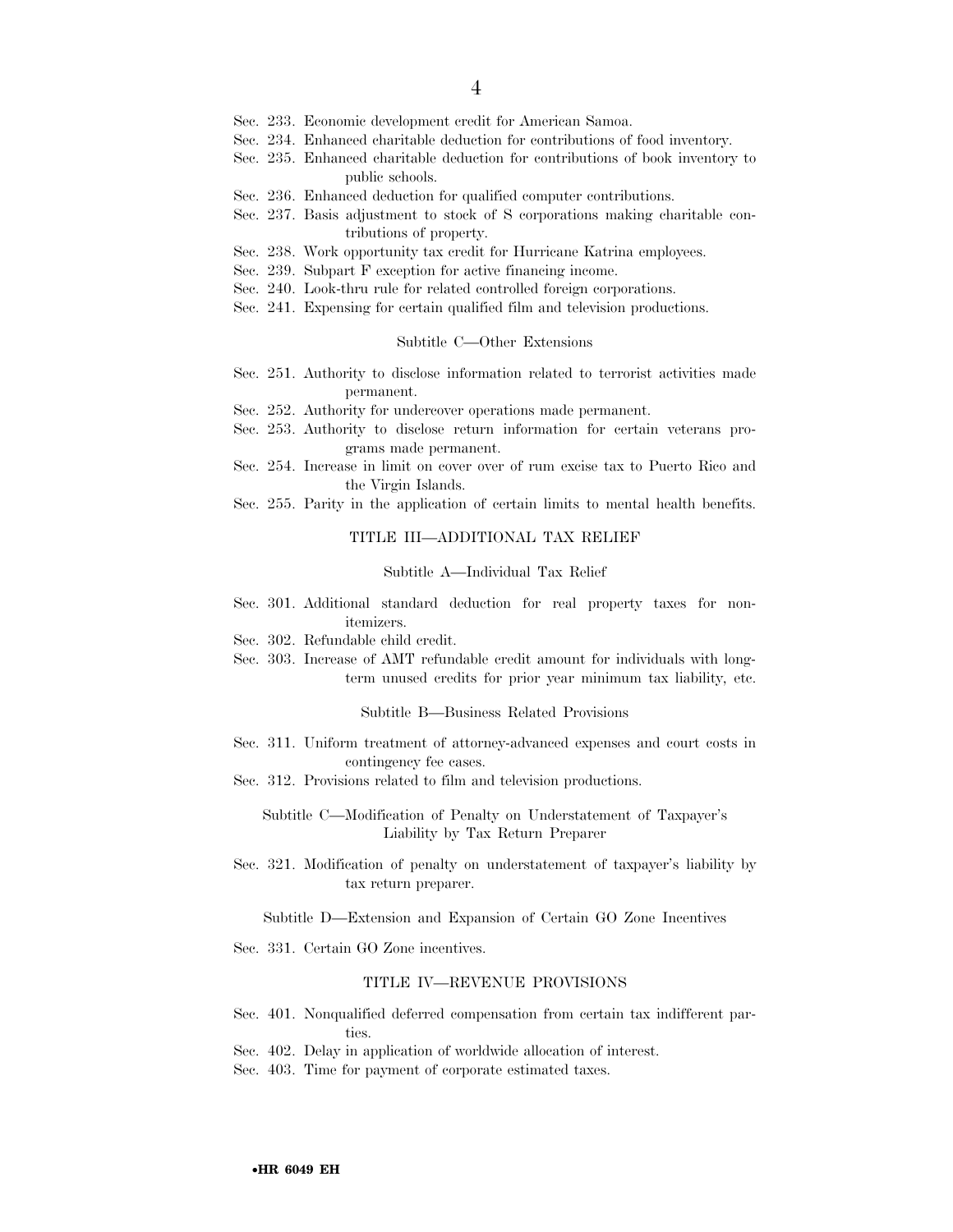- Sec. 233. Economic development credit for American Samoa.
- Sec. 234. Enhanced charitable deduction for contributions of food inventory.
- Sec. 235. Enhanced charitable deduction for contributions of book inventory to public schools.
- Sec. 236. Enhanced deduction for qualified computer contributions.
- Sec. 237. Basis adjustment to stock of S corporations making charitable contributions of property.
- Sec. 238. Work opportunity tax credit for Hurricane Katrina employees.
- Sec. 239. Subpart F exception for active financing income.
- Sec. 240. Look-thru rule for related controlled foreign corporations.
- Sec. 241. Expensing for certain qualified film and television productions.

#### Subtitle C—Other Extensions

- Sec. 251. Authority to disclose information related to terrorist activities made permanent.
- Sec. 252. Authority for undercover operations made permanent.
- Sec. 253. Authority to disclose return information for certain veterans programs made permanent.
- Sec. 254. Increase in limit on cover over of rum excise tax to Puerto Rico and the Virgin Islands.
- Sec. 255. Parity in the application of certain limits to mental health benefits.

#### TITLE III—ADDITIONAL TAX RELIEF

### Subtitle A—Individual Tax Relief

- Sec. 301. Additional standard deduction for real property taxes for nonitemizers.
- Sec. 302. Refundable child credit.
- Sec. 303. Increase of AMT refundable credit amount for individuals with longterm unused credits for prior year minimum tax liability, etc.

#### Subtitle B—Business Related Provisions

- Sec. 311. Uniform treatment of attorney-advanced expenses and court costs in contingency fee cases.
- Sec. 312. Provisions related to film and television productions.

Subtitle C—Modification of Penalty on Understatement of Taxpayer's Liability by Tax Return Preparer

Sec. 321. Modification of penalty on understatement of taxpayer's liability by tax return preparer.

Subtitle D—Extension and Expansion of Certain GO Zone Incentives

Sec. 331. Certain GO Zone incentives.

#### TITLE IV—REVENUE PROVISIONS

- Sec. 401. Nonqualified deferred compensation from certain tax indifferent parties.
- Sec. 402. Delay in application of worldwide allocation of interest.
- Sec. 403. Time for payment of corporate estimated taxes.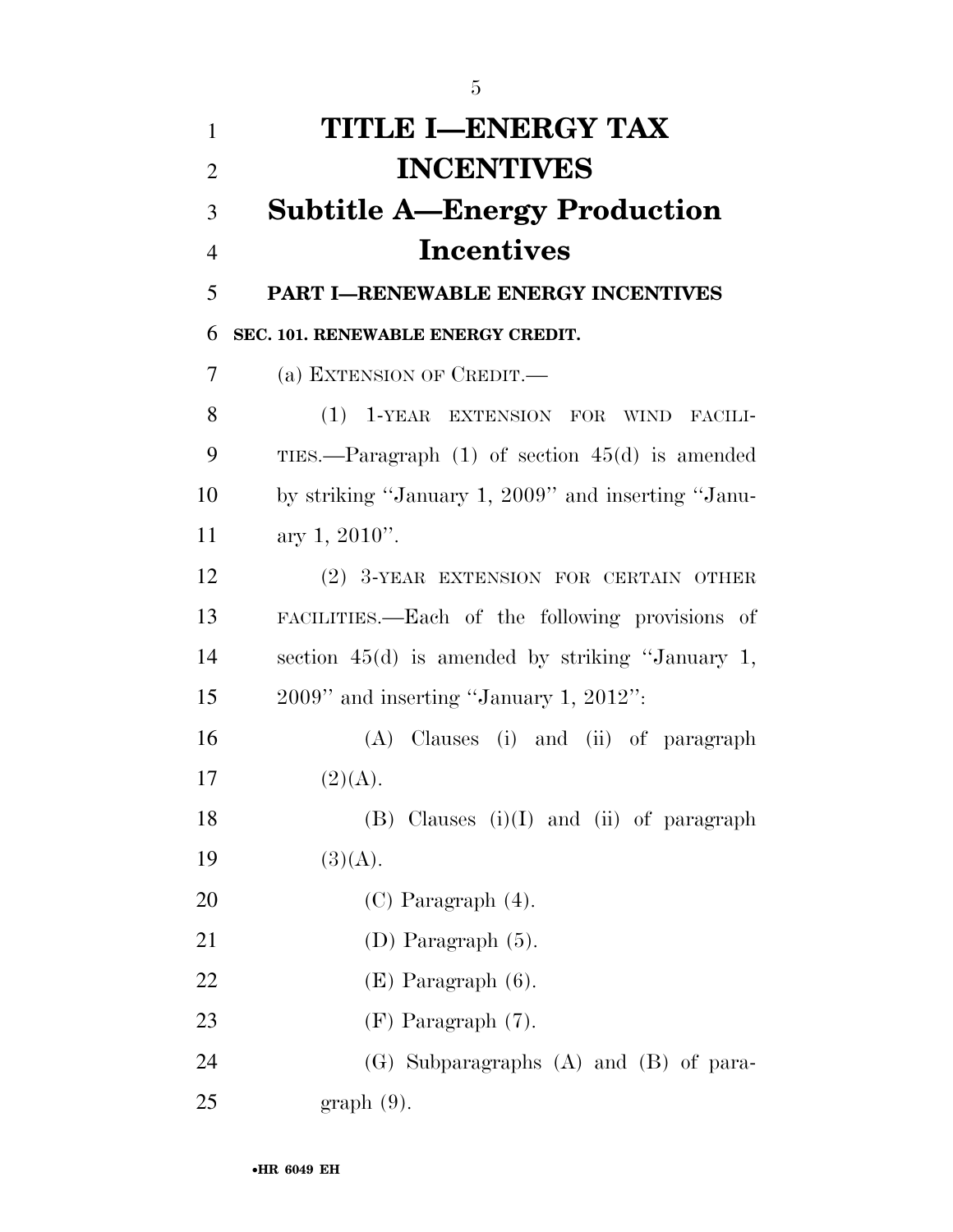| 1              | <b>TITLE I-ENERGY TAX</b>                           |
|----------------|-----------------------------------------------------|
| $\overline{2}$ | <b>INCENTIVES</b>                                   |
| 3              | <b>Subtitle A-Energy Production</b>                 |
| $\overline{4}$ | <b>Incentives</b>                                   |
| 5              | <b>PART I-RENEWABLE ENERGY INCENTIVES</b>           |
| 6              | SEC. 101. RENEWABLE ENERGY CREDIT.                  |
| 7              | (a) EXTENSION OF CREDIT.—                           |
| 8              | (1) 1-YEAR EXTENSION FOR WIND FACILI-               |
| 9              | TIES.—Paragraph $(1)$ of section $45(d)$ is amended |
| 10             | by striking "January 1, 2009" and inserting "Janu-  |
| 11             | ary 1, $2010$ ".                                    |
| 12             | (2) 3-YEAR EXTENSION FOR CERTAIN OTHER              |
| 13             | FACILITIES.—Each of the following provisions of     |
| 14             | section $45(d)$ is amended by striking "January 1,  |
| 15             | $2009$ " and inserting "January 1, $2012$ ":        |
| 16             | (A) Clauses (i) and (ii) of paragraph               |
| 17             | (2)(A).                                             |
| 18             | $(B)$ Clauses $(i)(I)$ and $(ii)$ of paragraph      |
| 19             | (3)(A).                                             |
| 20             | $(C)$ Paragraph $(4)$ .                             |
| 21             | (D) Paragraph $(5)$ .                               |
| 22             | $(E)$ Paragraph $(6)$ .                             |
| 23             | $(F)$ Paragraph $(7)$ .                             |
| 24             | (G) Subparagraphs (A) and (B) of para-              |
| 25             | $graph(9)$ .                                        |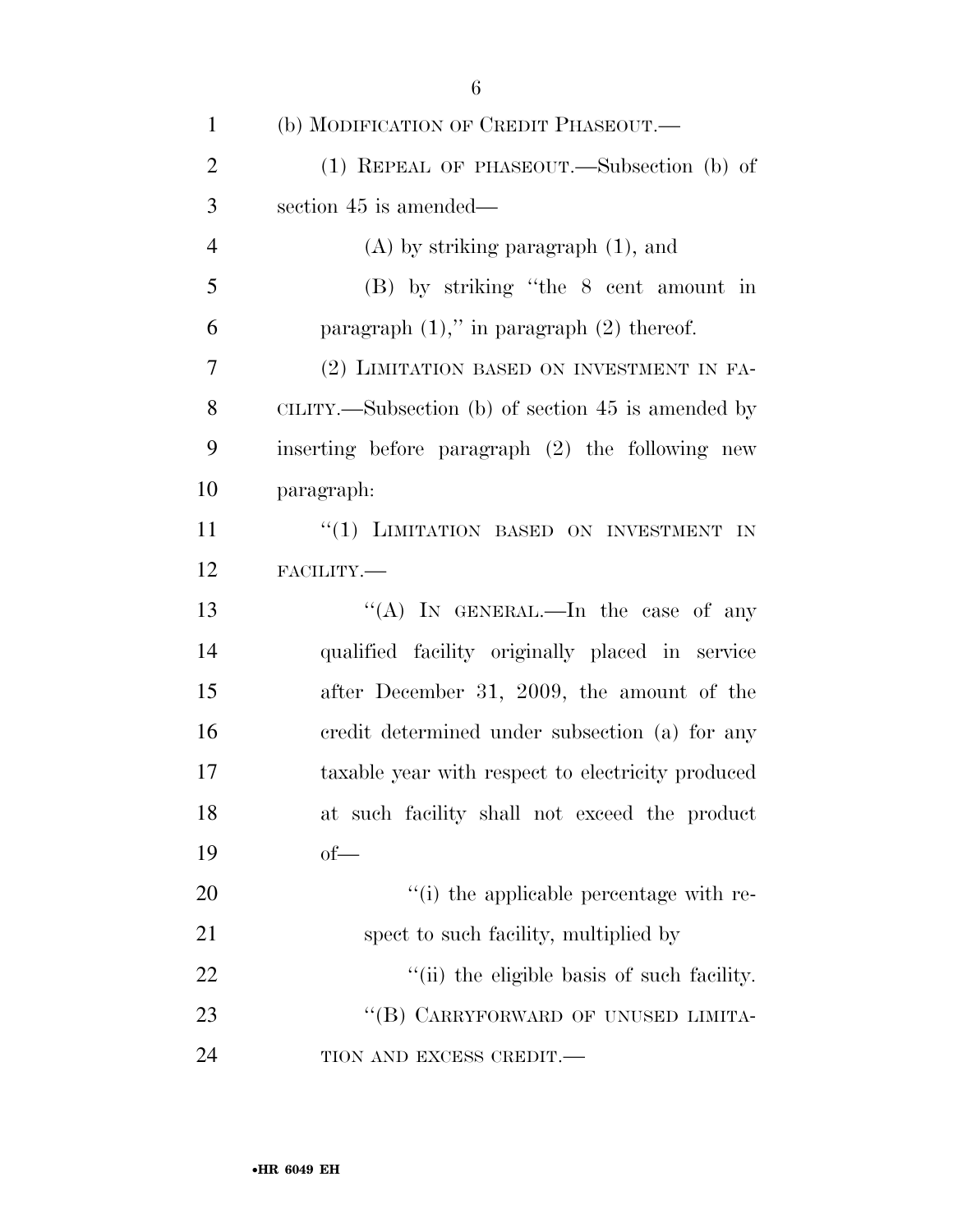| 1              | (b) MODIFICATION OF CREDIT PHASEOUT.—              |
|----------------|----------------------------------------------------|
| $\overline{2}$ | (1) REPEAL OF PHASEOUT.—Subsection (b) of          |
| 3              | section 45 is amended—                             |
| $\overline{4}$ | $(A)$ by striking paragraph $(1)$ , and            |
| 5              | (B) by striking "the 8 cent amount in              |
| 6              | paragraph $(1)$ ," in paragraph $(2)$ thereof.     |
| 7              | (2) LIMITATION BASED ON INVESTMENT IN FA-          |
| 8              | CILITY.—Subsection (b) of section 45 is amended by |
| 9              | inserting before paragraph (2) the following new   |
| 10             | paragraph:                                         |
| 11             | "(1) LIMITATION BASED ON INVESTMENT IN             |
| 12             | FACILITY.-                                         |
| 13             | "(A) IN GENERAL.—In the case of any                |
| 14             | qualified facility originally placed in service    |
| 15             | after December 31, 2009, the amount of the         |
| 16             | credit determined under subsection (a) for any     |
| 17             | taxable year with respect to electricity produced  |
| 18             | at such facility shall not exceed the product      |
| 19             | $of$ —                                             |
| 20             | "(i) the applicable percentage with re-            |
| 21             | spect to such facility, multiplied by              |
| 22             | "(ii) the eligible basis of such facility.         |
| 23             | "(B) CARRYFORWARD OF UNUSED LIMITA-                |
| 24             | TION AND EXCESS CREDIT.-                           |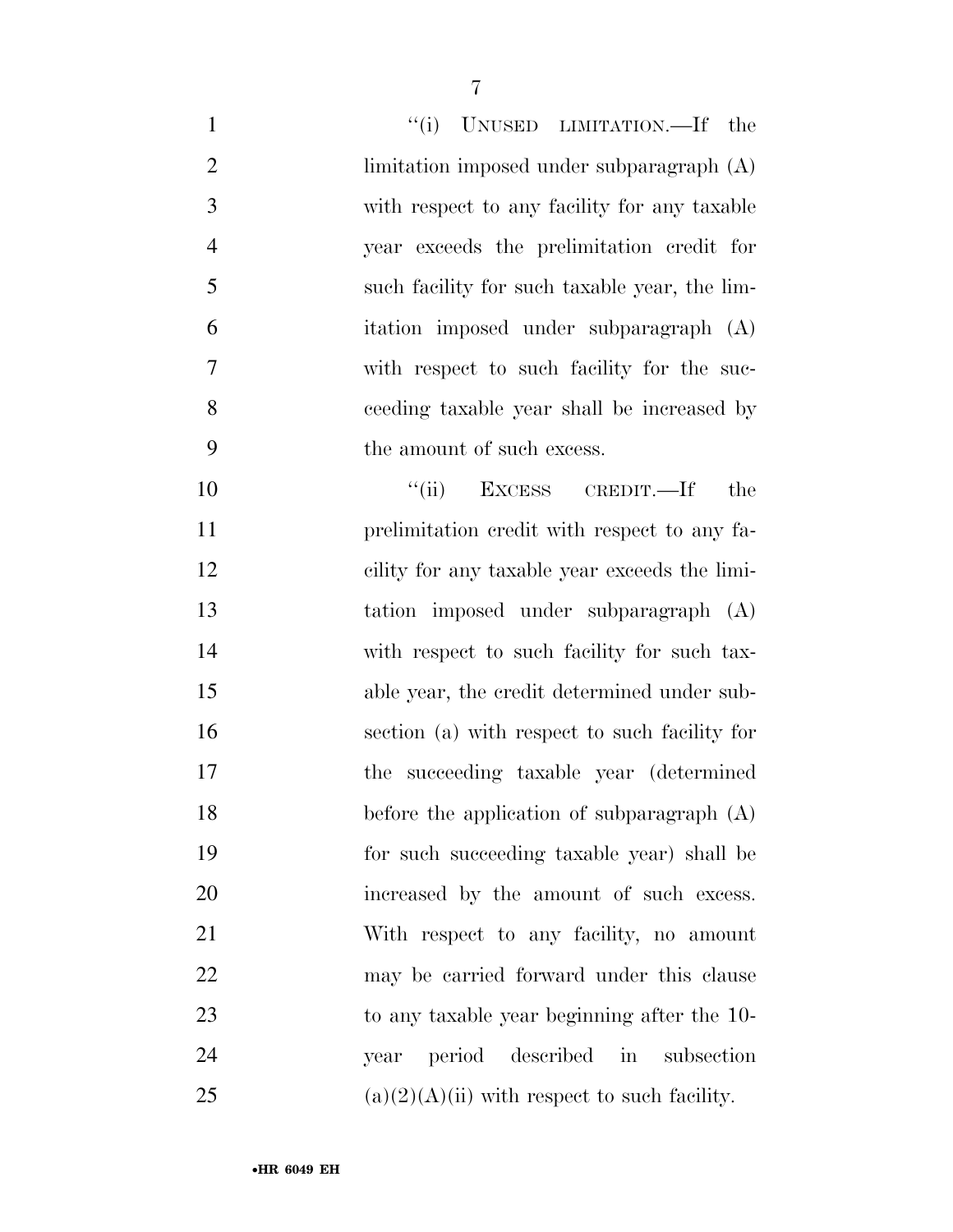| $\mathbf{1}$   | "(i) UNUSED LIMITATION.—If the                 |
|----------------|------------------------------------------------|
| $\overline{2}$ | limitation imposed under subparagraph $(A)$    |
| 3              | with respect to any facility for any taxable   |
| $\overline{4}$ | year exceeds the prelimitation credit for      |
| 5              | such facility for such taxable year, the lim-  |
| 6              | itation imposed under subparagraph (A)         |
| $\overline{7}$ | with respect to such facility for the suc-     |
| 8              | ceeding taxable year shall be increased by     |
| 9              | the amount of such excess.                     |
| 10             | EXCESS CREDIT.—If<br>``(ii)<br>the             |
| 11             | prelimitation credit with respect to any fa-   |
| 12             | cility for any taxable year exceeds the limi-  |
| 13             | tation imposed under subparagraph (A)          |
| 14             | with respect to such facility for such tax-    |
| 15             | able year, the credit determined under sub-    |
| 16             | section (a) with respect to such facility for  |
| 17             | the succeeding taxable year (determined        |
| 18             | before the application of subparagraph (A)     |
| 19             | for such succeeding taxable year) shall be     |
| 20             | increased by the amount of such excess.        |
| 21             | With respect to any facility, no amount        |
| 22             | may be carried forward under this clause       |
| 23             | to any taxable year beginning after the 10-    |
| 24             | period<br>described in<br>subsection<br>year   |
| 25             | $(a)(2)(A)(ii)$ with respect to such facility. |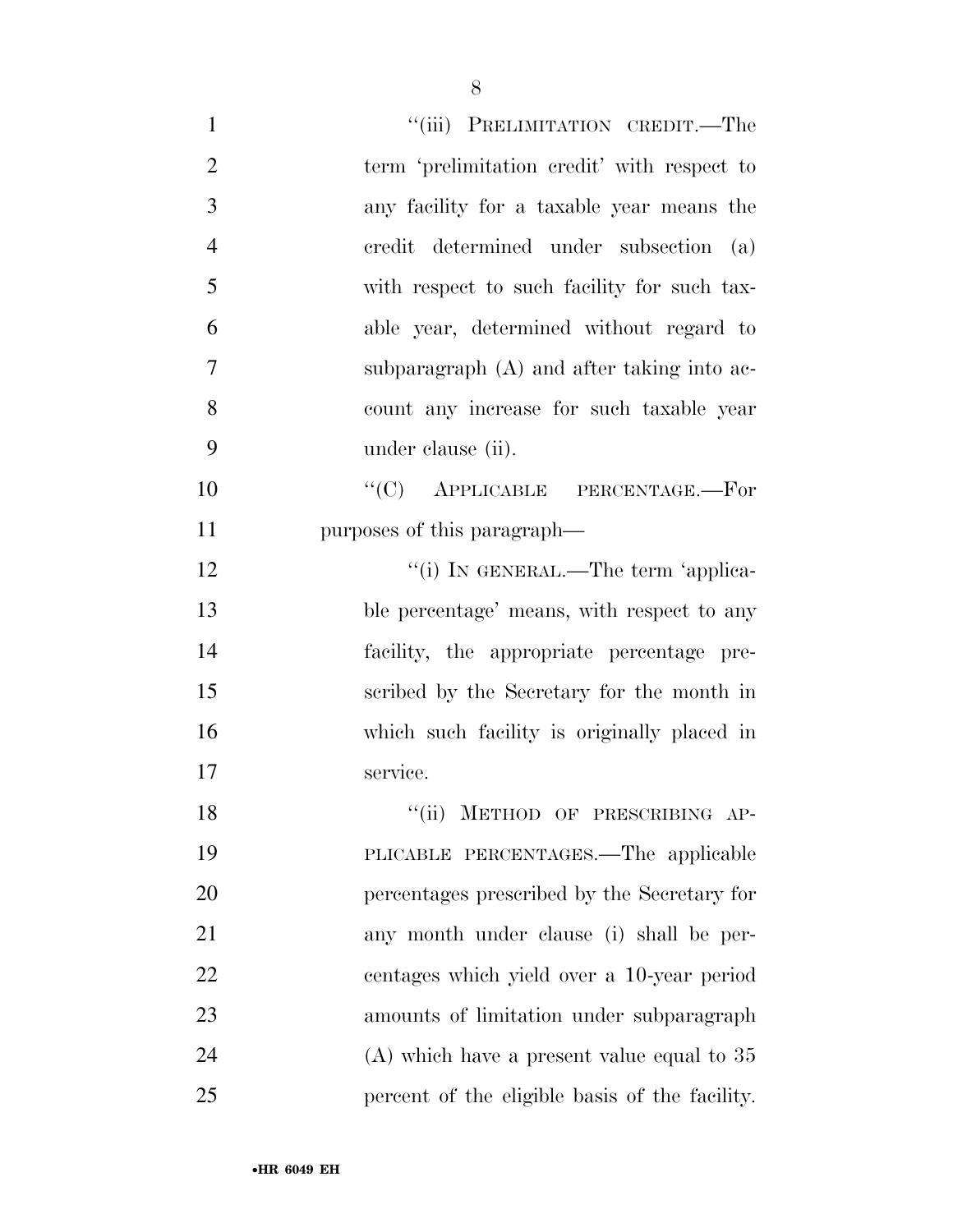| $\mathbf{1}$   | "(iii) PRELIMITATION CREDIT.—The               |
|----------------|------------------------------------------------|
| $\overline{2}$ | term 'prelimitation credit' with respect to    |
| 3              | any facility for a taxable year means the      |
| $\overline{4}$ | eredit determined under subsection<br>(a)      |
| 5              | with respect to such facility for such tax-    |
| 6              | able year, determined without regard to        |
| 7              | subparagraph $(A)$ and after taking into ac-   |
| 8              | count any increase for such taxable year       |
| 9              | under clause (ii).                             |
| 10             | $\lq\lq$ (C) APPLICABLE PERCENTAGE.—For        |
| 11             | purposes of this paragraph—                    |
| 12             | "(i) IN GENERAL.—The term 'applica-            |
| 13             | ble percentage' means, with respect to any     |
| 14             | facility, the appropriate percentage pre-      |
| 15             | scribed by the Secretary for the month in      |
| 16             | which such facility is originally placed in    |
| 17             | service.                                       |
| 18             | ``(ii)<br>METHOD OF PRESCRIBING AP-            |
| 19             | PLICABLE PERCENTAGES.—The applicable           |
| 20             | percentages prescribed by the Secretary for    |
| 21             | any month under clause (i) shall be per-       |
| 22             | centages which yield over a 10-year period     |
| 23             | amounts of limitation under subparagraph       |
| 24             | $(A)$ which have a present value equal to 35   |
| 25             | percent of the eligible basis of the facility. |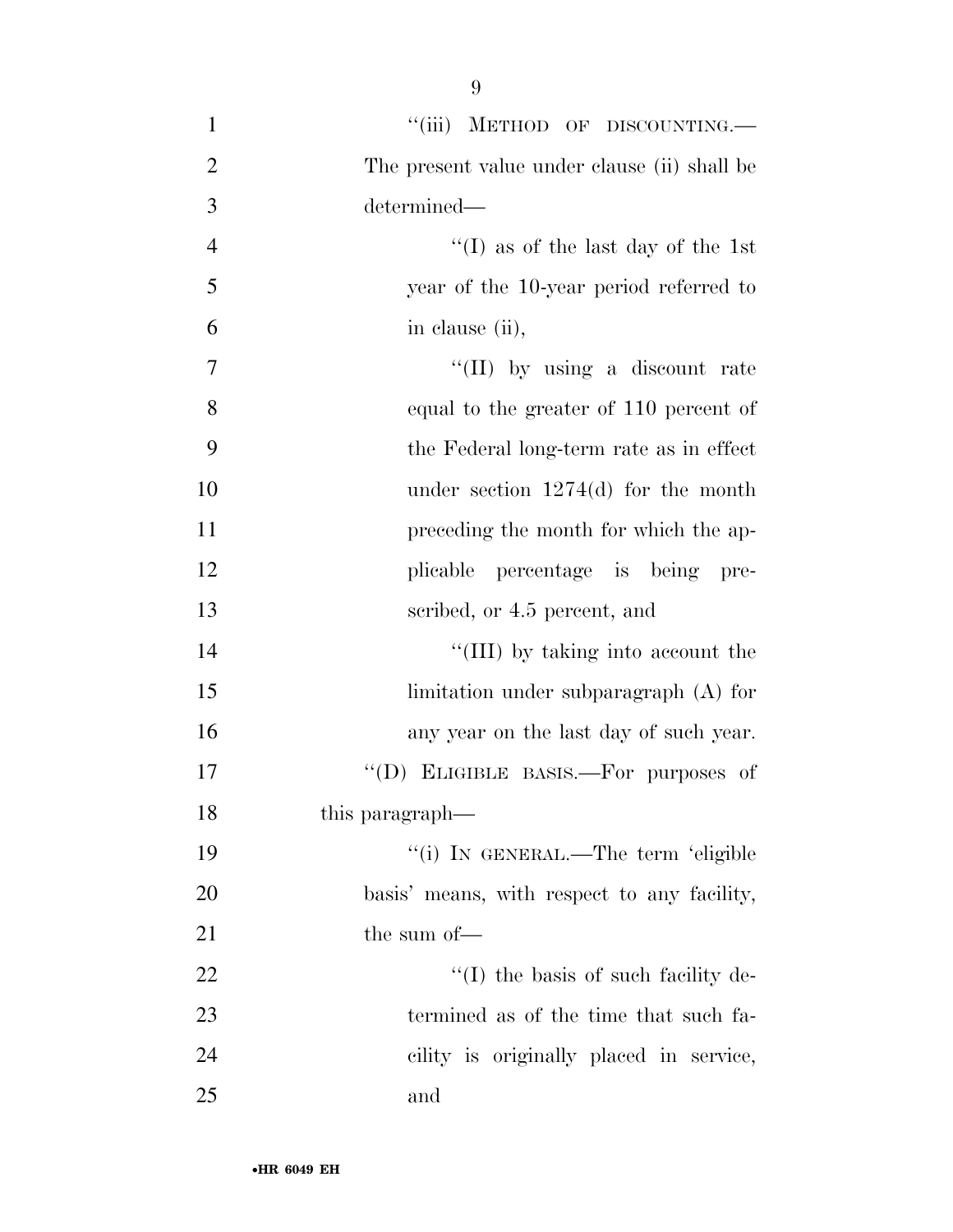| $\mathbf{1}$   | "(iii) METHOD OF DISCOUNTING.-               |
|----------------|----------------------------------------------|
| $\overline{c}$ | The present value under clause (ii) shall be |
| 3              | determined—                                  |
| $\overline{4}$ | $\lq\lq$ (I) as of the last day of the 1st   |
| 5              | year of the 10-year period referred to       |
| 6              | in clause (ii),                              |
| $\tau$         | "(II) by using a discount rate               |
| 8              | equal to the greater of 110 percent of       |
| 9              | the Federal long-term rate as in effect      |
| 10             | under section $1274(d)$ for the month        |
| 11             | preceding the month for which the ap-        |
| 12             | plicable percentage is being pre-            |
| 13             | scribed, or 4.5 percent, and                 |
| 14             | "(III) by taking into account the            |
| 15             | limitation under subparagraph (A) for        |
| 16             | any year on the last day of such year.       |
| 17             | "(D) ELIGIBLE BASIS.—For purposes of         |
| 18             | this paragraph—                              |
| 19             | "(i) IN GENERAL.—The term 'eligible          |
| 20             | basis' means, with respect to any facility,  |
| 21             | the sum of-                                  |
| 22             | $\lq\lq$ the basis of such facility de-      |
| 23             | termined as of the time that such fa-        |
| 24             | cility is originally placed in service,      |
| 25             | and                                          |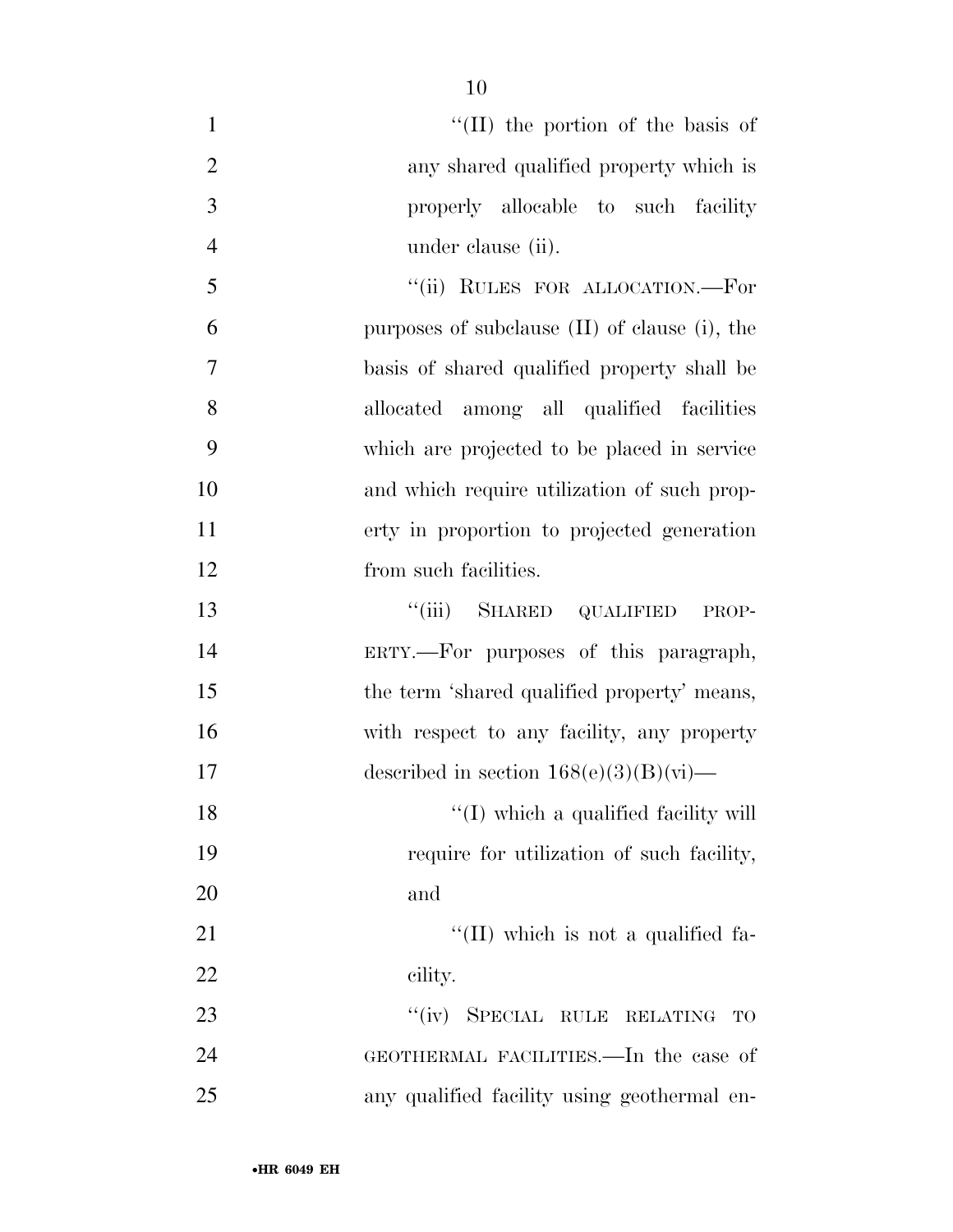| $\mathbf{1}$   | $\lq\lq$ (II) the portion of the basis of     |
|----------------|-----------------------------------------------|
| $\overline{2}$ | any shared qualified property which is        |
| 3              | properly allocable to such facility           |
| $\overline{4}$ | under clause (ii).                            |
| 5              | "(ii) RULES FOR ALLOCATION.—For               |
| 6              | purposes of subclause (II) of clause (i), the |
| 7              | basis of shared qualified property shall be   |
| 8              | allocated among all qualified facilities      |
| 9              | which are projected to be placed in service   |
| 10             | and which require utilization of such prop-   |
| 11             | erty in proportion to projected generation    |
| 12             | from such facilities.                         |
| 13             | "(iii) SHARED QUALIFIED PROP-                 |
| 14             | ERTY.—For purposes of this paragraph,         |
| 15             | the term 'shared qualified property' means,   |
| 16             | with respect to any facility, any property    |
| 17             | described in section $168(e)(3)(B)(vi)$ —     |
| 18             | "(I) which a qualified facility will          |
| 19             | require for utilization of such facility,     |
| 20             | and                                           |
| 21             | $\lq\lq$ (II) which is not a qualified fa-    |
| 22             | cility.                                       |
| 23             | "(iv) SPECIAL RULE RELATING TO                |
| 24             | GEOTHERMAL FACILITIES.—In the case of         |
| 25             | any qualified facility using geothermal en-   |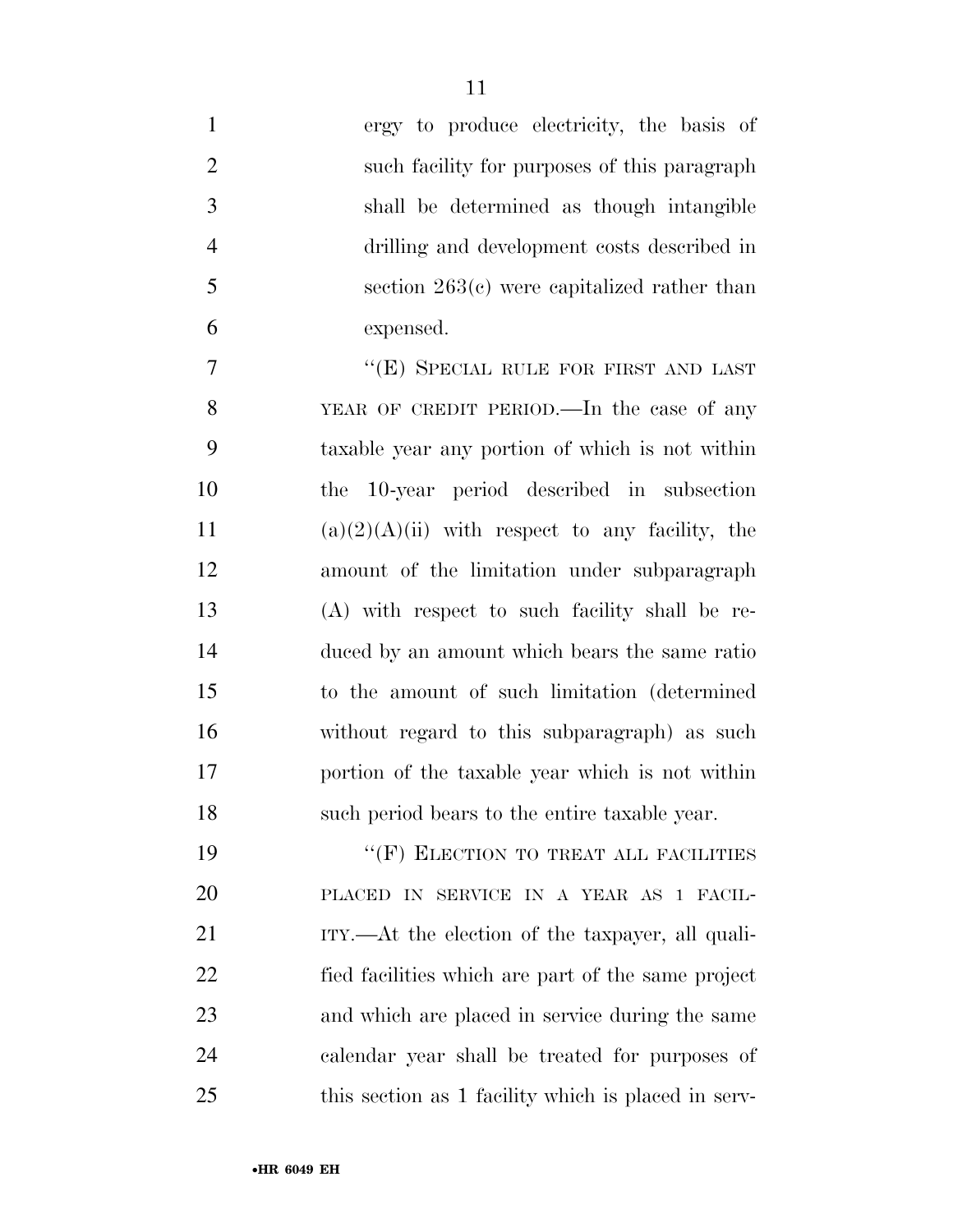| $\mathbf{1}$   | ergy to produce electricity, the basis of           |
|----------------|-----------------------------------------------------|
| $\overline{2}$ | such facility for purposes of this paragraph        |
| 3              | shall be determined as though intangible            |
| $\overline{4}$ | drilling and development costs described in         |
| 5              | section $263(c)$ were capitalized rather than       |
| 6              | expensed.                                           |
| 7              | "(E) SPECIAL RULE FOR FIRST AND LAST                |
| 8              | YEAR OF CREDIT PERIOD.—In the case of any           |
| 9              | taxable year any portion of which is not within     |
| 10             | the 10-year period described in subsection          |
| 11             | $(a)(2)(A)(ii)$ with respect to any facility, the   |
| 12             | amount of the limitation under subparagraph         |
| 13             | (A) with respect to such facility shall be re-      |
| 14             | duced by an amount which bears the same ratio       |
| 15             | to the amount of such limitation (determined)       |
| 16             | without regard to this subparagraph) as such        |
| 17             | portion of the taxable year which is not within     |
| 18             | such period bears to the entire taxable year.       |
| 19             | "(F) ELECTION TO TREAT ALL FACILITIES               |
| 20             | PLACED IN SERVICE IN A YEAR AS 1 FACIL-             |
| 21             | ITY.—At the election of the taxpayer, all quali-    |
| 22             | fied facilities which are part of the same project  |
| 23             | and which are placed in service during the same     |
| 24             | calendar year shall be treated for purposes of      |
| 25             | this section as 1 facility which is placed in serv- |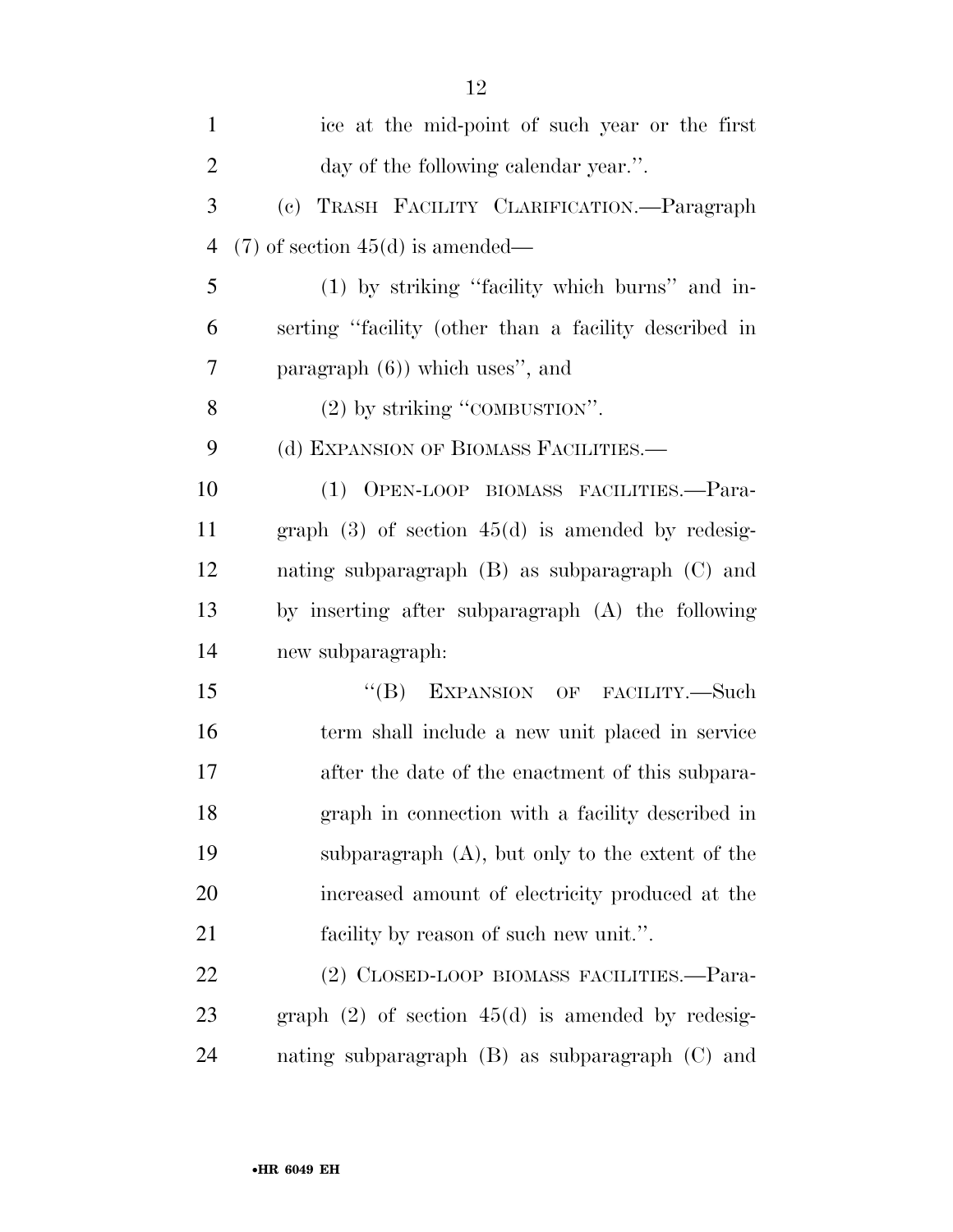| $\mathbf{1}$   | ice at the mid-point of such year or the first        |
|----------------|-------------------------------------------------------|
| $\overline{2}$ | day of the following calendar year.".                 |
| 3              | (c) TRASH FACILITY CLARIFICATION.—Paragraph           |
| $\overline{4}$ | $(7)$ of section 45(d) is amended—                    |
| 5              | (1) by striking "facility which burns" and in-        |
| 6              | serting "facility (other than a facility described in |
| 7              | paragraph $(6)$ ) which uses", and                    |
| 8              | $(2)$ by striking "COMBUSTION".                       |
| 9              | (d) EXPANSION OF BIOMASS FACILITIES.—                 |
| 10             | (1) OPEN-LOOP BIOMASS FACILITIES.-Para-               |
| 11             | graph $(3)$ of section $45(d)$ is amended by redesig- |
| 12             | nating subparagraph (B) as subparagraph (C) and       |
| 13             | by inserting after subparagraph (A) the following     |
| 14             | new subparagraph:                                     |
| 15             | "(B) EXPANSION OF FACILITY.—Such                      |
| 16             | term shall include a new unit placed in service       |
| 17             | after the date of the enactment of this subpara-      |
| 18             | graph in connection with a facility described in      |
| 19             | subparagraph (A), but only to the extent of the       |
| 20             | increased amount of electricity produced at the       |
| 21             | facility by reason of such new unit.".                |
| 22             | (2) CLOSED-LOOP BIOMASS FACILITIES.-Para-             |
| 23             | graph $(2)$ of section $45(d)$ is amended by redesig- |
| 24             | nating subparagraph (B) as subparagraph (C) and       |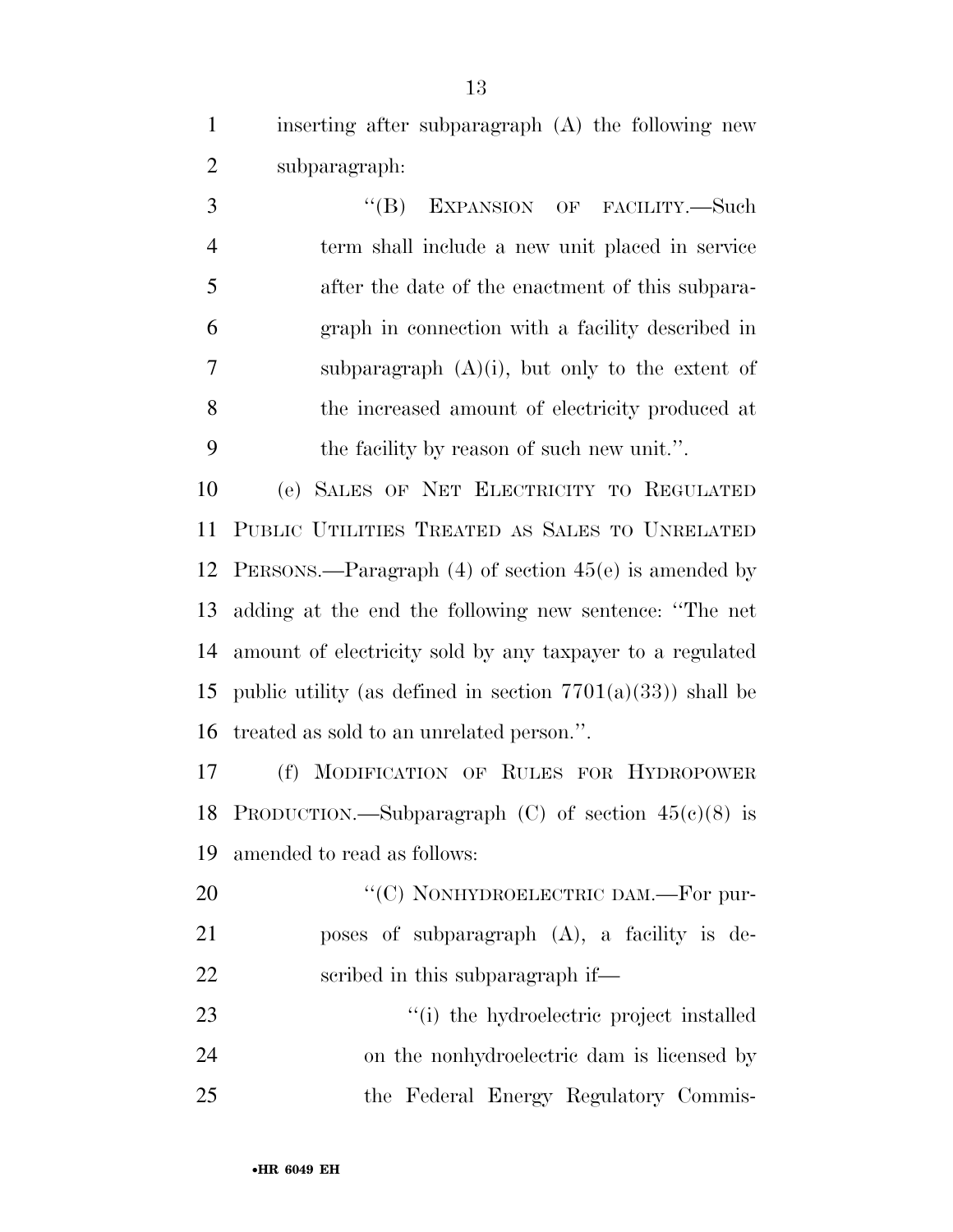inserting after subparagraph (A) the following new subparagraph:

3 "(B) EXPANSION OF FACILITY.—Such term shall include a new unit placed in service after the date of the enactment of this subpara- graph in connection with a facility described in subparagraph (A)(i), but only to the extent of the increased amount of electricity produced at the facility by reason of such new unit.''.

 (e) SALES OF NET ELECTRICITY TO REGULATED PUBLIC UTILITIES TREATED AS SALES TO UNRELATED PERSONS.—Paragraph (4) of section 45(e) is amended by adding at the end the following new sentence: ''The net amount of electricity sold by any taxpayer to a regulated 15 public utility (as defined in section  $7701(a)(33)$ ) shall be treated as sold to an unrelated person.''.

 (f) MODIFICATION OF RULES FOR HYDROPOWER 18 PRODUCTION.—Subparagraph  $(C)$  of section  $45(e)(8)$  is amended to read as follows:

20 "'(C) NONHYDROELECTRIC DAM.—For pur- poses of subparagraph (A), a facility is de-scribed in this subparagraph if—

23  $\frac{1}{2}$  the hydroelectric project installed on the nonhydroelectric dam is licensed by the Federal Energy Regulatory Commis-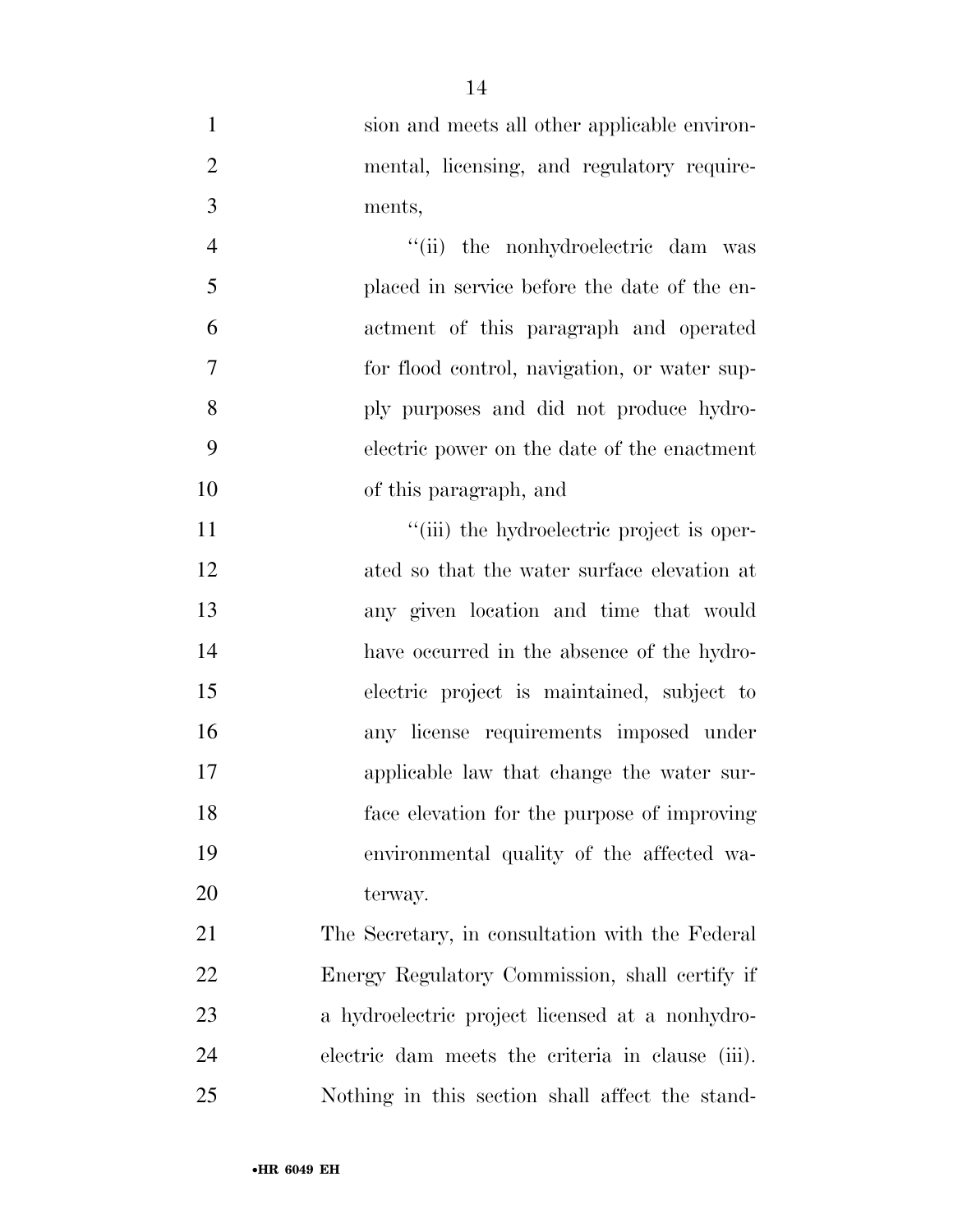| $\mathbf{1}$   | sion and meets all other applicable environ-     |
|----------------|--------------------------------------------------|
| $\overline{2}$ | mental, licensing, and regulatory require-       |
| 3              | ments,                                           |
| $\overline{4}$ | "(ii) the nonhydroelectric dam was               |
| 5              | placed in service before the date of the en-     |
| 6              | actment of this paragraph and operated           |
| $\overline{7}$ | for flood control, navigation, or water sup-     |
| 8              | ply purposes and did not produce hydro-          |
| 9              | electric power on the date of the enactment      |
| 10             | of this paragraph, and                           |
| 11             | "(iii) the hydroelectric project is oper-        |
| 12             | ated so that the water surface elevation at      |
| 13             | any given location and time that would           |
| 14             | have occurred in the absence of the hydro-       |
| 15             | electric project is maintained, subject to       |
| 16             | any license requirements imposed under           |
| 17             | applicable law that change the water sur-        |
| 18             | face elevation for the purpose of improving      |
| 19             | environmental quality of the affected wa-        |
| 20             | terway.                                          |
| 21             | The Secretary, in consultation with the Federal  |
| 22             | Energy Regulatory Commission, shall certify if   |
| 23             | a hydroelectric project licensed at a nonhydro-  |
| 24             | electric dam meets the criteria in clause (iii). |

Nothing in this section shall affect the stand-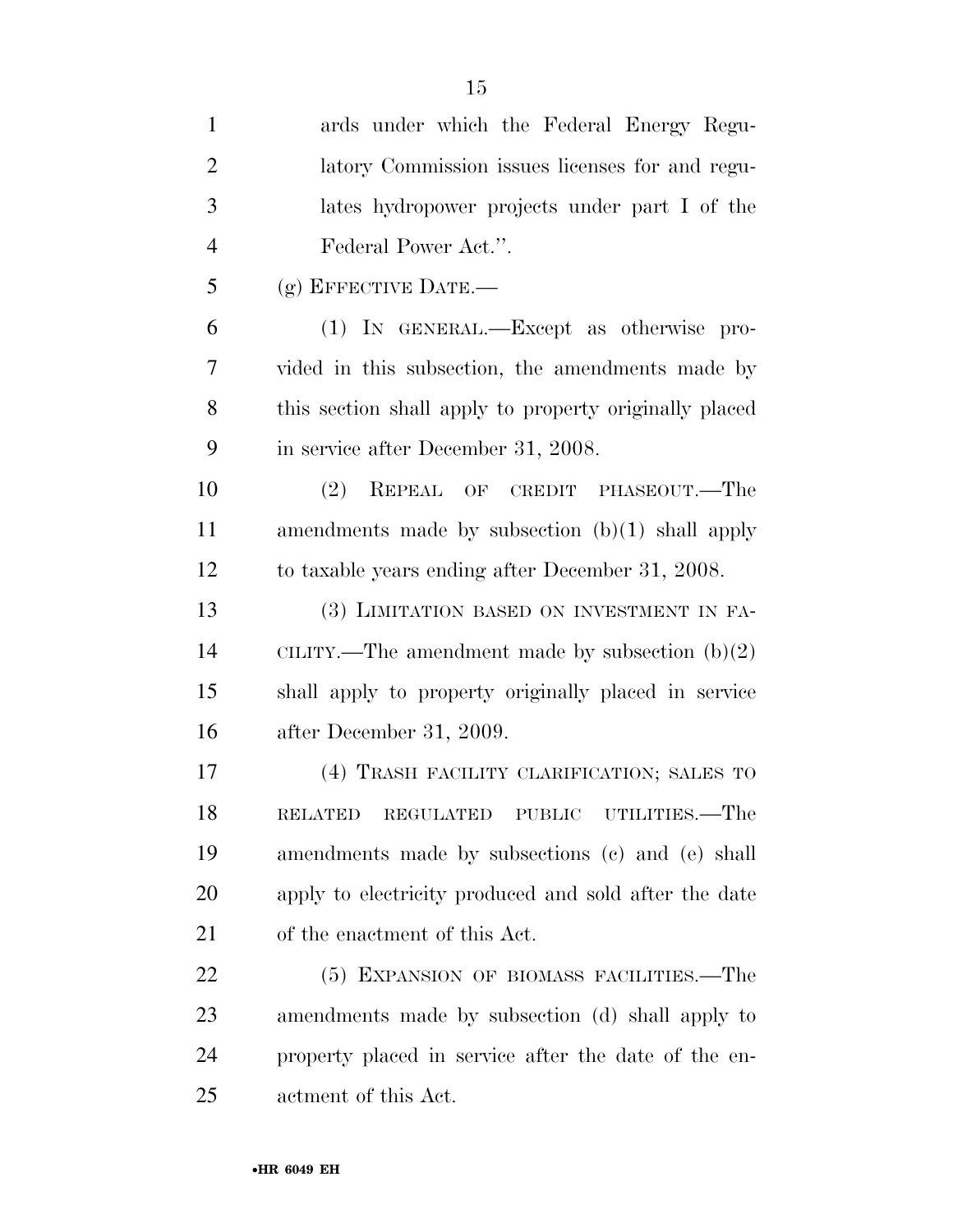| $\mathbf{1}$   | ards under which the Federal Energy Regu-              |
|----------------|--------------------------------------------------------|
| $\overline{2}$ | latory Commission issues licenses for and regu-        |
| 3              | lates hydropower projects under part I of the          |
| $\overline{4}$ | Federal Power Act.".                                   |
| 5              | $(g)$ EFFECTIVE DATE.—                                 |
| 6              | (1) IN GENERAL.—Except as otherwise pro-               |
| 7              | vided in this subsection, the amendments made by       |
| 8              | this section shall apply to property originally placed |
| 9              | in service after December 31, 2008.                    |
| 10             | (2) REPEAL OF CREDIT PHASEOUT.—The                     |
| 11             | amendments made by subsection $(b)(1)$ shall apply     |
| 12             | to taxable years ending after December 31, 2008.       |
| 13             | (3) LIMITATION BASED ON INVESTMENT IN FA-              |
| 14             | CILITY.—The amendment made by subsection $(b)(2)$      |
| 15             | shall apply to property originally placed in service   |
| 16             | after December 31, 2009.                               |
| 17             | (4) TRASH FACILITY CLARIFICATION; SALES TO             |
| 18             | PUBLIC UTILITIES.—The<br><b>RELATED</b><br>REGULATED   |
| 19             | amendments made by subsections (c) and (e) shall       |
| 20             | apply to electricity produced and sold after the date  |
| 21             | of the enactment of this Act.                          |
| <u>22</u>      | (5) EXPANSION OF BIOMASS FACILITIES.—The               |
| 23             | amendments made by subsection (d) shall apply to       |
| 24             | property placed in service after the date of the en-   |
| 25             | actment of this Act.                                   |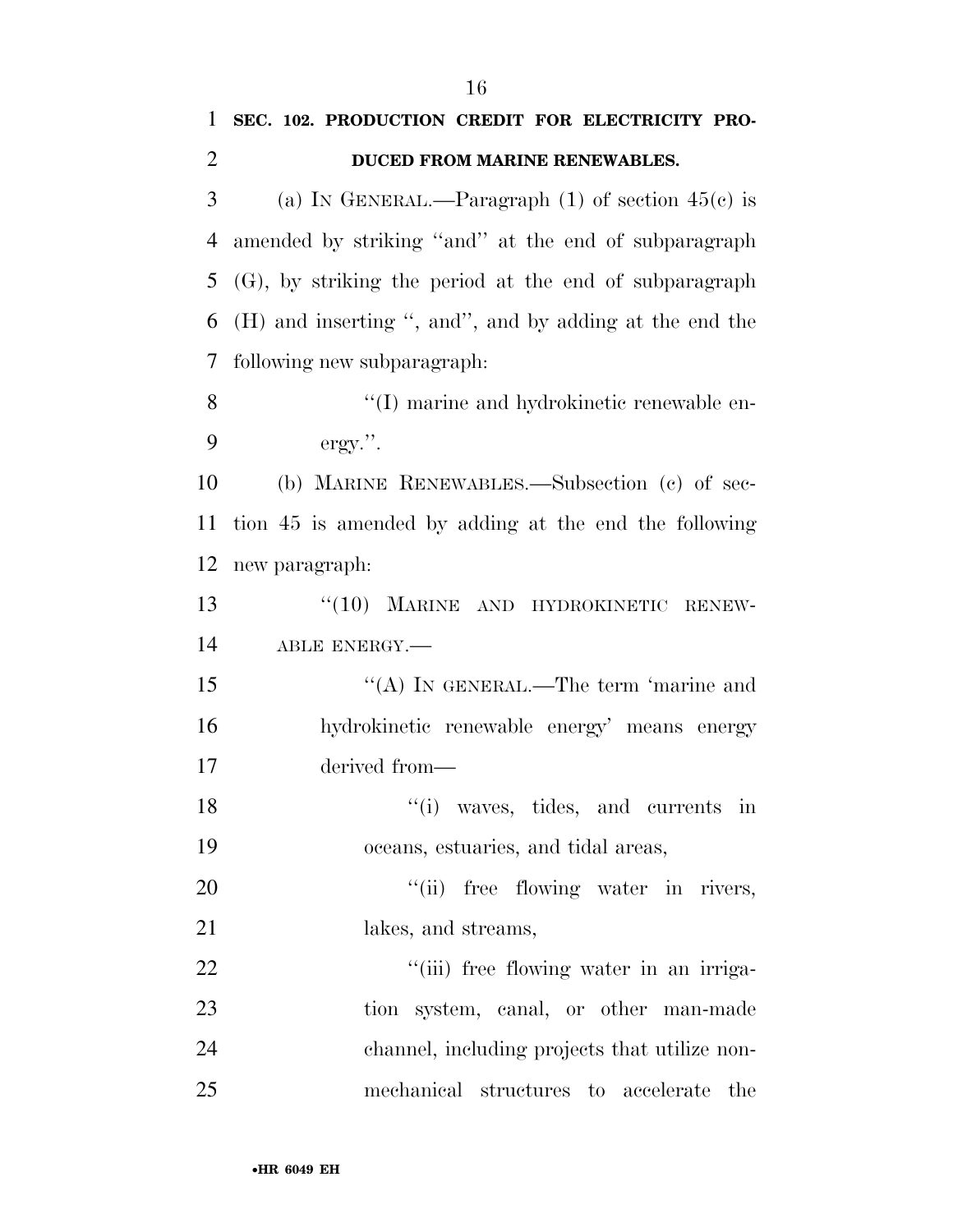| $\mathbf{1}$   | SEC. 102. PRODUCTION CREDIT FOR ELECTRICITY PRO-          |
|----------------|-----------------------------------------------------------|
| $\overline{2}$ | DUCED FROM MARINE RENEWABLES.                             |
| 3              | (a) IN GENERAL.—Paragraph $(1)$ of section $45(c)$ is     |
| 4              | amended by striking "and" at the end of subparagraph      |
| 5              | $(G)$ , by striking the period at the end of subparagraph |
| 6              | (H) and inserting ", and", and by adding at the end the   |
| 7              | following new subparagraph:                               |
| 8              | "(I) marine and hydrokinetic renewable en-                |
| 9              | $ergy."$ .                                                |
| 10             | (b) MARINE RENEWABLES.—Subsection (c) of sec-             |
| 11             | tion 45 is amended by adding at the end the following     |
| 12             | new paragraph:                                            |
| 13             | "(10) MARINE AND HYDROKINETIC RENEW-                      |
| 14             | ABLE ENERGY.                                              |
| 15             | "(A) IN GENERAL.—The term 'marine and                     |
| 16             | hydrokinetic renewable energy' means energy               |
| 17             | derived from-                                             |
| 18             | $f'(i)$ waves, tides, and currents in                     |
| 19             | oceans, estuaries, and tidal areas,                       |
| 20             | "(ii) free flowing water in rivers,                       |
| 21             | lakes, and streams,                                       |
| 22             | "(iii) free flowing water in an irriga-                   |
| 23             | tion system, canal, or other man-made                     |
| 24             | channel, including projects that utilize non-             |
| 25             | mechanical structures to accelerate<br>the                |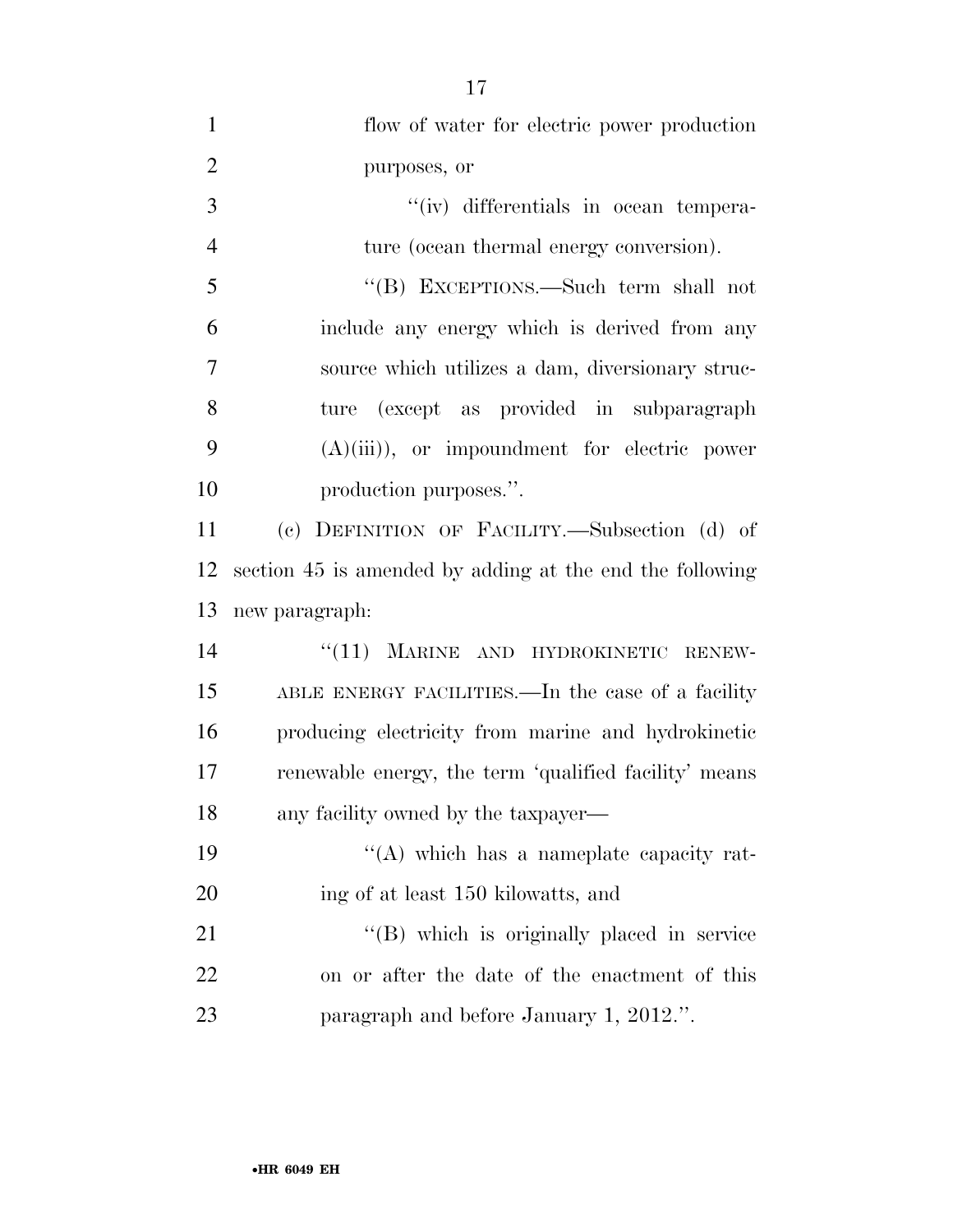| $\mathbf{1}$   | flow of water for electric power production              |
|----------------|----------------------------------------------------------|
| $\overline{2}$ | purposes, or                                             |
| 3              | "(iv) differentials in ocean tempera-                    |
| $\overline{4}$ | ture (ocean thermal energy conversion).                  |
| 5              | "(B) EXCEPTIONS.—Such term shall not                     |
| 6              | include any energy which is derived from any             |
| 7              | source which utilizes a dam, diversionary struc-         |
| 8              | ture (except as provided in subparagraph                 |
| 9              | $(A)(iii)$ , or impoundment for electric power           |
| 10             | production purposes.".                                   |
| 11             | (c) DEFINITION OF FACILITY.-Subsection (d) of            |
| 12             | section 45 is amended by adding at the end the following |
| 13             | new paragraph:                                           |
| 14             | "(11) MARINE AND HYDROKINETIC RENEW-                     |
| 15             | ABLE ENERGY FACILITIES.—In the case of a facility        |
| 16             | producing electricity from marine and hydrokinetic       |
| 17             | renewable energy, the term 'qualified facility' means    |
| 18             | any facility owned by the taxpayer—                      |
| 19             | "(A) which has a nameplate capacity rat-                 |
| 20             | ing of at least 150 kilowatts, and                       |
| 21             | "(B) which is originally placed in service               |
| 22             | on or after the date of the enactment of this            |
| 23             | paragraph and before January 1, 2012.".                  |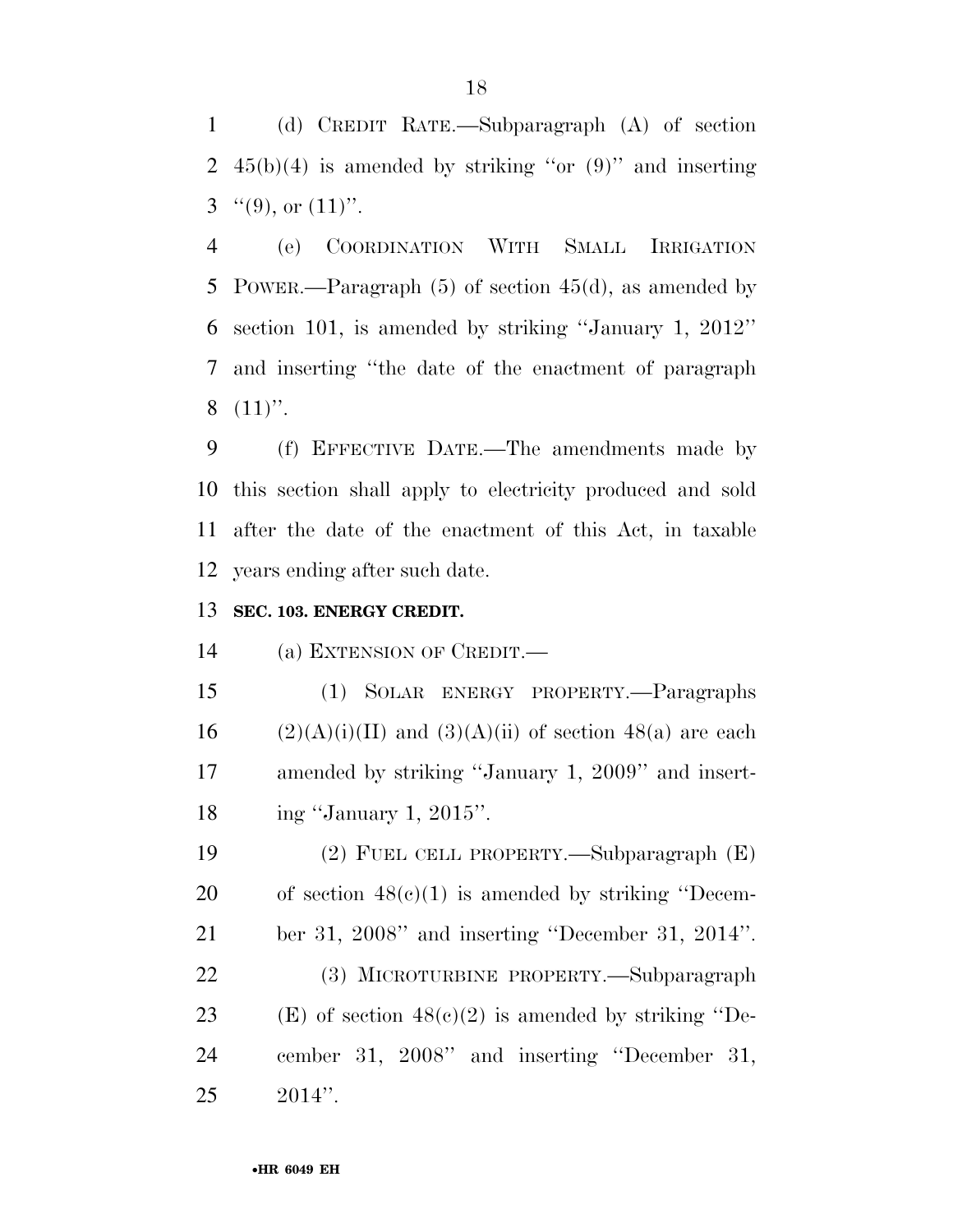(d) CREDIT RATE.—Subparagraph (A) of section 2  $45(b)(4)$  is amended by striking "or  $(9)$ " and inserting  $3^{(6)}$ (9), or  $(11)$ ".

 (e) COORDINATION WITH SMALL IRRIGATION POWER.—Paragraph (5) of section 45(d), as amended by section 101, is amended by striking ''January 1, 2012'' and inserting ''the date of the enactment of paragraph  $8(11)$ ".

 (f) EFFECTIVE DATE.—The amendments made by this section shall apply to electricity produced and sold after the date of the enactment of this Act, in taxable years ending after such date.

# **SEC. 103. ENERGY CREDIT.**

(a) EXTENSION OF CREDIT.—

 (1) SOLAR ENERGY PROPERTY.—Paragraphs 16 (2)(A)(i)(II) and (3)(A)(ii) of section 48(a) are each amended by striking ''January 1, 2009'' and insert-ing ''January 1, 2015''.

 (2) FUEL CELL PROPERTY.—Subparagraph (E) 20 of section  $48(e)(1)$  is amended by striking "Decem- ber 31, 2008'' and inserting ''December 31, 2014''. (3) MICROTURBINE PROPERTY.—Subparagraph 23 (E) of section  $48(c)(2)$  is amended by striking "De- cember 31, 2008'' and inserting ''December 31, 2014''.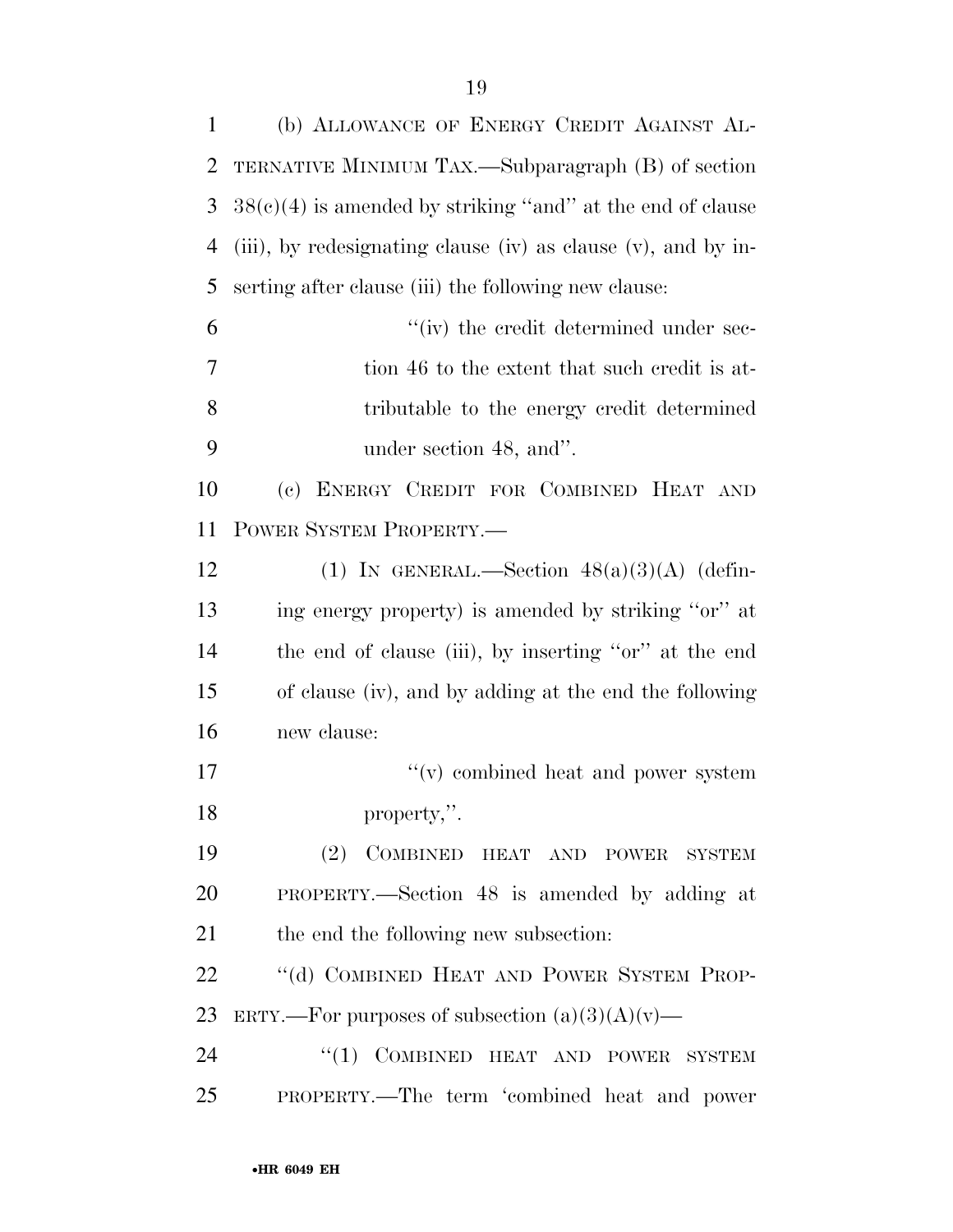| $\mathbf{1}$   | (b) ALLOWANCE OF ENERGY CREDIT AGAINST AL-                    |
|----------------|---------------------------------------------------------------|
| 2              | TERNATIVE MINIMUM TAX.—Subparagraph (B) of section            |
| 3              | $38(c)(4)$ is amended by striking "and" at the end of clause  |
| $\overline{4}$ | (iii), by redesignating clause (iv) as clause (v), and by in- |
| 5              | serting after clause (iii) the following new clause:          |
| 6              | "(iv) the credit determined under sec-                        |
| 7              | tion 46 to the extent that such credit is at-                 |
| 8              | tributable to the energy credit determined                    |
| 9              | under section 48, and".                                       |
| 10             | (c) ENERGY CREDIT FOR COMBINED HEAT AND                       |
| 11             | POWER SYSTEM PROPERTY.—                                       |
| 12             | (1) IN GENERAL.—Section $48(a)(3)(A)$ (defin-                 |
| 13             | ing energy property) is amended by striking "or" at           |
| 14             | the end of clause (iii), by inserting "or" at the end         |
| 15             | of clause (iv), and by adding at the end the following        |
| 16             | new clause:                                                   |
| 17             | "(v) combined heat and power system                           |
| 18             | property,".                                                   |
| 19             | (2) COMBINED HEAT AND POWER SYSTEM                            |
| 20             | PROPERTY.—Section 48 is amended by adding at                  |
| 21             | the end the following new subsection:                         |
| 22             | "(d) COMBINED HEAT AND POWER SYSTEM PROP-                     |
| 23             | ERTY.—For purposes of subsection $(a)(3)(A)(v)$ —             |
| 24             | "(1) COMBINED HEAT AND POWER SYSTEM                           |
| 25             | PROPERTY.—The term 'combined heat and power                   |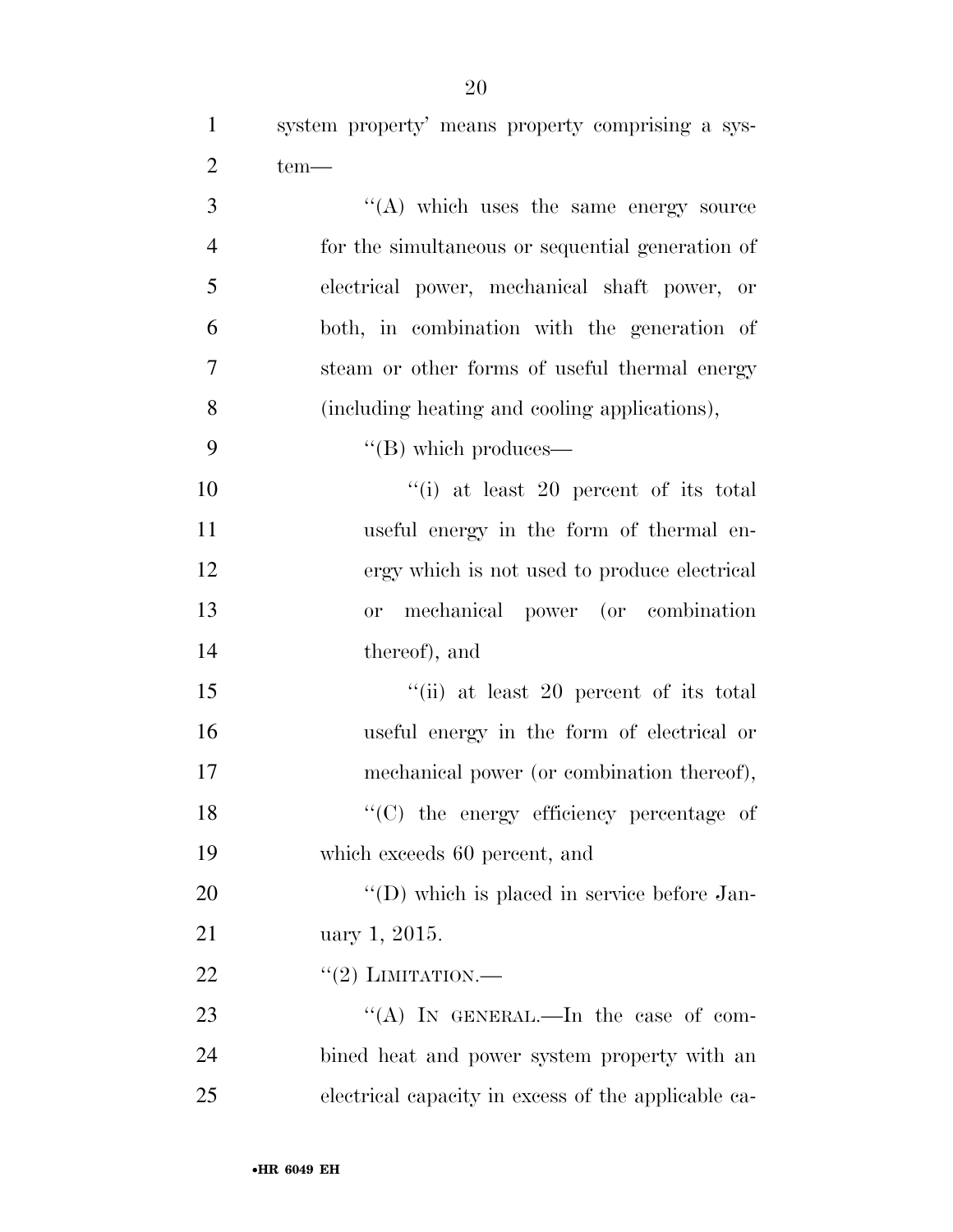system property' means property comprising a sys-2  $\text{tem}\text{---}$ 

 $\langle (A) \rangle$  which uses the same energy source for the simultaneous or sequential generation of electrical power, mechanical shaft power, or both, in combination with the generation of steam or other forms of useful thermal energy (including heating and cooling applications),  $"({\rm B})$  which produces—  $"$ (i) at least 20 percent of its total useful energy in the form of thermal en- ergy which is not used to produce electrical or mechanical power (or combination thereof), and 15 ''(ii) at least 20 percent of its total useful energy in the form of electrical or mechanical power (or combination thereof), 18 "'(C) the energy efficiency percentage of which exceeds 60 percent, and  $\langle (D) \rangle$  which is placed in service before Jan- uary 1, 2015.  $\frac{((2) \text{ LIMITATION}}{}$ 23 "(A) IN GENERAL.—In the case of com- bined heat and power system property with an electrical capacity in excess of the applicable ca-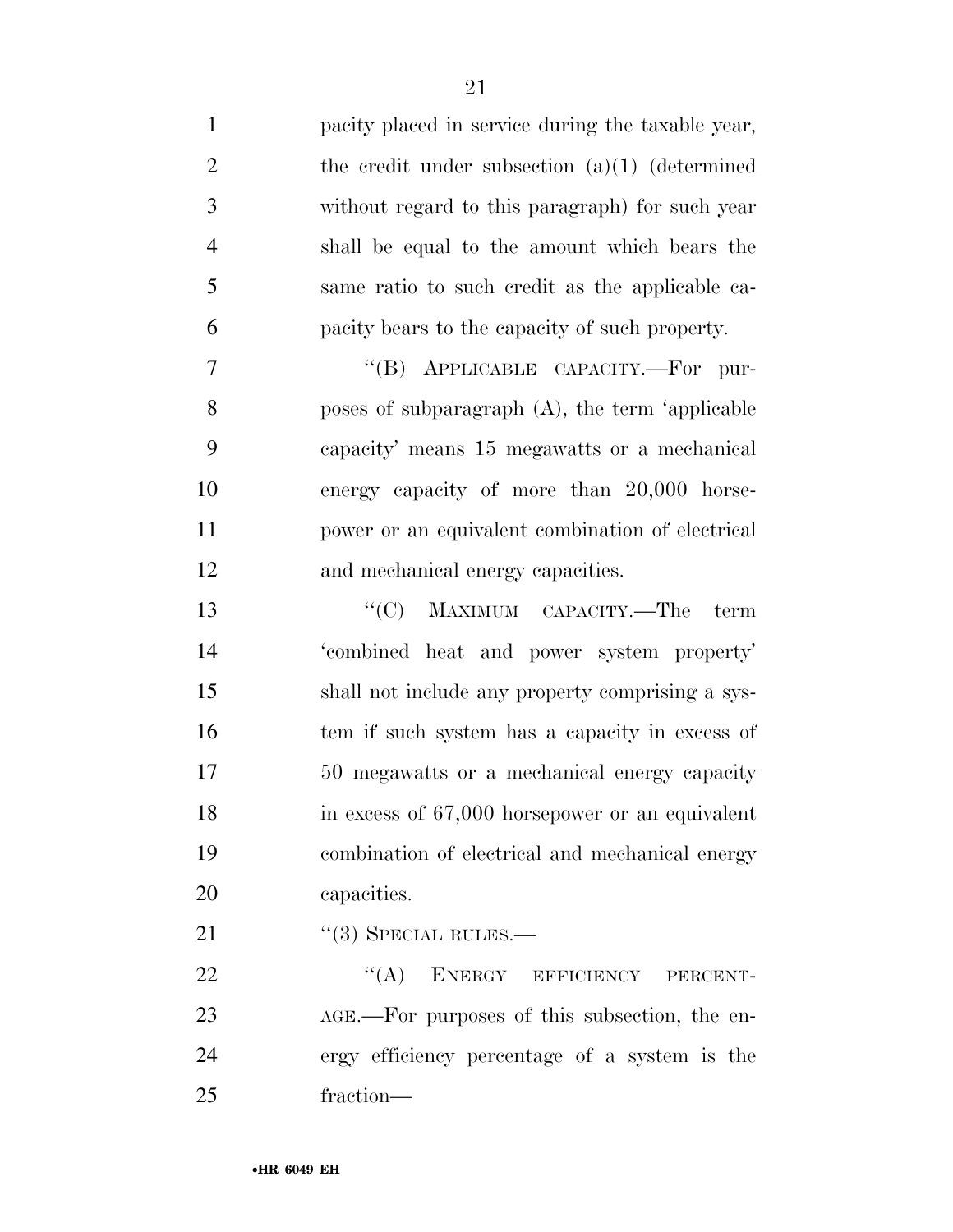| $\mathbf{1}$   | pacity placed in service during the taxable year,  |
|----------------|----------------------------------------------------|
| $\overline{2}$ | the credit under subsection $(a)(1)$ (determined   |
| 3              | without regard to this paragraph) for such year    |
| $\overline{4}$ | shall be equal to the amount which bears the       |
| 5              | same ratio to such credit as the applicable ca-    |
| 6              | pacity bears to the capacity of such property.     |
| 7              | "(B) APPLICABLE CAPACITY.—For pur-                 |
| 8              | poses of subparagraph $(A)$ , the term 'applicable |
| 9              | capacity' means 15 megawatts or a mechanical       |
| 10             | energy capacity of more than 20,000 horse-         |
| 11             | power or an equivalent combination of electrical   |
| 12             | and mechanical energy capacities.                  |
| 13             | "(C) MAXIMUM CAPACITY.—The<br>term                 |
| 14             | 'combined heat and power system property'          |
| 15             | shall not include any property comprising a sys-   |
| 16             | tem if such system has a capacity in excess of     |
| 17             | 50 megawatts or a mechanical energy capacity       |
| 18             | in excess of 67,000 horsepower or an equivalent    |
| 19             | combination of electrical and mechanical energy    |
| 20             | capacities.                                        |
| 21             | $``(3)$ SPECIAL RULES.—                            |
| 22             | ``(A)<br>ENERGY EFFICIENCY<br>PERCENT-             |
| 23             | AGE.—For purposes of this subsection, the en-      |
| 24             | ergy efficiency percentage of a system is the      |
| 25             | fraction-                                          |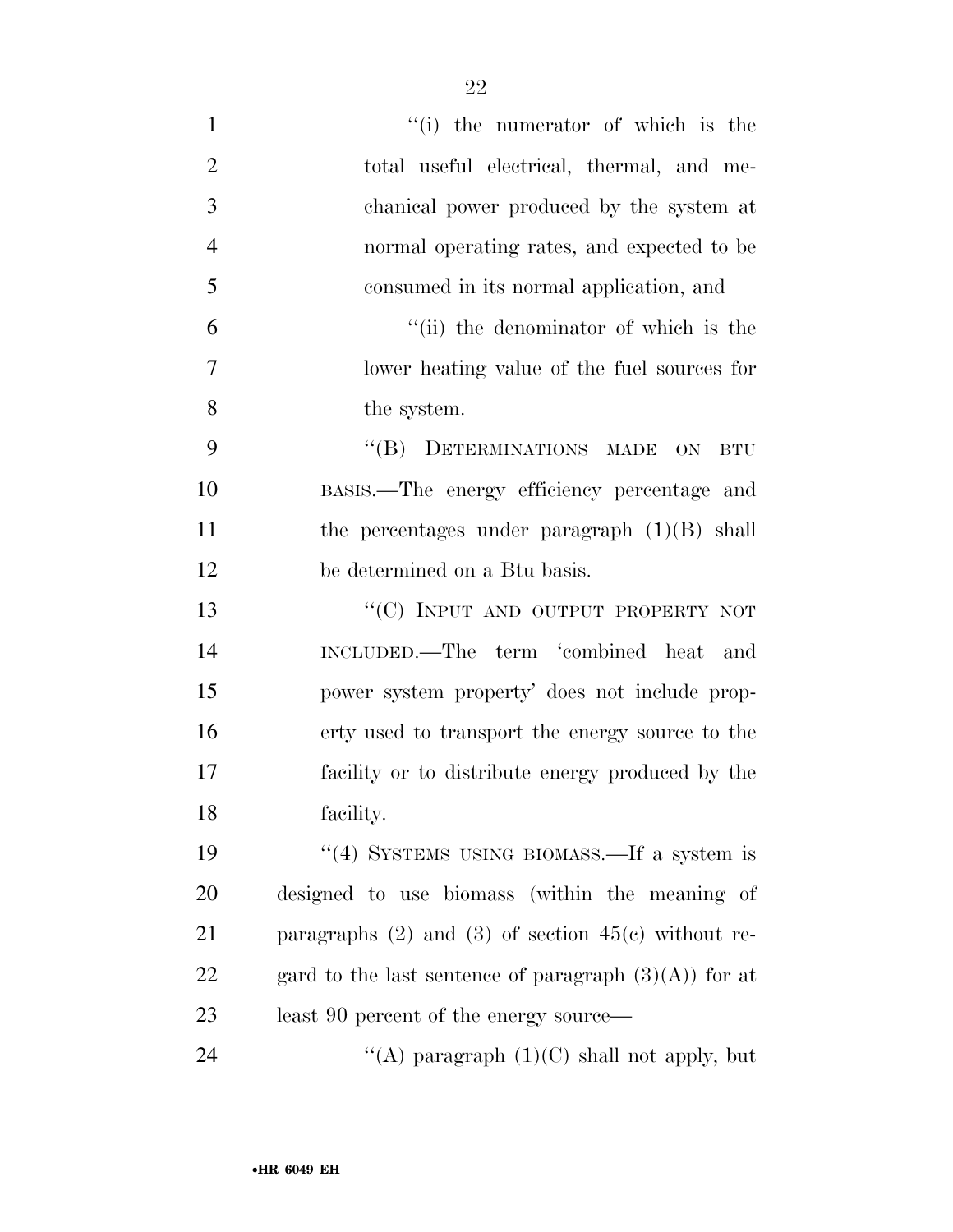| $\mathbf{1}$   | "(i) the numerator of which is the                        |
|----------------|-----------------------------------------------------------|
| $\overline{2}$ | total useful electrical, thermal, and me-                 |
| 3              | chanical power produced by the system at                  |
| $\overline{4}$ | normal operating rates, and expected to be                |
| 5              | consumed in its normal application, and                   |
| 6              | "(ii) the denominator of which is the                     |
| 7              | lower heating value of the fuel sources for               |
| 8              | the system.                                               |
| 9              | "(B) DETERMINATIONS MADE ON<br><b>BTU</b>                 |
| 10             | BASIS.—The energy efficiency percentage and               |
| 11             | the percentages under paragraph $(1)(B)$ shall            |
| 12             | be determined on a Btu basis.                             |
| 13             | "(C) INPUT AND OUTPUT PROPERTY NOT                        |
| 14             | INCLUDED.—The term 'combined heat<br>and                  |
| 15             | power system property' does not include prop-             |
| 16             | erty used to transport the energy source to the           |
| 17             | facility or to distribute energy produced by the          |
| 18             | facility.                                                 |
| 19             | "(4) SYSTEMS USING BIOMASS.—If a system is                |
| 20             | designed to use biomass (within the meaning of            |
| 21             | paragraphs $(2)$ and $(3)$ of section $45(c)$ without re- |
| 22             | gard to the last sentence of paragraph $(3)(A)$ for at    |
| 23             | least 90 percent of the energy source—                    |
| 24             | "(A) paragraph $(1)(C)$ shall not apply, but              |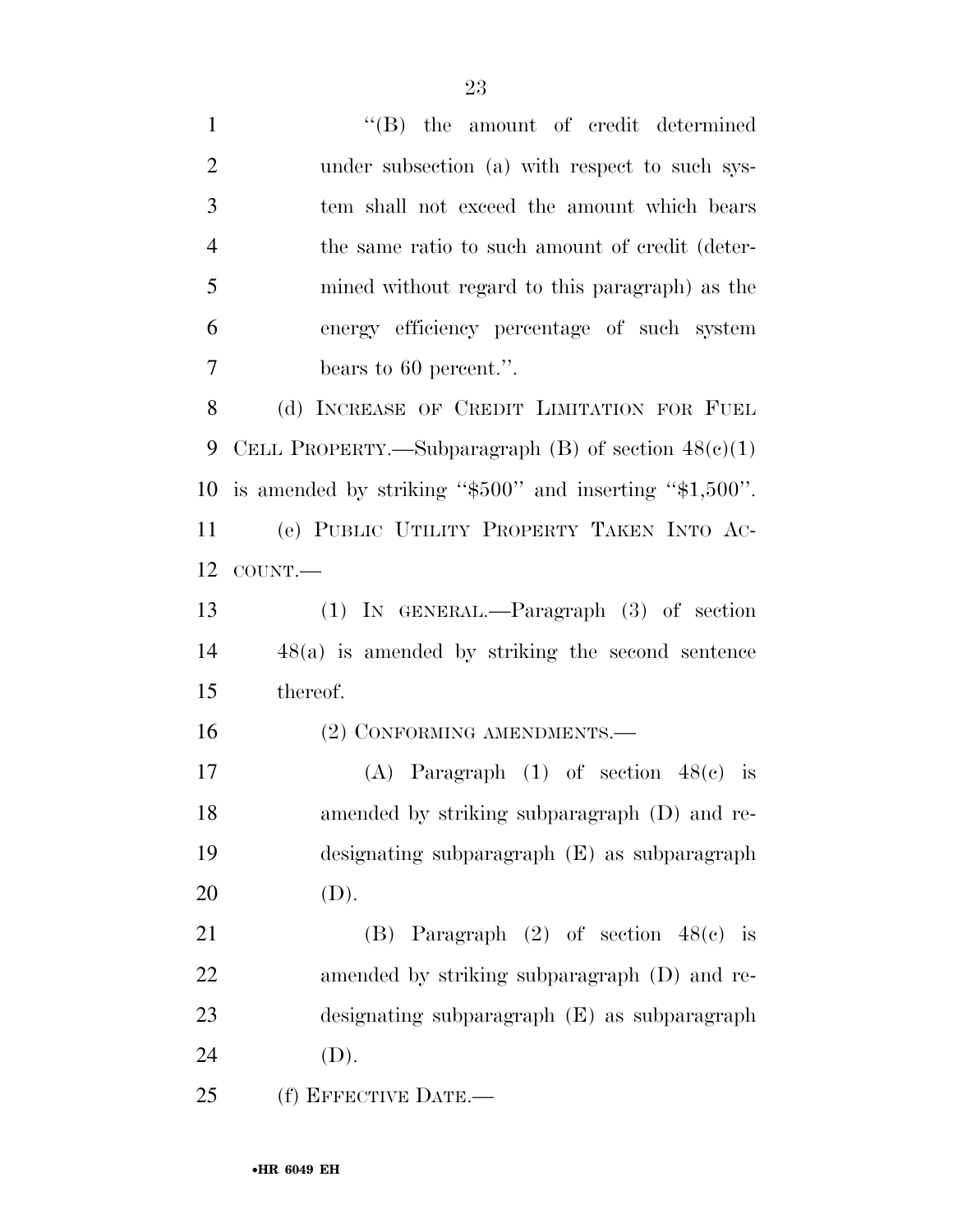| $\mathbf{1}$   | $\lq\lq$ the amount of credit determined                     |
|----------------|--------------------------------------------------------------|
| $\overline{2}$ | under subsection (a) with respect to such sys-               |
| 3              | tem shall not exceed the amount which bears                  |
| $\overline{4}$ | the same ratio to such amount of credit (deter-              |
| 5              | mined without regard to this paragraph) as the               |
| 6              | energy efficiency percentage of such system                  |
| $\tau$         | bears to 60 percent.".                                       |
| 8              | (d) INCREASE OF CREDIT LIMITATION FOR FUEL                   |
| 9              | CELL PROPERTY.—Subparagraph $(B)$ of section $48(e)(1)$      |
| 10             | is amended by striking " $$500"$ and inserting " $$1,500"$ . |
| 11             | (e) PUBLIC UTILITY PROPERTY TAKEN INTO AC-                   |
| 12             | COUNT.                                                       |
| 13             | $(1)$ IN GENERAL.—Paragraph $(3)$ of section                 |
| 14             | $48(a)$ is amended by striking the second sentence           |
| 15             | thereof.                                                     |
| 16             | (2) CONFORMING AMENDMENTS.-                                  |
| 17             | (A) Paragraph $(1)$ of section $48(e)$ is                    |
| 18             | amended by striking subparagraph (D) and re-                 |
| 19             | designating subparagraph (E) as subparagraph                 |
| 20             | (D).                                                         |
| 21             | (B) Paragraph $(2)$ of section $48(e)$ is                    |
| 22             | amended by striking subparagraph (D) and re-                 |
| 23             | designating subparagraph (E) as subparagraph                 |
| 24             | (D).                                                         |
| 25             | (f) EFFECTIVE DATE.-                                         |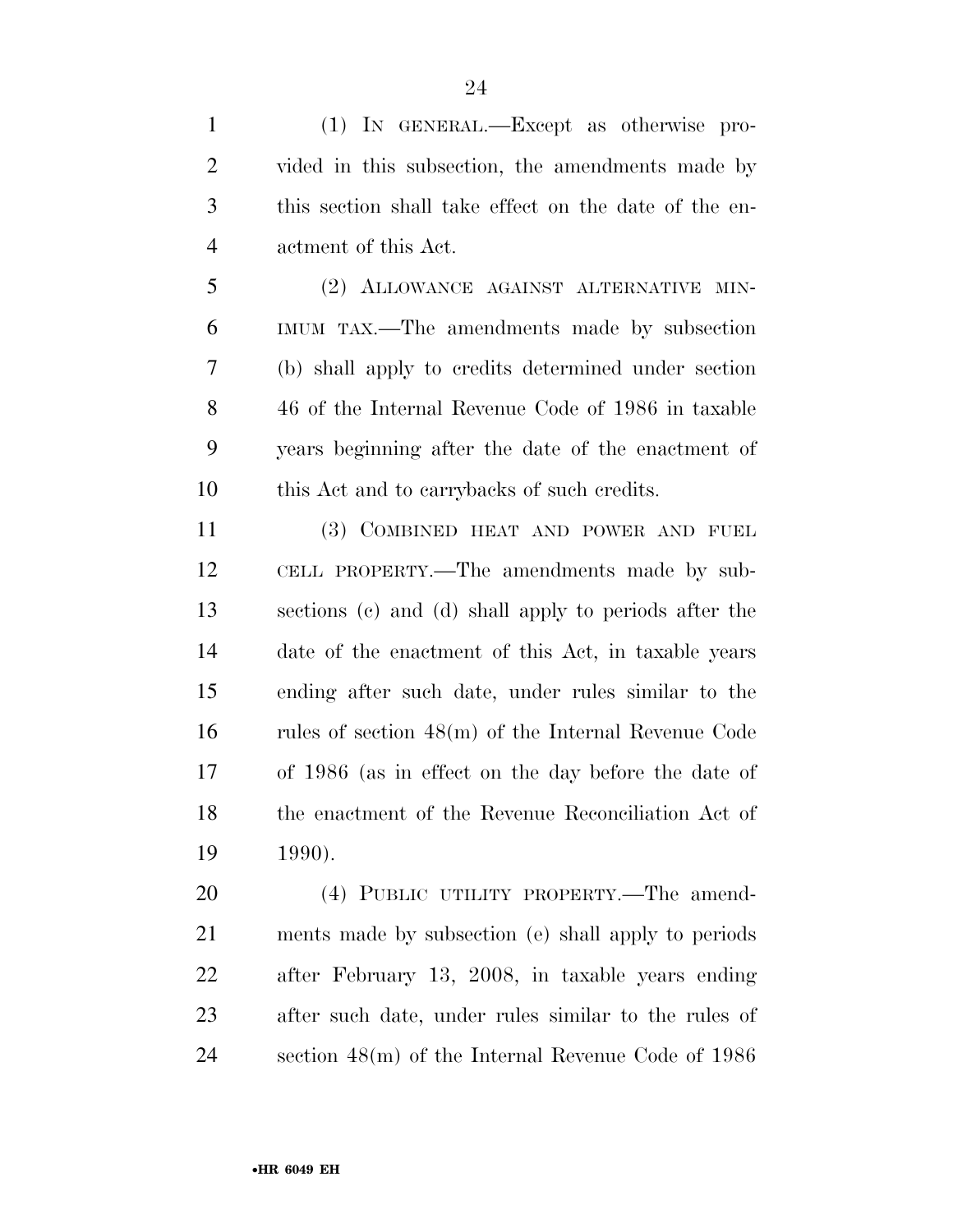(1) IN GENERAL.—Except as otherwise pro- vided in this subsection, the amendments made by this section shall take effect on the date of the en-actment of this Act.

 (2) ALLOWANCE AGAINST ALTERNATIVE MIN- IMUM TAX.—The amendments made by subsection (b) shall apply to credits determined under section 46 of the Internal Revenue Code of 1986 in taxable years beginning after the date of the enactment of this Act and to carrybacks of such credits.

 (3) COMBINED HEAT AND POWER AND FUEL CELL PROPERTY.—The amendments made by sub- sections (c) and (d) shall apply to periods after the date of the enactment of this Act, in taxable years ending after such date, under rules similar to the rules of section 48(m) of the Internal Revenue Code of 1986 (as in effect on the day before the date of the enactment of the Revenue Reconciliation Act of 1990).

 (4) PUBLIC UTILITY PROPERTY.—The amend- ments made by subsection (e) shall apply to periods after February 13, 2008, in taxable years ending after such date, under rules similar to the rules of section 48(m) of the Internal Revenue Code of 1986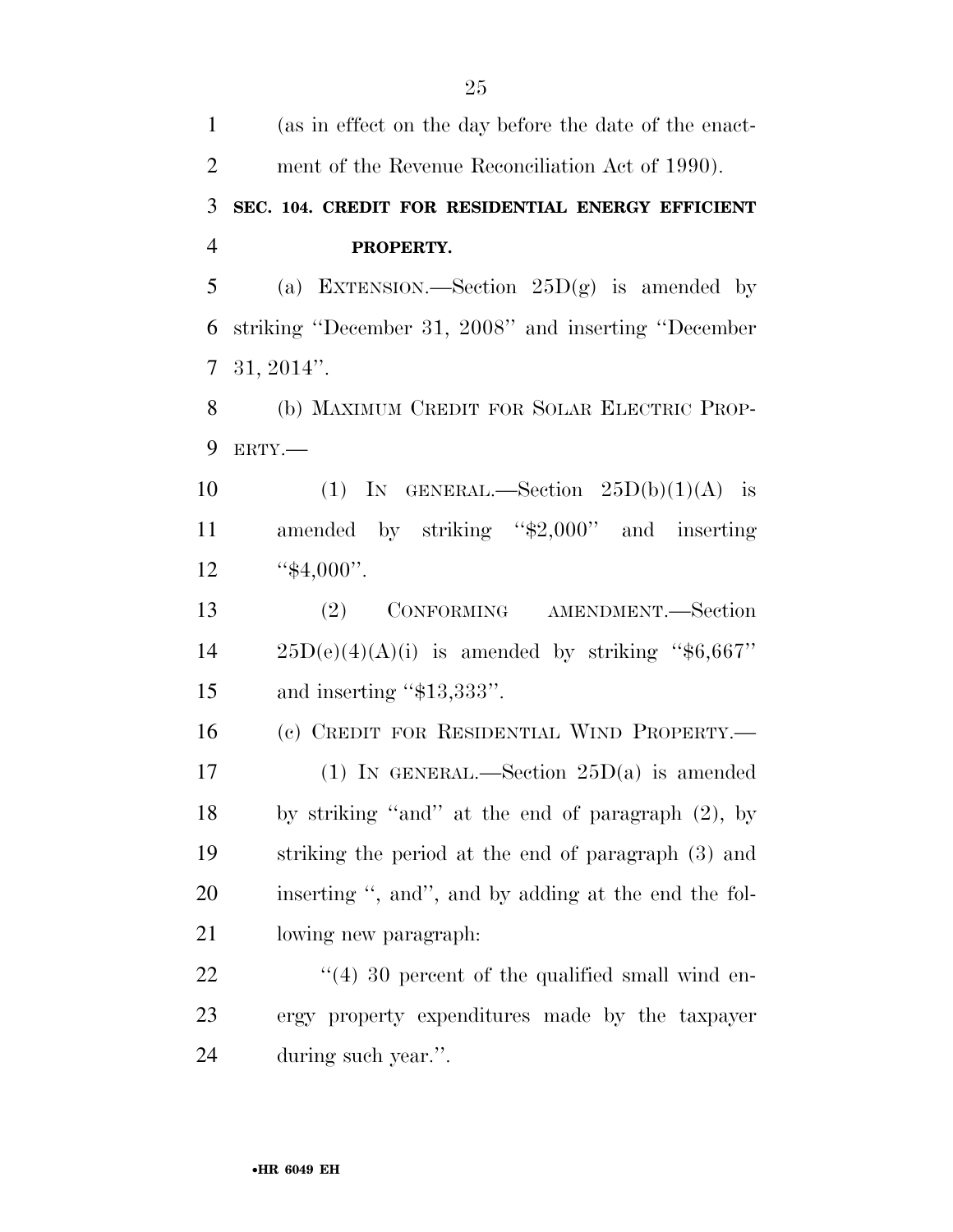| $\mathbf{1}$   | (as in effect on the day before the date of the enact- |
|----------------|--------------------------------------------------------|
| $\overline{2}$ | ment of the Revenue Reconciliation Act of 1990).       |
| 3              | SEC. 104. CREDIT FOR RESIDENTIAL ENERGY EFFICIENT      |
| $\overline{4}$ | PROPERTY.                                              |
| 5              | (a) EXTENSION.—Section $25D(g)$ is amended by          |
| 6              | striking "December 31, 2008" and inserting "December   |
| $\overline{7}$ | $31, 2014$ ".                                          |
| 8              | (b) MAXIMUM CREDIT FOR SOLAR ELECTRIC PROP-            |
| 9              | ERTY.-                                                 |
| 10             | (1) IN GENERAL.—Section $25D(b)(1)(A)$ is              |
| 11             | amended by striking "\$2,000" and inserting            |
| 12             | " $$4,000$ ".                                          |
| 13             | (2) CONFORMING AMENDMENT.—Section                      |
| 14             | $25D(e)(4)(A)(i)$ is amended by striking "\$6,667"     |
| 15             | and inserting " $$13,333"$ .                           |
| 16             | (c) CREDIT FOR RESIDENTIAL WIND PROPERTY.-             |
| 17             | (1) IN GENERAL.—Section $25D(a)$ is amended            |
| 18             | by striking "and" at the end of paragraph (2), by      |
| 19             | striking the period at the end of paragraph (3) and    |
| 20             | inserting ", and", and by adding at the end the fol-   |
| 21             | lowing new paragraph.                                  |
| 22             | $(4)$ 30 percent of the qualified small wind en-       |
| 23             | ergy property expenditures made by the taxpayer        |
| 24             | during such year.".                                    |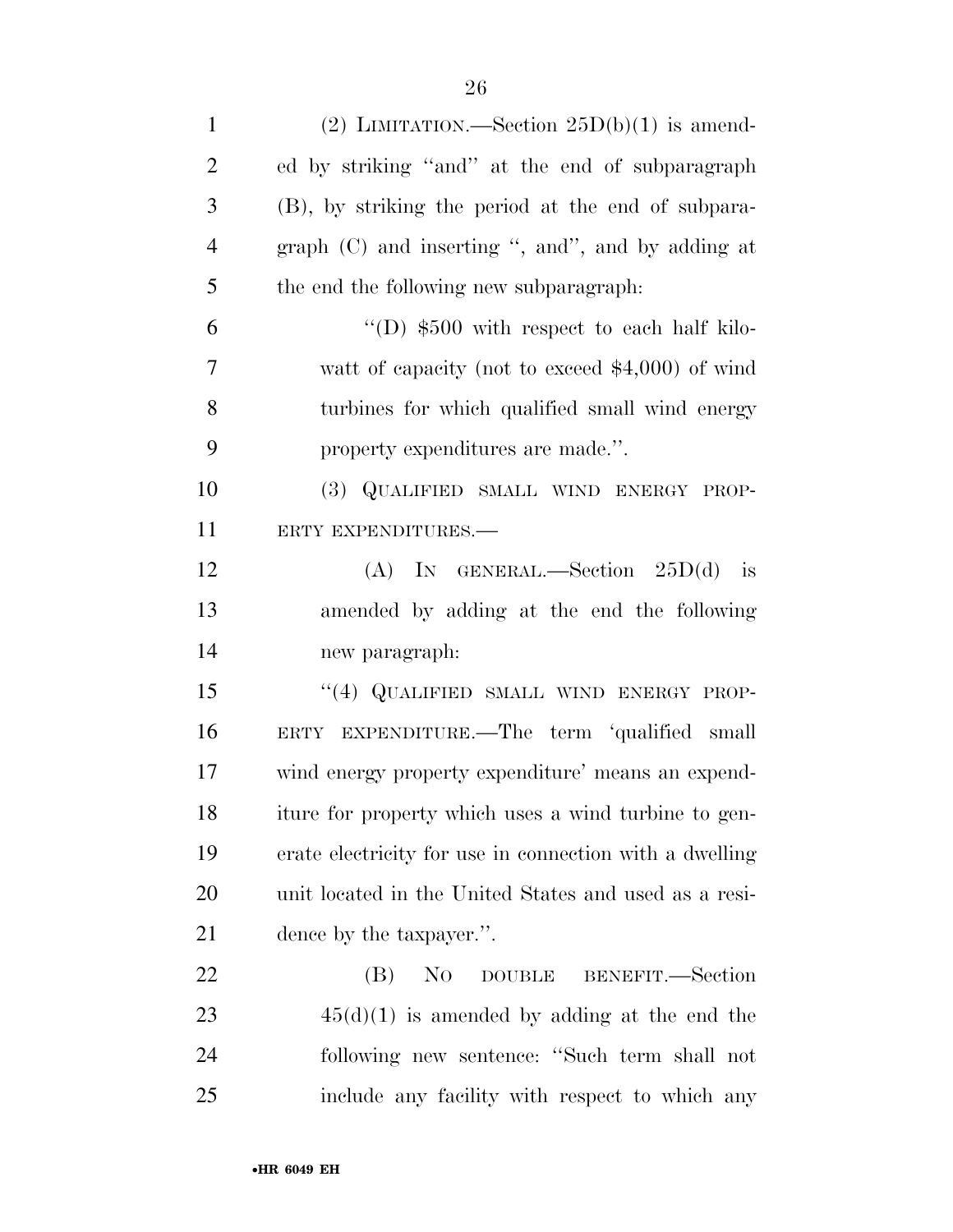| $\mathbf{1}$   | (2) LIMITATION.—Section $25D(b)(1)$ is amend-           |
|----------------|---------------------------------------------------------|
| $\overline{2}$ | ed by striking "and" at the end of subparagraph         |
| 3              | (B), by striking the period at the end of subpara-      |
| $\overline{4}$ | graph $(C)$ and inserting ", and", and by adding at     |
| 5              | the end the following new subparagraph:                 |
| 6              | "(D) $$500$ with respect to each half kilo-             |
| 7              | watt of capacity (not to exceed $$4,000$ ) of wind      |
| 8              | turbines for which qualified small wind energy          |
| 9              | property expenditures are made.".                       |
| 10             | (3) QUALIFIED SMALL WIND ENERGY PROP-                   |
| 11             | ERTY EXPENDITURES.-                                     |
| 12             | (A) IN GENERAL.—Section $25D(d)$ is                     |
| 13             | amended by adding at the end the following              |
| 14             | new paragraph:                                          |
| 15             | "(4) QUALIFIED SMALL WIND ENERGY PROP-                  |
| 16             | ERTY EXPENDITURE.—The term 'qualified small             |
| 17             | wind energy property expenditure' means an expend-      |
| 18             | iture for property which uses a wind turbine to gen-    |
| 19             | erate electricity for use in connection with a dwelling |
| 20             | unit located in the United States and used as a resi-   |
| 21             | dence by the taxpayer.".                                |
| 22             | N <sub>0</sub><br>(B)<br>DOUBLE BENEFIT. Section        |
| 23             | $45(d)(1)$ is amended by adding at the end the          |
| 24             | following new sentence: "Such term shall not            |
| 25             | include any facility with respect to which any          |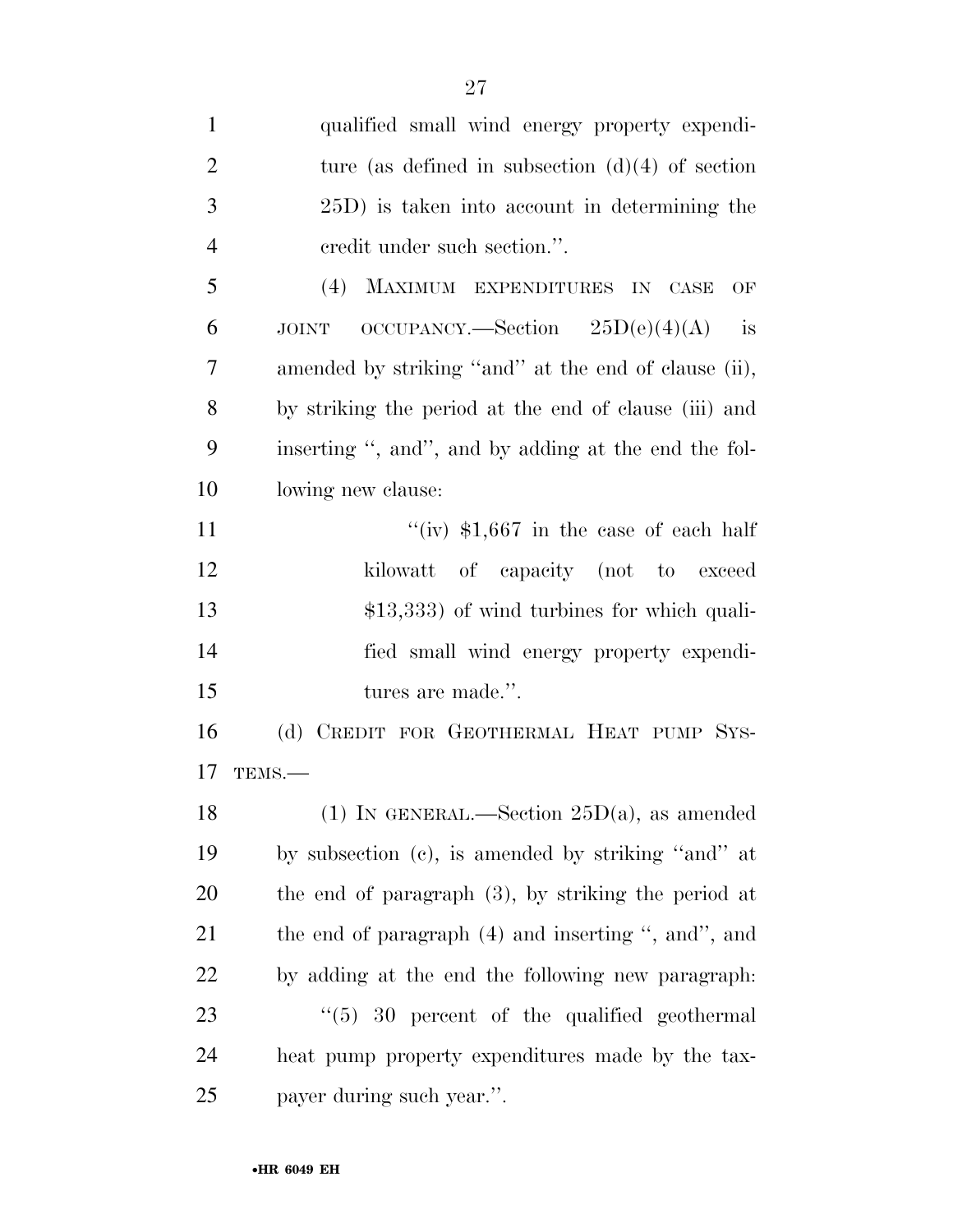| $\mathbf{1}$   | qualified small wind energy property expendi-             |
|----------------|-----------------------------------------------------------|
| $\overline{2}$ | ture (as defined in subsection $(d)(4)$ of section        |
| 3              | 25D) is taken into account in determining the             |
| $\overline{4}$ | eredit under such section.".                              |
| 5              | MAXIMUM EXPENDITURES IN CASE<br>(4)<br>OF                 |
| 6              | $OCCUPANCY. - Section 25D(e)(4)(A)$<br>is<br><b>JOINT</b> |
| 7              | amended by striking "and" at the end of clause (ii),      |
| 8              | by striking the period at the end of clause (iii) and     |
| 9              | inserting ", and", and by adding at the end the fol-      |
| 10             | lowing new clause:                                        |
| 11             | "(iv) $$1,667$ in the case of each half                   |
| 12             | kilowatt of capacity (not to exceed                       |
| 13             | $$13,333$ of wind turbines for which quali-               |
| 14             | fied small wind energy property expendi-                  |
| 15             | tures are made.".                                         |
| 16             | (d) CREDIT FOR GEOTHERMAL HEAT PUMP SYS-                  |
| 17             | TEMS.-                                                    |
| 18             | (1) IN GENERAL.—Section $25D(a)$ , as amended             |
| 19             | by subsection (c), is amended by striking "and" at        |
| <b>20</b>      | the end of paragraph $(3)$ , by striking the period at    |
| 21             | the end of paragraph (4) and inserting ", and", and       |
| <u>22</u>      | by adding at the end the following new paragraph:         |
| 23             | $\degree$ (5) 30 percent of the qualified geothermal      |
| 24             | heat pump property expenditures made by the tax-          |
| 25             | payer during such year.".                                 |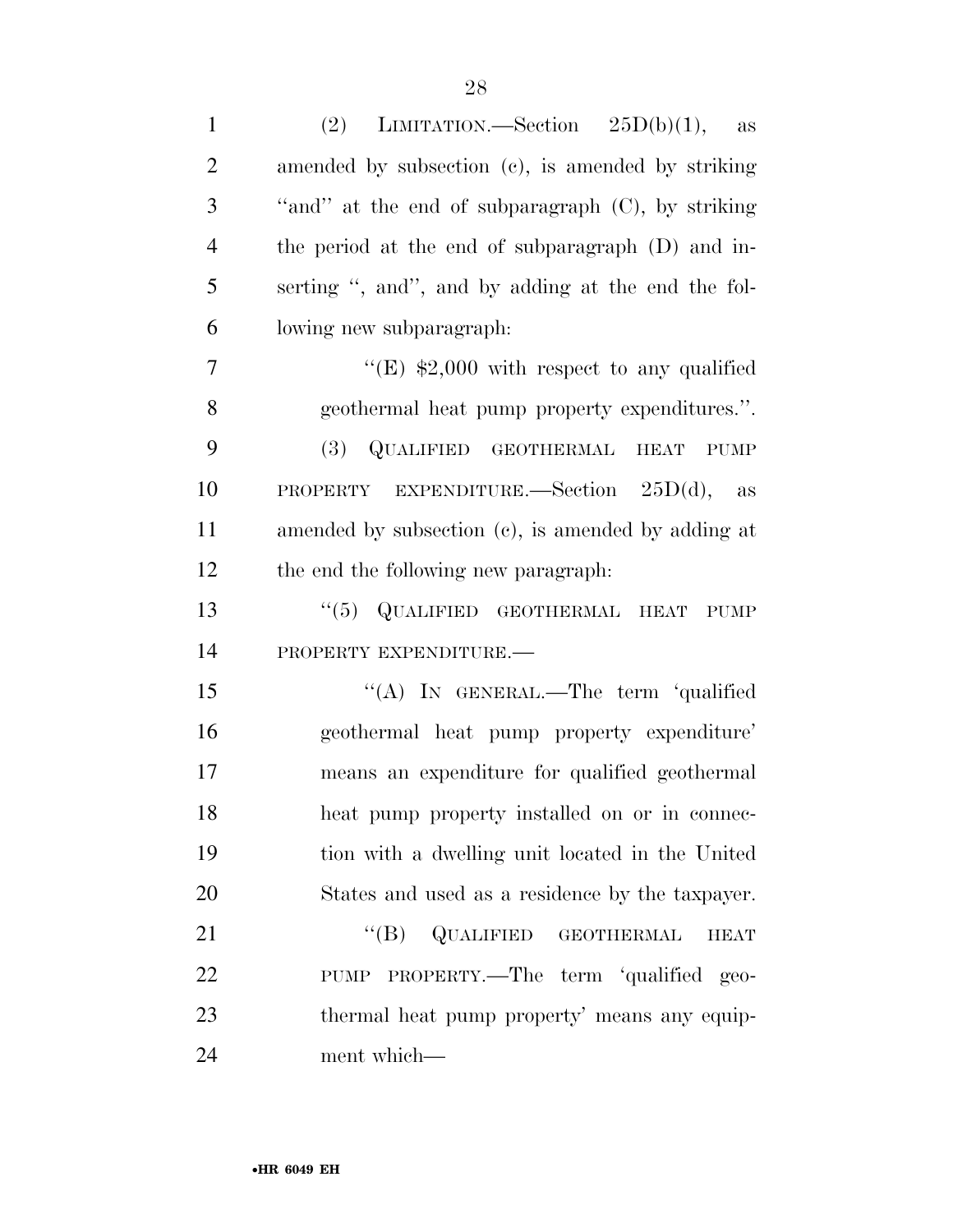| $\mathbf{1}$   | LIMITATION.—Section $25D(b)(1)$ , as<br>(2)                   |
|----------------|---------------------------------------------------------------|
| $\overline{2}$ | amended by subsection (c), is amended by striking             |
| 3              | "and" at the end of subparagraph (C), by striking             |
| $\overline{4}$ | the period at the end of subparagraph (D) and in-             |
| 5              | serting ", and", and by adding at the end the fol-            |
| 6              | lowing new subparagraph:                                      |
| 7              | "(E) $$2,000$ with respect to any qualified                   |
| 8              | geothermal heat pump property expenditures.".                 |
| 9              | (3) QUALIFIED GEOTHERMAL<br><b>HEAT</b><br><b>PUMP</b>        |
| 10             | PROPERTY EXPENDITURE. Section $25D(d)$ , as                   |
| 11             | amended by subsection (c), is amended by adding at            |
| 12             | the end the following new paragraph.                          |
| 13             | "(5) QUALIFIED GEOTHERMAL HEAT PUMP                           |
| 14             | PROPERTY EXPENDITURE.-                                        |
| 15             | "(A) IN GENERAL.—The term 'qualified                          |
| 16             | geothermal heat pump property expenditure'                    |
| 17             | means an expenditure for qualified geothermal                 |
| 18             | heat pump property installed on or in connec-                 |
| 19             | tion with a dwelling unit located in the United               |
| 20             | States and used as a residence by the taxpayer.               |
| 21             | $\lq\lq (B)$<br>QUALIFIED<br><b>GEOTHERMAL</b><br><b>HEAT</b> |
| 22             | PUMP PROPERTY.—The term 'qualified geo-                       |
| 23             | thermal heat pump property' means any equip-                  |
| 24             | ment which—                                                   |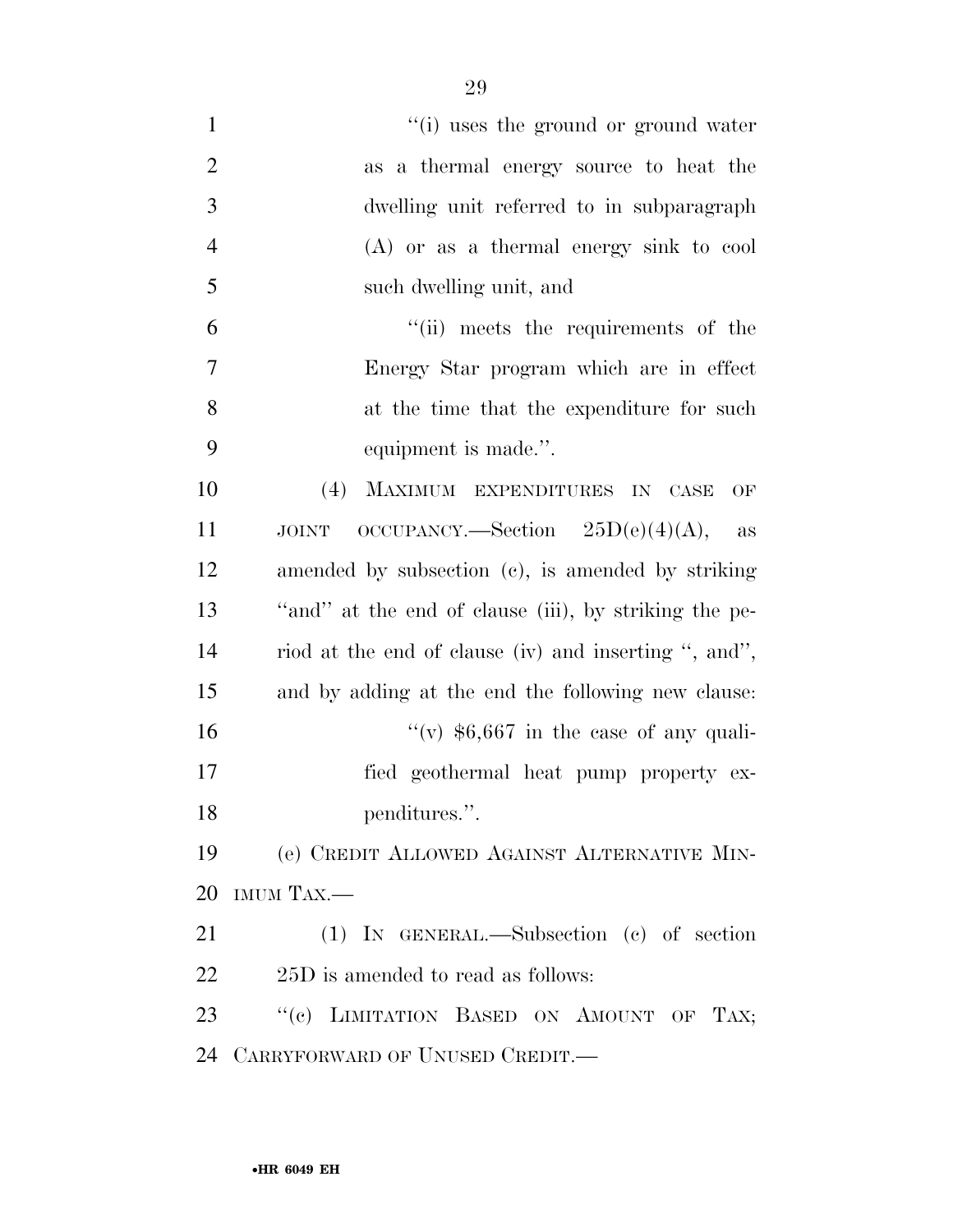$''(i)$  uses the ground or ground water as a thermal energy source to heat the dwelling unit referred to in subparagraph (A) or as a thermal energy sink to cool such dwelling unit, and ''(ii) meets the requirements of the Energy Star program which are in effect at the time that the expenditure for such equipment is made.''. (4) MAXIMUM EXPENDITURES IN CASE OF 11 JOINT OCCUPANCY.—Section  $25D(e)(4)(A)$ , as amended by subsection (c), is amended by striking ''and'' at the end of clause (iii), by striking the pe- riod at the end of clause (iv) and inserting '', and'', and by adding at the end the following new clause:  $\frac{1}{(v)}$  \$6,667 in the case of any quali- fied geothermal heat pump property ex-18 penditures.". (e) CREDIT ALLOWED AGAINST ALTERNATIVE MIN- IMUM TAX.— (1) IN GENERAL.—Subsection (c) of section 22 25D is amended to read as follows:

23 "(c) LIMITATION BASED ON AMOUNT OF TAX; CARRYFORWARD OF UNUSED CREDIT.—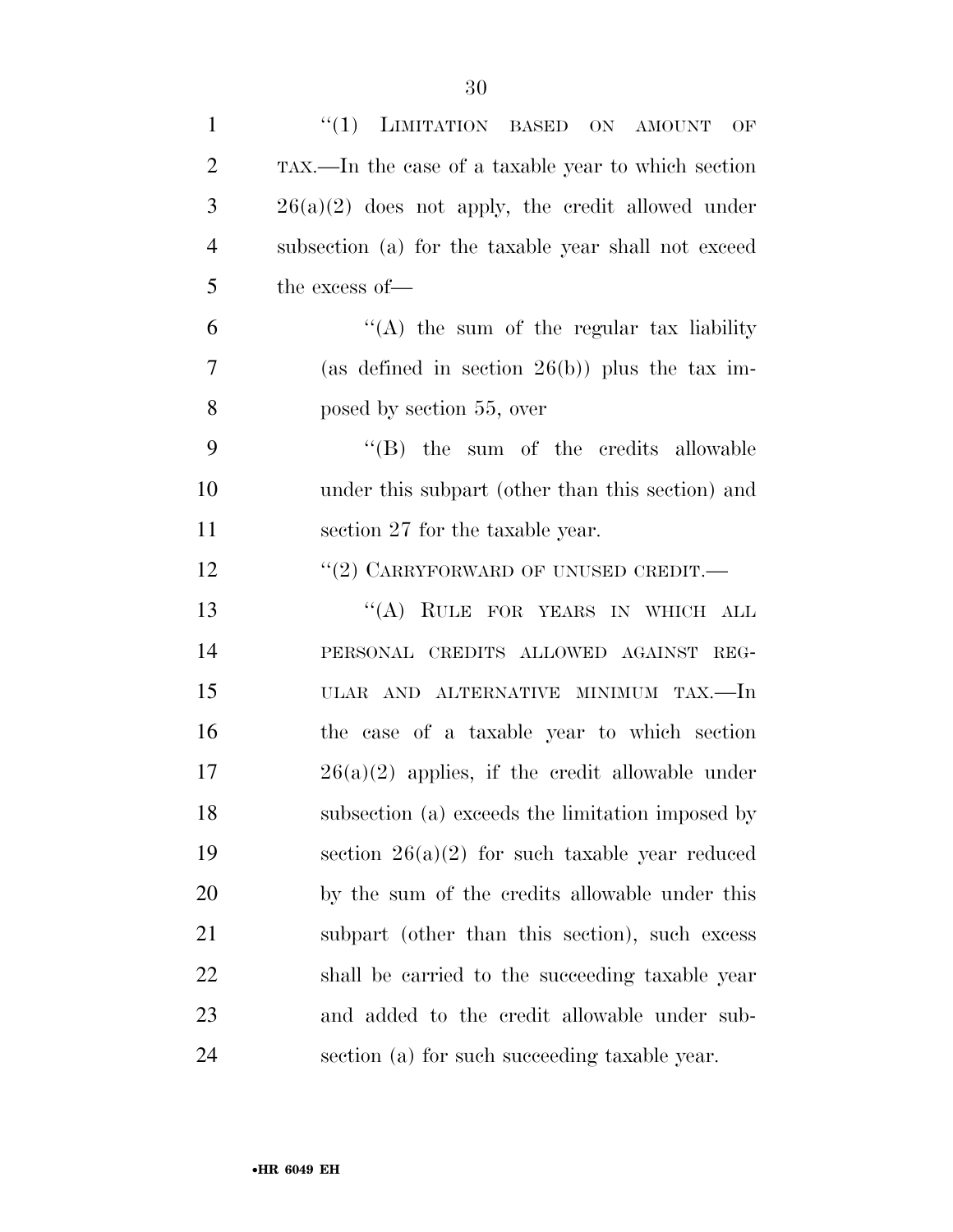| $\mathbf{1}$   | "(1) LIMITATION BASED ON AMOUNT OF                   |
|----------------|------------------------------------------------------|
| $\overline{2}$ | TAX.—In the case of a taxable year to which section  |
| 3              | $26(a)(2)$ does not apply, the credit allowed under  |
| $\overline{4}$ | subsection (a) for the taxable year shall not exceed |
| 5              | the excess of-                                       |
| 6              | "(A) the sum of the regular tax liability            |
| 7              | (as defined in section $26(b)$ ) plus the tax im-    |
| 8              | posed by section 55, over                            |
| 9              | $\lq\lq$ (B) the sum of the credits allowable        |
| 10             | under this subpart (other than this section) and     |
| 11             | section 27 for the taxable year.                     |
| 12             | "(2) CARRYFORWARD OF UNUSED CREDIT.—                 |
| 13             | "(A) RULE FOR YEARS IN WHICH ALL                     |
| 14             | PERSONAL CREDITS ALLOWED AGAINST REG-                |
| 15             | ULAR AND ALTERNATIVE MINIMUM TAX.—In                 |
| 16             | the case of a taxable year to which section          |
| 17             | $26(a)(2)$ applies, if the credit allowable under    |
| 18             | subsection (a) exceeds the limitation imposed by     |
| 19             | section $26(a)(2)$ for such taxable year reduced     |
| <b>20</b>      | by the sum of the credits allowable under this       |
| 21             | subpart (other than this section), such excess       |
| 22             | shall be carried to the succeeding taxable year      |
| 23             | and added to the credit allowable under sub-         |
| 24             | section (a) for such succeeding taxable year.        |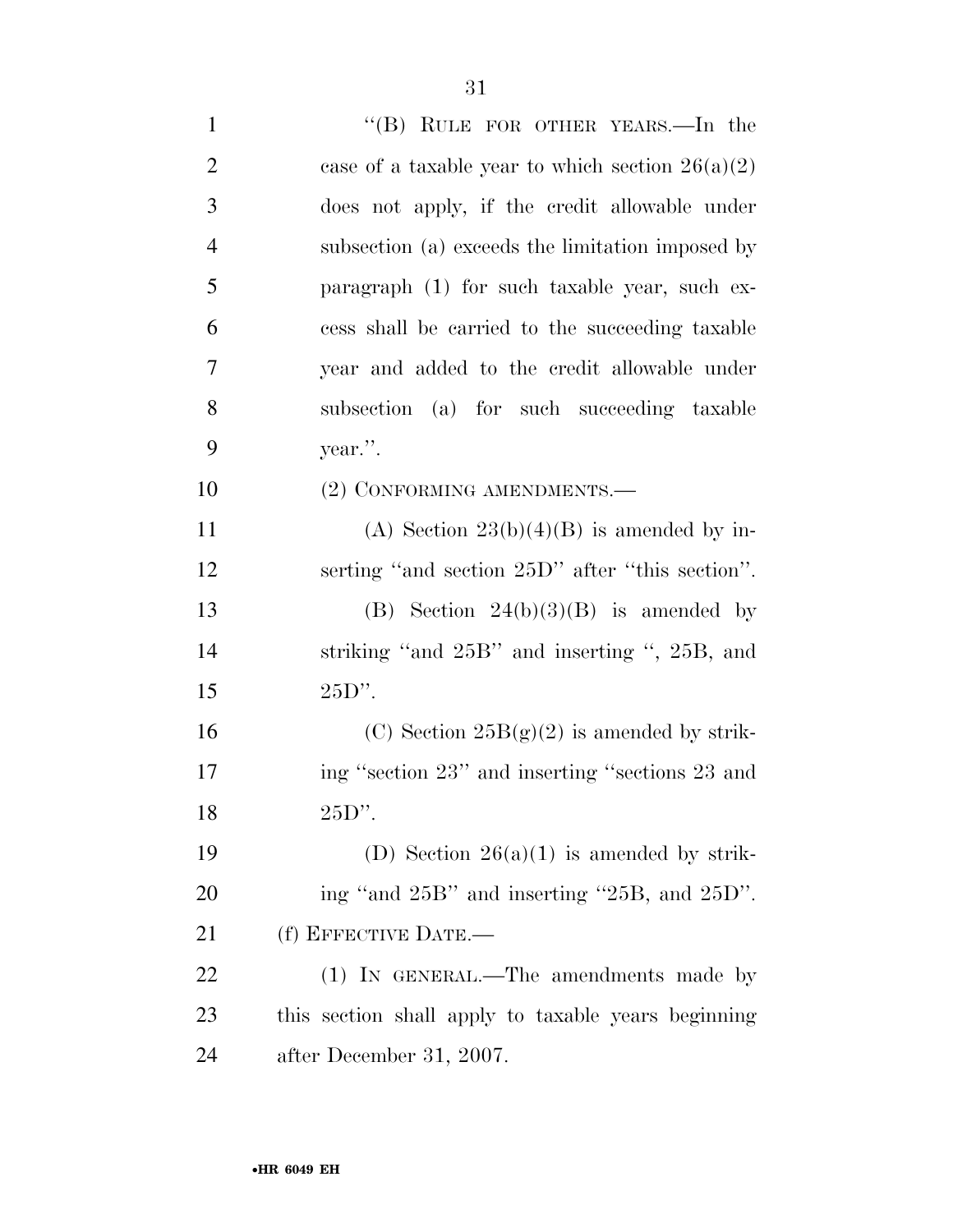| $\mathbf{1}$   | "(B) RULE FOR OTHER YEARS.—In the                   |
|----------------|-----------------------------------------------------|
| $\overline{2}$ | case of a taxable year to which section $26(a)(2)$  |
| 3              | does not apply, if the credit allowable under       |
| $\overline{4}$ | subsection (a) exceeds the limitation imposed by    |
| 5              | paragraph (1) for such taxable year, such ex-       |
| 6              | cess shall be carried to the succeeding taxable     |
| $\overline{7}$ | year and added to the credit allowable under        |
| 8              | subsection (a) for such succeeding taxable          |
| 9              | year.".                                             |
| 10             | (2) CONFORMING AMENDMENTS.-                         |
| 11             | (A) Section $23(b)(4)(B)$ is amended by in-         |
| 12             | serting "and section 25D" after "this section".     |
| 13             | (B) Section $24(b)(3)(B)$ is amended by             |
| 14             | striking "and 25B" and inserting ", 25B, and        |
| 15             | $25D$ ".                                            |
| 16             | (C) Section $25B(g)(2)$ is amended by strik-        |
| 17             | ing "section 23" and inserting "sections 23 and     |
| 18             | $25D$ ".                                            |
| 19             | (D) Section $26(a)(1)$ is amended by strik-         |
| 20             | ing "and 25B" and inserting "25B, and 25D".         |
| 21             | (f) EFFECTIVE DATE.-                                |
| 22             | (1) IN GENERAL.—The amendments made by              |
| 23             | this section shall apply to taxable years beginning |
| 24             | after December 31, 2007.                            |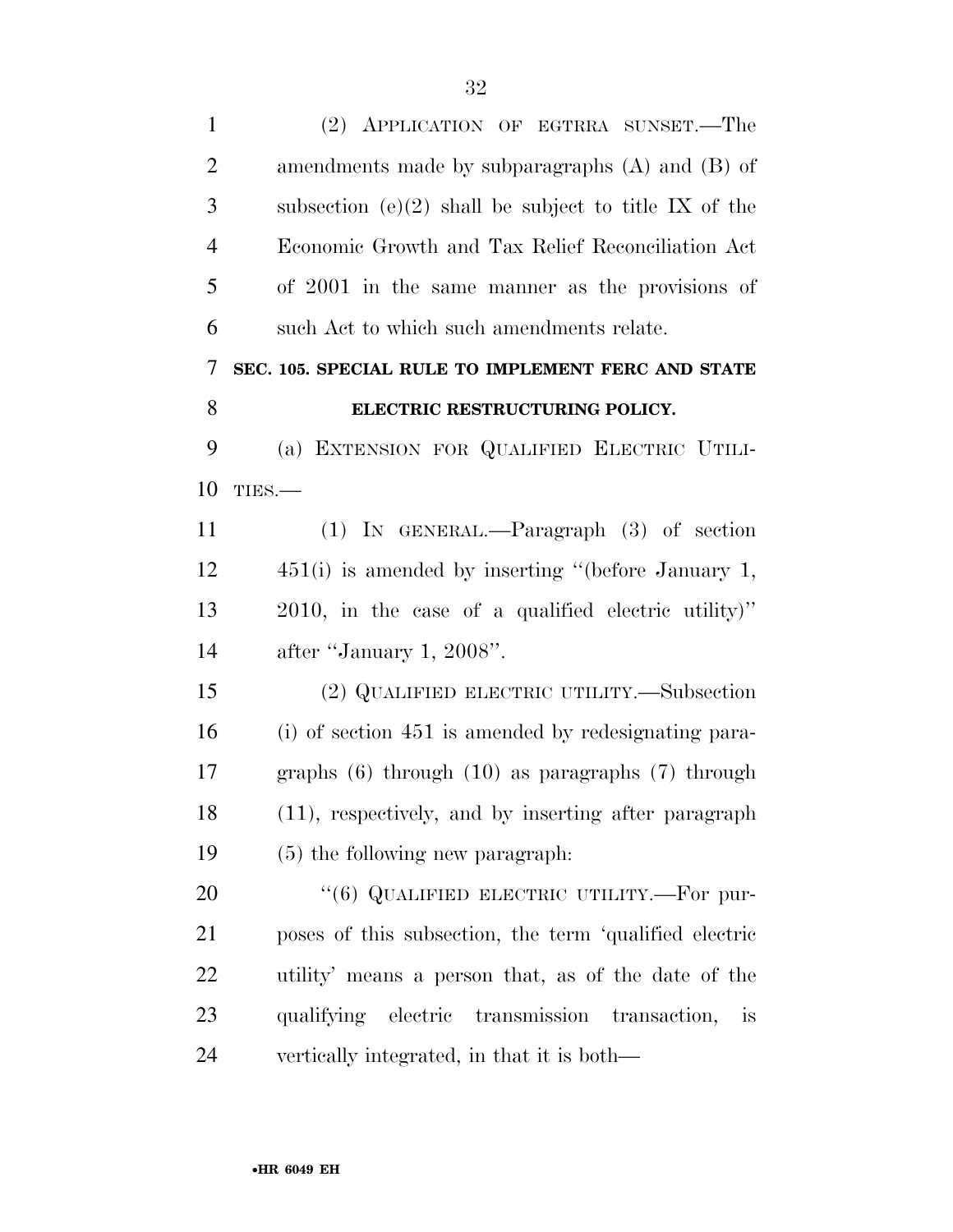| $\mathbf{1}$   | (2) APPLICATION OF EGTRRA SUNSET.—The                   |
|----------------|---------------------------------------------------------|
| $\overline{2}$ | amendments made by subparagraphs $(A)$ and $(B)$ of     |
| 3              | subsection (e)(2) shall be subject to title IX of the   |
| $\overline{4}$ | Economic Growth and Tax Relief Reconciliation Act       |
| 5              | of 2001 in the same manner as the provisions of         |
| 6              | such Act to which such amendments relate.               |
| 7              | SEC. 105. SPECIAL RULE TO IMPLEMENT FERC AND STATE      |
| 8              | ELECTRIC RESTRUCTURING POLICY.                          |
| 9              | (a) EXTENSION FOR QUALIFIED ELECTRIC UTILI-             |
| 10             | TIES.                                                   |
| 11             | $(1)$ IN GENERAL.—Paragraph $(3)$ of section            |
| 12             | 451(i) is amended by inserting "(before January 1,      |
| 13             | 2010, in the case of a qualified electric utility)"     |
| 14             | after "January 1, 2008".                                |
| 15             | (2) QUALIFIED ELECTRIC UTILITY.—Subsection              |
| 16             | (i) of section 451 is amended by redesignating para-    |
| 17             | graphs $(6)$ through $(10)$ as paragraphs $(7)$ through |
| 18             | (11), respectively, and by inserting after paragraph    |
| 19             | (5) the following new paragraph:                        |
| 20             | "(6) QUALIFIED ELECTRIC UTILITY.—For pur-               |
| 21             | poses of this subsection, the term 'qualified electric  |
| 22             | utility' means a person that, as of the date of the     |
| 23             | qualifying electric transmission transaction,<br>is     |
| 24             | vertically integrated, in that it is both—              |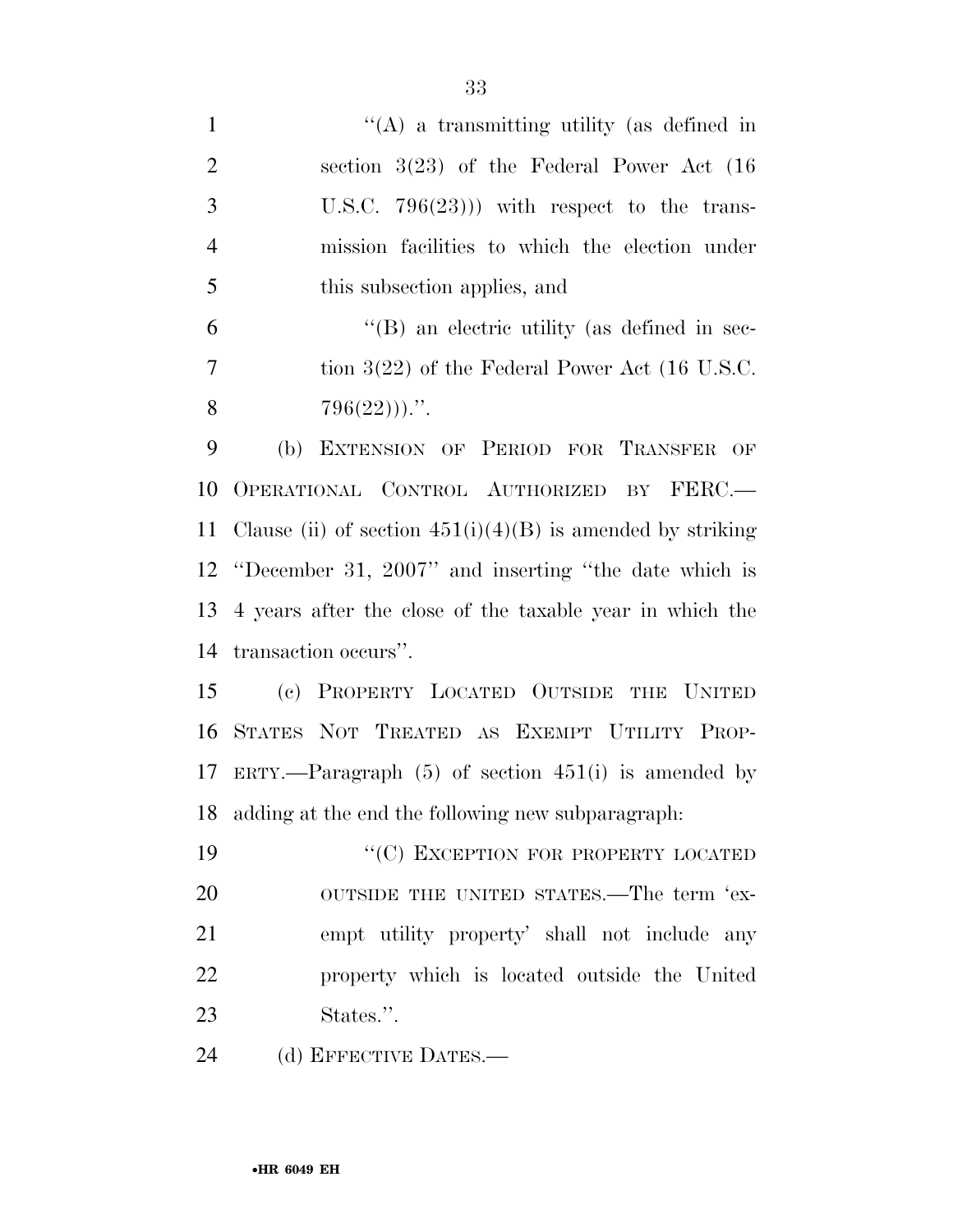| $\mathbf{1}$   | "(A) a transmitting utility (as defined in                   |
|----------------|--------------------------------------------------------------|
| $\overline{2}$ | section $3(23)$ of the Federal Power Act $(16)$              |
| 3              | U.S.C. $796(23)$ ) with respect to the trans-                |
| $\overline{4}$ | mission facilities to which the election under               |
| 5              | this subsection applies, and                                 |
| 6              | "(B) an electric utility (as defined in sec-                 |
| $\tau$         | tion $3(22)$ of the Federal Power Act (16 U.S.C.             |
| 8              | $796(22))$ .".                                               |
| 9              | (b) EXTENSION OF PERIOD FOR TRANSFER OF                      |
| 10             | OPERATIONAL CONTROL AUTHORIZED BY FERC.                      |
| 11             | Clause (ii) of section $451(i)(4)(B)$ is amended by striking |
|                | 12 "December 31, 2007" and inserting "the date which is      |
| 13             | 4 years after the close of the taxable year in which the     |
| 14             | transaction occurs".                                         |
| 15             | (c) PROPERTY LOCATED OUTSIDE THE UNITED                      |
| 16             | STATES NOT TREATED AS EXEMPT UTILITY PROP-                   |
|                | 17 ERTY.—Paragraph (5) of section 451(i) is amended by       |
| 18             | adding at the end the following new subparagraph.            |
| 19             | "(C) EXCEPTION FOR PROPERTY LOCATED                          |
| 20             | OUTSIDE THE UNITED STATES.—The term 'ex-                     |
| 21             | empt utility property' shall not include any                 |
| 22             | property which is located outside the United                 |
| 23             | States.".                                                    |
| 24             | (d) EFFECTIVE DATES.—                                        |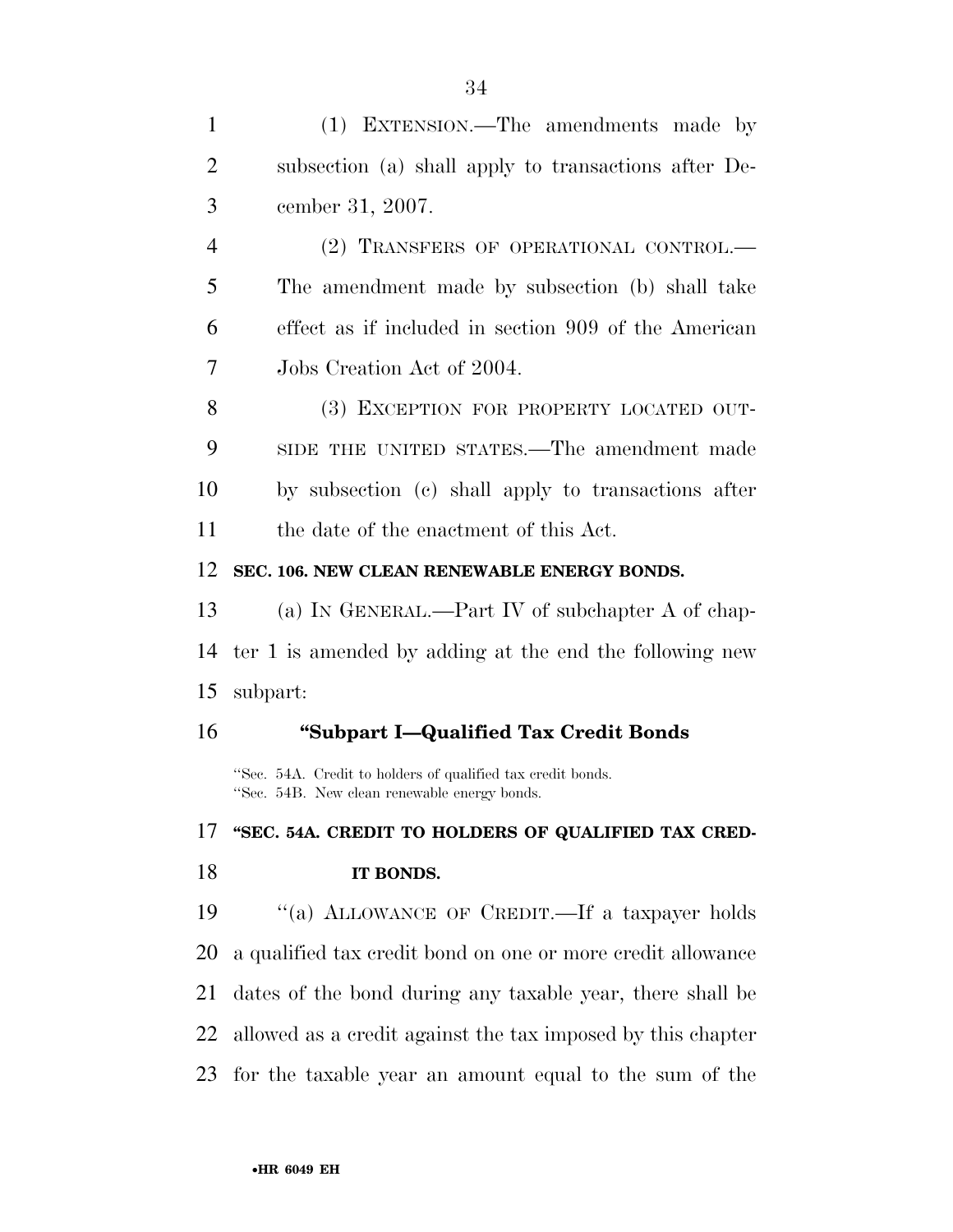| 1              | (1) EXTENSION.—The amendments made by                                                                       |
|----------------|-------------------------------------------------------------------------------------------------------------|
| 2              | subsection (a) shall apply to transactions after De-                                                        |
| 3              | cember 31, 2007.                                                                                            |
| $\overline{4}$ | (2) TRANSFERS OF OPERATIONAL CONTROL.—                                                                      |
| 5              | The amendment made by subsection (b) shall take                                                             |
| 6              | effect as if included in section 909 of the American                                                        |
| 7              | Jobs Creation Act of 2004.                                                                                  |
| 8              | (3) EXCEPTION FOR PROPERTY LOCATED OUT-                                                                     |
| 9              | SIDE THE UNITED STATES.—The amendment made                                                                  |
| 10             | by subsection (c) shall apply to transactions after                                                         |
| 11             | the date of the enactment of this Act.                                                                      |
| 12             | SEC. 106. NEW CLEAN RENEWABLE ENERGY BONDS.                                                                 |
| 13             | (a) IN GENERAL.—Part IV of subchapter A of chap-                                                            |
| 14             | ter 1 is amended by adding at the end the following new                                                     |
| 15             | subpart:                                                                                                    |
| 16             | "Subpart I-Qualified Tax Credit Bonds                                                                       |
|                | "Sec. 54A. Credit to holders of qualified tax credit bonds.<br>"Sec. 54B. New clean renewable energy bonds. |
| 17             | "SEC. 54A. CREDIT TO HOLDERS OF QUALIFIED TAX CRED-                                                         |
| 18             | IT BONDS.                                                                                                   |
| 19             | "(a) ALLOWANCE OF CREDIT. If a taxpayer holds                                                               |
| <b>20</b>      | a qualified tax credit bond on one or more credit allowance                                                 |
| 21             | dates of the bond during any taxable year, there shall be                                                   |
| 22             | allowed as a credit against the tax imposed by this chapter                                                 |

for the taxable year an amount equal to the sum of the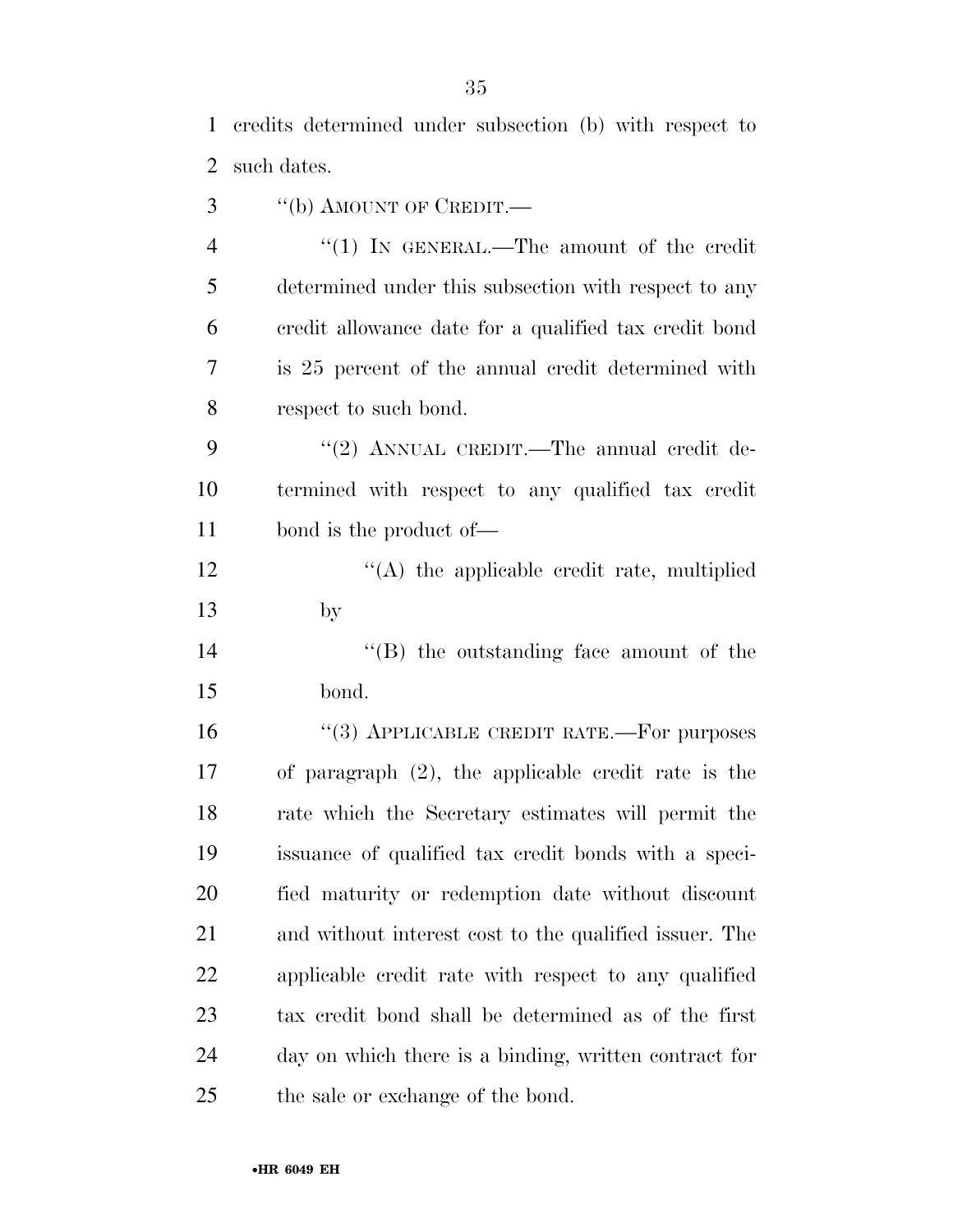credits determined under subsection (b) with respect to

such dates.

- 3 "(b) AMOUNT OF CREDIT.—
- 4 "(1) IN GENERAL.—The amount of the credit determined under this subsection with respect to any credit allowance date for a qualified tax credit bond is 25 percent of the annual credit determined with respect to such bond.
- 9 "(2) ANNUAL CREDIT.—The annual credit de- termined with respect to any qualified tax credit bond is the product of—

12 ''(A) the applicable credit rate, multiplied by

14  $\langle$  (B) the outstanding face amount of the bond.

16 "(3) APPLICABLE CREDIT RATE.—For purposes of paragraph (2), the applicable credit rate is the rate which the Secretary estimates will permit the issuance of qualified tax credit bonds with a speci- fied maturity or redemption date without discount and without interest cost to the qualified issuer. The applicable credit rate with respect to any qualified tax credit bond shall be determined as of the first day on which there is a binding, written contract for the sale or exchange of the bond.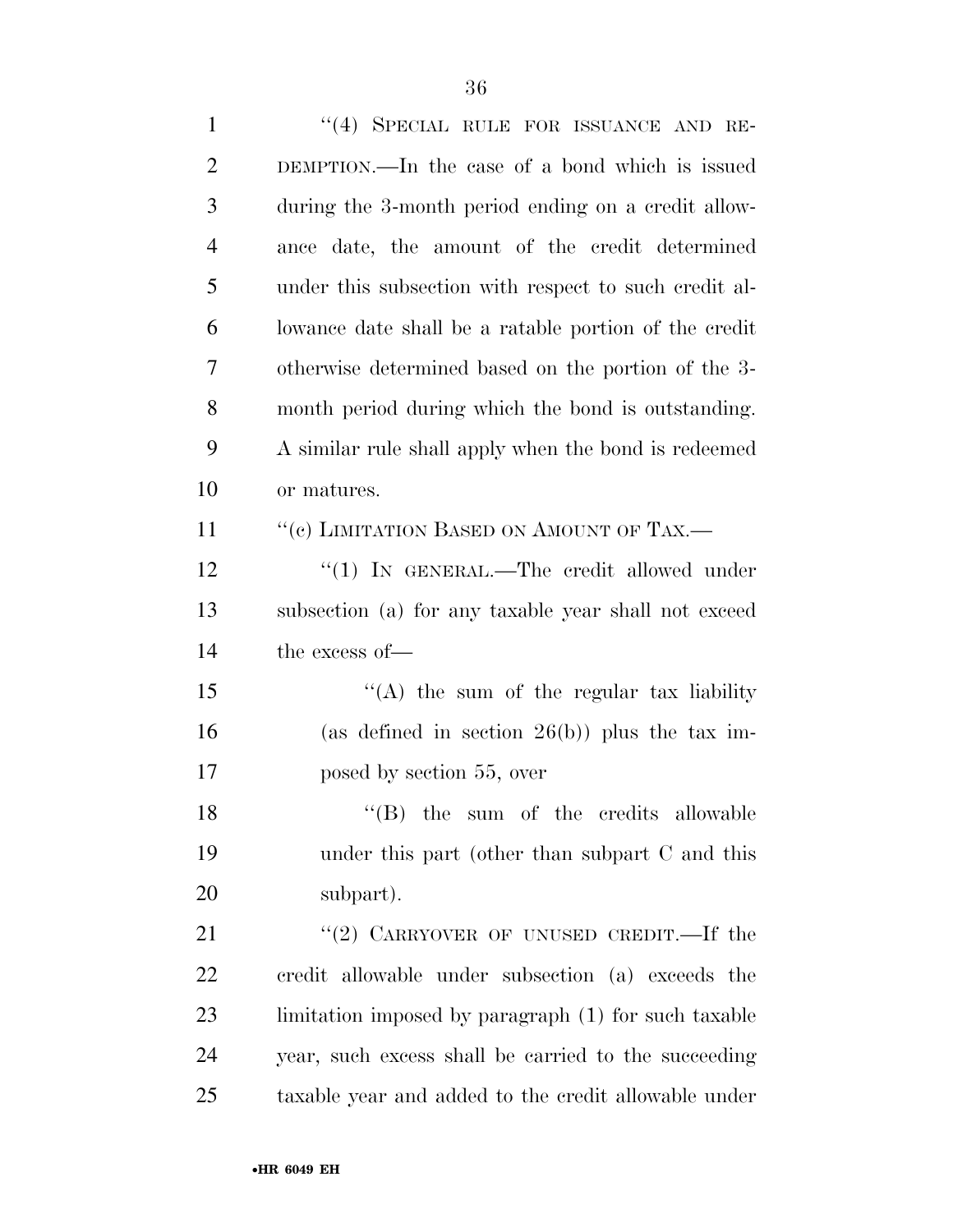1 "(4) SPECIAL RULE FOR ISSUANCE AND RE- DEMPTION.—In the case of a bond which is issued during the 3-month period ending on a credit allow- ance date, the amount of the credit determined under this subsection with respect to such credit al- lowance date shall be a ratable portion of the credit otherwise determined based on the portion of the 3- month period during which the bond is outstanding. A similar rule shall apply when the bond is redeemed or matures. 11 "(c) LIMITATION BASED ON AMOUNT OF TAX.— 12 "(1) IN GENERAL.—The credit allowed under subsection (a) for any taxable year shall not exceed the excess of— 15 "(A) the sum of the regular tax liability 16 (as defined in section  $26(b)$ ) plus the tax im- posed by section 55, over 18 ''(B) the sum of the credits allowable under this part (other than subpart C and this subpart). 21 "(2) CARRYOVER OF UNUSED CREDIT.—If the credit allowable under subsection (a) exceeds the limitation imposed by paragraph (1) for such taxable year, such excess shall be carried to the succeeding taxable year and added to the credit allowable under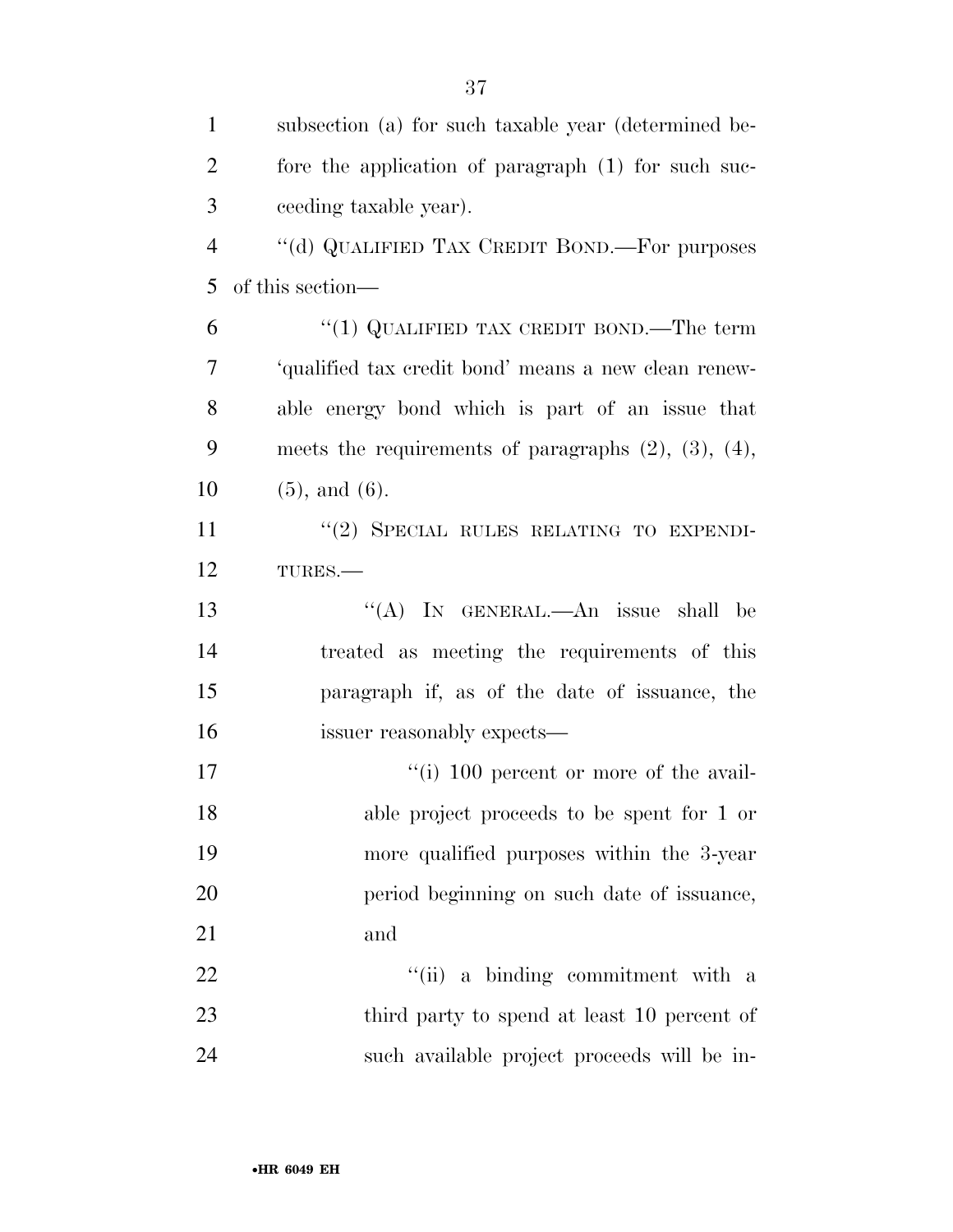| $\mathbf{1}$   | subsection (a) for such taxable year (determined be-         |
|----------------|--------------------------------------------------------------|
| $\overline{2}$ | fore the application of paragraph (1) for such suc-          |
| 3              | ceeding taxable year).                                       |
| $\overline{4}$ | "(d) QUALIFIED TAX CREDIT BOND.—For purposes                 |
| 5              | of this section—                                             |
| 6              | "(1) QUALIFIED TAX CREDIT BOND.—The term                     |
| 7              | 'qualified tax credit bond' means a new clean renew-         |
| 8              | able energy bond which is part of an issue that              |
| 9              | meets the requirements of paragraphs $(2)$ , $(3)$ , $(4)$ , |
| 10             | $(5)$ , and $(6)$ .                                          |
| 11             | "(2) SPECIAL RULES RELATING TO EXPENDI-                      |
| 12             | TURES.                                                       |
| 13             | "(A) IN GENERAL.—An issue shall be                           |
| 14             | treated as meeting the requirements of this                  |
| 15             | paragraph if, as of the date of issuance, the                |
| 16             | issuer reasonably expects—                                   |
| 17             | $\lq\lq$ (i) 100 percent or more of the avail-               |
| 18             | able project proceeds to be spent for 1 or                   |
| 19             | more qualified purposes within the 3-year                    |
| 20             | period beginning on such date of issuance,                   |
| 21             | and                                                          |
| 22             | "(ii) a binding commitment with a                            |
| 23             | third party to spend at least 10 percent of                  |
| 24             | such available project proceeds will be in-                  |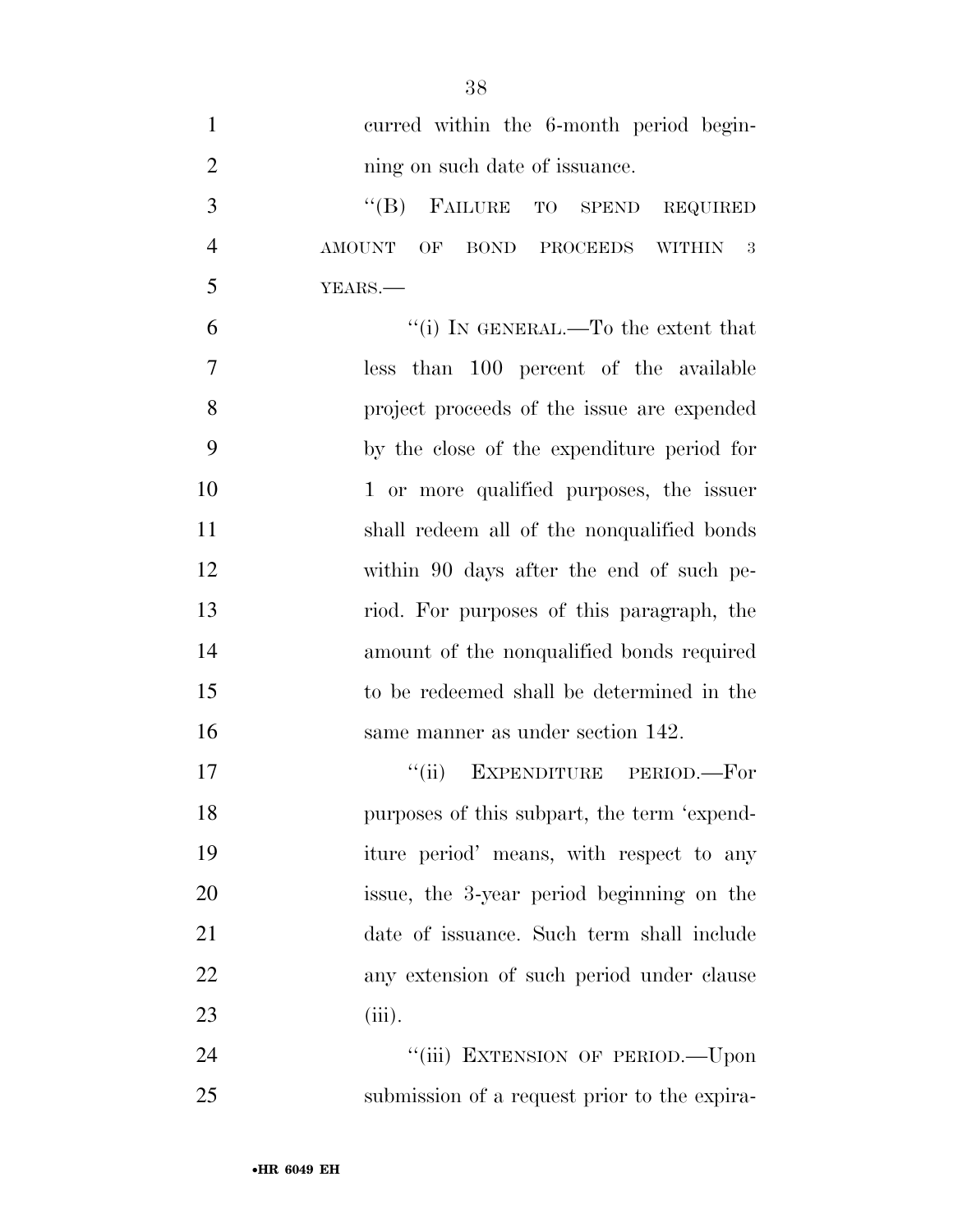| $\mathbf{1}$   | curred within the 6-month period begin-      |
|----------------|----------------------------------------------|
| $\overline{2}$ | ning on such date of issuance.               |
| 3              | FAILURE TO SPEND REQUIRED<br>$\lq\lq (B)$    |
| $\overline{4}$ | AMOUNT OF BOND PROCEEDS WITHIN<br>- 3        |
| 5              | YEARS.                                       |
| 6              | "(i) IN GENERAL.—To the extent that          |
| $\overline{7}$ | less than 100 percent of the available       |
| 8              | project proceeds of the issue are expended   |
| 9              | by the close of the expenditure period for   |
| 10             | 1 or more qualified purposes, the issuer     |
| 11             | shall redeem all of the nonqualified bonds   |
| 12             | within 90 days after the end of such pe-     |
| 13             | riod. For purposes of this paragraph, the    |
| 14             | amount of the nonqualified bonds required    |
| 15             | to be redeemed shall be determined in the    |
| 16             | same manner as under section 142.            |
| 17             | EXPENDITURE PERIOD.-For<br>``(ii)            |
| 18             | purposes of this subpart, the term 'expend-  |
| 19             | iture period' means, with respect to any     |
| 20             | issue, the 3-year period beginning on the    |
| 21             | date of issuance. Such term shall include    |
| <u>22</u>      | any extension of such period under clause    |
| 23             | (iii).                                       |
| 24             | "(iii) EXTENSION OF PERIOD.-Upon             |
| 25             | submission of a request prior to the expira- |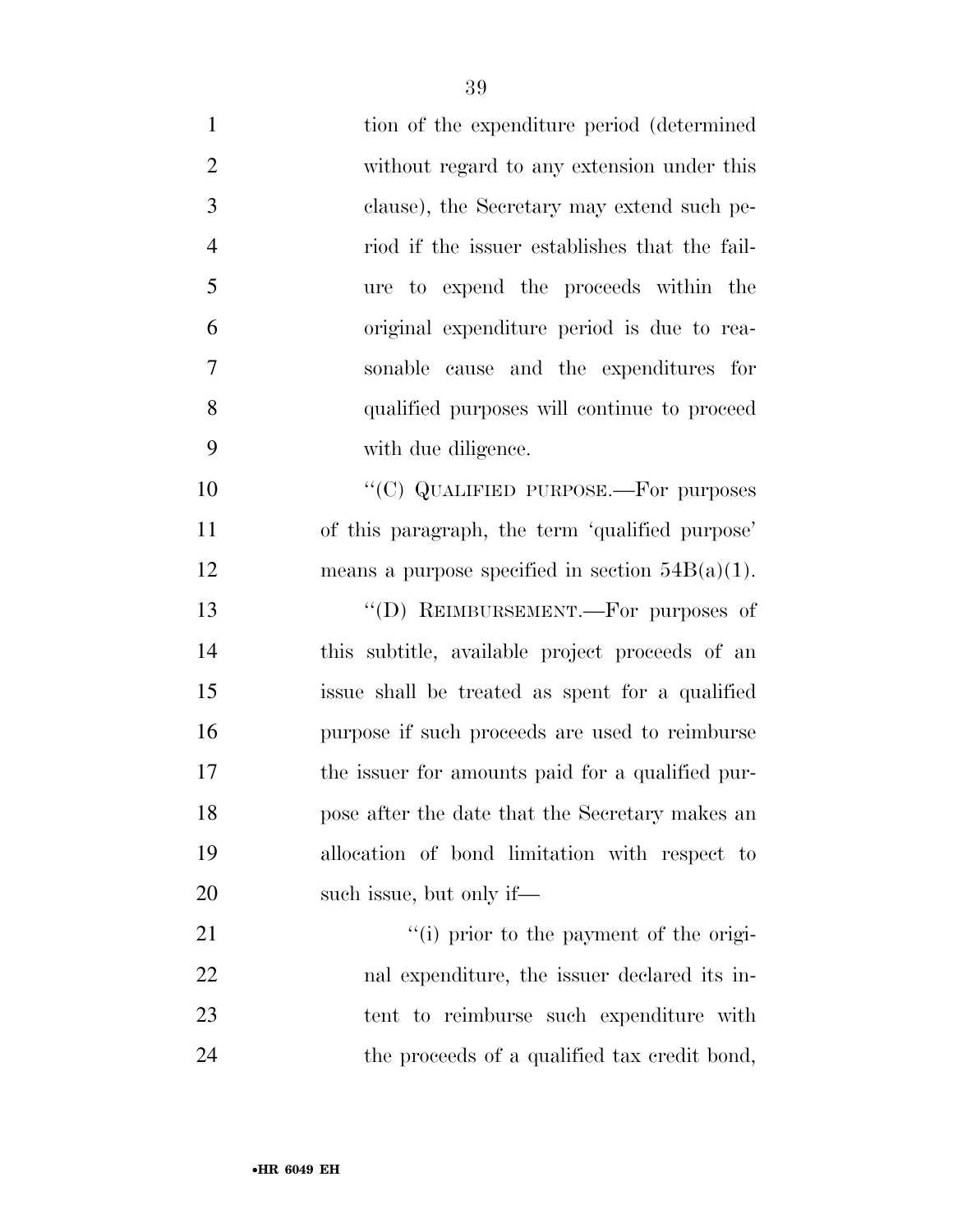| $\mathbf{1}$   | tion of the expenditure period (determined         |
|----------------|----------------------------------------------------|
| $\overline{2}$ | without regard to any extension under this         |
| 3              | clause), the Secretary may extend such pe-         |
| $\overline{4}$ | riod if the issuer establishes that the fail-      |
| 5              | ure to expend the proceeds within the              |
| 6              | original expenditure period is due to rea-         |
| 7              | sonable cause and the expenditures for             |
| 8              | qualified purposes will continue to proceed        |
| 9              | with due diligence.                                |
| 10             | "(C) QUALIFIED PURPOSE.—For purposes               |
| 11             | of this paragraph, the term 'qualified purpose'    |
| 12             | means a purpose specified in section $54B(a)(1)$ . |
| 13             | "(D) REIMBURSEMENT.—For purposes of                |
| 14             | this subtitle, available project proceeds of an    |
| 15             | issue shall be treated as spent for a qualified    |
| 16             | purpose if such proceeds are used to reimburse     |
| 17             | the issuer for amounts paid for a qualified pur-   |
| 18             | pose after the date that the Secretary makes an    |
| 19             | allocation of bond limitation with respect to      |
| 20             | such issue, but only if—                           |
| 21             | "(i) prior to the payment of the origi-            |
| 22             | nal expenditure, the issuer declared its in-       |
| 23             | tent to reimburse such expenditure with            |
| 24             | the proceeds of a qualified tax credit bond,       |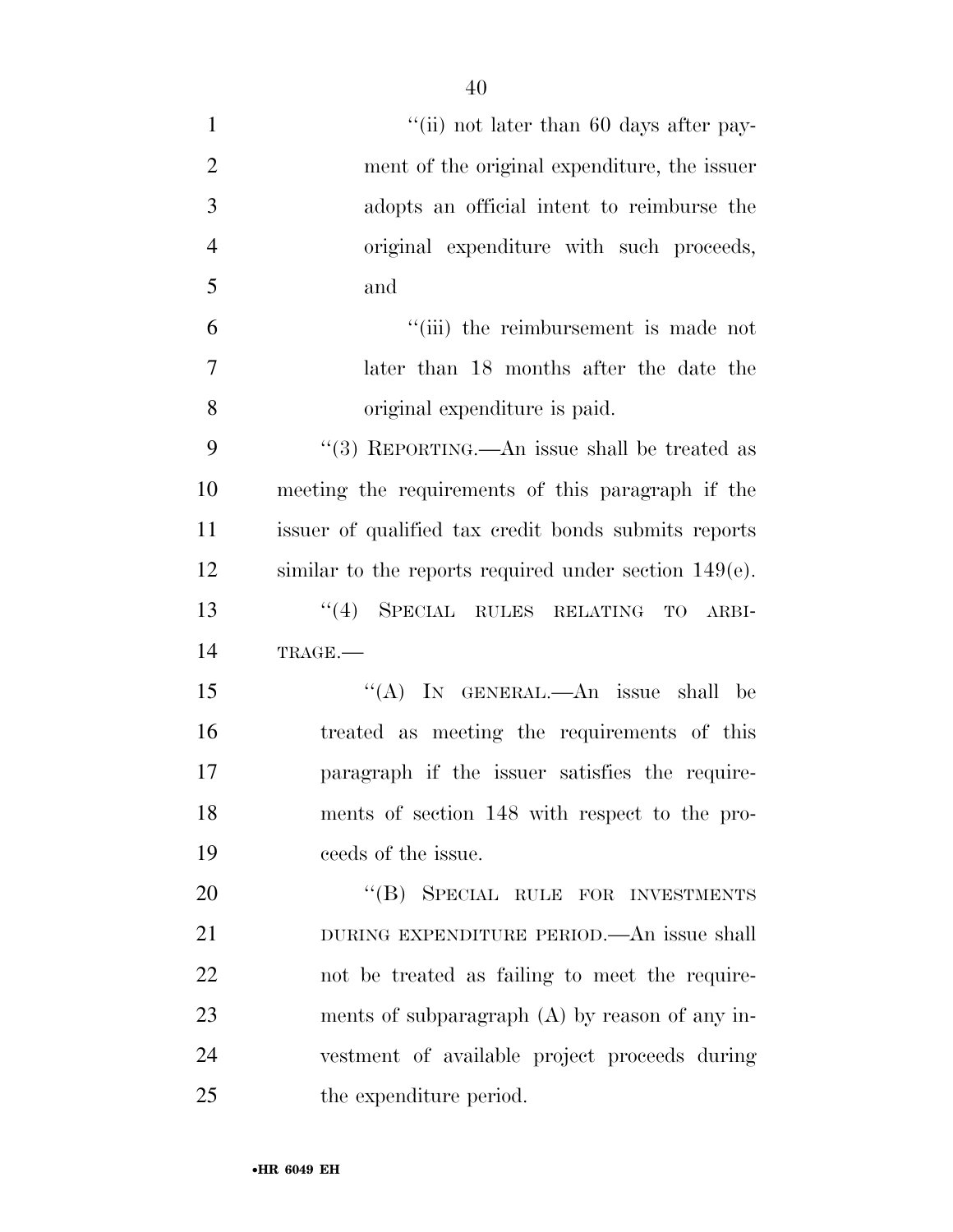| $\mathbf{1}$   | "(ii) not later than 60 days after pay-                  |
|----------------|----------------------------------------------------------|
| $\overline{2}$ | ment of the original expenditure, the issuer             |
| 3              | adopts an official intent to reimburse the               |
| $\overline{4}$ | original expenditure with such proceeds,                 |
| 5              | and                                                      |
| 6              | "(iii) the reimbursement is made not                     |
| 7              | later than 18 months after the date the                  |
| 8              | original expenditure is paid.                            |
| 9              | "(3) REPORTING.—An issue shall be treated as             |
| 10             | meeting the requirements of this paragraph if the        |
| 11             | issuer of qualified tax credit bonds submits reports     |
| 12             | similar to the reports required under section $149(e)$ . |
| 13             | SPECIAL RULES RELATING<br>(4)<br>TO<br>ARBI-             |
| 14             | TRAGE.                                                   |
| 15             | "(A) IN GENERAL.—An issue shall be                       |
| 16             | treated as meeting the requirements of this              |
| 17             | paragraph if the issuer satisfies the require-           |
| 18             | ments of section 148 with respect to the pro-            |
| 19             | ceeds of the issue.                                      |
| 20             | "(B) SPECIAL RULE FOR INVESTMENTS                        |
| 21             | DURING EXPENDITURE PERIOD.—An issue shall                |
| 22             | not be treated as failing to meet the require-           |
| 23             | ments of subparagraph $(A)$ by reason of any in-         |
| 24             | vestment of available project proceeds during            |
| 25             | the expenditure period.                                  |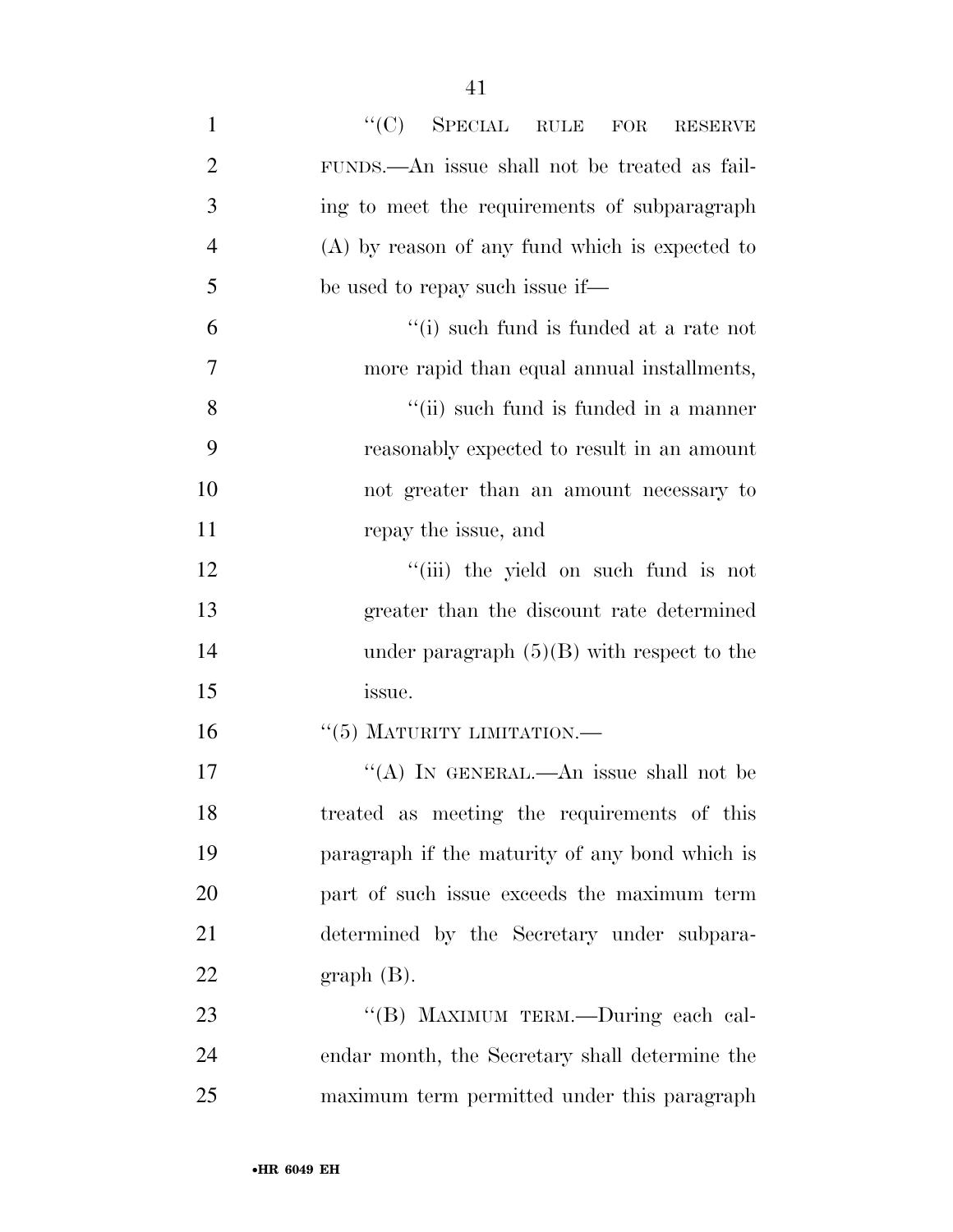| $\mathbf{1}$   | $``(C)$ SPECIAL RULE FOR RESERVE                 |
|----------------|--------------------------------------------------|
| $\overline{2}$ | FUNDS.—An issue shall not be treated as fail-    |
| 3              | ing to meet the requirements of subparagraph     |
| $\overline{4}$ | $(A)$ by reason of any fund which is expected to |
| 5              | be used to repay such issue if—                  |
| 6              | "(i) such fund is funded at a rate not           |
| 7              | more rapid than equal annual installments,       |
| 8              | "(ii) such fund is funded in a manner            |
| 9              | reasonably expected to result in an amount       |
| 10             | not greater than an amount necessary to          |
| 11             | repay the issue, and                             |
| 12             | "(iii) the yield on such fund is not             |
| 13             | greater than the discount rate determined        |
| 14             | under paragraph $(5)(B)$ with respect to the     |
| 15             | issue.                                           |
| 16             | $``(5)$ MATURITY LIMITATION.—                    |
| 17             | "(A) IN GENERAL.—An issue shall not be           |
| 18             | treated as meeting the requirements of this      |
| 19             | paragraph if the maturity of any bond which is   |
| 20             | part of such issue exceeds the maximum term      |
| 21             | determined by the Secretary under subpara-       |
| 22             | $graph(B)$ .                                     |
| 23             | "(B) MAXIMUM TERM.-During each cal-              |
| 24             | endar month, the Secretary shall determine the   |
| 25             | maximum term permitted under this paragraph      |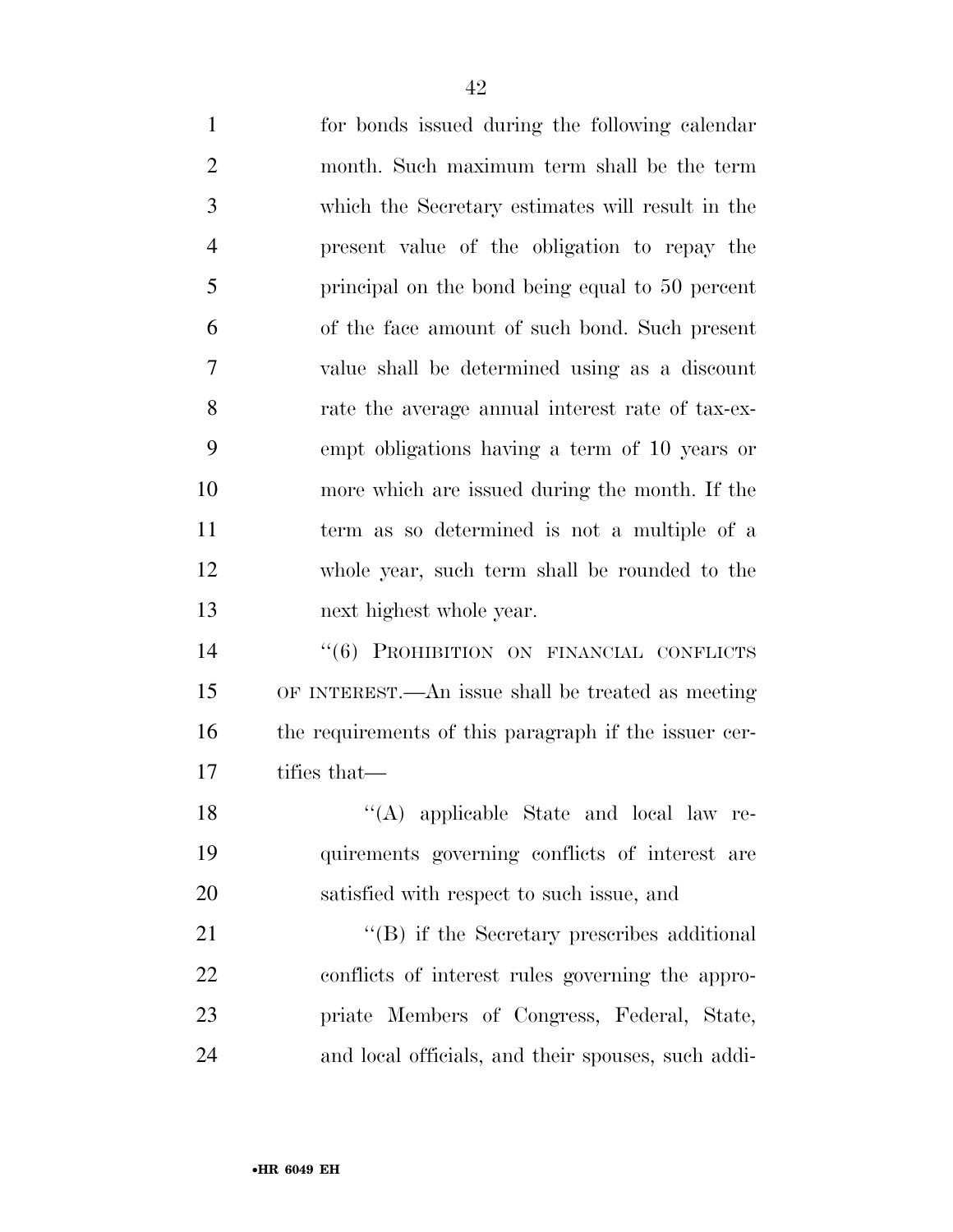| $\mathbf{1}$   | for bonds issued during the following calendar        |
|----------------|-------------------------------------------------------|
| $\overline{2}$ | month. Such maximum term shall be the term            |
| 3              | which the Secretary estimates will result in the      |
| $\overline{4}$ | present value of the obligation to repay the          |
| 5              | principal on the bond being equal to 50 percent       |
| 6              | of the face amount of such bond. Such present         |
| 7              | value shall be determined using as a discount         |
| 8              | rate the average annual interest rate of tax-ex-      |
| 9              | empt obligations having a term of 10 years or         |
| 10             | more which are issued during the month. If the        |
| 11             | term as so determined is not a multiple of a          |
| 12             | whole year, such term shall be rounded to the         |
| 13             | next highest whole year.                              |
| 14             | "(6) PROHIBITION ON FINANCIAL CONFLICTS               |
| 15             | OF INTEREST.—An issue shall be treated as meeting     |
| 16             | the requirements of this paragraph if the issuer cer- |
| 17             | tifies that—                                          |
| 18             | "(A) applicable State and local law re-               |
| 19             | quirements governing conflicts of interest are        |
| 20             | satisfied with respect to such issue, and             |
| 21             | "(B) if the Secretary prescribes additional           |
|                |                                                       |

 conflicts of interest rules governing the appro- priate Members of Congress, Federal, State, and local officials, and their spouses, such addi-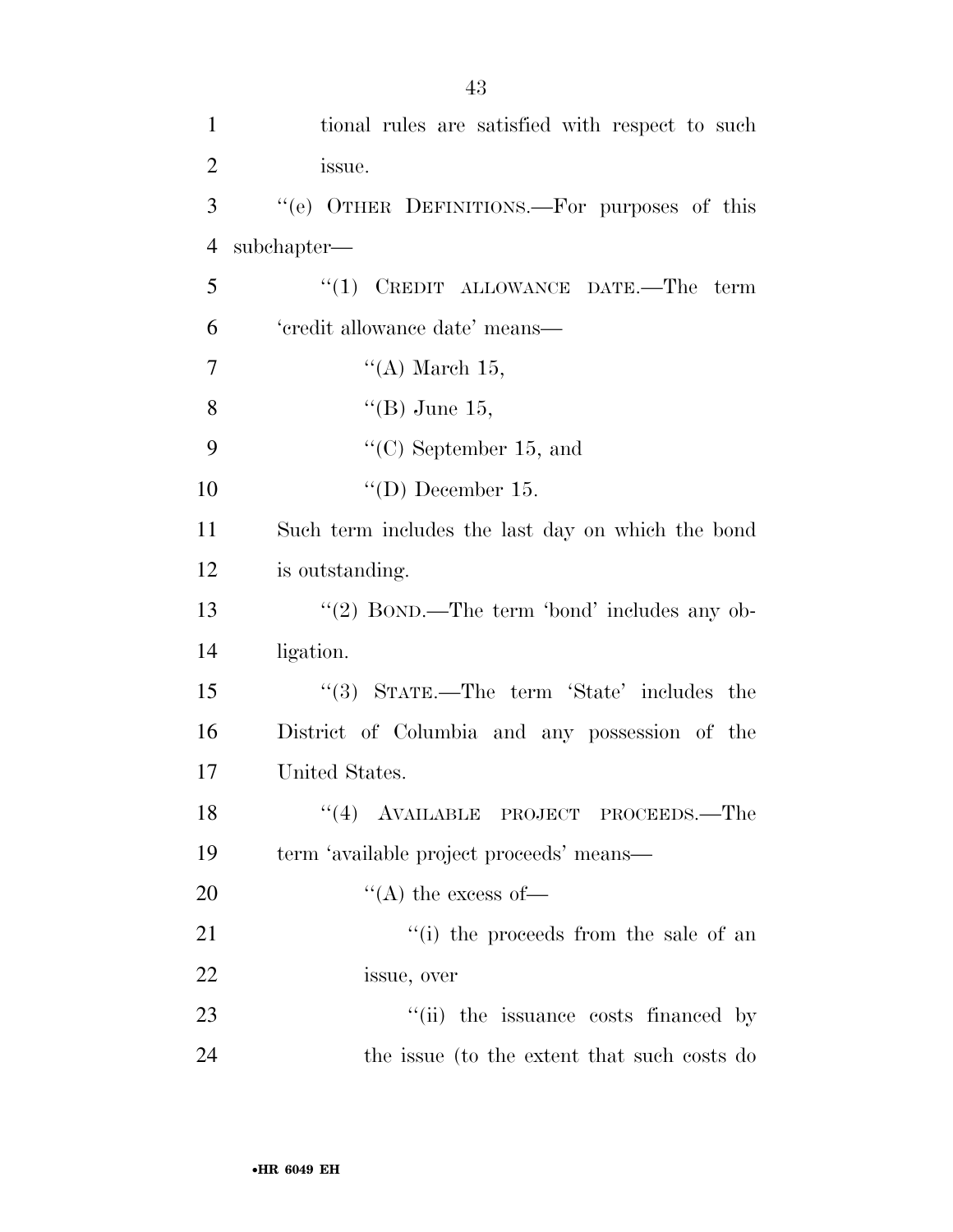| $\mathbf{1}$   | tional rules are satisfied with respect to such   |
|----------------|---------------------------------------------------|
| $\overline{2}$ | issue.                                            |
| 3              | "(e) OTHER DEFINITIONS.—For purposes of this      |
| $\overline{4}$ | subchapter—                                       |
| 5              | " $(1)$ CREDIT ALLOWANCE DATE.—The term           |
| 6              | 'credit allowance date' means—                    |
| 7              | "(A) March $15$ ,                                 |
| 8              | "(B) June 15,                                     |
| 9              | $\lq\lq$ <sup>c</sup> (C) September 15, and       |
| 10             | "(D) December 15.                                 |
| 11             | Such term includes the last day on which the bond |
| 12             | is outstanding.                                   |
| 13             | "(2) BOND.—The term 'bond' includes any ob-       |
| 14             | ligation.                                         |
| 15             | "(3) STATE.—The term 'State' includes the         |
| 16             | District of Columbia and any possession of the    |
| 17             | United States.                                    |
| 18             | "(4) AVAILABLE PROJECT PROCEEDS.—The              |
| 19             | term 'available project proceeds' means—          |
| 20             | $\lq\lq$ the excess of —                          |
| 21             | "(i) the proceeds from the sale of an             |
| 22             | issue, over                                       |
| 23             | "(ii) the issuance costs financed by              |
| 24             | the issue (to the extent that such costs do       |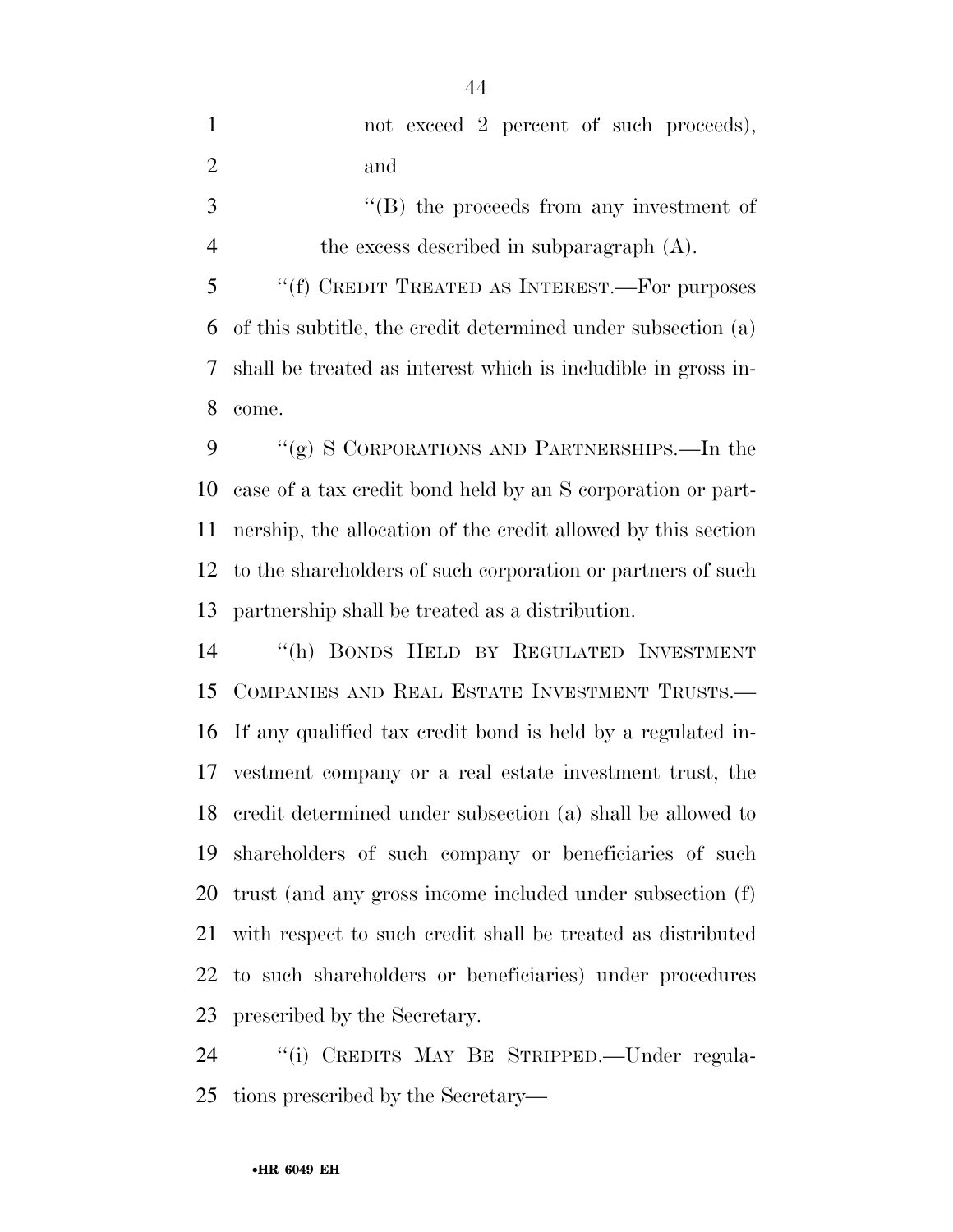|                | not exceed 2 percent of such proceeds),                        |
|----------------|----------------------------------------------------------------|
| 2              | and                                                            |
| 3              | $\lq\lq (B)$ the proceeds from any investment of               |
| $\overline{4}$ | the excess described in subparagraph $(A)$ .                   |
| 5              | "(f) CREDIT TREATED AS INTEREST.—For purposes                  |
|                | 6 of this subtitle, the credit determined under subsection (a) |

 shall be treated as interest which is includible in gross in-come.

9 "(g) S CORPORATIONS AND PARTNERSHIPS.—In the case of a tax credit bond held by an S corporation or part- nership, the allocation of the credit allowed by this section to the shareholders of such corporation or partners of such partnership shall be treated as a distribution.

 ''(h) BONDS HELD BY REGULATED INVESTMENT COMPANIES AND REAL ESTATE INVESTMENT TRUSTS.— If any qualified tax credit bond is held by a regulated in- vestment company or a real estate investment trust, the credit determined under subsection (a) shall be allowed to shareholders of such company or beneficiaries of such trust (and any gross income included under subsection (f) with respect to such credit shall be treated as distributed to such shareholders or beneficiaries) under procedures prescribed by the Secretary.

 ''(i) CREDITS MAY BE STRIPPED.—Under regula-tions prescribed by the Secretary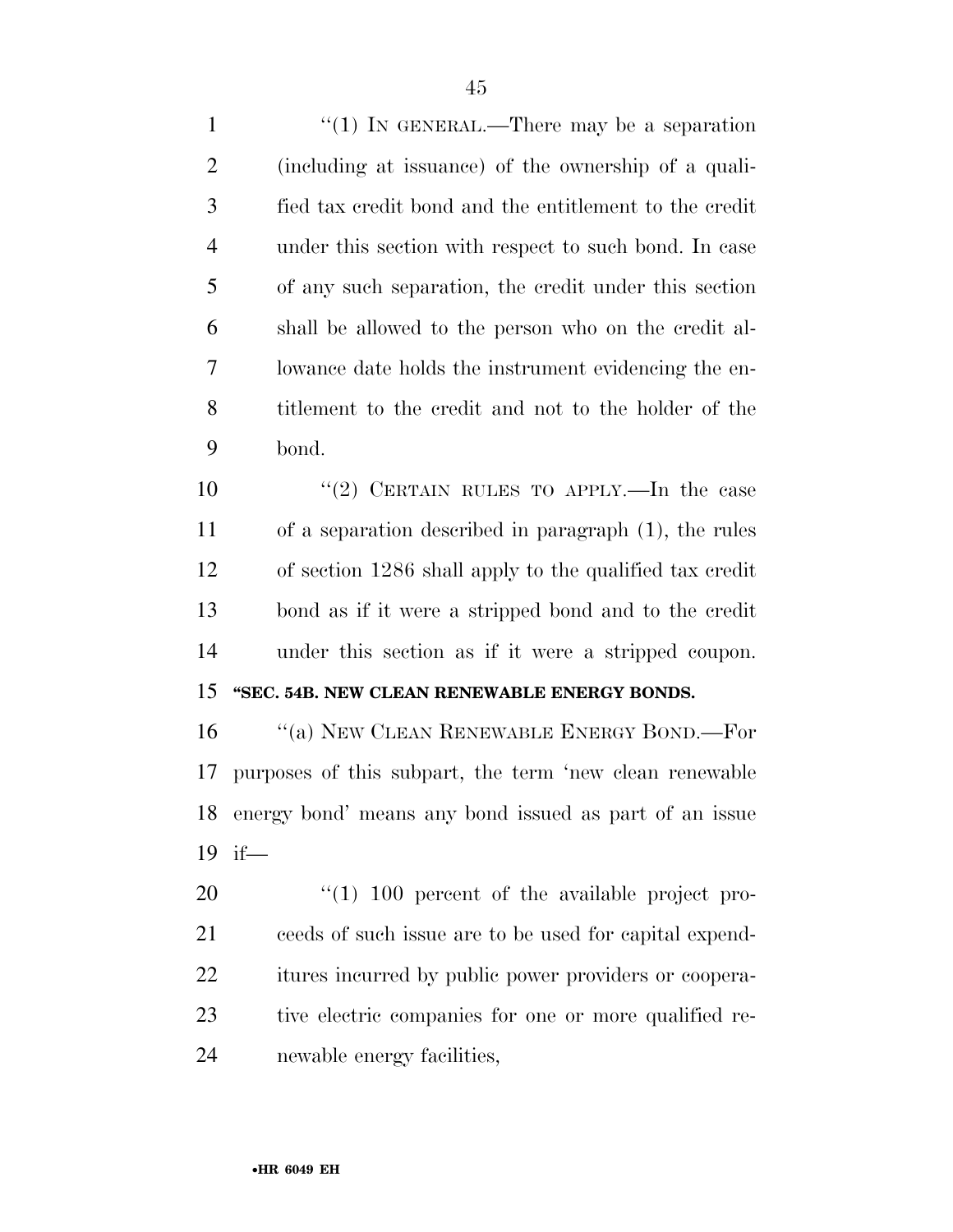1 "(1) IN GENERAL.—There may be a separation (including at issuance) of the ownership of a quali- fied tax credit bond and the entitlement to the credit under this section with respect to such bond. In case of any such separation, the credit under this section shall be allowed to the person who on the credit al- lowance date holds the instrument evidencing the en- titlement to the credit and not to the holder of the bond.

 ''(2) CERTAIN RULES TO APPLY.—In the case of a separation described in paragraph (1), the rules of section 1286 shall apply to the qualified tax credit bond as if it were a stripped bond and to the credit under this section as if it were a stripped coupon.

# **''SEC. 54B. NEW CLEAN RENEWABLE ENERGY BONDS.**

16 "(a) NEW CLEAN RENEWABLE ENERGY BOND.—For purposes of this subpart, the term 'new clean renewable energy bond' means any bond issued as part of an issue if—

 $\frac{1}{100}$  percent of the available project pro- ceeds of such issue are to be used for capital expend- itures incurred by public power providers or coopera- tive electric companies for one or more qualified re-newable energy facilities,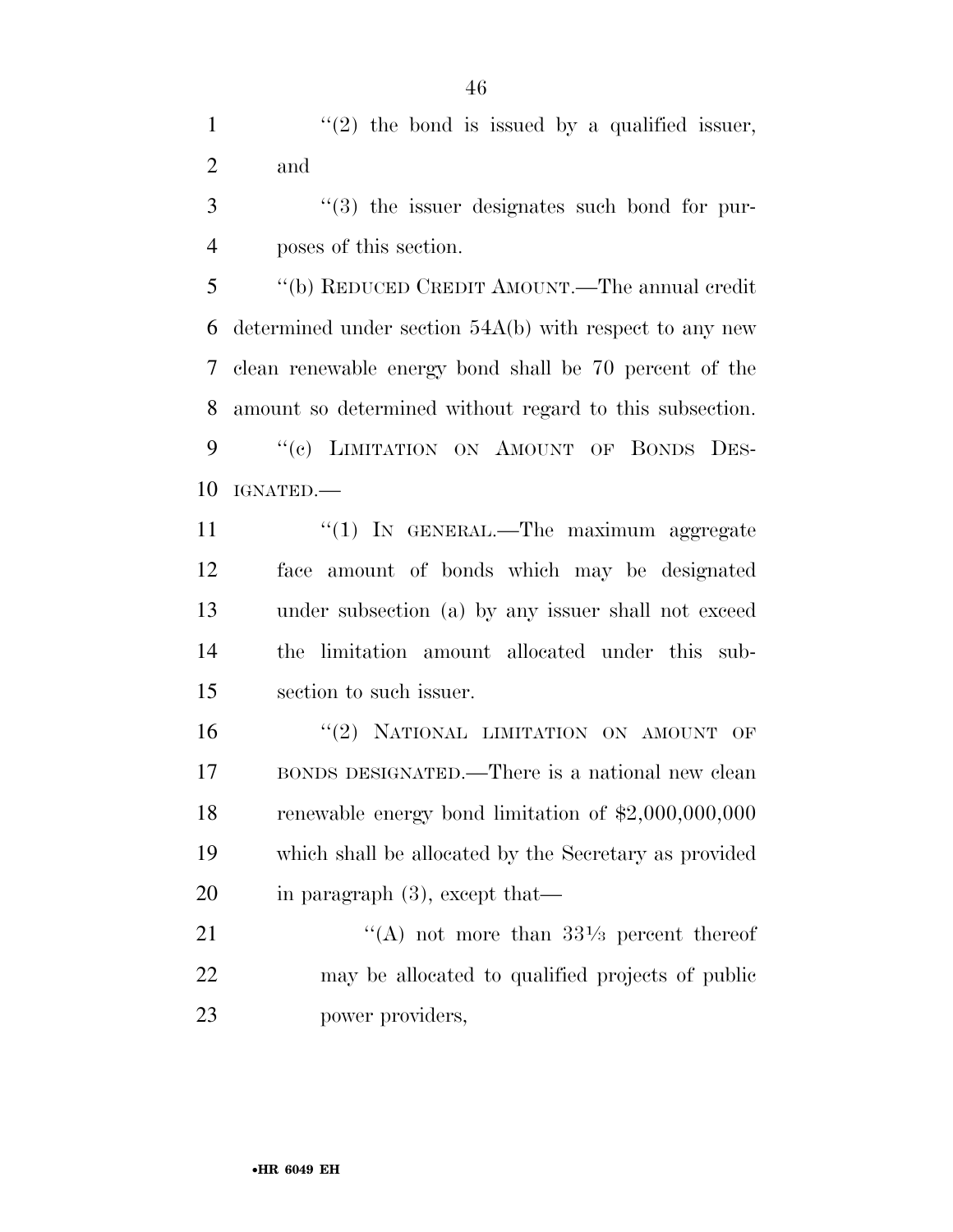1  $\frac{1}{2}$  the bond is issued by a qualified issuer, and

 ''(3) the issuer designates such bond for pur-poses of this section.

 ''(b) REDUCED CREDIT AMOUNT.—The annual credit determined under section 54A(b) with respect to any new clean renewable energy bond shall be 70 percent of the amount so determined without regard to this subsection. 9 "(e) LIMITATION ON AMOUNT OF BONDS DES-IGNATED.—

 ''(1) IN GENERAL.—The maximum aggregate face amount of bonds which may be designated under subsection (a) by any issuer shall not exceed the limitation amount allocated under this sub-section to such issuer.

16 "(2) NATIONAL LIMITATION ON AMOUNT OF BONDS DESIGNATED.—There is a national new clean renewable energy bond limitation of \$2,000,000,000 which shall be allocated by the Secretary as provided in paragraph (3), except that—

21  $\frac{1}{(A)}$  not more than  $33\frac{1}{3}$  percent thereof may be allocated to qualified projects of public power providers,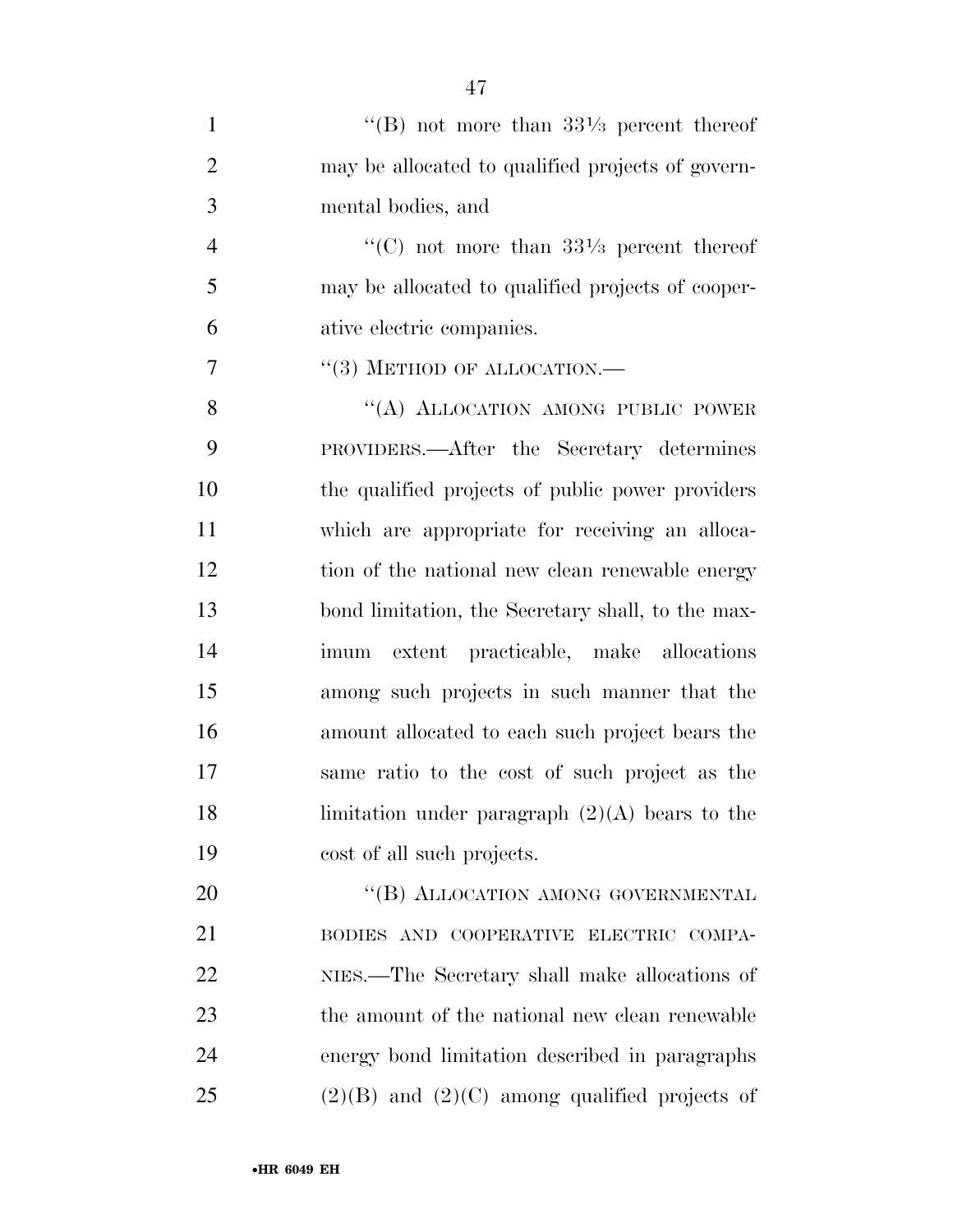| $\mathbf{1}$   | "(B) not more than $33\frac{1}{3}$ percent thereof |
|----------------|----------------------------------------------------|
| $\overline{2}$ | may be allocated to qualified projects of govern-  |
| 3              | mental bodies, and                                 |
| $\overline{4}$ | "(C) not more than $33\frac{1}{3}$ percent thereof |
| 5              | may be allocated to qualified projects of cooper-  |
| 6              | ative electric companies.                          |
| $\overline{7}$ | $``(3)$ METHOD OF ALLOCATION.—                     |
| 8              | "(A) ALLOCATION AMONG PUBLIC POWER                 |
| 9              | PROVIDERS.—After the Secretary determines          |
| 10             | the qualified projects of public power providers   |
| 11             | which are appropriate for receiving an alloca-     |
| 12             | tion of the national new clean renewable energy    |
| 13             | bond limitation, the Secretary shall, to the max-  |
| 14             | imum extent practicable, make allocations          |
| 15             | among such projects in such manner that the        |
| 16             | amount allocated to each such project bears the    |
| 17             | same ratio to the cost of such project as the      |
| 18             | limitation under paragraph $(2)(A)$ bears to the   |
| 19             | cost of all such projects.                         |
| 20             | "(B) ALLOCATION AMONG GOVERNMENTAL                 |
| 21             | BODIES AND COOPERATIVE ELECTRIC COMPA-             |
| 22             | NIES.—The Secretary shall make allocations of      |
| 23             | the amount of the national new clean renewable     |
| 24             | energy bond limitation described in paragraphs     |

25 (2)(B) and (2)(C) among qualified projects of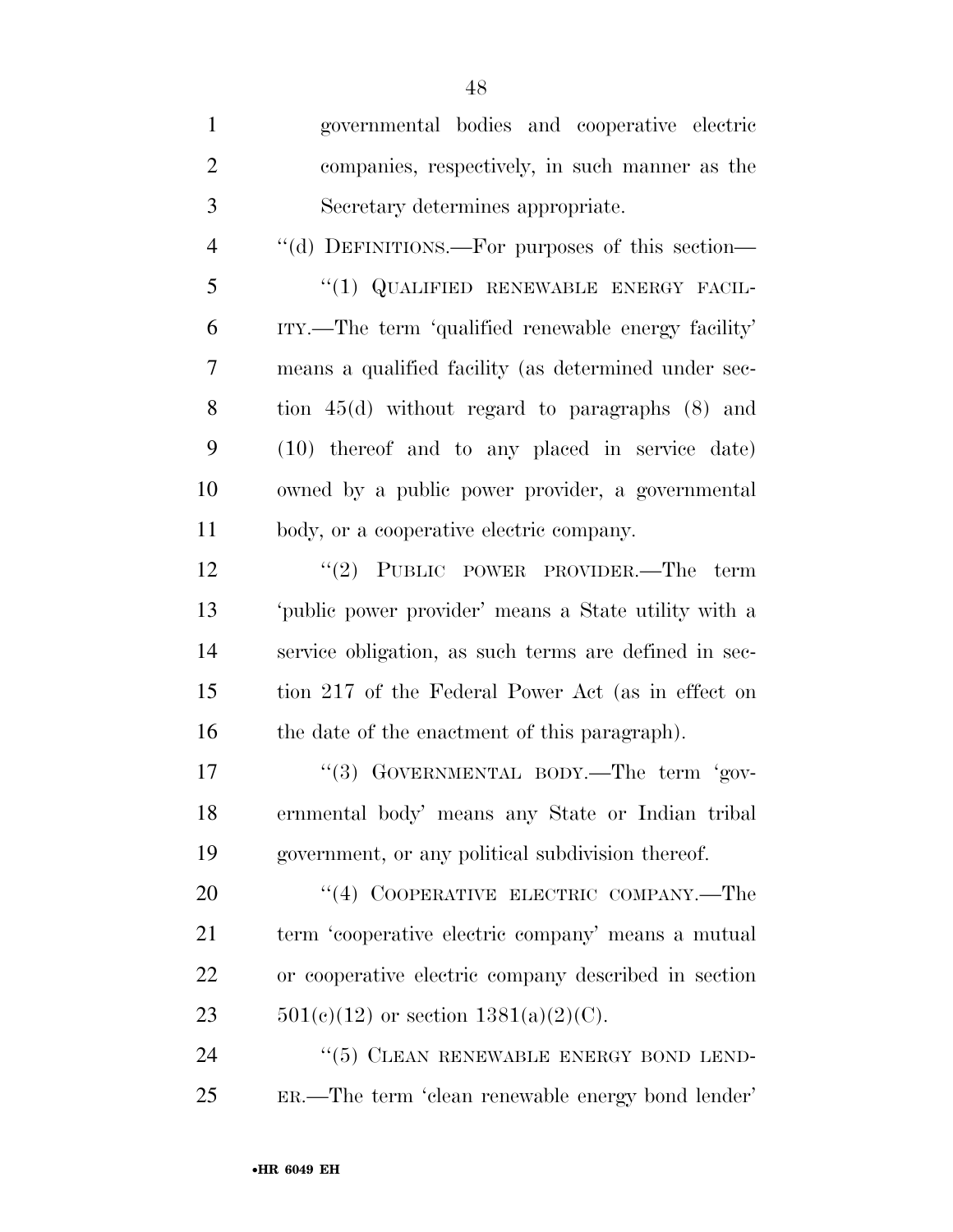| $\mathbf{1}$   | governmental bodies and cooperative electric          |
|----------------|-------------------------------------------------------|
| $\overline{2}$ | companies, respectively, in such manner as the        |
| 3              | Secretary determines appropriate.                     |
| $\overline{4}$ | "(d) DEFINITIONS.—For purposes of this section—       |
| 5              | "(1) QUALIFIED RENEWABLE ENERGY FACIL-                |
| 6              | ITY.—The term 'qualified renewable energy facility'   |
| 7              | means a qualified facility (as determined under sec-  |
| 8              | tion $45(d)$ without regard to paragraphs $(8)$ and   |
| 9              | (10) thereof and to any placed in service date)       |
| 10             | owned by a public power provider, a governmental      |
| 11             | body, or a cooperative electric company.              |
| 12             | "(2) PUBLIC POWER PROVIDER.—The term                  |
| 13             | 'public power provider' means a State utility with a  |
| 14             | service obligation, as such terms are defined in sec- |
| 15             | tion 217 of the Federal Power Act (as in effect on    |
| 16             | the date of the enactment of this paragraph).         |
| 17             | "(3) GOVERNMENTAL BODY.—The term 'gov-                |
| 18             | ernmental body' means any State or Indian tribal      |
| 19             | government, or any political subdivision thereof.     |
| 20             | "(4) COOPERATIVE ELECTRIC COMPANY.—The                |
| 21             | term 'cooperative electric company' means a mutual    |
| 22             | or cooperative electric company described in section  |
| 23             | $501(c)(12)$ or section $1381(a)(2)(C)$ .             |
| 24             | $``(5)$ CLEAN RENEWABLE ENERGY BOND LEND-             |
| 25             | ER.—The term 'clean renewable energy bond lender'     |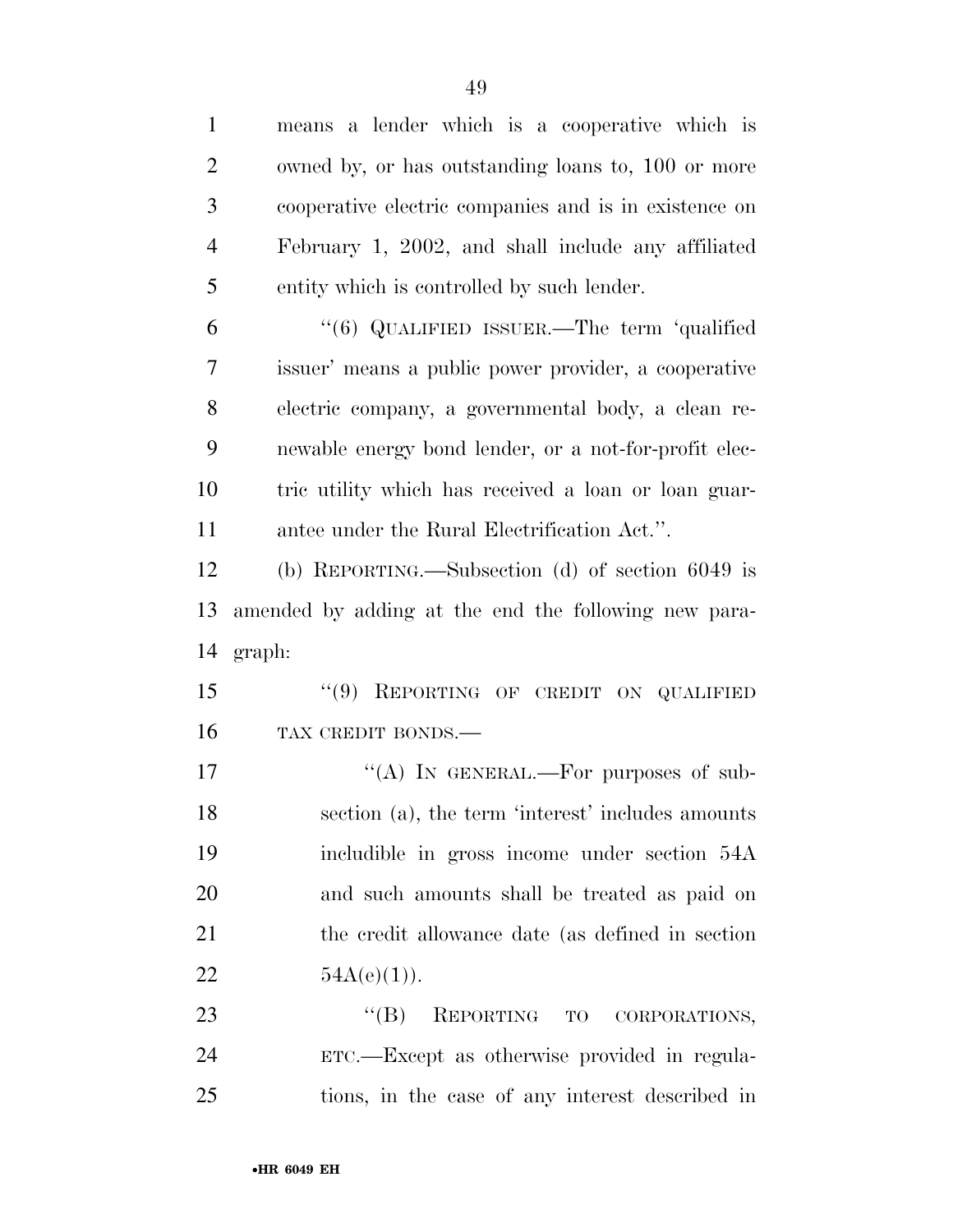means a lender which is a cooperative which is owned by, or has outstanding loans to, 100 or more cooperative electric companies and is in existence on February 1, 2002, and shall include any affiliated entity which is controlled by such lender. ''(6) QUALIFIED ISSUER.—The term 'qualified issuer' means a public power provider, a cooperative electric company, a governmental body, a clean re- newable energy bond lender, or a not-for-profit elec- tric utility which has received a loan or loan guar- antee under the Rural Electrification Act.''. (b) REPORTING.—Subsection (d) of section 6049 is amended by adding at the end the following new para- graph: 15 "(9) REPORTING OF CREDIT ON QUALIFIED TAX CREDIT BONDS.—  $((A)$  IN GENERAL.—For purposes of sub- section (a), the term 'interest' includes amounts includible in gross income under section 54A and such amounts shall be treated as paid on the credit allowance date (as defined in section  $54A(e)(1)$ . 23 "(B) REPORTING TO CORPORATIONS, ETC.—Except as otherwise provided in regula-

tions, in the case of any interest described in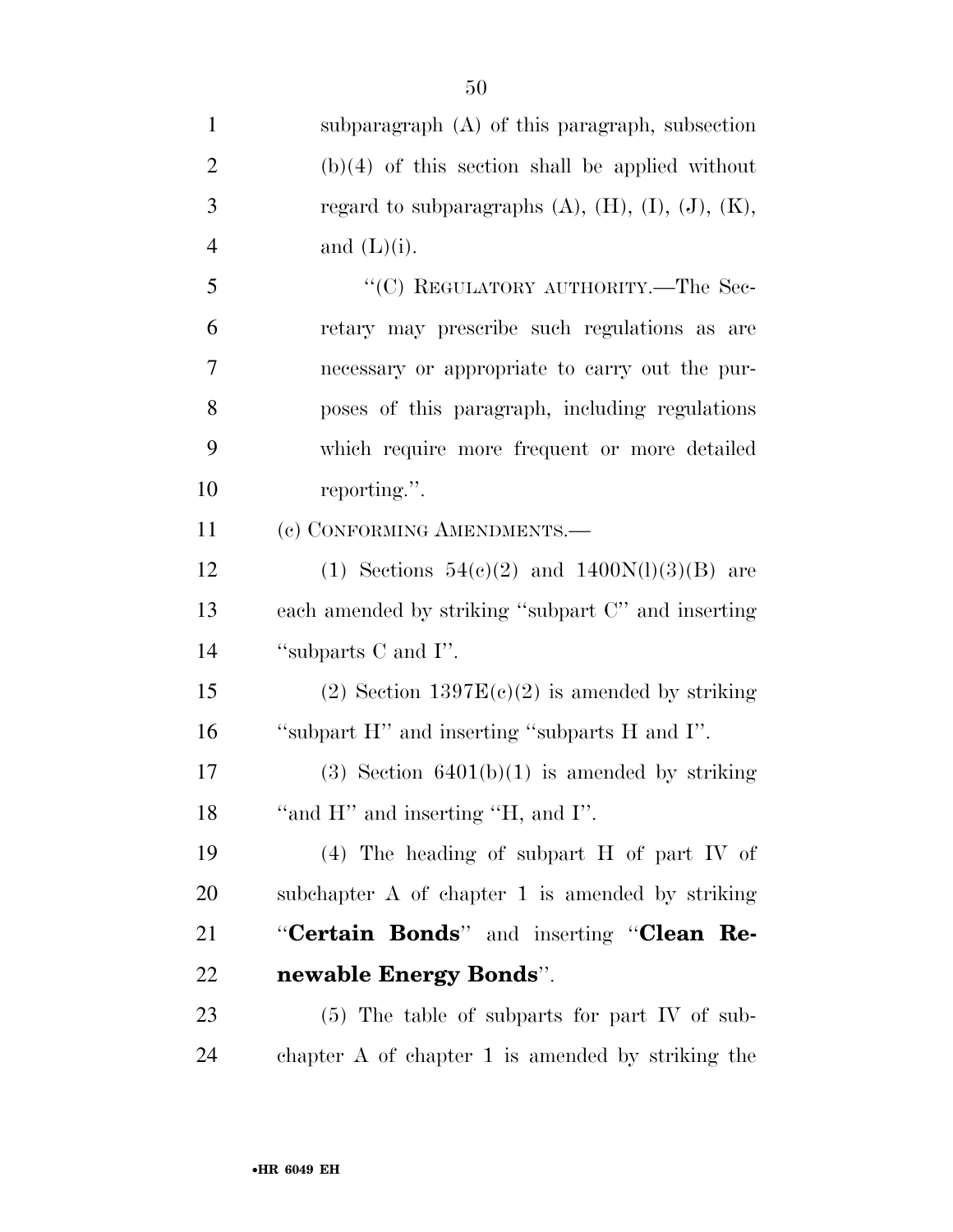| $\mathbf{1}$   | subparagraph (A) of this paragraph, subsection                  |
|----------------|-----------------------------------------------------------------|
| $\overline{2}$ | $(b)(4)$ of this section shall be applied without               |
| 3              | regard to subparagraphs $(A)$ , $(H)$ , $(I)$ , $(J)$ , $(K)$ , |
| 4              | and $(L)(i)$ .                                                  |
| 5              | "(C) REGULATORY AUTHORITY.—The Sec-                             |
| 6              | retary may prescribe such regulations as are                    |
| $\overline{7}$ | necessary or appropriate to carry out the pur-                  |
| 8              | poses of this paragraph, including regulations                  |
| 9              | which require more frequent or more detailed                    |
| 10             | reporting.".                                                    |
| 11             | (c) CONFORMING AMENDMENTS.-                                     |
| 12             | (1) Sections $54(c)(2)$ and $1400N(l)(3)(B)$ are                |
| 13             | each amended by striking "subpart C" and inserting              |
| 14             | "subparts C and I".                                             |
| 15             | (2) Section $1397E(c)(2)$ is amended by striking                |
| 16             | "subpart H" and inserting "subparts H and I".                   |
| 17             | $(3)$ Section 6401(b)(1) is amended by striking                 |
| 18             | "and $H$ " and inserting "H, and I".                            |
| 19             | $(4)$ The heading of subpart H of part IV of                    |
| 20             | subchapter A of chapter 1 is amended by striking                |
| 21             | "Certain Bonds" and inserting "Clean Re-                        |
| 22             | newable Energy Bonds".                                          |
| 23             | $(5)$ The table of subparts for part IV of sub-                 |
| 24             | chapter $A$ of chapter 1 is amended by striking the             |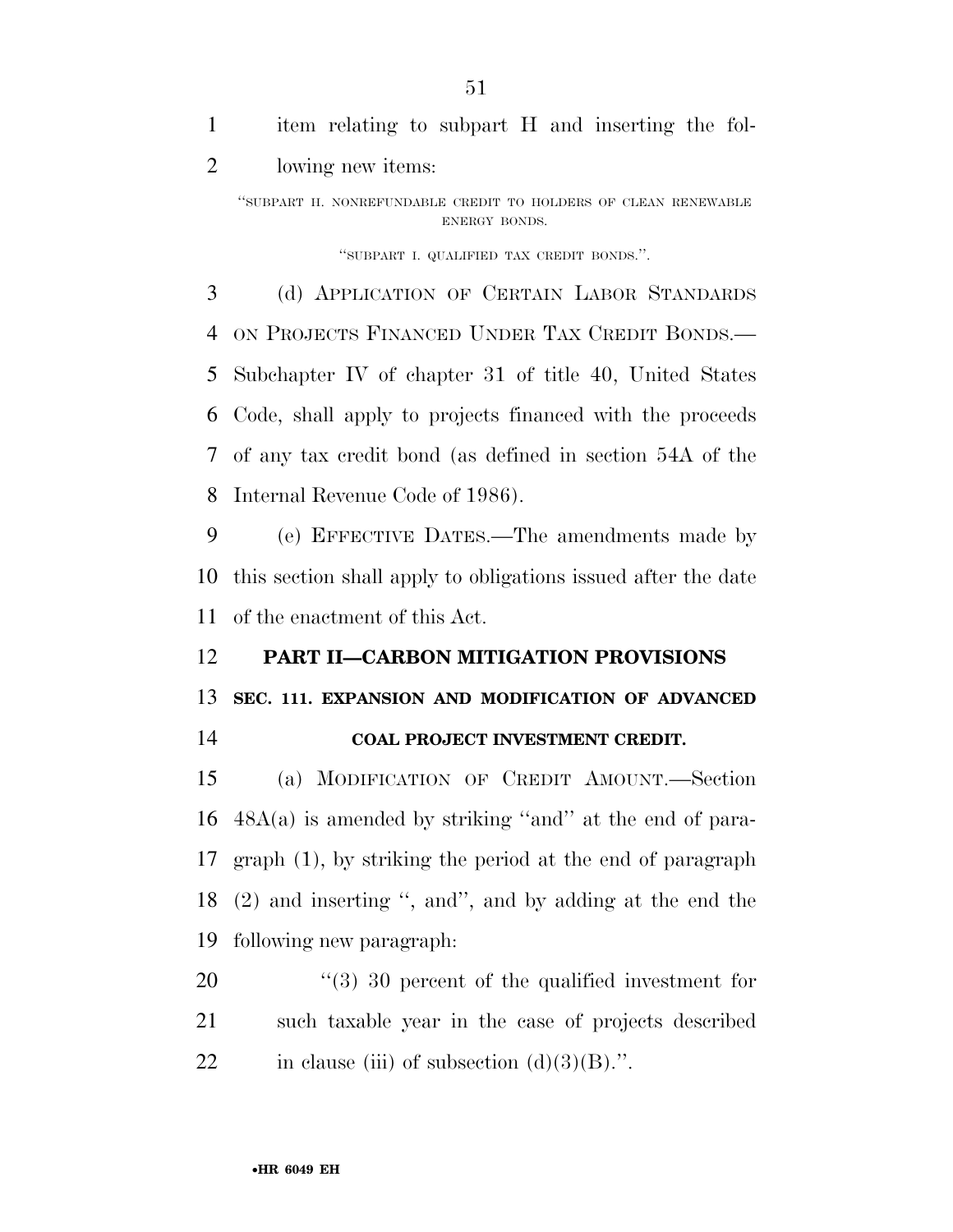item relating to subpart H and inserting the fol-lowing new items:

''SUBPART H. NONREFUNDABLE CREDIT TO HOLDERS OF CLEAN RENEWABLE ENERGY BONDS.

''SUBPART I. QUALIFIED TAX CREDIT BONDS.''.

 (d) APPLICATION OF CERTAIN LABOR STANDARDS ON PROJECTS FINANCED UNDER TAX CREDIT BONDS.— Subchapter IV of chapter 31 of title 40, United States Code, shall apply to projects financed with the proceeds of any tax credit bond (as defined in section 54A of the Internal Revenue Code of 1986).

 (e) EFFECTIVE DATES.—The amendments made by this section shall apply to obligations issued after the date of the enactment of this Act.

# **PART II—CARBON MITIGATION PROVISIONS**

### **SEC. 111. EXPANSION AND MODIFICATION OF ADVANCED**

**COAL PROJECT INVESTMENT CREDIT.** 

 (a) MODIFICATION OF CREDIT AMOUNT.—Section 48A(a) is amended by striking ''and'' at the end of para- graph (1), by striking the period at the end of paragraph (2) and inserting '', and'', and by adding at the end the following new paragraph:

20  $(3)$  30 percent of the qualified investment for such taxable year in the case of projects described 22 in clause (iii) of subsection  $(d)(3)(B)$ .".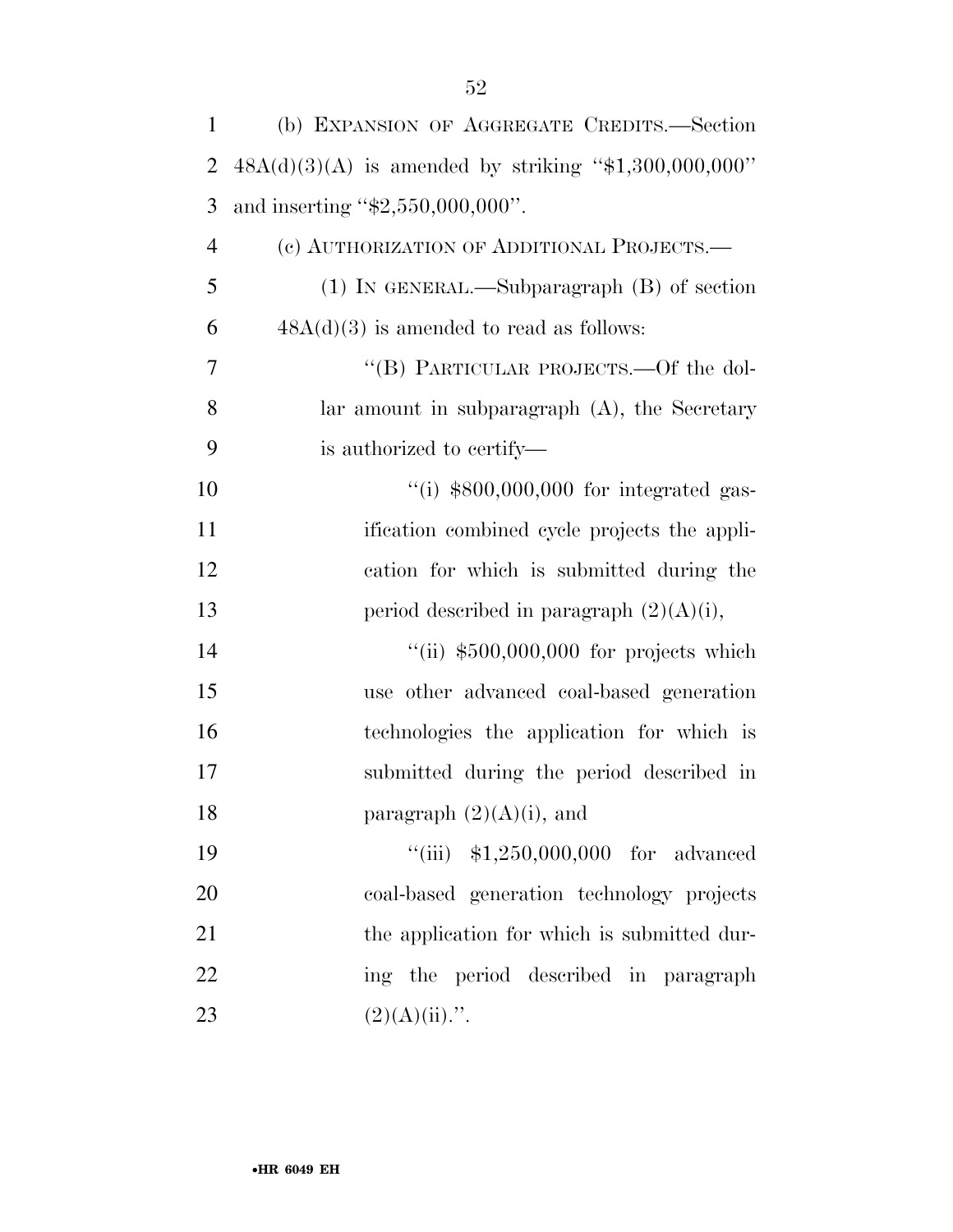| $\mathbf{1}$   | (b) EXPANSION OF AGGREGATE CREDITS.—Section             |
|----------------|---------------------------------------------------------|
| 2              | $48A(d)(3)(A)$ is amended by striking "\$1,300,000,000" |
| 3              | and inserting " $$2,550,000,000$ ".                     |
| $\overline{4}$ | (c) AUTHORIZATION OF ADDITIONAL PROJECTS.—              |
| 5              | $(1)$ IN GENERAL.—Subparagraph $(B)$ of section         |
| 6              | $48A(d)(3)$ is amended to read as follows:              |
| 7              | "(B) PARTICULAR PROJECTS.—Of the dol-                   |
| 8              | lar amount in subparagraph $(A)$ , the Secretary        |
| 9              | is authorized to certify—                               |
| 10             | $\lq($ i) \$800,000,000 for integrated gas-             |
| 11             | ification combined cycle projects the appli-            |
| 12             | cation for which is submitted during the                |
| 13             | period described in paragraph $(2)(A)(i)$ ,             |
| 14             | "(ii) $$500,000,000$ for projects which                 |
| 15             | use other advanced coal-based generation                |
| 16             | technologies the application for which is               |
| 17             | submitted during the period described in                |
| 18             | paragraph $(2)(A)(i)$ , and                             |
| 19             | "(iii) $$1,250,000,000$ for advanced                    |
| 20             | coal-based generation technology projects               |
| 21             | the application for which is submitted dur-             |
| 22             | ing the period described in paragraph                   |
| 23             | $(2)(A)(ii)$ .".                                        |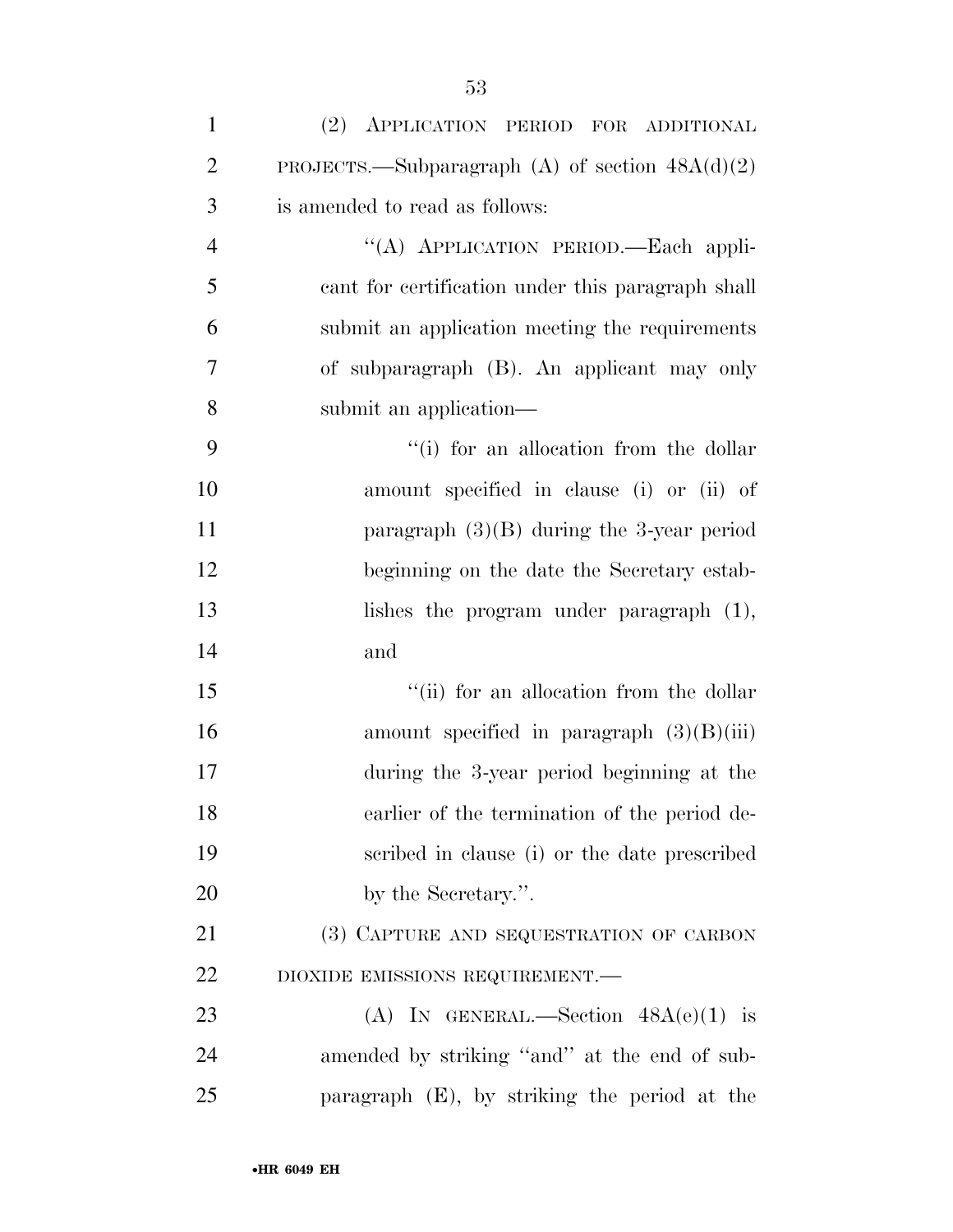| $\mathbf{1}$   | (2) APPLICATION PERIOD FOR ADDITIONAL             |
|----------------|---------------------------------------------------|
| $\overline{2}$ | PROJECTS.—Subparagraph (A) of section $48A(d)(2)$ |
| 3              | is amended to read as follows:                    |
| $\overline{4}$ | "(A) APPLICATION PERIOD.-Each appli-              |
| 5              | cant for certification under this paragraph shall |
| 6              | submit an application meeting the requirements    |
| 7              | of subparagraph (B). An applicant may only        |
| 8              | submit an application-                            |
| 9              | "(i) for an allocation from the dollar            |
| 10             | amount specified in clause (i) or (ii) of         |
| 11             | paragraph $(3)(B)$ during the 3-year period       |
| 12             | beginning on the date the Secretary estab-        |
| 13             | lishes the program under paragraph $(1)$ ,        |
| 14             | and                                               |
| 15             | "(ii) for an allocation from the dollar           |
| 16             | amount specified in paragraph $(3)(B)(iii)$       |
| 17             | during the 3-year period beginning at the         |
| 18             | earlier of the termination of the period de-      |
| 19             | scribed in clause (i) or the date prescribed      |
| 20             | by the Secretary.".                               |
| 21             | (3) CAPTURE AND SEQUESTRATION OF CARBON           |
| 22             | DIOXIDE EMISSIONS REQUIREMENT.-                   |
| 23             | (A) IN GENERAL.—Section $48A(e)(1)$ is            |
| 24             | amended by striking "and" at the end of sub-      |
| 25             | paragraph (E), by striking the period at the      |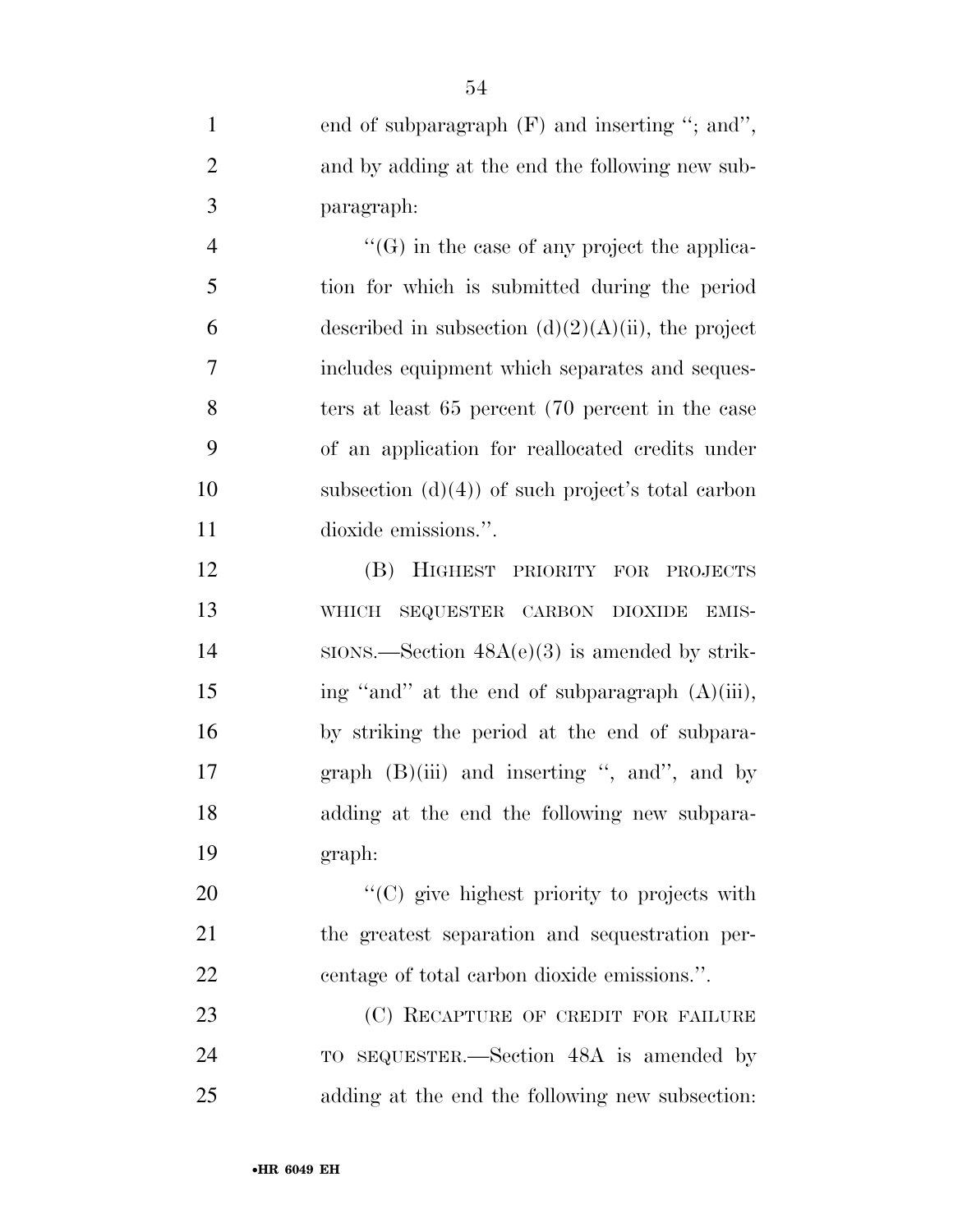| $\mathbf{1}$   | end of subparagraph $(F)$ and inserting "; and",                                                                   |
|----------------|--------------------------------------------------------------------------------------------------------------------|
| $\overline{2}$ | and by adding at the end the following new sub-                                                                    |
| 3              | paragraph:                                                                                                         |
| $\overline{4}$ | $\lq\lq(G)$ in the case of any project the applica-                                                                |
| 5              | tion for which is submitted during the period                                                                      |
| 6              | described in subsection $(d)(2)(A)(ii)$ , the project                                                              |
| $\tau$         | includes equipment which separates and seques-                                                                     |
| 8              | ters at least 65 percent (70 percent in the case                                                                   |
| 9              | of an application for reallocated credits under                                                                    |
| 10             | subsection $(d)(4)$ of such project's total carbon                                                                 |
| 11             | dioxide emissions.".                                                                                               |
| 12             | (B) HIGHEST PRIORITY FOR PROJECTS                                                                                  |
| 13             | SEQUESTER CARBON DIOXIDE<br>WHICH<br>EMIS-                                                                         |
| 14             | $SIONS$ . Section $48A(e)(3)$ is amended by strik-                                                                 |
| 15             | ing "and" at the end of subparagraph (A)(iii),                                                                     |
| $\sim$         | $\mathbf{a}$ and $\mathbf{a}$ and $\mathbf{a}$ and $\mathbf{a}$ and $\mathbf{a}$ and $\mathbf{a}$ and $\mathbf{a}$ |

16 by striking the period at the end of subpara-17 graph (B)(iii) and inserting ", and ", and by 18 adding at the end the following new subpara-19 graph:

20  $"({\rm C})$  give highest priority to projects with 21 the greatest separation and sequestration per-22 centage of total carbon dioxide emissions.''.

23 (C) RECAPTURE OF CREDIT FOR FAILURE 24 TO SEQUESTER.—Section 48A is amended by 25 adding at the end the following new subsection: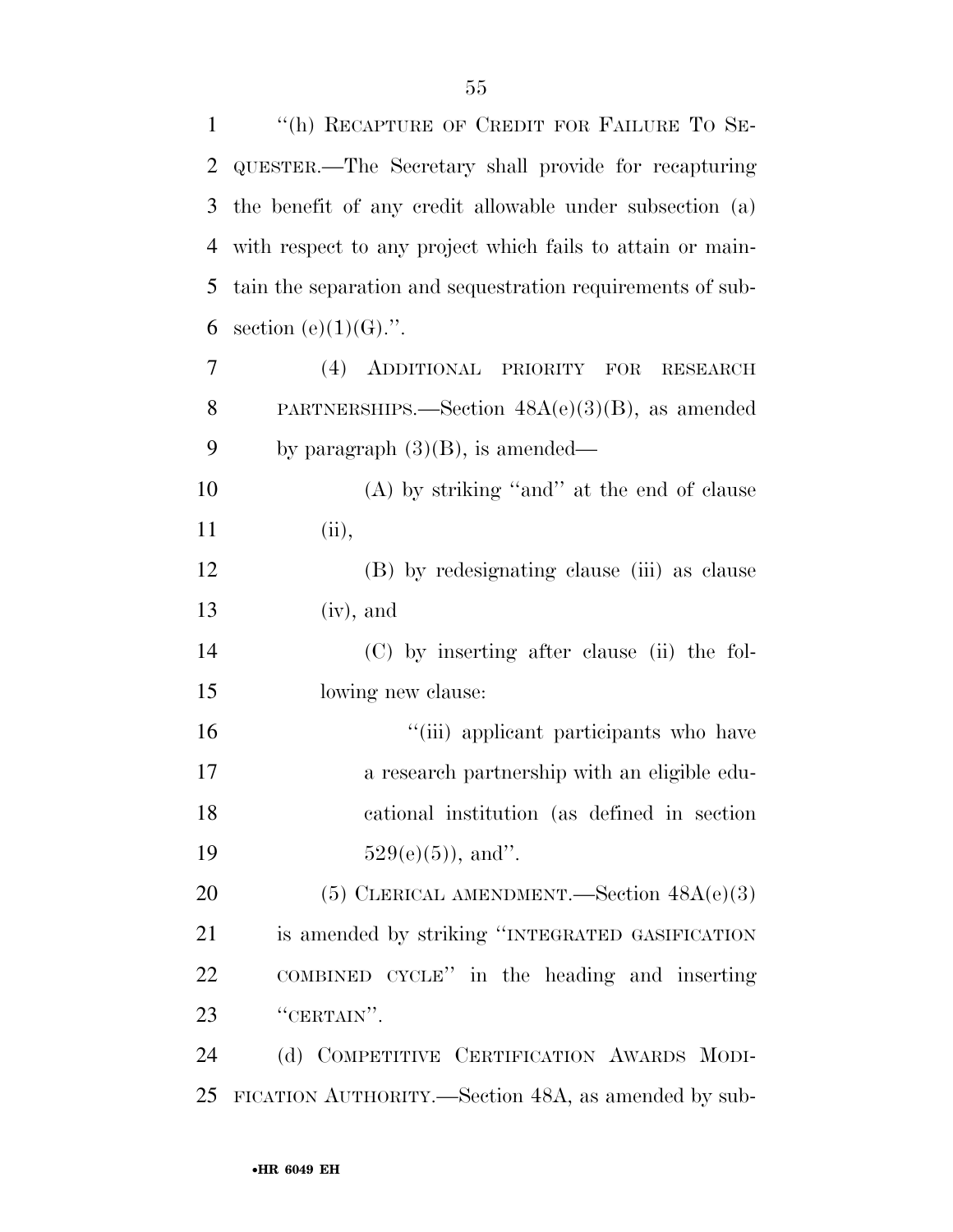| $\mathbf{1}$ | "(h) RECAPTURE OF CREDIT FOR FAILURE TO SE-                 |
|--------------|-------------------------------------------------------------|
| 2            | QUESTER.—The Secretary shall provide for recapturing        |
| 3            | the benefit of any credit allowable under subsection (a)    |
| 4            | with respect to any project which fails to attain or main-  |
| 5            | tain the separation and sequestration requirements of sub-  |
| 6            | section (e) $(1)(G)$ .".                                    |
| 7            | (4) ADDITIONAL<br>PRIORITY<br><b>FOR</b><br><b>RESEARCH</b> |
| 8            | PARTNERSHIPS.—Section $48A(e)(3)(B)$ , as amended           |
| 9            | by paragraph $(3)(B)$ , is amended—                         |
| 10           | $(A)$ by striking "and" at the end of clause                |
| 11           | (ii),                                                       |
| 12           | (B) by redesignating clause (iii) as clause                 |
| 13           | $(iv)$ , and                                                |
| 14           | (C) by inserting after clause (ii) the fol-                 |
| 15           | lowing new clause:                                          |
| 16           | "(iii) applicant participants who have                      |
| 17           | a research partnership with an eligible edu-                |
| 18           | cational institution (as defined in section                 |
| 19           | $529(e)(5)$ , and".                                         |
| 20           | (5) CLERICAL AMENDMENT.—Section $48A(e)(3)$                 |
| 21           | is amended by striking "INTEGRATED GASIFICATION             |
| 22           | COMBINED CYCLE" in the heading and inserting                |
| 23           | "CERTAIN".                                                  |
| 24           | (d) COMPETITIVE CERTIFICATION AWARDS MODI-                  |
| 25           | FICATION AUTHORITY.—Section 48A, as amended by sub-         |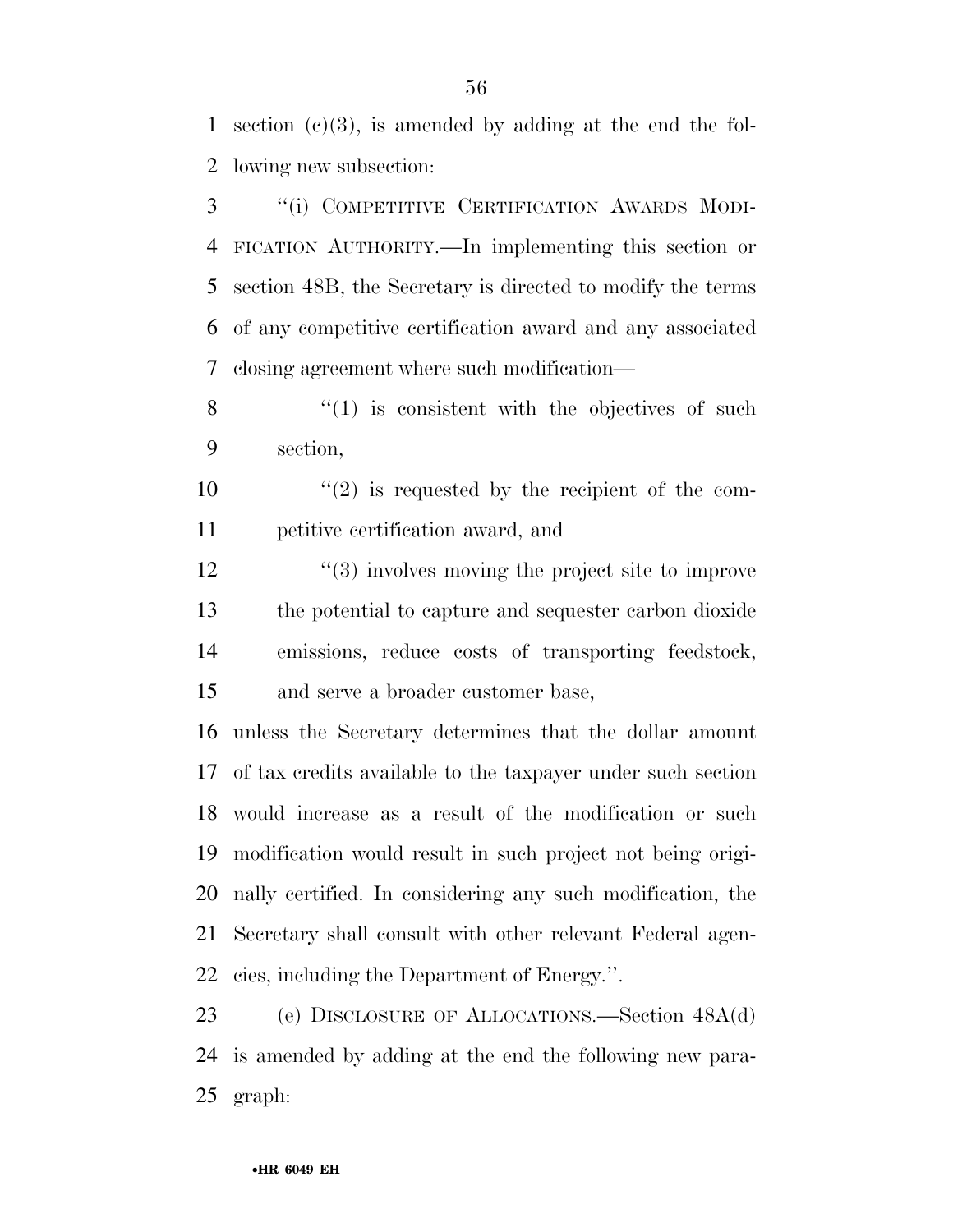section (c)(3), is amended by adding at the end the fol-lowing new subsection:

 ''(i) COMPETITIVE CERTIFICATION AWARDS MODI- FICATION AUTHORITY.—In implementing this section or section 48B, the Secretary is directed to modify the terms of any competitive certification award and any associated closing agreement where such modification—

 ''(1) is consistent with the objectives of such section,

 $(2)$  is requested by the recipient of the com-petitive certification award, and

12 ''(3) involves moving the project site to improve the potential to capture and sequester carbon dioxide emissions, reduce costs of transporting feedstock, and serve a broader customer base,

 unless the Secretary determines that the dollar amount of tax credits available to the taxpayer under such section would increase as a result of the modification or such modification would result in such project not being origi- nally certified. In considering any such modification, the Secretary shall consult with other relevant Federal agen-cies, including the Department of Energy.''.

 (e) DISCLOSURE OF ALLOCATIONS.—Section 48A(d) is amended by adding at the end the following new para-graph: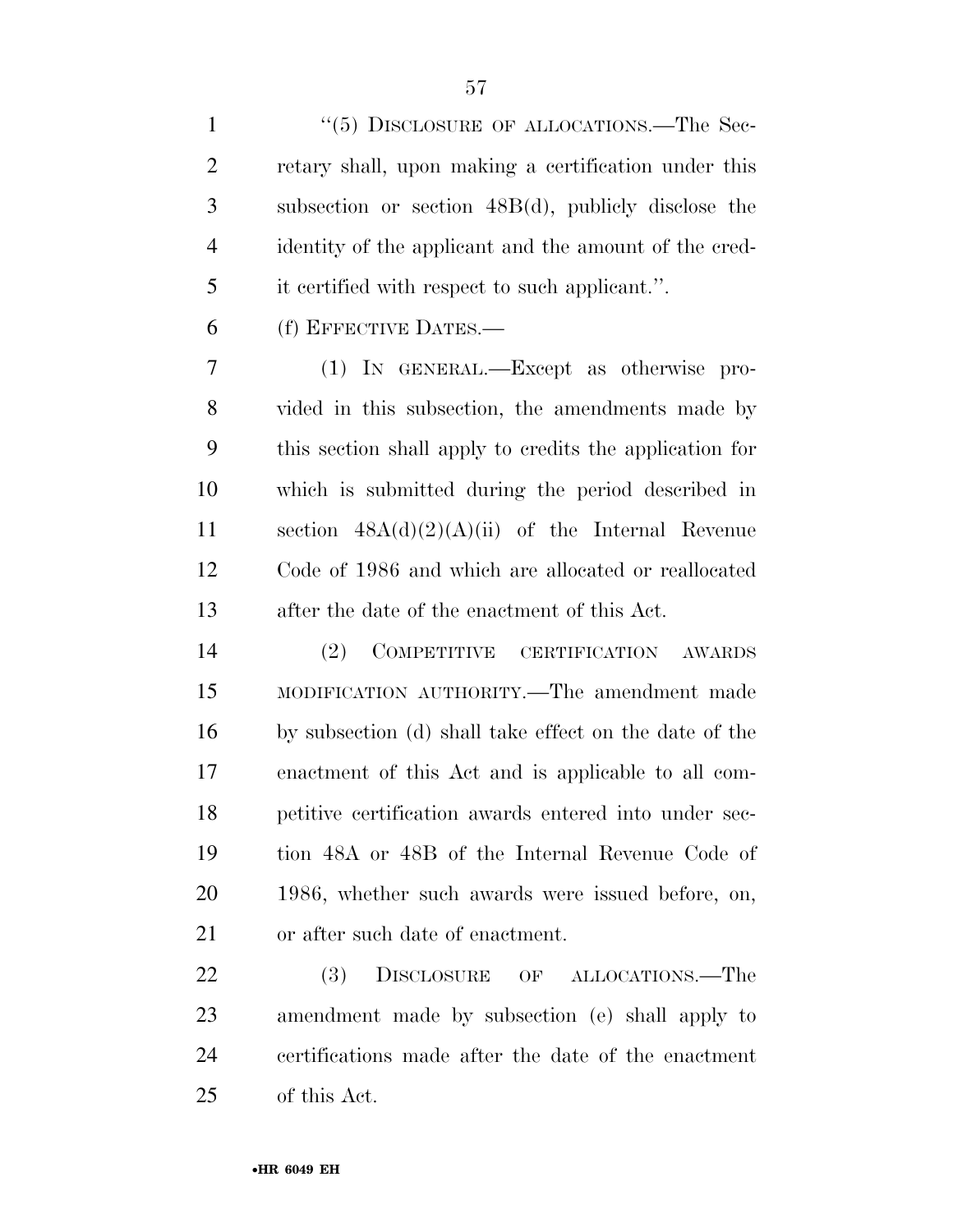1 "(5) DISCLOSURE OF ALLOCATIONS.—The Sec- retary shall, upon making a certification under this subsection or section 48B(d), publicly disclose the identity of the applicant and the amount of the cred-it certified with respect to such applicant.''.

(f) EFFECTIVE DATES.—

 (1) IN GENERAL.—Except as otherwise pro- vided in this subsection, the amendments made by this section shall apply to credits the application for which is submitted during the period described in section 48A(d)(2)(A)(ii) of the Internal Revenue Code of 1986 and which are allocated or reallocated after the date of the enactment of this Act.

 (2) COMPETITIVE CERTIFICATION AWARDS MODIFICATION AUTHORITY.—The amendment made by subsection (d) shall take effect on the date of the enactment of this Act and is applicable to all com- petitive certification awards entered into under sec- tion 48A or 48B of the Internal Revenue Code of 1986, whether such awards were issued before, on, or after such date of enactment.

22 (3) DISCLOSURE OF ALLOCATIONS.—The amendment made by subsection (e) shall apply to certifications made after the date of the enactment of this Act.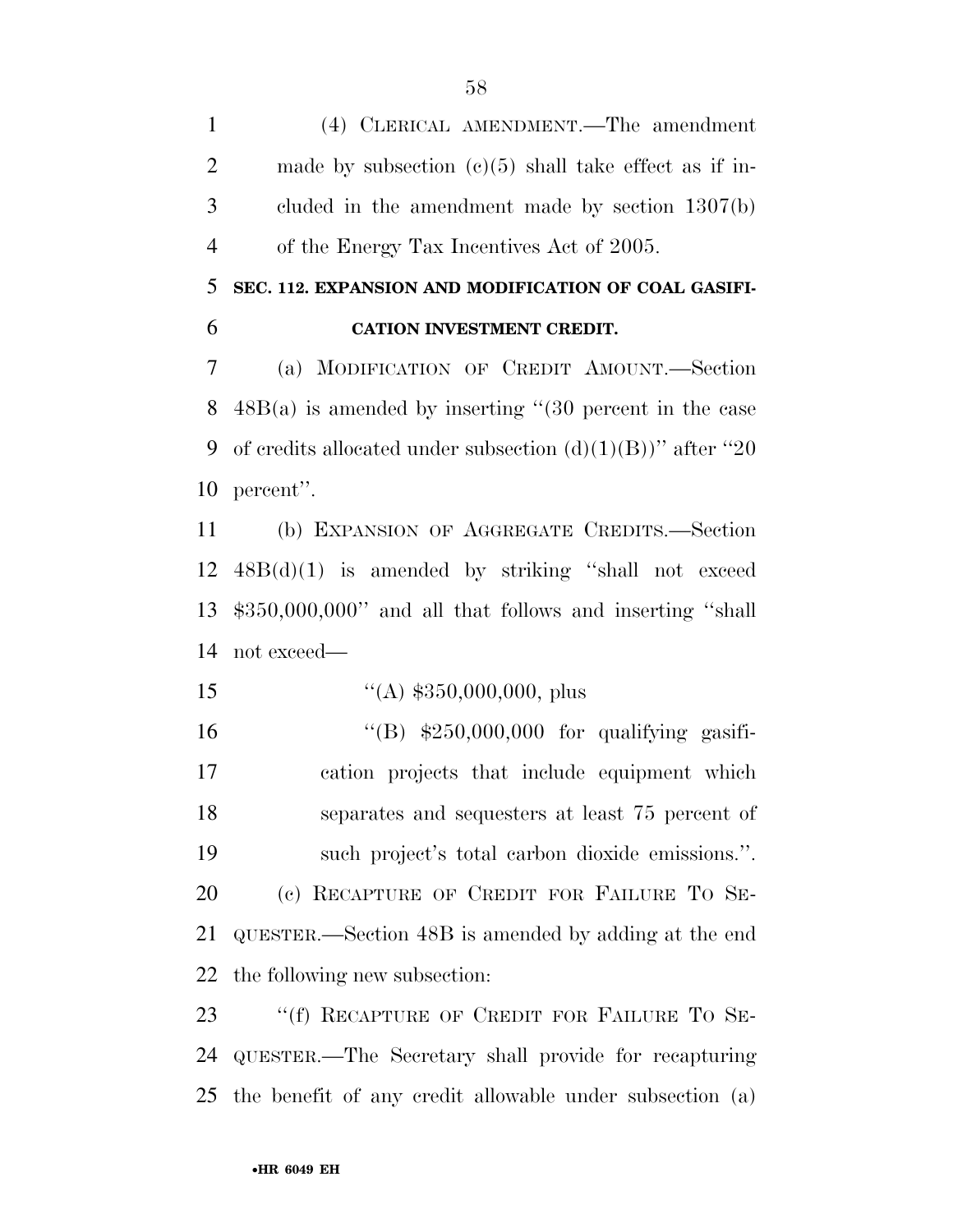(4) CLERICAL AMENDMENT.—The amendment 2 made by subsection (c)(5) shall take effect as if in- cluded in the amendment made by section 1307(b) of the Energy Tax Incentives Act of 2005.

# **SEC. 112. EXPANSION AND MODIFICATION OF COAL GASIFI-CATION INVESTMENT CREDIT.**

 (a) MODIFICATION OF CREDIT AMOUNT.—Section 48B(a) is amended by inserting ''(30 percent in the case 9 of credits allocated under subsection  $(d)(1)(B)$ " after "20" percent''.

 (b) EXPANSION OF AGGREGATE CREDITS.—Section 48B(d)(1) is amended by striking ''shall not exceed \$350,000,000'' and all that follows and inserting ''shall not exceed—

15  $\frac{1}{(A)}$  \$350,000,000, plus

 ''(B) \$250,000,000 for qualifying gasifi- cation projects that include equipment which separates and sequesters at least 75 percent of such project's total carbon dioxide emissions.''. (c) RECAPTURE OF CREDIT FOR FAILURE TO SE- QUESTER.—Section 48B is amended by adding at the end the following new subsection:

23 "(f) RECAPTURE OF CREDIT FOR FAILURE TO SE- QUESTER.—The Secretary shall provide for recapturing the benefit of any credit allowable under subsection (a)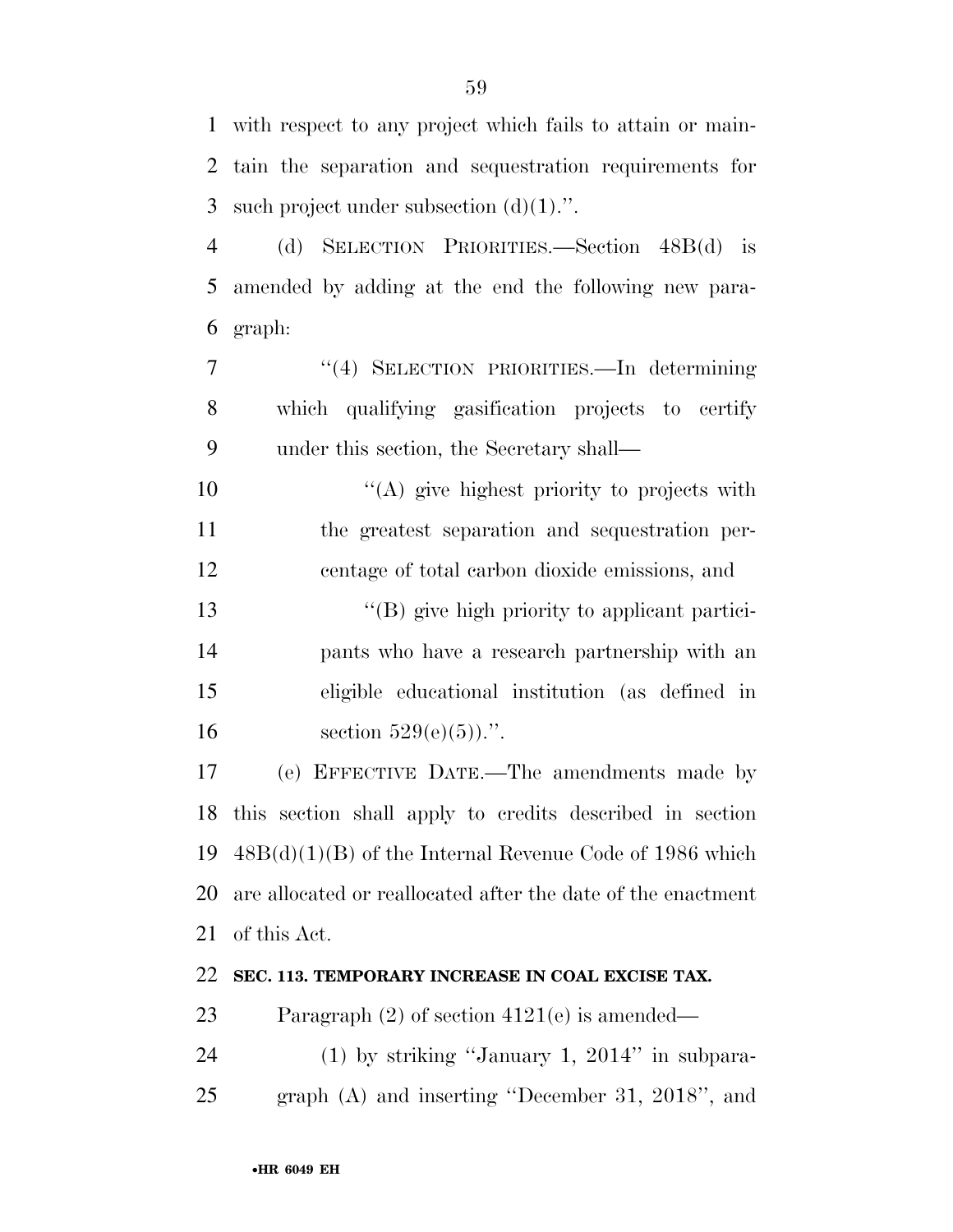with respect to any project which fails to attain or main- tain the separation and sequestration requirements for 3 such project under subsection  $(d)(1)$ .".

 (d) SELECTION PRIORITIES.—Section 48B(d) is amended by adding at the end the following new para-graph:

 ''(4) SELECTION PRIORITIES.—In determining which qualifying gasification projects to certify under this section, the Secretary shall—

10  $\langle (A)$  give highest priority to projects with the greatest separation and sequestration per-centage of total carbon dioxide emissions, and

 ''(B) give high priority to applicant partici- pants who have a research partnership with an eligible educational institution (as defined in 16 section  $529(e)(5)$ .".

 (e) EFFECTIVE DATE.—The amendments made by this section shall apply to credits described in section 48B(d)(1)(B) of the Internal Revenue Code of 1986 which are allocated or reallocated after the date of the enactment of this Act.

## **SEC. 113. TEMPORARY INCREASE IN COAL EXCISE TAX.**

Paragraph (2) of section 4121(e) is amended—

 (1) by striking ''January 1, 2014'' in subpara-graph (A) and inserting ''December 31, 2018'', and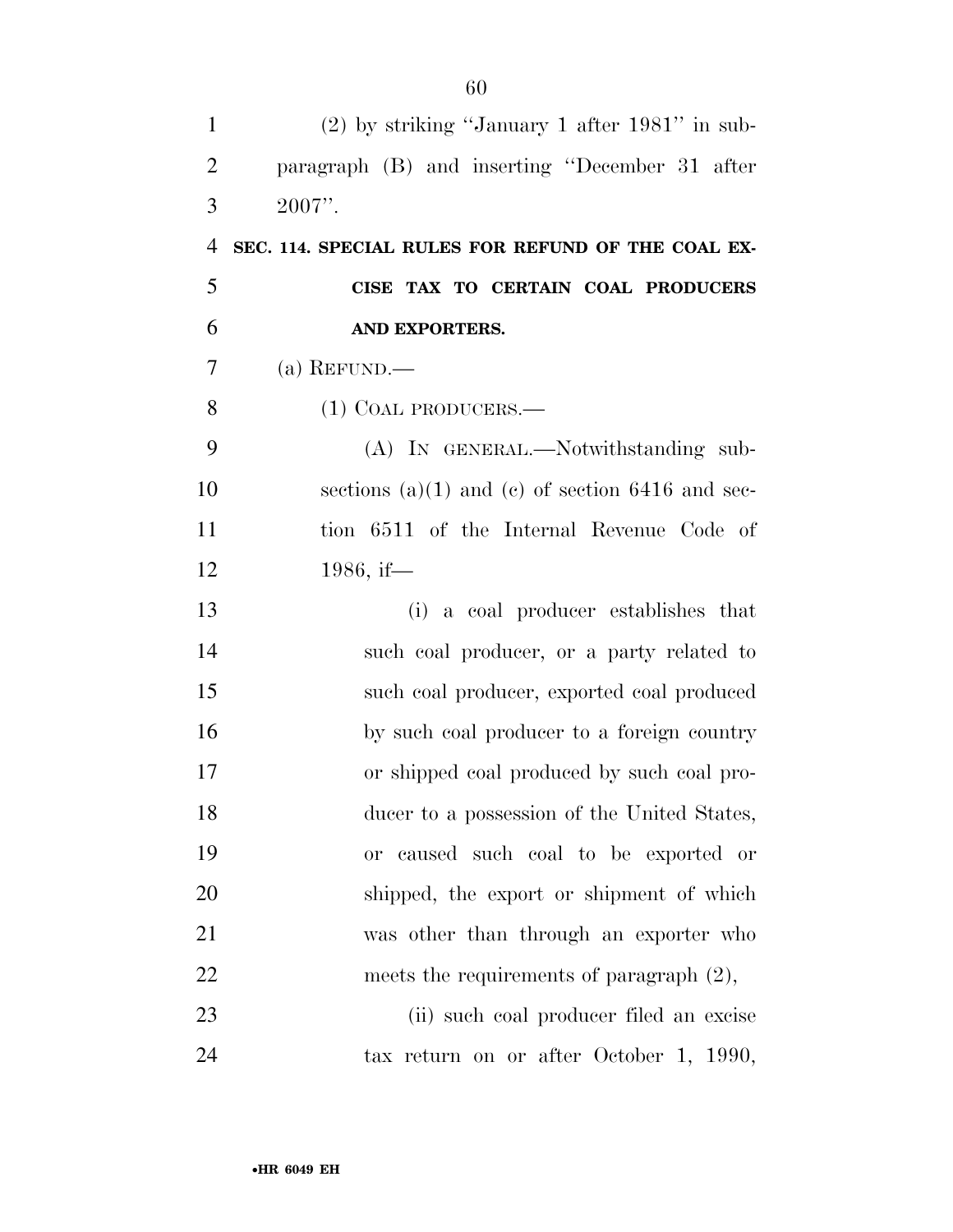| $\mathbf{1}$   | $(2)$ by striking "January 1 after 1981" in sub-     |
|----------------|------------------------------------------------------|
| $\overline{2}$ | paragraph (B) and inserting "December 31 after       |
| 3              | $2007$ ".                                            |
| $\overline{4}$ | SEC. 114. SPECIAL RULES FOR REFUND OF THE COAL EX-   |
| 5              | CISE TAX TO CERTAIN COAL PRODUCERS                   |
| 6              | AND EXPORTERS.                                       |
| 7              | (a) REFUND.—                                         |
| 8              | $(1)$ COAL PRODUCERS.—                               |
| 9              | (A) IN GENERAL.—Notwithstanding sub-                 |
| 10             | sections $(a)(1)$ and $(c)$ of section 6416 and sec- |
| 11             | tion 6511 of the Internal Revenue Code of            |
| 12             | 1986, if—                                            |
| 13             | (i) a coal producer establishes that                 |
| 14             | such coal producer, or a party related to            |
| 15             | such coal producer, exported coal produced           |
| 16             | by such coal producer to a foreign country           |
| 17             | or shipped coal produced by such coal pro-           |
| 18             | ducer to a possession of the United States,          |
| 19             | or caused such coal to be exported or                |
| 20             | shipped, the export or shipment of which             |
| 21             | was other than through an exporter who               |
| 22             | meets the requirements of paragraph $(2)$ ,          |
| 23             | (ii) such coal producer filed an excise              |
| 24             | tax return on or after October 1, 1990,              |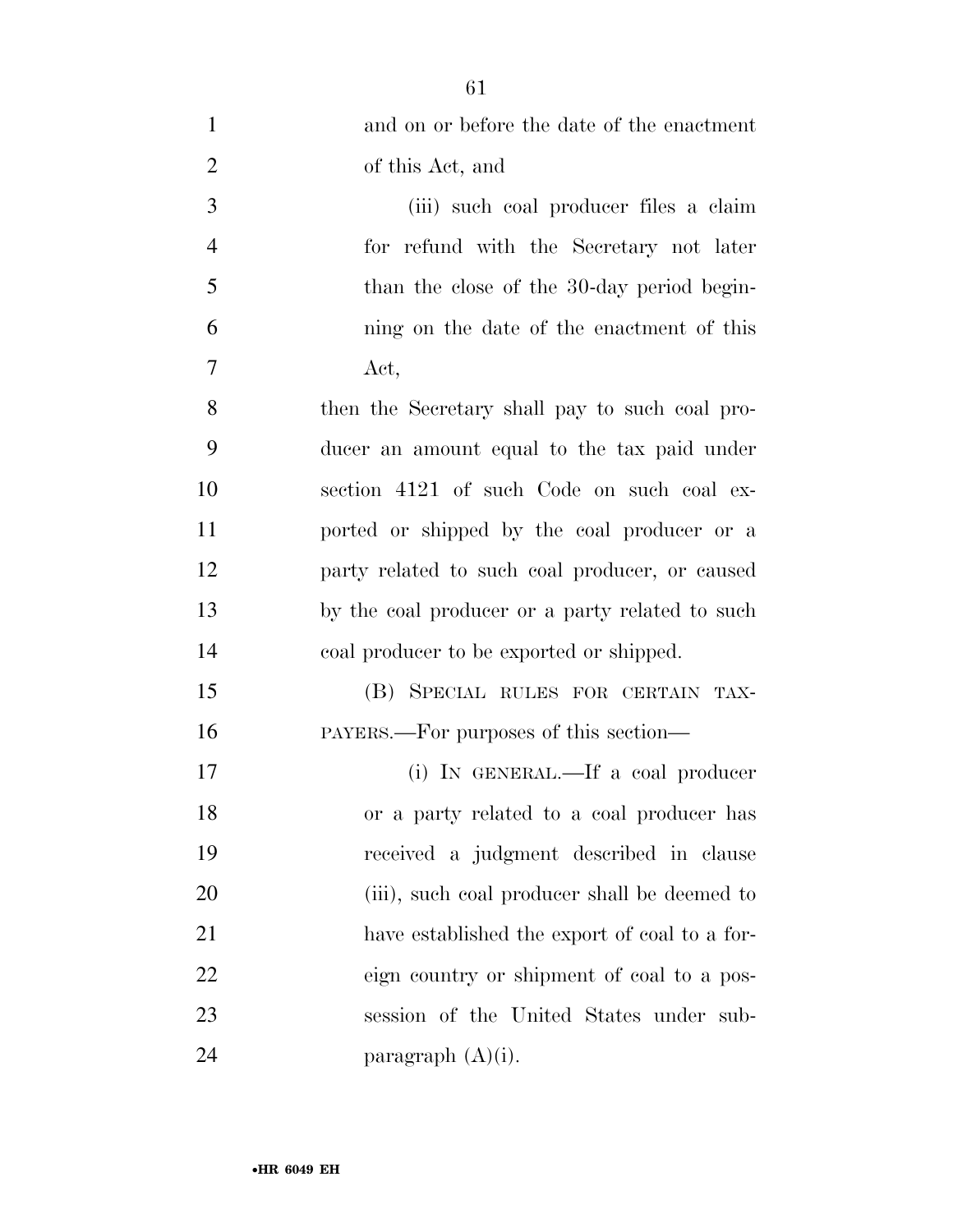| $\mathbf{1}$   | and on or before the date of the enactment      |
|----------------|-------------------------------------------------|
| $\overline{2}$ | of this Act, and                                |
| 3              | (iii) such coal producer files a claim          |
| $\overline{4}$ | for refund with the Secretary not later         |
| 5              | than the close of the 30-day period begin-      |
| 6              | ning on the date of the enactment of this       |
| 7              | Act,                                            |
| 8              | then the Secretary shall pay to such coal pro-  |
| 9              | ducer an amount equal to the tax paid under     |
| 10             | section 4121 of such Code on such coal ex-      |
| 11             | ported or shipped by the coal producer or a     |
| 12             | party related to such coal producer, or caused  |
| 13             | by the coal producer or a party related to such |
| 14             | coal producer to be exported or shipped.        |
| 15             | (B) SPECIAL RULES FOR CERTAIN TAX-              |
| 16             | PAYERS.—For purposes of this section—           |
| 17             | (i) IN GENERAL.—If a coal producer              |
| 18             | or a party related to a coal producer has       |
| 19             | received a judgment described in clause         |
| 20             | (iii), such coal producer shall be deemed to    |
| 21             | have established the export of coal to a for-   |
| 22             | eign country or shipment of coal to a pos-      |
| 23             | session of the United States under sub-         |
| 24             | paragraph $(A)(i)$ .                            |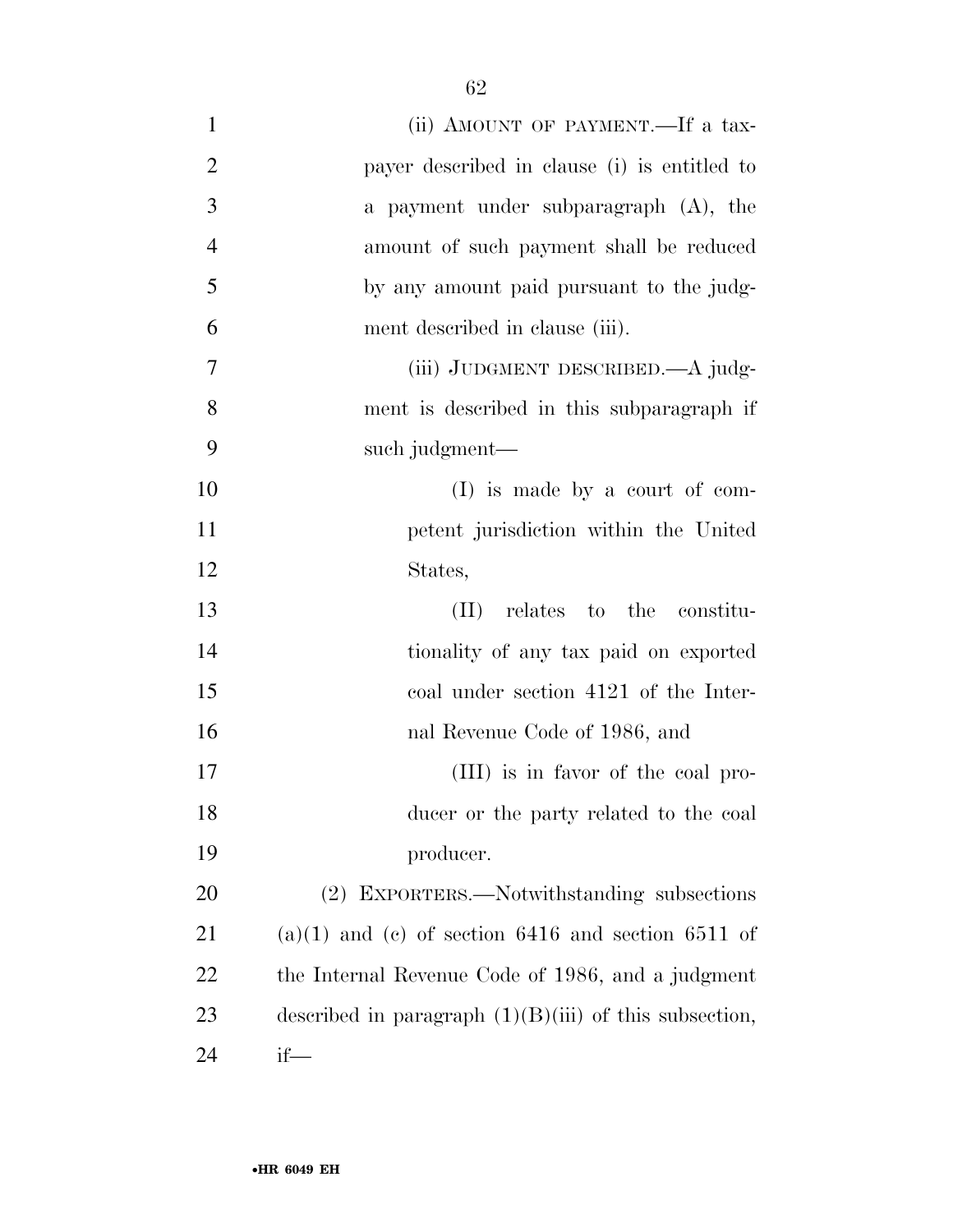| $\mathbf{1}$   | (ii) AMOUNT OF PAYMENT.—If a tax-                        |
|----------------|----------------------------------------------------------|
| $\overline{2}$ | payer described in clause (i) is entitled to             |
| 3              | a payment under subparagraph (A), the                    |
| $\overline{4}$ | amount of such payment shall be reduced                  |
| 5              | by any amount paid pursuant to the judg-                 |
| 6              | ment described in clause (iii).                          |
| $\tau$         | (iii) JUDGMENT DESCRIBED.—A judg-                        |
| 8              | ment is described in this subparagraph if                |
| 9              | such judgment—                                           |
| 10             | $(I)$ is made by a court of com-                         |
| 11             | petent jurisdiction within the United                    |
| 12             | States,                                                  |
| 13             | relates to the constitu-<br>(II)                         |
| 14             | tionality of any tax paid on exported                    |
| 15             | coal under section 4121 of the Inter-                    |
| 16             | nal Revenue Code of 1986, and                            |
| 17             | (III) is in favor of the coal pro-                       |
| 18             | ducer or the party related to the coal                   |
| 19             | producer.                                                |
| 20             | (2) EXPORTERS.—Notwithstanding subsections               |
| 21             | $(a)(1)$ and $(c)$ of section 6416 and section 6511 of   |
| 22             | the Internal Revenue Code of 1986, and a judgment        |
| 23             | described in paragraph $(1)(B)(iii)$ of this subsection, |
| 24             | $if$ —                                                   |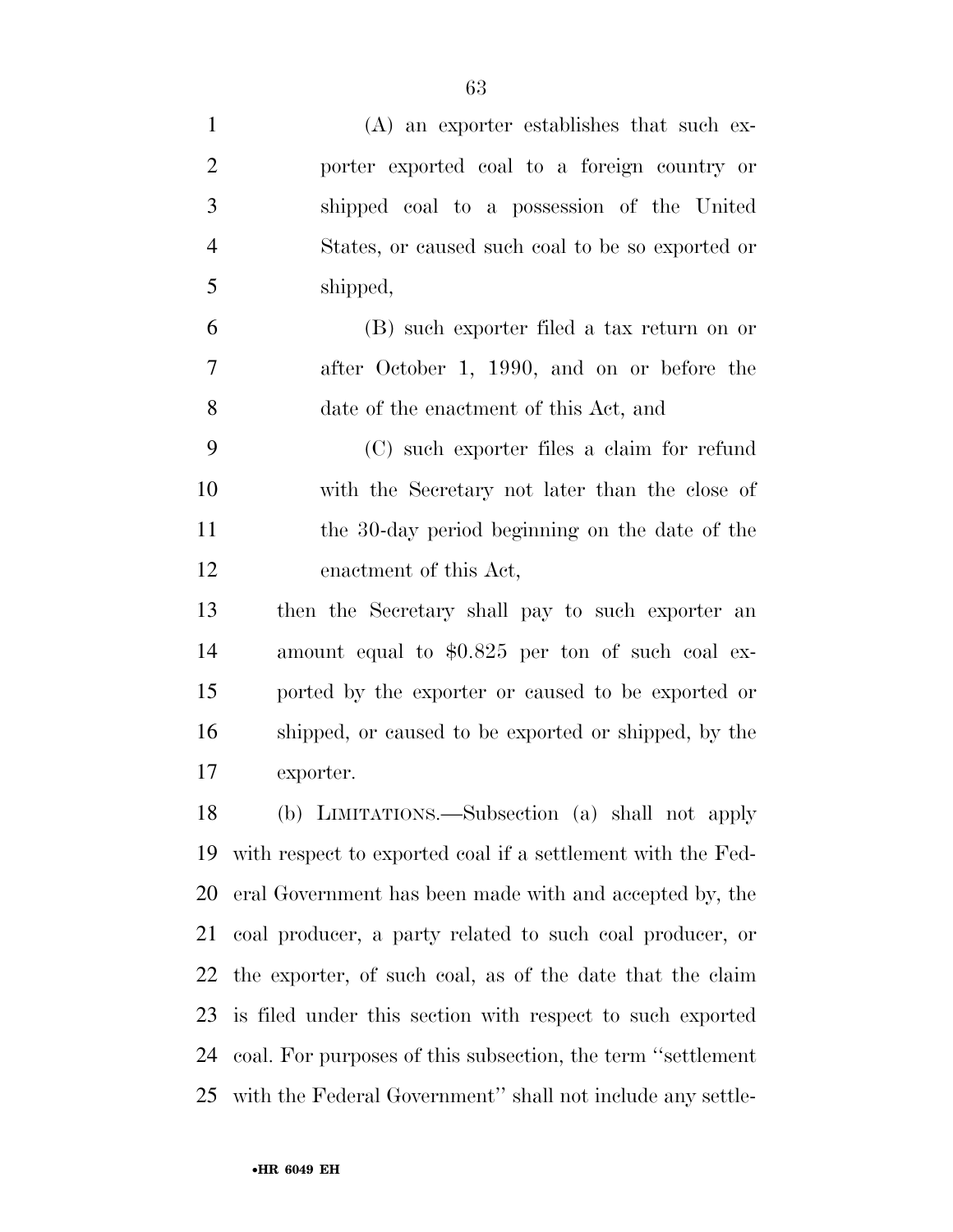| $\mathbf{1}$   | $(A)$ an exporter establishes that such ex-                  |
|----------------|--------------------------------------------------------------|
| $\overline{2}$ | porter exported coal to a foreign country or                 |
| 3              | shipped coal to a possession of the United                   |
| $\overline{4}$ | States, or caused such coal to be so exported or             |
| 5              | shipped,                                                     |
| 6              | (B) such exporter filed a tax return on or                   |
| 7              | after October 1, 1990, and on or before the                  |
| 8              | date of the enactment of this Act, and                       |
| 9              | (C) such exporter files a claim for refund                   |
| 10             | with the Secretary not later than the close of               |
| 11             | the 30-day period beginning on the date of the               |
| 12             | enactment of this Act,                                       |
| 13             | then the Secretary shall pay to such exporter an             |
| 14             | amount equal to \$0.825 per ton of such coal ex-             |
| 15             | ported by the exporter or caused to be exported or           |
| 16             | shipped, or caused to be exported or shipped, by the         |
| 17             | exporter.                                                    |
| 18             | (b) LIMITATIONS.—Subsection (a) shall not apply              |
| 19             | with respect to exported coal if a settlement with the Fed-  |
| 20             | eral Government has been made with and accepted by, the      |
| 21             | coal producer, a party related to such coal producer, or     |
| 22             | the exporter, of such coal, as of the date that the claim    |
| 23             | is filed under this section with respect to such exported    |
| 24             | coal. For purposes of this subsection, the term "settlement" |
| 25             | with the Federal Government" shall not include any settle-   |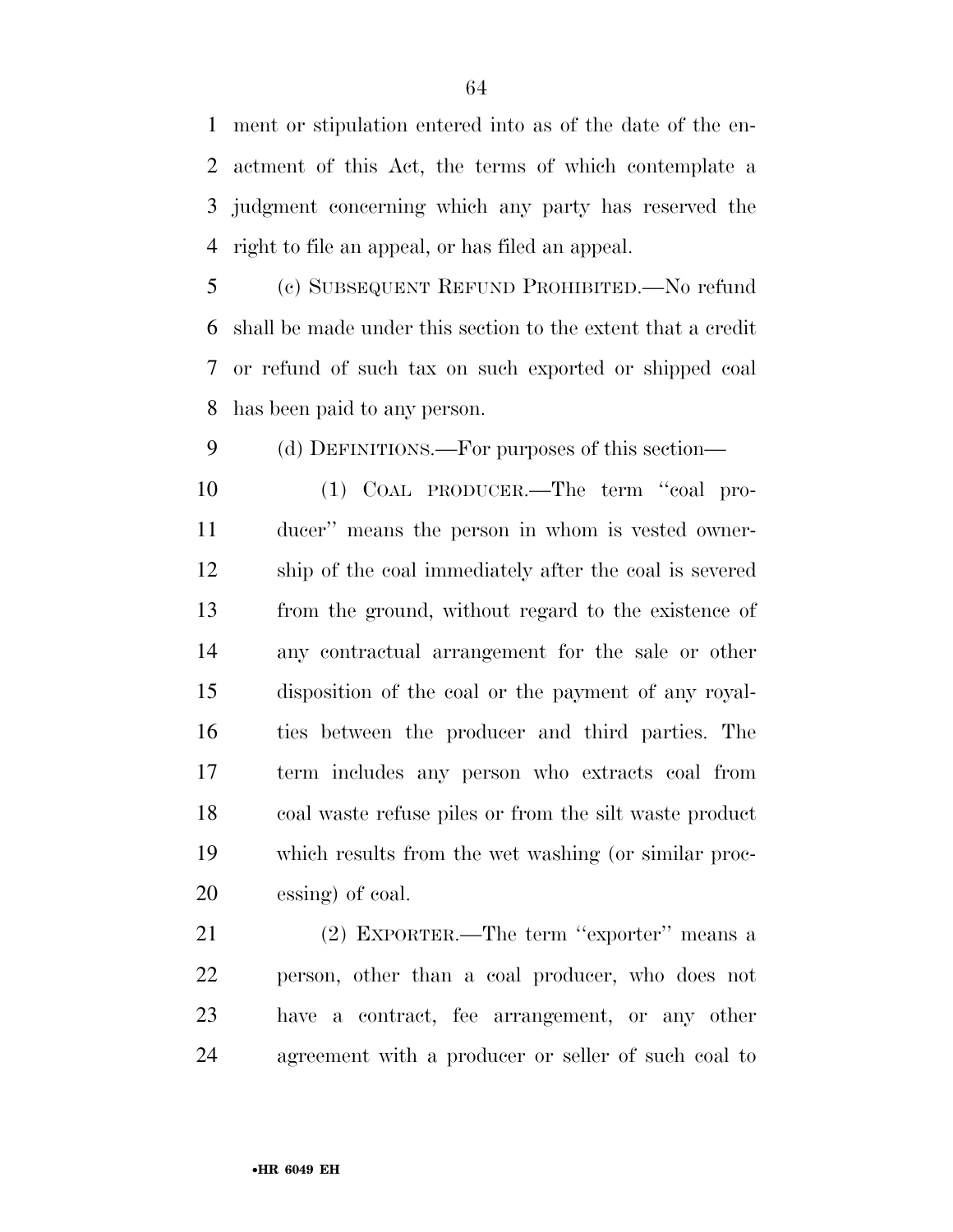ment or stipulation entered into as of the date of the en- actment of this Act, the terms of which contemplate a judgment concerning which any party has reserved the right to file an appeal, or has filed an appeal.

 (c) SUBSEQUENT REFUND PROHIBITED.—No refund shall be made under this section to the extent that a credit or refund of such tax on such exported or shipped coal has been paid to any person.

(d) DEFINITIONS.—For purposes of this section—

 (1) COAL PRODUCER.—The term ''coal pro- ducer'' means the person in whom is vested owner- ship of the coal immediately after the coal is severed from the ground, without regard to the existence of any contractual arrangement for the sale or other disposition of the coal or the payment of any royal- ties between the producer and third parties. The term includes any person who extracts coal from coal waste refuse piles or from the silt waste product which results from the wet washing (or similar proc-essing) of coal.

 (2) EXPORTER.—The term ''exporter'' means a person, other than a coal producer, who does not have a contract, fee arrangement, or any other agreement with a producer or seller of such coal to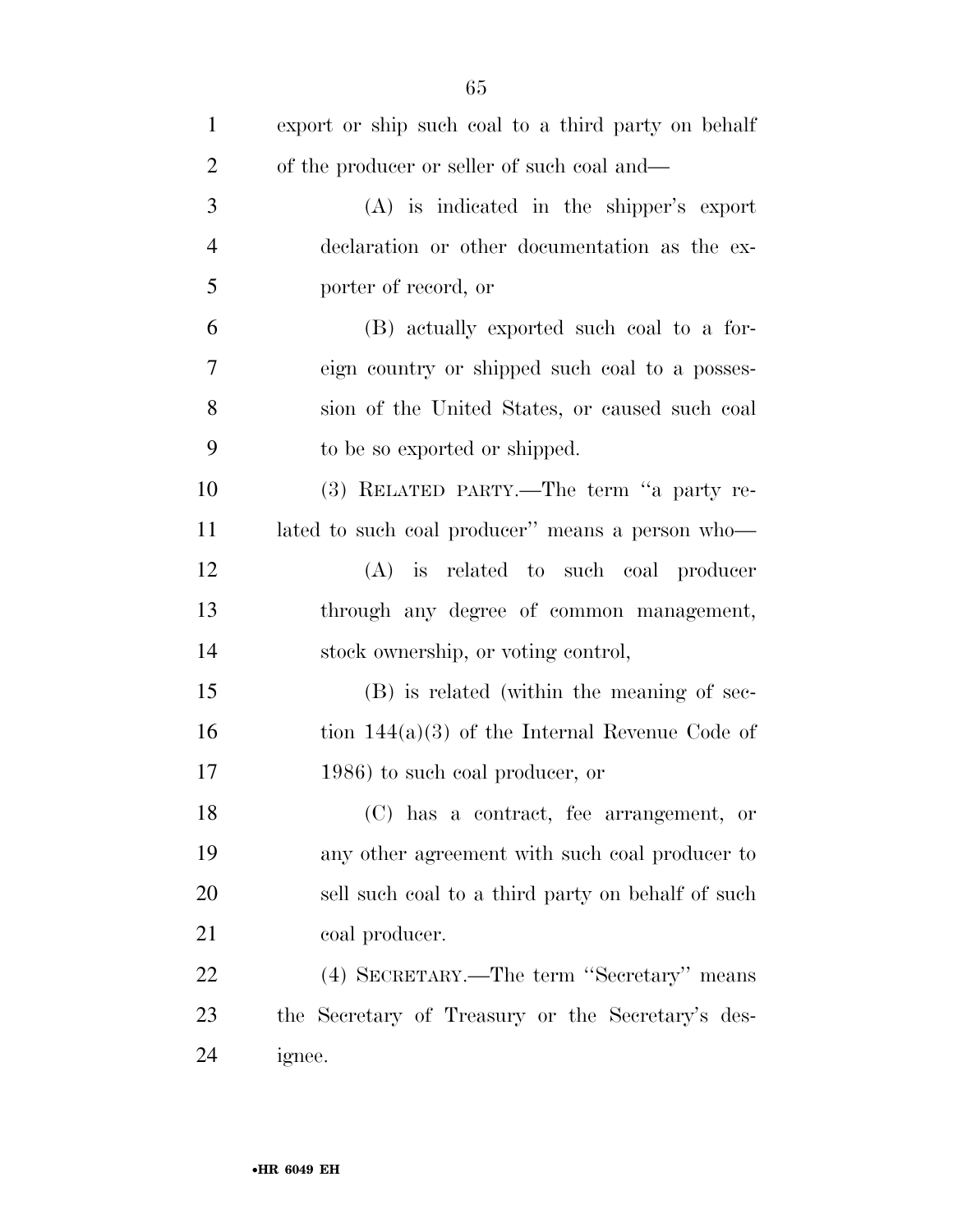| $\mathbf{1}$   | export or ship such coal to a third party on behalf |
|----------------|-----------------------------------------------------|
| $\overline{2}$ | of the producer or seller of such coal and—         |
| 3              | $(A)$ is indicated in the shipper's export          |
| $\overline{4}$ | declaration or other documentation as the ex-       |
| 5              | porter of record, or                                |
| 6              | (B) actually exported such coal to a for-           |
| 7              | eign country or shipped such coal to a posses-      |
| 8              | sion of the United States, or caused such coal      |
| 9              | to be so exported or shipped.                       |
| 10             | (3) RELATED PARTY.—The term "a party re-            |
| 11             | lated to such coal producer" means a person who-    |
| 12             | (A) is related to such coal producer                |
| 13             | through any degree of common management,            |
| 14             | stock ownership, or voting control,                 |
| 15             | (B) is related (within the meaning of sec-          |
| 16             | tion $144(a)(3)$ of the Internal Revenue Code of    |
| 17             | 1986) to such coal producer, or                     |
| 18             | (C) has a contract, fee arrangement, or             |
| 19             | any other agreement with such coal producer to      |
| 20             | sell such coal to a third party on behalf of such   |
| 21             | coal producer.                                      |
| 22             | (4) SECRETARY.—The term "Secretary" means           |
| 23             | the Secretary of Treasury or the Secretary's des-   |
| 24             | ignee.                                              |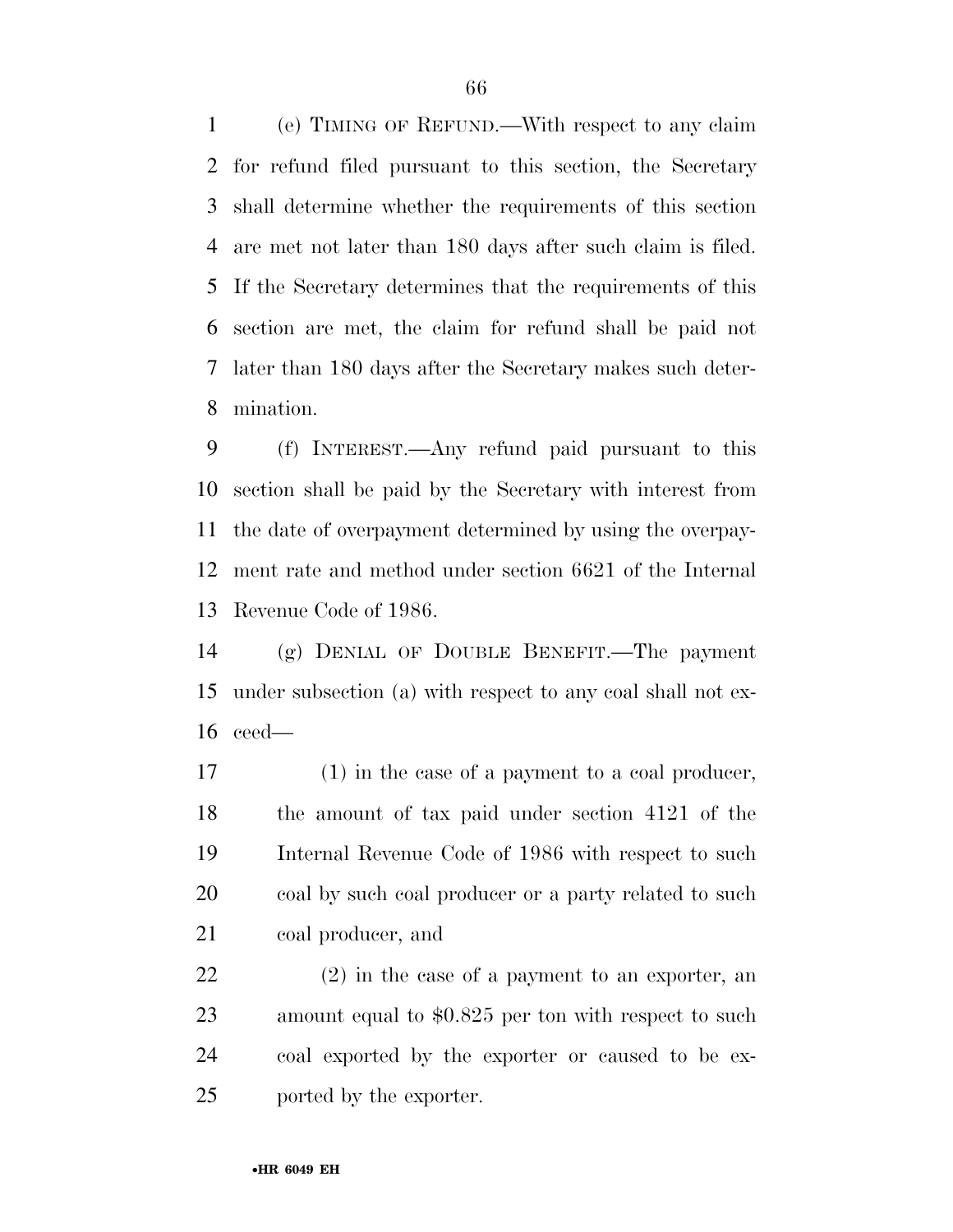(e) TIMING OF REFUND.—With respect to any claim for refund filed pursuant to this section, the Secretary shall determine whether the requirements of this section are met not later than 180 days after such claim is filed. If the Secretary determines that the requirements of this section are met, the claim for refund shall be paid not later than 180 days after the Secretary makes such deter-mination.

 (f) INTEREST.—Any refund paid pursuant to this section shall be paid by the Secretary with interest from the date of overpayment determined by using the overpay- ment rate and method under section 6621 of the Internal Revenue Code of 1986.

 (g) DENIAL OF DOUBLE BENEFIT.—The payment under subsection (a) with respect to any coal shall not ex-ceed—

 (1) in the case of a payment to a coal producer, the amount of tax paid under section 4121 of the Internal Revenue Code of 1986 with respect to such 20 coal by such coal producer or a party related to such coal producer, and

 (2) in the case of a payment to an exporter, an 23 amount equal to \$0.825 per ton with respect to such coal exported by the exporter or caused to be ex-ported by the exporter.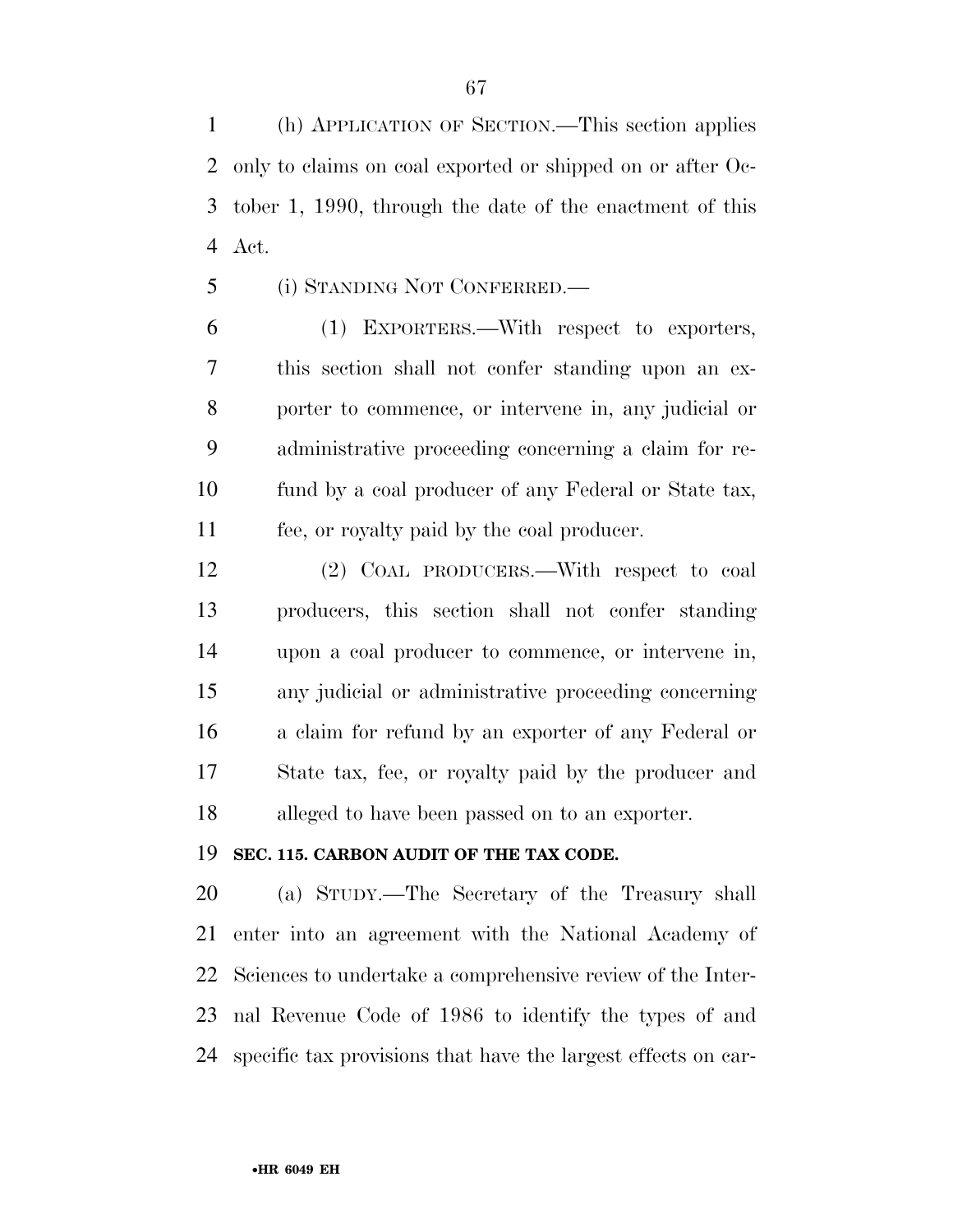(h) APPLICATION OF SECTION.—This section applies only to claims on coal exported or shipped on or after Oc- tober 1, 1990, through the date of the enactment of this Act.

(i) STANDING NOT CONFERRED.—

 (1) EXPORTERS.—With respect to exporters, this section shall not confer standing upon an ex- porter to commence, or intervene in, any judicial or administrative proceeding concerning a claim for re- fund by a coal producer of any Federal or State tax, fee, or royalty paid by the coal producer.

 (2) COAL PRODUCERS.—With respect to coal producers, this section shall not confer standing upon a coal producer to commence, or intervene in, any judicial or administrative proceeding concerning a claim for refund by an exporter of any Federal or State tax, fee, or royalty paid by the producer and alleged to have been passed on to an exporter.

#### **SEC. 115. CARBON AUDIT OF THE TAX CODE.**

 (a) STUDY.—The Secretary of the Treasury shall enter into an agreement with the National Academy of Sciences to undertake a comprehensive review of the Inter- nal Revenue Code of 1986 to identify the types of and specific tax provisions that have the largest effects on car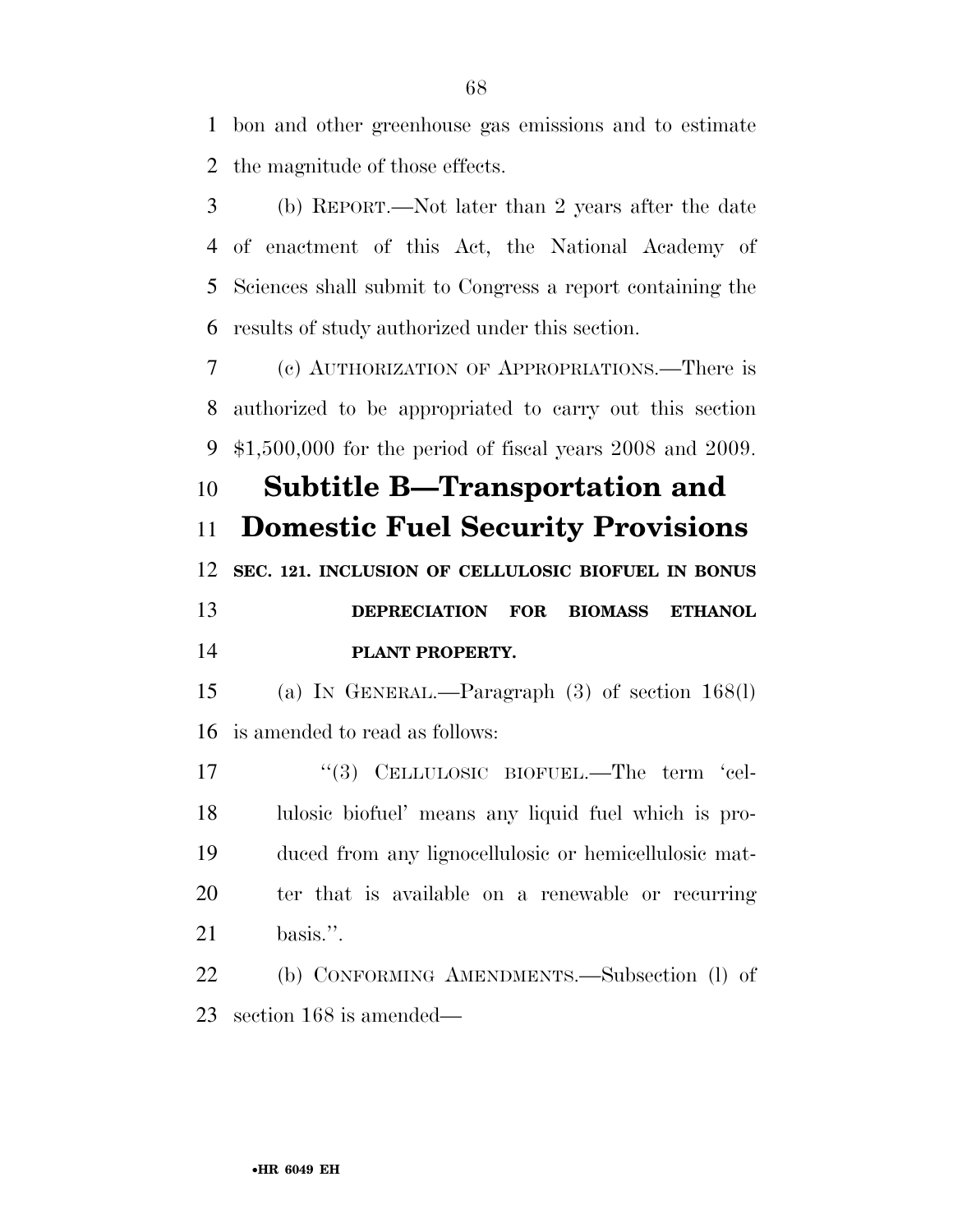bon and other greenhouse gas emissions and to estimate the magnitude of those effects.

 (b) REPORT.—Not later than 2 years after the date of enactment of this Act, the National Academy of Sciences shall submit to Congress a report containing the results of study authorized under this section.

 (c) AUTHORIZATION OF APPROPRIATIONS.—There is authorized to be appropriated to carry out this section \$1,500,000 for the period of fiscal years 2008 and 2009.

 **Subtitle B—Transportation and Domestic Fuel Security Provisions SEC. 121. INCLUSION OF CELLULOSIC BIOFUEL IN BONUS DEPRECIATION FOR BIOMASS ETHANOL PLANT PROPERTY.** 

 (a) IN GENERAL.—Paragraph (3) of section 168(l) is amended to read as follows:

17 "(3) CELLULOSIC BIOFUEL.—The term 'cel- lulosic biofuel' means any liquid fuel which is pro- duced from any lignocellulosic or hemicellulosic mat- ter that is available on a renewable or recurring basis.''.

 (b) CONFORMING AMENDMENTS.—Subsection (l) of section 168 is amended—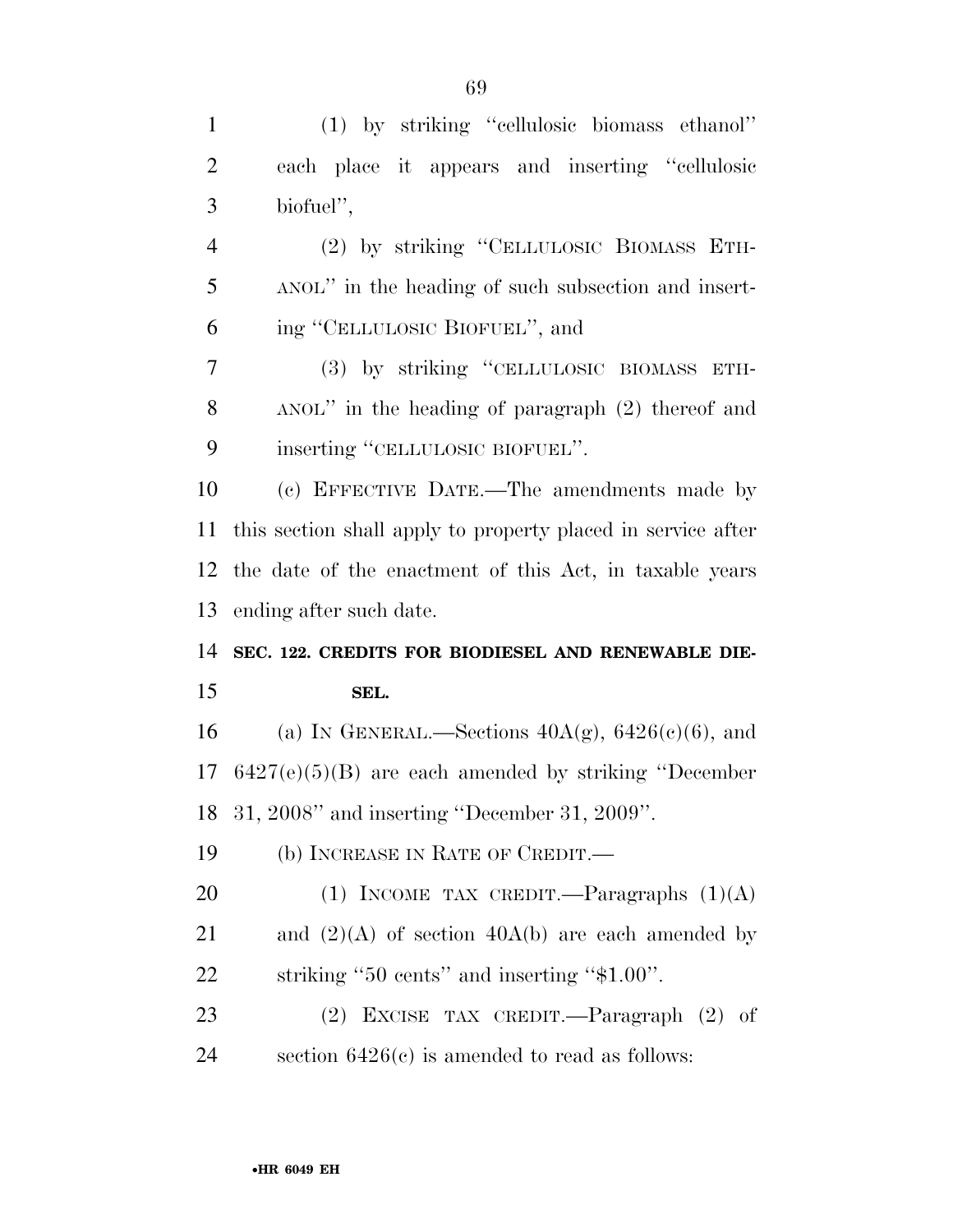| $\mathbf{1}$   | (1) by striking "cellulosic biomass ethanol"                 |
|----------------|--------------------------------------------------------------|
| $\overline{2}$ | each place it appears and inserting "cellulosic              |
| 3              | biofuel",                                                    |
| $\overline{4}$ | (2) by striking "CELLULOSIC BIOMASS ETH-                     |
| 5              | ANOL" in the heading of such subsection and insert-          |
| 6              | ing "CELLULOSIC BIOFUEL", and                                |
| 7              | (3) by striking "CELLULOSIC BIOMASS ETH-                     |
| 8              | ANOL" in the heading of paragraph (2) thereof and            |
| 9              | inserting "CELLULOSIC BIOFUEL".                              |
| 10             | (c) EFFECTIVE DATE.—The amendments made by                   |
| 11             | this section shall apply to property placed in service after |
| 12             | the date of the enactment of this Act, in taxable years      |
| 13             | ending after such date.                                      |
| 14             | SEC. 122. CREDITS FOR BIODIESEL AND RENEWABLE DIE-           |
| 15             | SEL.                                                         |
|                |                                                              |
| 16             | (a) IN GENERAL.—Sections $40A(g)$ , $6426(c)(6)$ , and       |
| 17             | $6427(e)(5)(B)$ are each amended by striking "December"      |
|                | 18 31, 2008" and inserting "December 31, 2009".              |
| 19             | (b) INCREASE IN RATE OF CREDIT.—                             |
| 20             | (1) INCOME TAX CREDIT.—Paragraphs $(1)(A)$                   |
| 21             | and $(2)(A)$ of section $40A(b)$ are each amended by         |
| 22             | striking "50 cents" and inserting "\$1.00".                  |

 (2) EXCISE TAX CREDIT.—Paragraph (2) of section 6426(c) is amended to read as follows: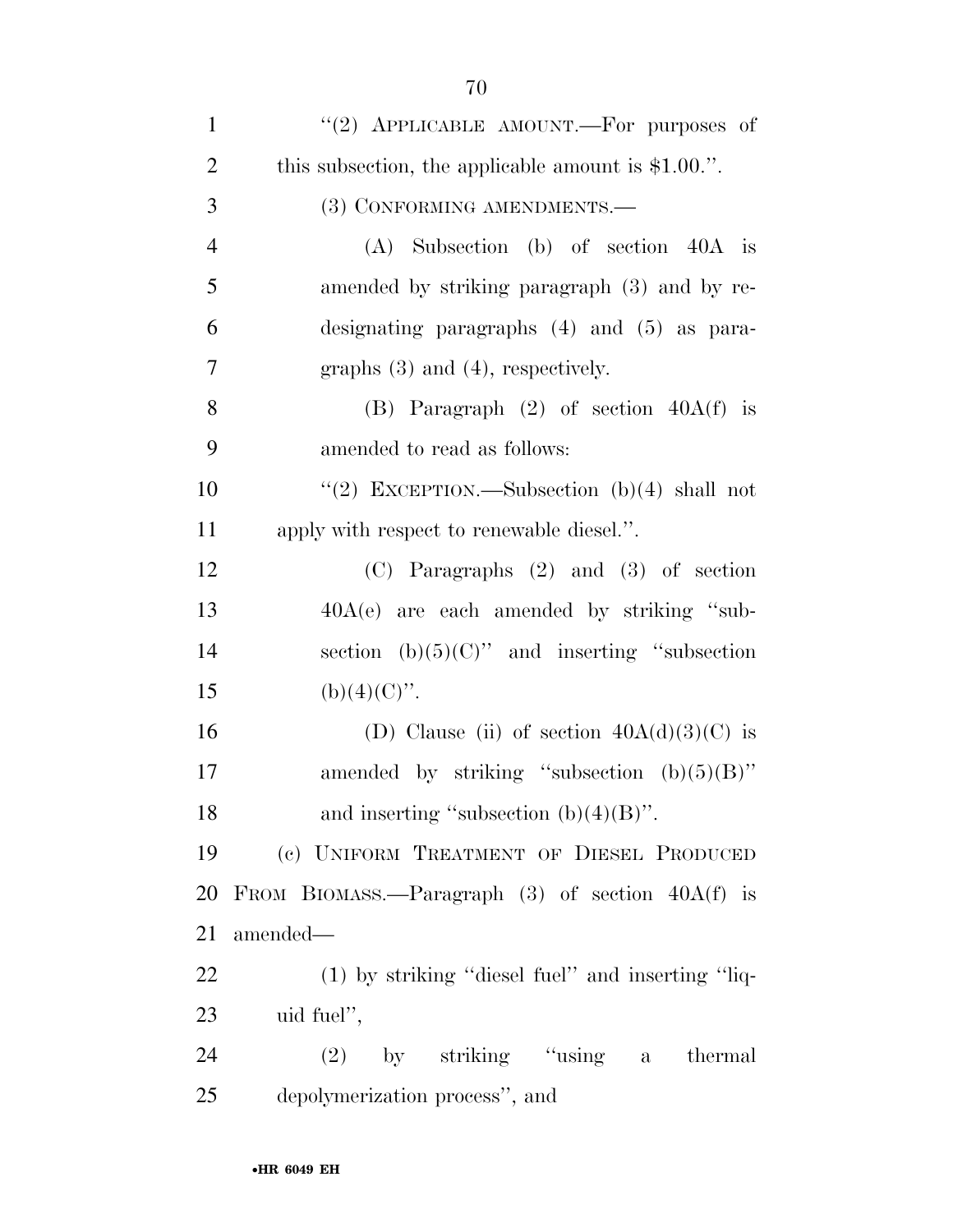| $\mathbf{1}$   | "(2) APPLICABLE AMOUNT.—For purposes of               |
|----------------|-------------------------------------------------------|
| $\overline{2}$ | this subsection, the applicable amount is $$1.00$ .". |
| 3              | (3) CONFORMING AMENDMENTS.-                           |
| $\overline{4}$ | $(A)$ Subsection $(b)$ of section $40A$ is            |
| 5              | amended by striking paragraph (3) and by re-          |
| 6              | designating paragraphs $(4)$ and $(5)$ as para-       |
| 7              | graphs $(3)$ and $(4)$ , respectively.                |
| 8              | (B) Paragraph $(2)$ of section $40A(f)$ is            |
| 9              | amended to read as follows:                           |
| 10             | "(2) EXCEPTION.—Subsection $(b)(4)$ shall not         |
| 11             | apply with respect to renewable diesel.".             |
| 12             | $(C)$ Paragraphs $(2)$ and $(3)$ of section           |
| 13             | $40A(e)$ are each amended by striking "sub-           |
| 14             | section (b) $(5)(C)$ " and inserting "subsection      |
| 15             | $(b)(4)(C)$ ".                                        |
| 16             |                                                       |
|                | (D) Clause (ii) of section $40A(d)(3)(C)$ is          |
| 17             | amended by striking "subsection $(b)(5)(B)$ "         |
| 18             | and inserting "subsection $(b)(4)(B)$ ".              |
| 19             | (c) UNIFORM TREATMENT OF DIESEL PRODUCED              |
| 20             | FROM BIOMASS.—Paragraph $(3)$ of section $40A(f)$ is  |
| 21             | amended—                                              |
| 22             | (1) by striking "diesel fuel" and inserting "liq-     |
| 23             | uid fuel",                                            |
| 24             | $(2)$ by striking "using a thermal                    |
| 25             | depolymerization process", and                        |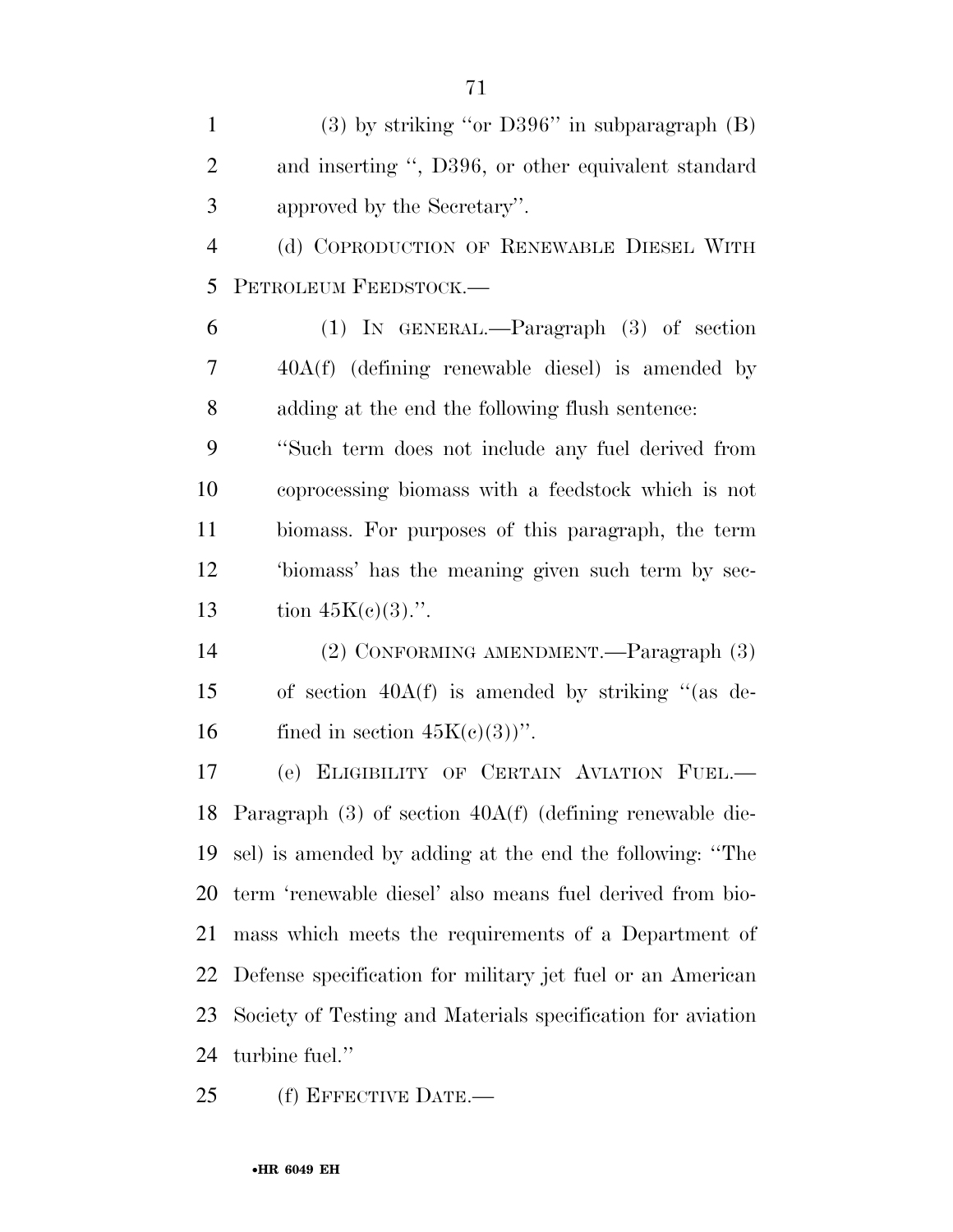| $\mathbf{1}$   | $(3)$ by striking "or D396" in subparagraph $(B)$               |
|----------------|-----------------------------------------------------------------|
| $\overline{2}$ | and inserting ", D396, or other equivalent standard             |
| 3              | approved by the Secretary".                                     |
| $\overline{4}$ | (d) COPRODUCTION OF RENEWABLE DIESEL WITH                       |
| 5              | PETROLEUM FEEDSTOCK.-                                           |
| 6              | $(1)$ IN GENERAL.—Paragraph $(3)$ of section                    |
| 7              | $40A(f)$ (defining renewable diesel) is amended by              |
| 8              | adding at the end the following flush sentence:                 |
| 9              | "Such term does not include any fuel derived from               |
| 10             | coprocessing biomass with a feedstock which is not              |
| 11             | biomass. For purposes of this paragraph, the term               |
| 12             | 'biomass' has the meaning given such term by sec-               |
| 13             | tion $45K(c)(3)$ .".                                            |
| 14             | (2) CONFORMING AMENDMENT.—Paragraph (3)                         |
| 15             | of section $40A(f)$ is amended by striking "(as de-             |
| 16             | fined in section $45K(c)(3)$ ".                                 |
| 17             | (e) ELIGIBILITY OF CERTAIN AVIATION FUEL.-                      |
|                | 18 Paragraph $(3)$ of section $40A(f)$ (defining renewable die- |
| 19             | sel) is amended by adding at the end the following: "The        |
| 20             | term 'renewable diesel' also means fuel derived from bio-       |
| 21             | mass which meets the requirements of a Department of            |
| 22             | Defense specification for military jet fuel or an American      |
| 23             | Society of Testing and Materials specification for aviation     |
| 24             | turbine fuel."                                                  |

(f) EFFECTIVE DATE.—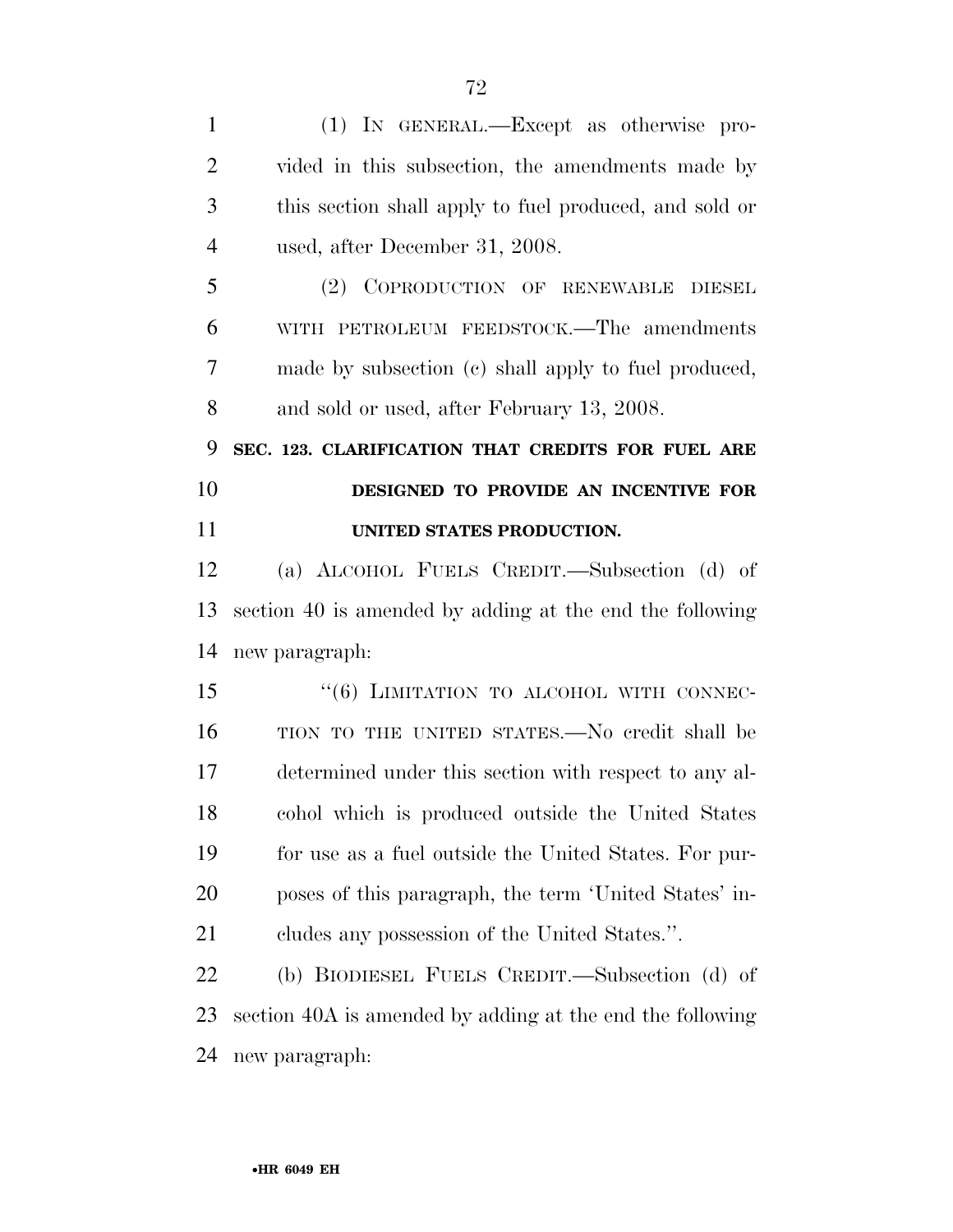| $\mathbf{1}$   | (1) IN GENERAL.—Except as otherwise pro-                  |
|----------------|-----------------------------------------------------------|
| $\overline{2}$ | vided in this subsection, the amendments made by          |
| 3              | this section shall apply to fuel produced, and sold or    |
| $\overline{4}$ | used, after December 31, 2008.                            |
| 5              | (2) COPRODUCTION OF RENEWABLE DIESEL                      |
| 6              | WITH PETROLEUM FEEDSTOCK.—The amendments                  |
| 7              | made by subsection (c) shall apply to fuel produced,      |
| 8              | and sold or used, after February 13, 2008.                |
| 9              | SEC. 123. CLARIFICATION THAT CREDITS FOR FUEL ARE         |
| 10             | DESIGNED TO PROVIDE AN INCENTIVE FOR                      |
| 11             | UNITED STATES PRODUCTION.                                 |
| 12             | (a) ALCOHOL FUELS CREDIT.—Subsection (d) of               |
|                |                                                           |
| 13             | section 40 is amended by adding at the end the following  |
| 14             | new paragraph:                                            |
| 15             | "(6) LIMITATION TO ALCOHOL WITH CONNEC-                   |
| 16             | TION TO THE UNITED STATES.—No credit shall be             |
| 17             | determined under this section with respect to any al-     |
| 18             | cohol which is produced outside the United States         |
| 19             | for use as a fuel outside the United States. For pur-     |
| 20             | poses of this paragraph, the term 'United States' in-     |
| 21             | cludes any possession of the United States.".             |
| 22             | (b) BIODIESEL FUELS CREDIT.—Subsection (d) of             |
| 23             | section 40A is amended by adding at the end the following |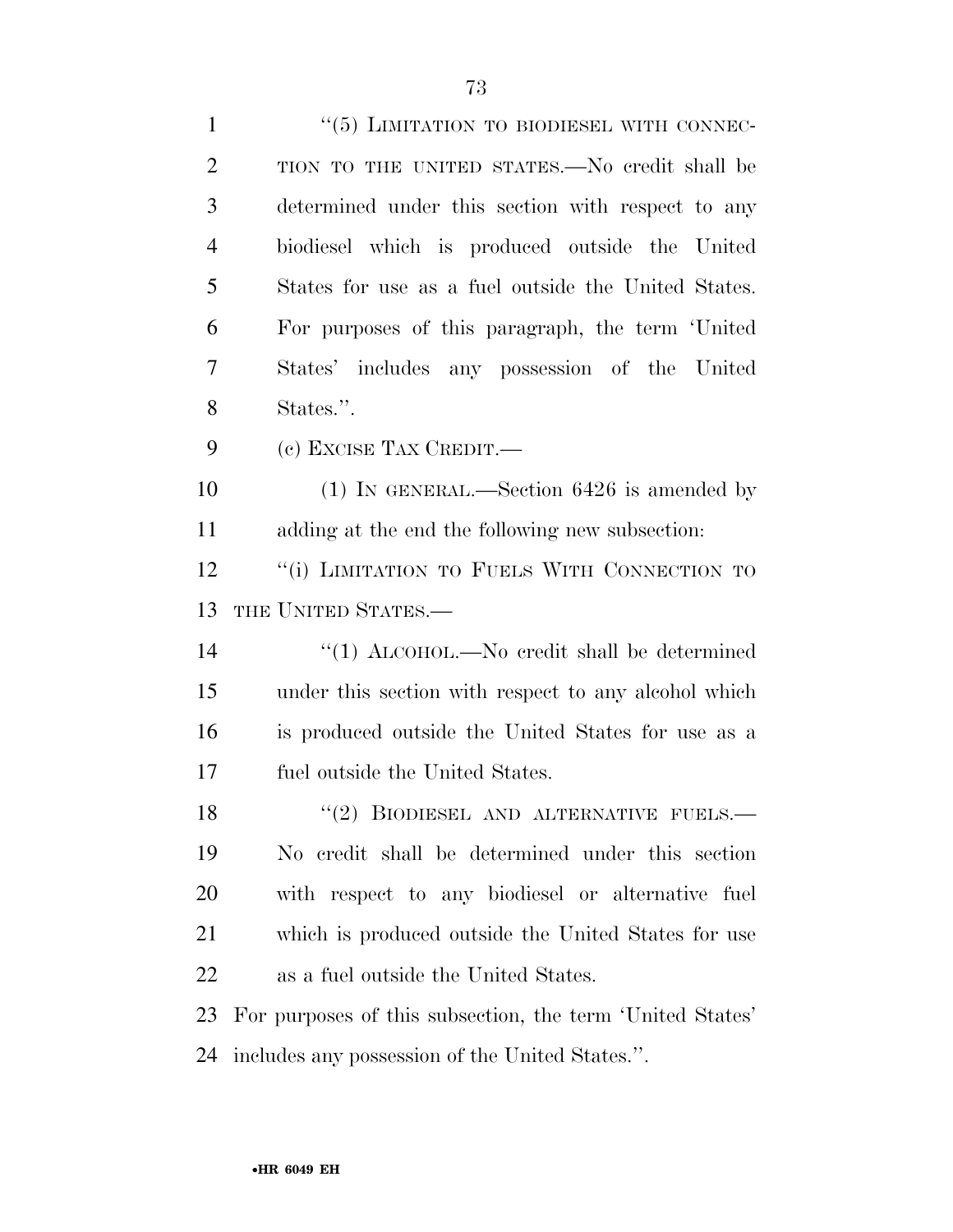| $\mathbf{1}$   | $\cdot\cdot$ (5) LIMITATION TO BIODIESEL WITH CONNEC-     |
|----------------|-----------------------------------------------------------|
| $\overline{2}$ | TION TO THE UNITED STATES.—No credit shall be             |
| 3              | determined under this section with respect to any         |
| $\overline{4}$ | biodiesel which is produced outside the United            |
| 5              | States for use as a fuel outside the United States.       |
| 6              | For purposes of this paragraph, the term 'United          |
| 7              | States' includes any possession of the United             |
| 8              | States.".                                                 |
| 9              | (c) EXCISE TAX CREDIT.                                    |
| 10             | $(1)$ IN GENERAL.—Section 6426 is amended by              |
| 11             | adding at the end the following new subsection:           |
| 12             | "(i) LIMITATION TO FUELS WITH CONNECTION TO               |
|                |                                                           |
| 13             | THE UNITED STATES.-                                       |
| 14             | "(1) $ALCOHOL$ .—No credit shall be determined            |
| 15             | under this section with respect to any alcohol which      |
| 16             | is produced outside the United States for use as a        |
| 17             | fuel outside the United States.                           |
| 18             | $(2)$ BIODIESEL AND ALTERNATIVE FUELS.                    |
| 19             | No credit shall be determined under this section          |
| 20             | with respect to any biodiesel or alternative fuel         |
| 21             | which is produced outside the United States for use       |
| 22             | as a fuel outside the United States.                      |
| 23             | For purposes of this subsection, the term 'United States' |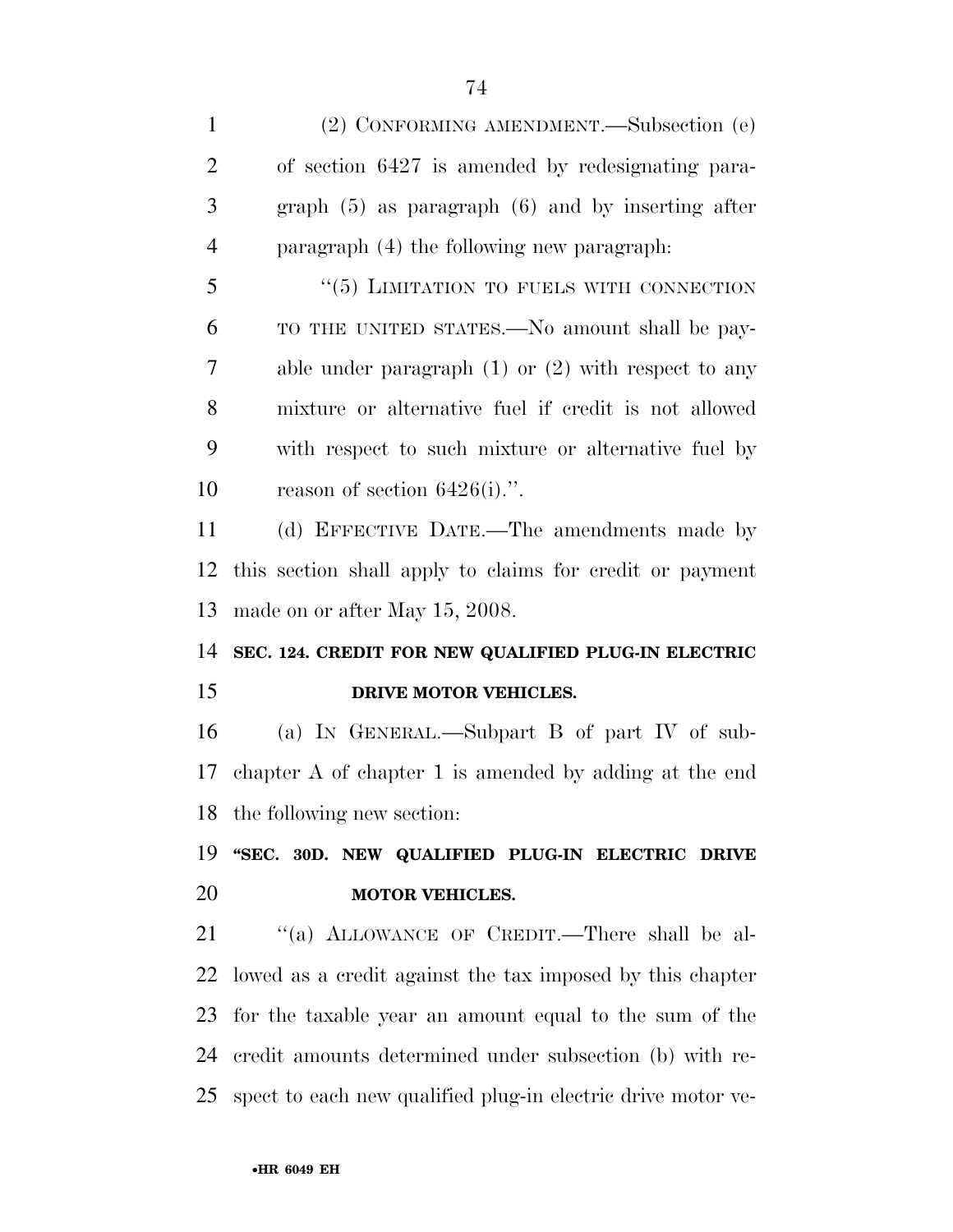(2) CONFORMING AMENDMENT.—Subsection (e) of section 6427 is amended by redesignating para- graph (5) as paragraph (6) and by inserting after paragraph (4) the following new paragraph: 5 "(5) LIMITATION TO FUELS WITH CONNECTION TO THE UNITED STATES.—No amount shall be pay- able under paragraph (1) or (2) with respect to any mixture or alternative fuel if credit is not allowed with respect to such mixture or alternative fuel by reason of section 6426(i).''. (d) EFFECTIVE DATE.—The amendments made by this section shall apply to claims for credit or payment made on or after May 15, 2008. **SEC. 124. CREDIT FOR NEW QUALIFIED PLUG-IN ELECTRIC DRIVE MOTOR VEHICLES.**  (a) IN GENERAL.—Subpart B of part IV of sub- chapter A of chapter 1 is amended by adding at the end the following new section: **''SEC. 30D. NEW QUALIFIED PLUG-IN ELECTRIC DRIVE MOTOR VEHICLES.**  21 "(a) ALLOWANCE OF CREDIT.—There shall be al- lowed as a credit against the tax imposed by this chapter for the taxable year an amount equal to the sum of the credit amounts determined under subsection (b) with re-spect to each new qualified plug-in electric drive motor ve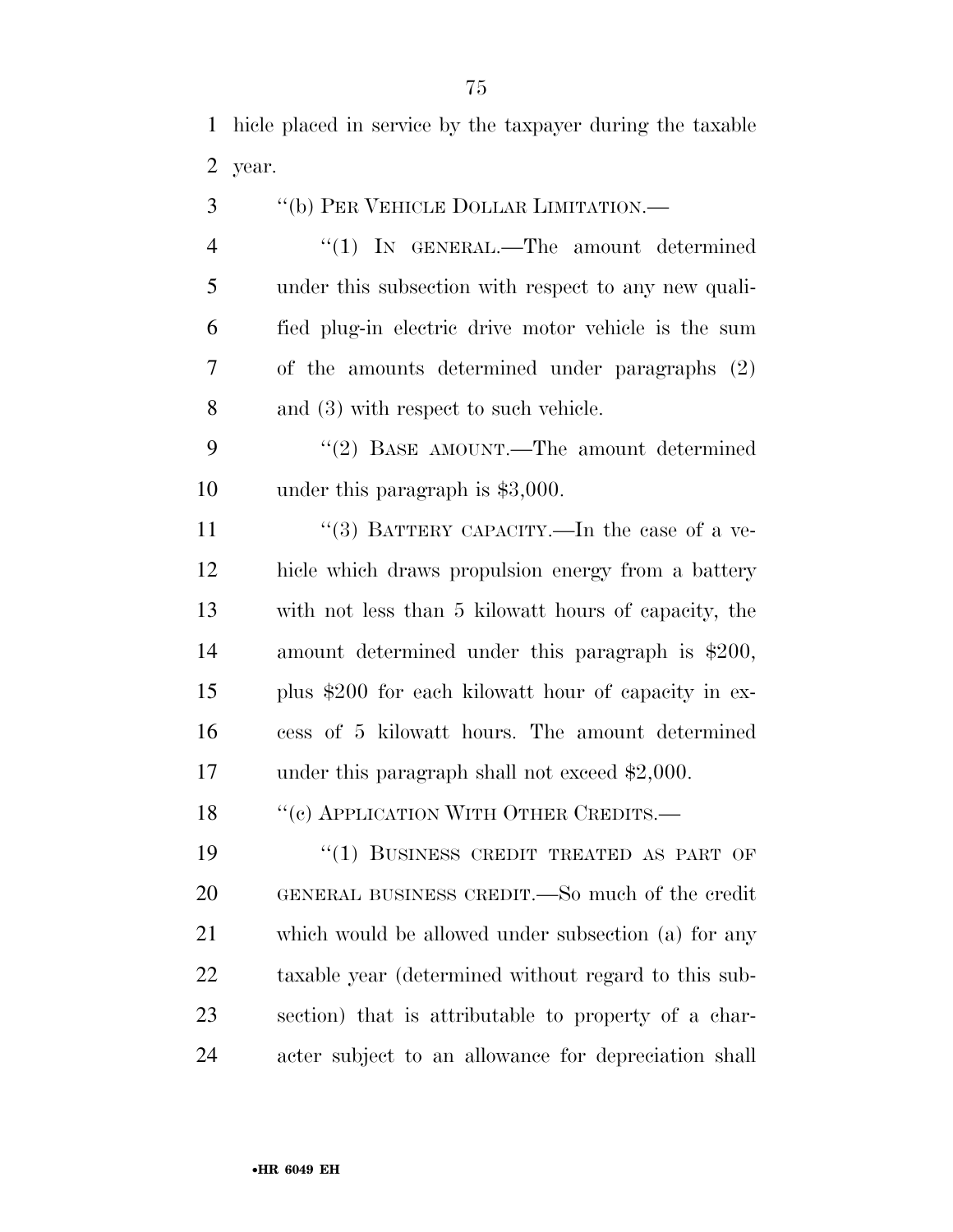hicle placed in service by the taxpayer during the taxable year.

''(b) PER VEHICLE DOLLAR LIMITATION.—

4 "(1) IN GENERAL.—The amount determined under this subsection with respect to any new quali- fied plug-in electric drive motor vehicle is the sum of the amounts determined under paragraphs (2) and (3) with respect to such vehicle.

9 "(2) BASE AMOUNT.—The amount determined under this paragraph is \$3,000.

11 "(3) BATTERY CAPACITY.—In the case of a ve- hicle which draws propulsion energy from a battery with not less than 5 kilowatt hours of capacity, the amount determined under this paragraph is \$200, plus \$200 for each kilowatt hour of capacity in ex- cess of 5 kilowatt hours. The amount determined 17 under this paragraph shall not exceed \$2,000.

18 "(c) APPLICATION WITH OTHER CREDITS.—

19 "(1) BUSINESS CREDIT TREATED AS PART OF GENERAL BUSINESS CREDIT.—So much of the credit which would be allowed under subsection (a) for any taxable year (determined without regard to this sub- section) that is attributable to property of a char-acter subject to an allowance for depreciation shall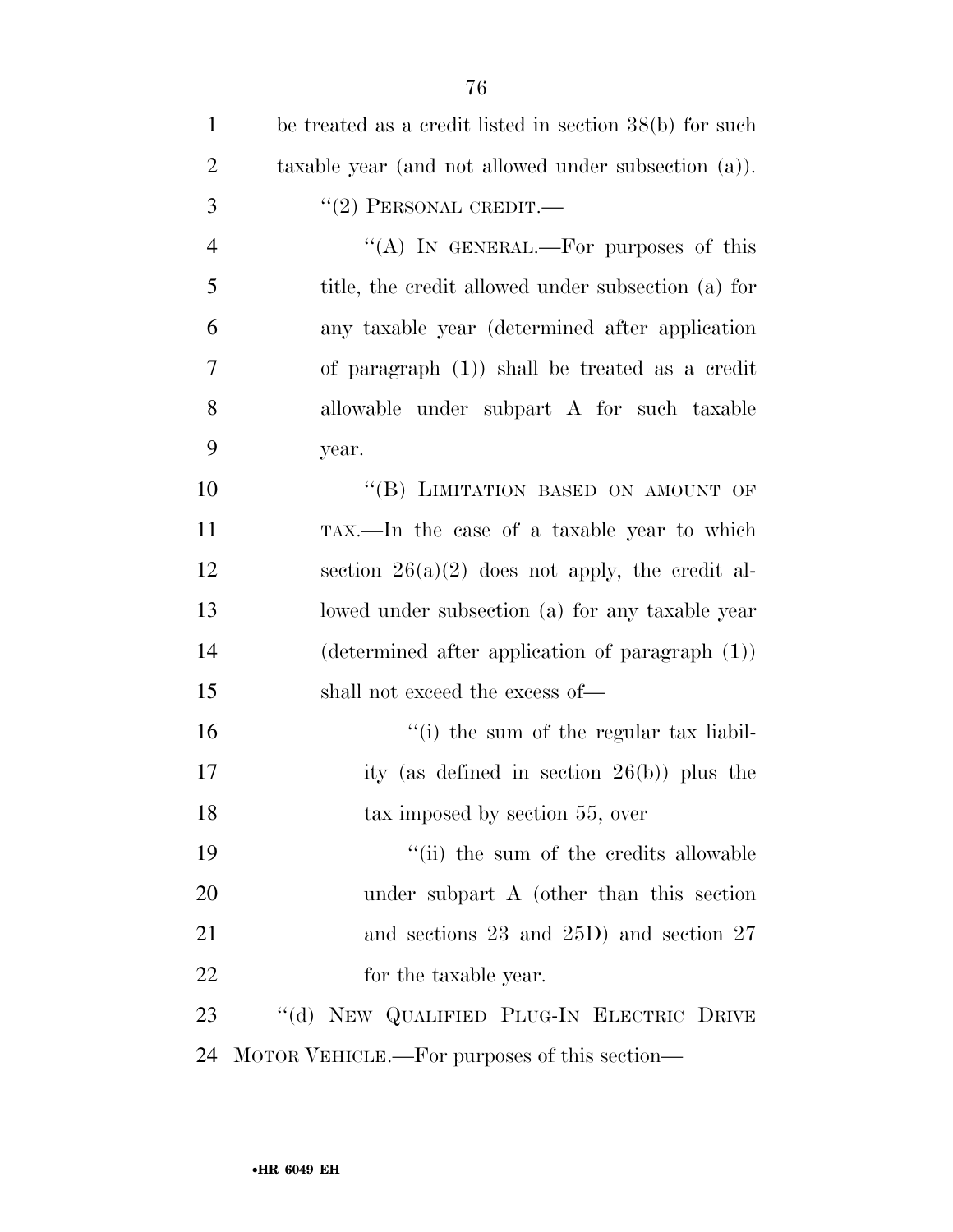| $\mathbf{1}$   | be treated as a credit listed in section $38(b)$ for such |
|----------------|-----------------------------------------------------------|
| $\overline{2}$ | taxable year (and not allowed under subsection (a)).      |
| 3              | $``(2)$ PERSONAL CREDIT.—                                 |
| $\overline{4}$ | "(A) IN GENERAL.—For purposes of this                     |
| 5              | title, the credit allowed under subsection (a) for        |
| 6              | any taxable year (determined after application            |
| 7              | of paragraph $(1)$ ) shall be treated as a credit         |
| 8              | allowable under subpart A for such taxable                |
| 9              | year.                                                     |
| 10             | "(B) LIMITATION BASED ON AMOUNT OF                        |
| 11             | TAX.—In the case of a taxable year to which               |
| 12             | section $26(a)(2)$ does not apply, the credit al-         |
| 13             | lowed under subsection (a) for any taxable year           |
| 14             | (determined after application of paragraph (1))           |
| 15             | shall not exceed the excess of—                           |
| 16             | "(i) the sum of the regular tax liabil-                   |
| 17             | ity (as defined in section $26(b)$ ) plus the             |
| 18             | tax imposed by section 55, over                           |
| 19             | "(ii) the sum of the credits allowable                    |
| 20             | under subpart A (other than this section                  |
| 21             | and sections 23 and 25D) and section 27                   |
| 22             | for the taxable year.                                     |
| 23             | "(d) NEW QUALIFIED PLUG-IN ELECTRIC DRIVE                 |
| 24             | MOTOR VEHICLE.—For purposes of this section—              |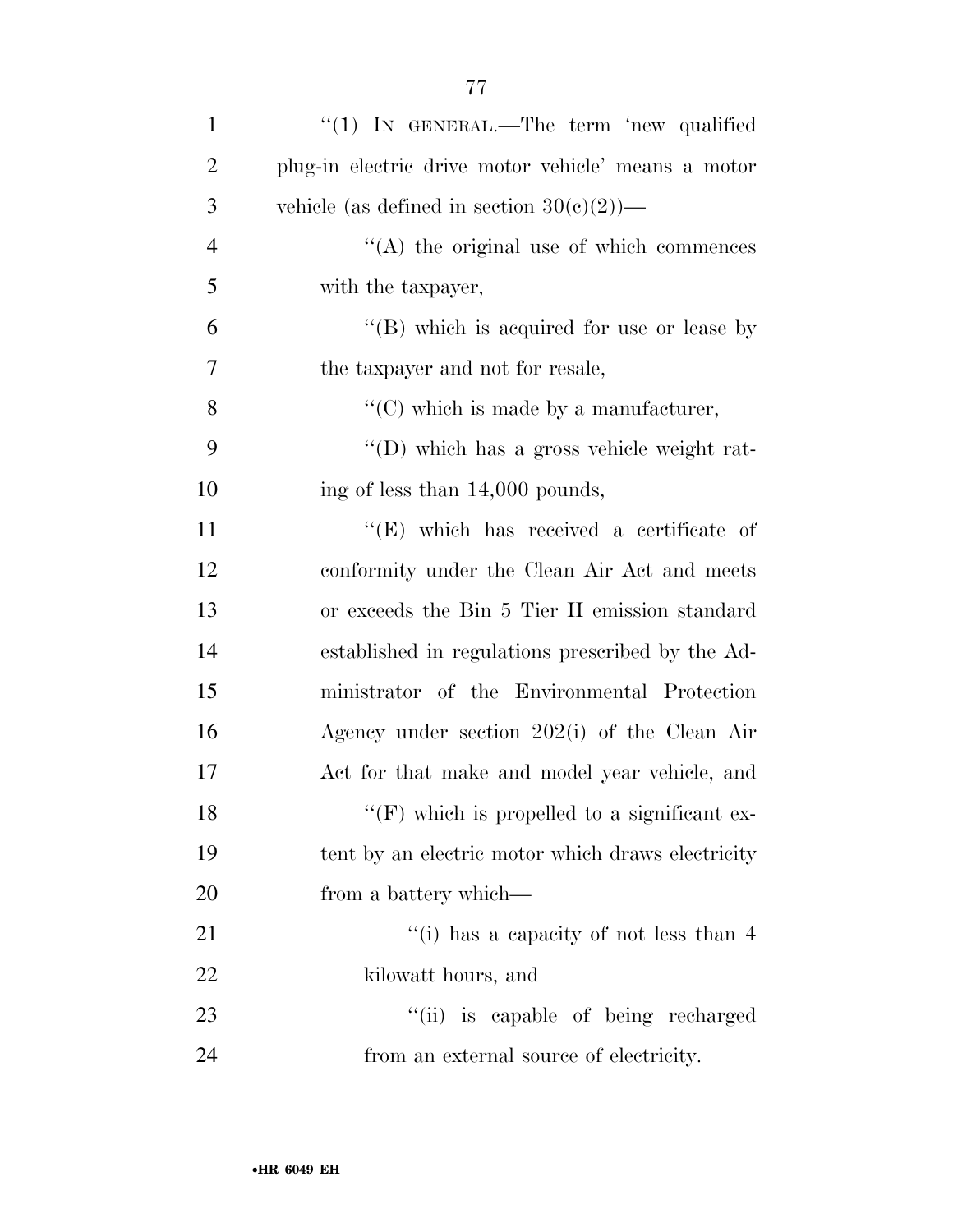| $\mathbf{1}$   | " $(1)$ IN GENERAL.—The term 'new qualified         |
|----------------|-----------------------------------------------------|
| 2              | plug-in electric drive motor vehicle' means a motor |
| 3              | vehicle (as defined in section $30(c)(2)$ )—        |
| $\overline{4}$ | $\lq\lq$ the original use of which commences        |
| 5              | with the taxpayer,                                  |
| 6              | "(B) which is acquired for use or lease by          |
| 7              | the taxpayer and not for resale,                    |
| 8              | $\lq\lq$ (C) which is made by a manufacturer,       |
| 9              | "(D) which has a gross vehicle weight rat-          |
| 10             | ing of less than 14,000 pounds,                     |
| 11             | $\lq\lq$ (E) which has received a certificate of    |
| 12             | conformity under the Clean Air Act and meets        |
| 13             | or exceeds the Bin 5 Tier II emission standard      |
| 14             | established in regulations prescribed by the Ad-    |
| 15             | ministrator of the Environmental Protection         |
| 16             | Agency under section 202(i) of the Clean Air        |
| 17             | Act for that make and model year vehicle, and       |
| 18             | $\lq\lq(F)$ which is propelled to a significant ex- |
| 19             | tent by an electric motor which draws electricity   |
| 20             | from a battery which—                               |
| 21             | "(i) has a capacity of not less than 4              |
| 22             | kilowatt hours, and                                 |
| 23             | "(ii) is capable of being recharged                 |
| 24             | from an external source of electricity.             |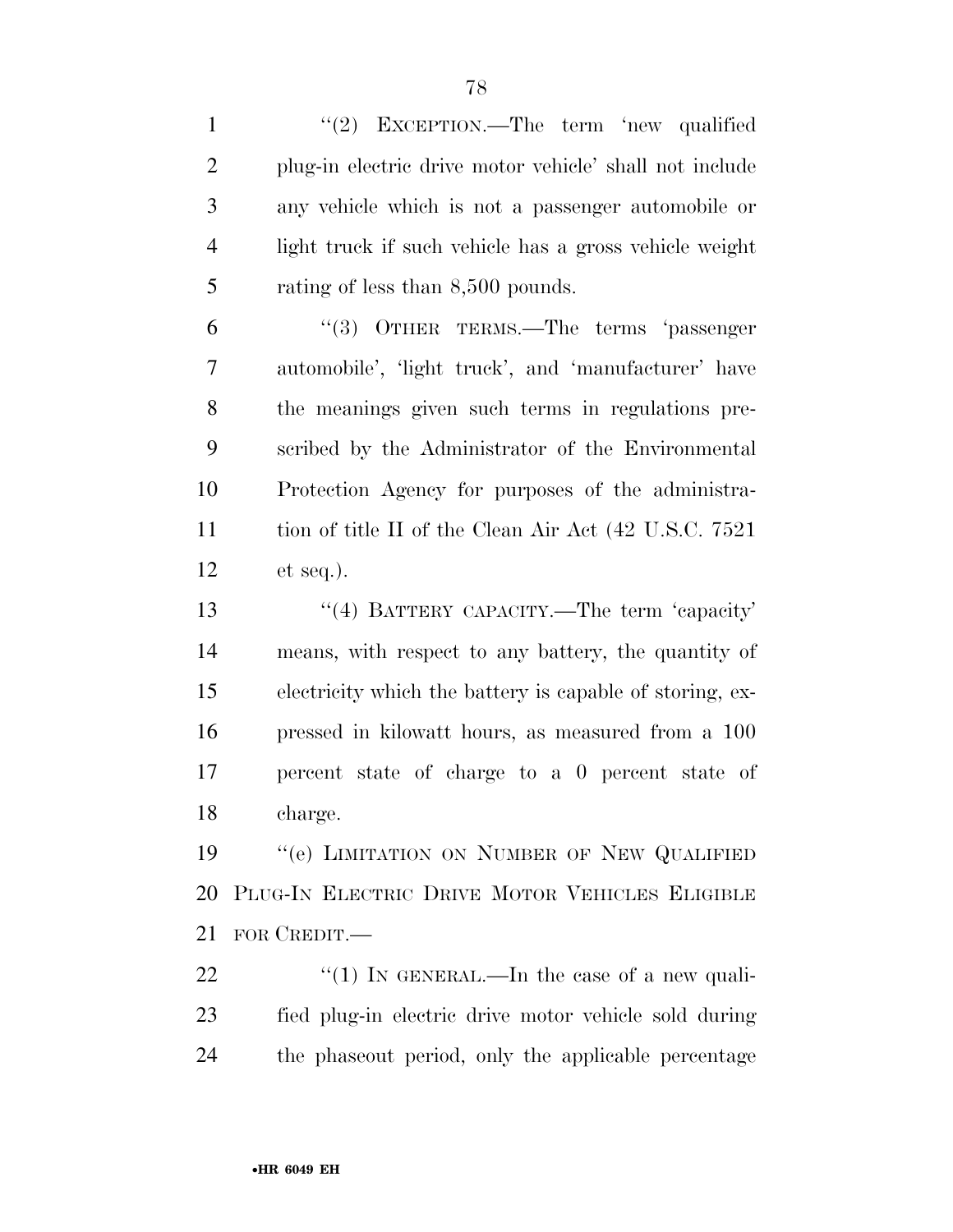1 "(2) EXCEPTION.—The term 'new qualified plug-in electric drive motor vehicle' shall not include any vehicle which is not a passenger automobile or light truck if such vehicle has a gross vehicle weight 5 rating of less than 8,500 pounds.

 ''(3) OTHER TERMS.—The terms 'passenger automobile', 'light truck', and 'manufacturer' have the meanings given such terms in regulations pre- scribed by the Administrator of the Environmental Protection Agency for purposes of the administra-11 tion of title II of the Clean Air Act (42 U.S.C. 7521) et seq.).

13 ''(4) BATTERY CAPACITY.—The term 'capacity' means, with respect to any battery, the quantity of electricity which the battery is capable of storing, ex- pressed in kilowatt hours, as measured from a 100 percent state of charge to a 0 percent state of charge.

19 "'(e) LIMITATION ON NUMBER OF NEW QUALIFIED PLUG-IN ELECTRIC DRIVE MOTOR VEHICLES ELIGIBLE FOR CREDIT.—

22  $\frac{1}{2}$  (1) In GENERAL.—In the case of a new quali- fied plug-in electric drive motor vehicle sold during the phaseout period, only the applicable percentage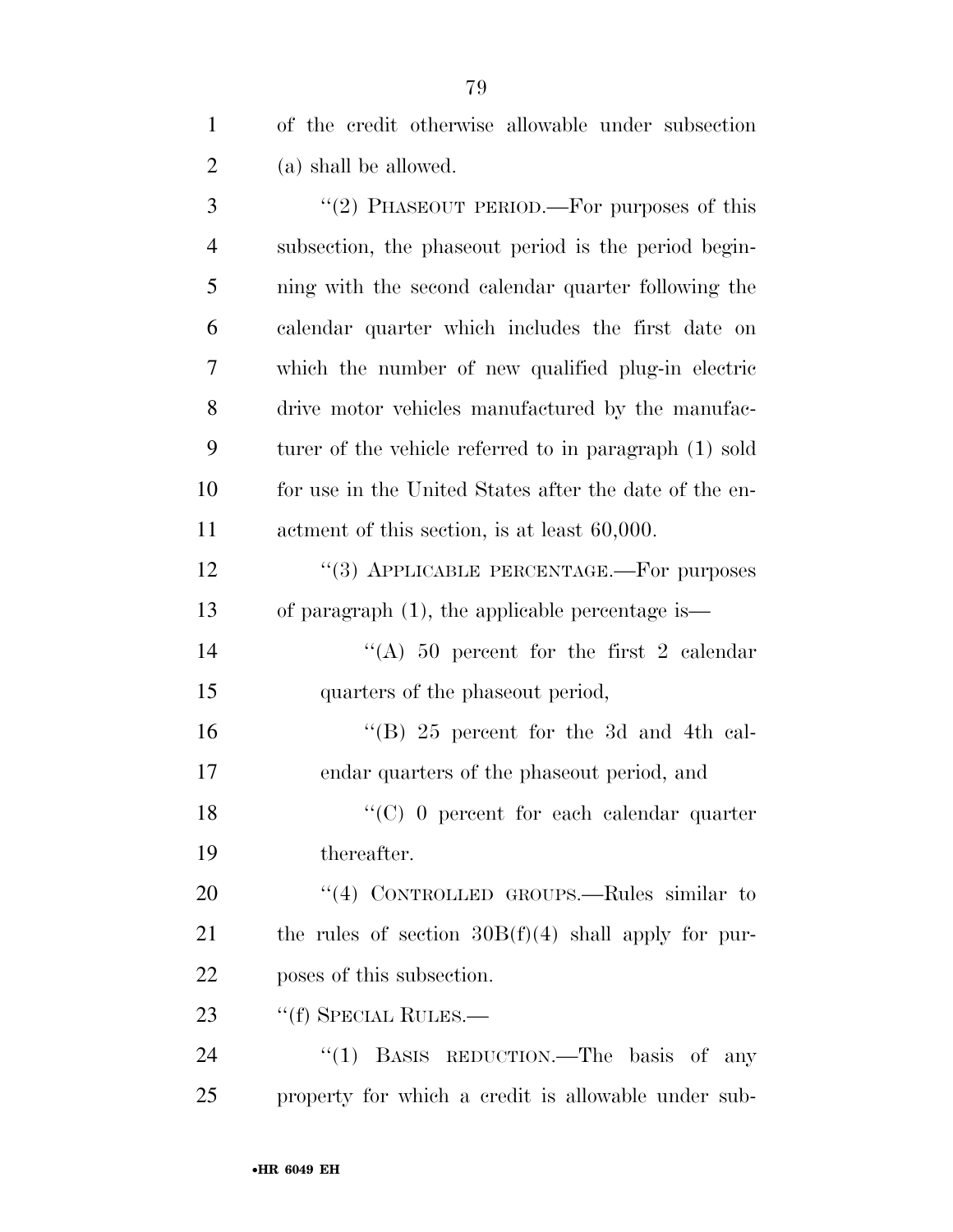of the credit otherwise allowable under subsection (a) shall be allowed.

3 "(2) PHASEOUT PERIOD.—For purposes of this subsection, the phaseout period is the period begin- ning with the second calendar quarter following the calendar quarter which includes the first date on which the number of new qualified plug-in electric drive motor vehicles manufactured by the manufac- turer of the vehicle referred to in paragraph (1) sold for use in the United States after the date of the en- actment of this section, is at least 60,000. 12 "(3) APPLICABLE PERCENTAGE.—For purposes of paragraph (1), the applicable percentage is— 14 ''(A) 50 percent for the first 2 calendar quarters of the phaseout period, ''(B) 25 percent for the 3d and 4th cal- endar quarters of the phaseout period, and 18 ''(C) 0 percent for each calendar quarter thereafter. 20 "(4) CONTROLLED GROUPS.—Rules similar to 21 the rules of section  $30B(f)(4)$  shall apply for pur- poses of this subsection. 23 "(f) SPECIAL RULES.— 24 "(1) BASIS REDUCTION.—The basis of any

property for which a credit is allowable under sub-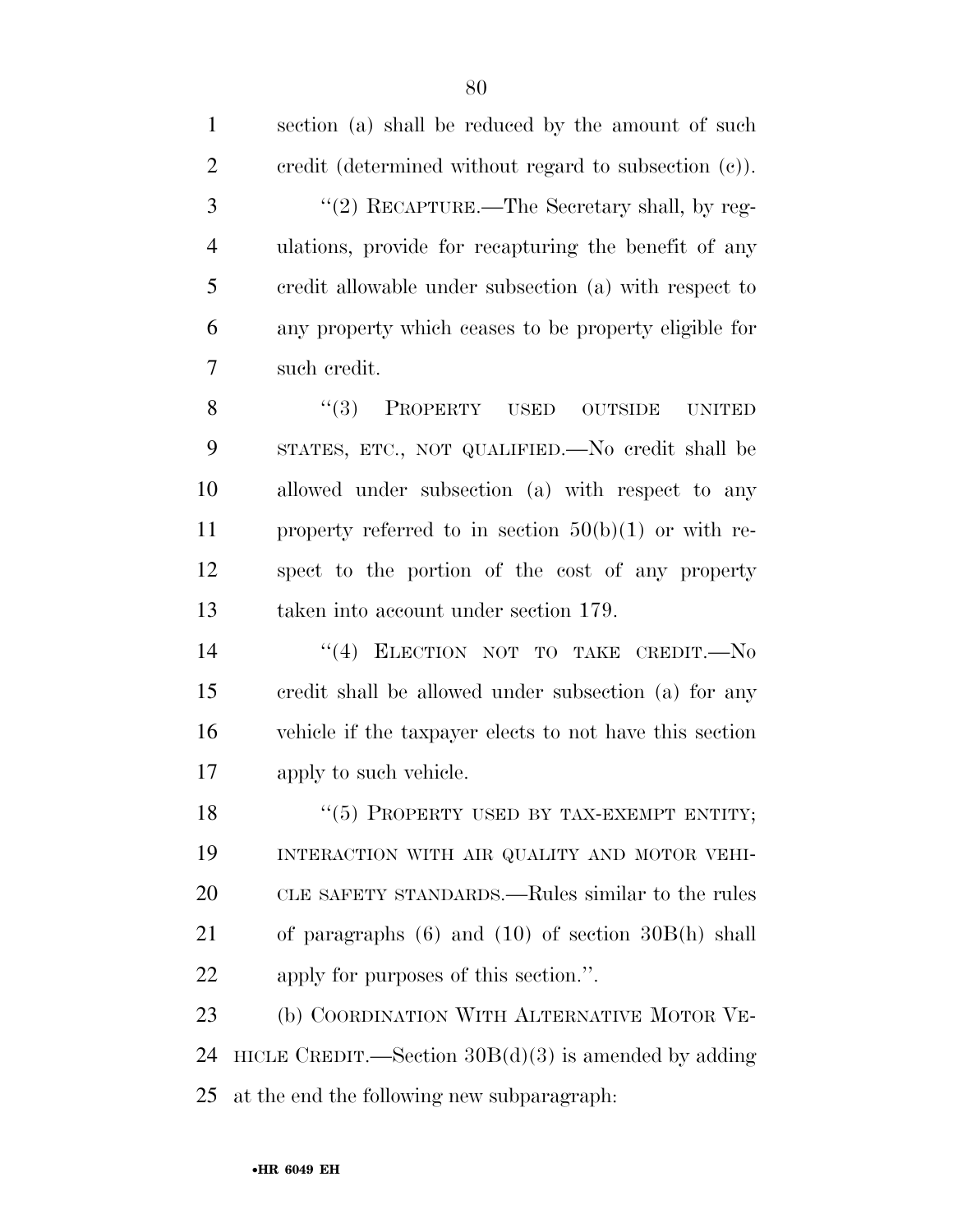| $\mathbf{1}$   | section (a) shall be reduced by the amount of such       |
|----------------|----------------------------------------------------------|
| $\overline{2}$ | credit (determined without regard to subsection $(c)$ ). |
| 3              | "(2) RECAPTURE.—The Secretary shall, by reg-             |
| $\overline{4}$ | ulations, provide for recapturing the benefit of any     |
| 5              | credit allowable under subsection (a) with respect to    |
| 6              | any property which ceases to be property eligible for    |
| 7              | such credit.                                             |
| 8              | (3)<br>PROPERTY USED<br><b>OUTSIDE</b><br><b>UNITED</b>  |
| 9              | STATES, ETC., NOT QUALIFIED.—No credit shall be          |
| 10             | allowed under subsection (a) with respect to any         |
| 11             | property referred to in section $50(b)(1)$ or with re-   |
| 12             | spect to the portion of the cost of any property         |
| 13             | taken into account under section 179.                    |
| 14             | "(4) ELECTION NOT TO TAKE CREDIT.-No                     |
| 15             | credit shall be allowed under subsection (a) for any     |
| 16             | vehicle if the taxpayer elects to not have this section  |
| 17             | apply to such vehicle.                                   |
| 18             | "(5) PROPERTY USED BY TAX-EXEMPT ENTITY;                 |
| 19             | INTERACTION WITH AIR QUALITY AND MOTOR VEHI-             |
| 20             | CLE SAFETY STANDARDS.—Rules similar to the rules         |
| 21             | of paragraphs $(6)$ and $(10)$ of section $30B(h)$ shall |
| 22             | apply for purposes of this section.".                    |
| 23             | (b) COORDINATION WITH ALTERNATIVE MOTOR VE-              |
| 24             | HICLE CREDIT.—Section $30B(d)(3)$ is amended by adding   |
| 25             | at the end the following new subparagraph:               |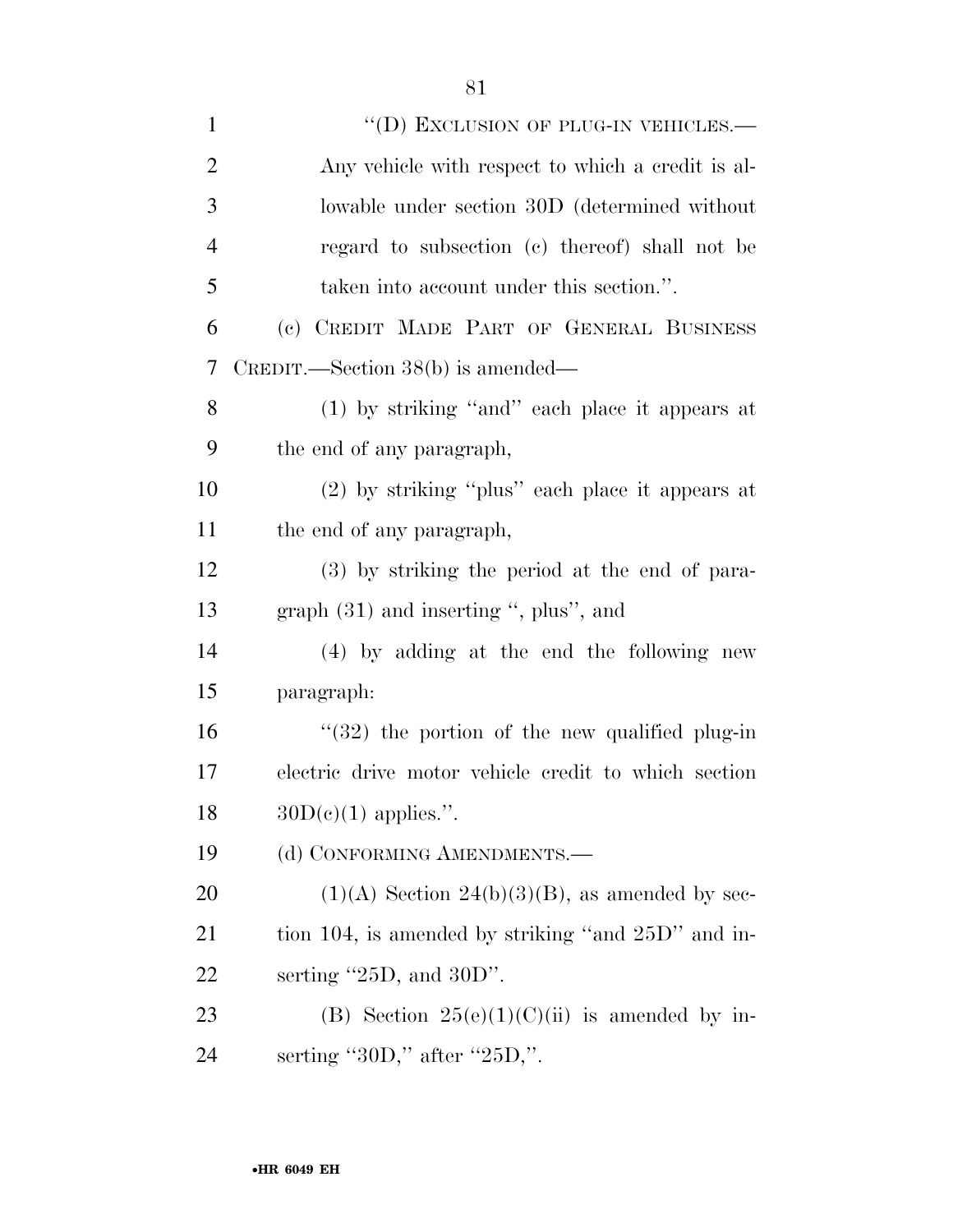| $\mathbf{1}$   | "(D) EXCLUSION OF PLUG-IN VEHICLES.—                    |
|----------------|---------------------------------------------------------|
| $\overline{2}$ | Any vehicle with respect to which a credit is al-       |
| 3              | lowable under section 30D (determined without           |
| $\overline{4}$ | regard to subsection (c) thereof) shall not be          |
| 5              | taken into account under this section.".                |
| 6              | (c) CREDIT MADE PART OF GENERAL BUSINESS                |
| 7              | $C$ REDIT.—Section 38(b) is amended—                    |
| 8              | (1) by striking "and" each place it appears at          |
| 9              | the end of any paragraph,                               |
| 10             | $(2)$ by striking "plus" each place it appears at       |
| 11             | the end of any paragraph,                               |
| 12             | (3) by striking the period at the end of para-          |
| 13             | graph $(31)$ and inserting ", plus", and                |
| 14             | $(4)$ by adding at the end the following new            |
| 15             | paragraph:                                              |
| 16             | $\degree$ (32) the portion of the new qualified plug-in |
| 17             | electric drive motor vehicle credit to which section    |
| 18             | $30D(e)(1)$ applies.".                                  |
| 19             | (d) CONFORMING AMENDMENTS.—                             |
| 20             | $(1)(A)$ Section $24(b)(3)(B)$ , as amended by sec-     |
| 21             | tion 104, is amended by striking "and 25D" and in-      |
| 22             | serting $"25D$ , and $30D"$ .                           |
| 23             | (B) Section $25(e)(1)(C)(ii)$ is amended by in-         |
| 24             | serting "30D," after "25D,".                            |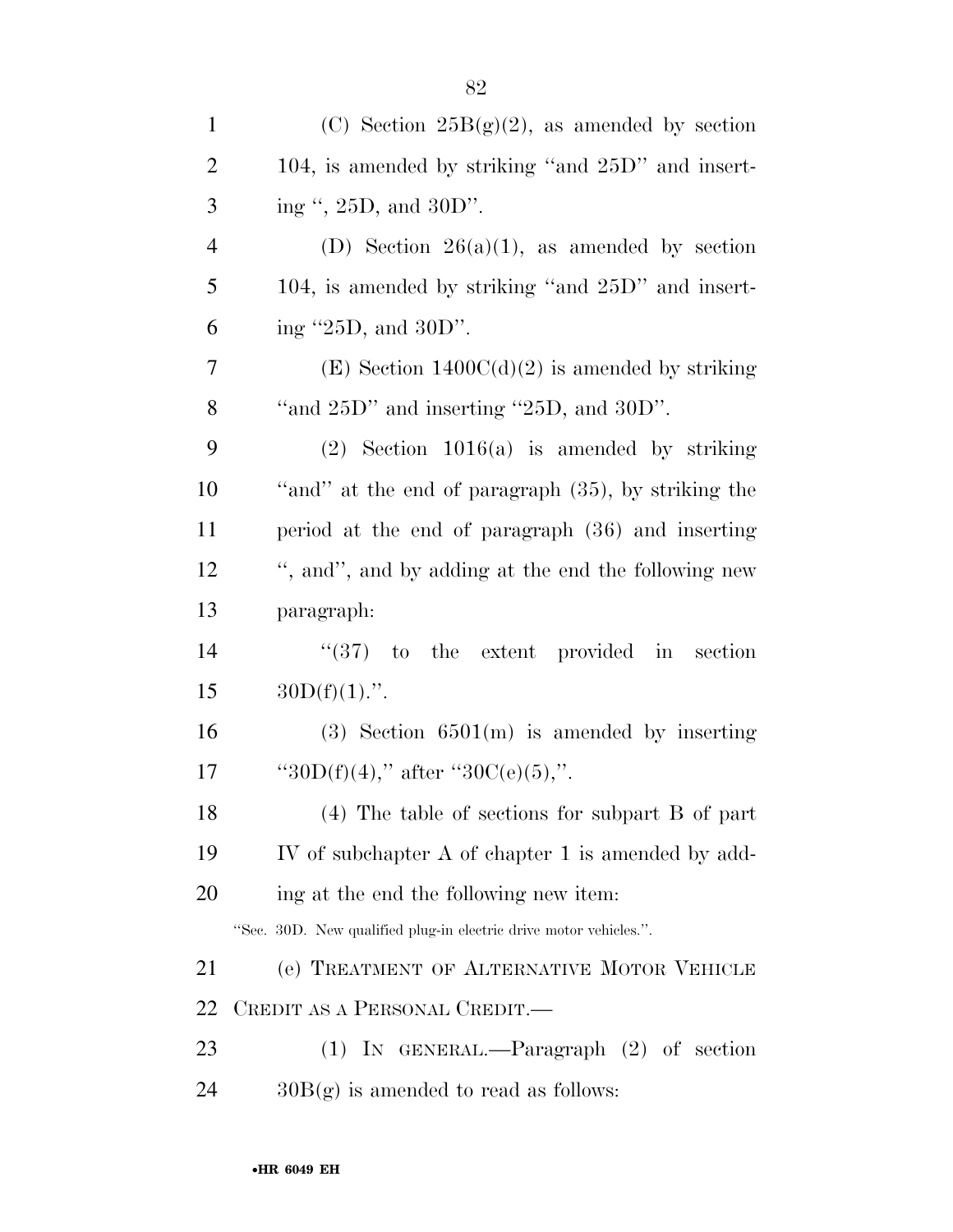| $\mathbf{1}$   | (C) Section $25B(g)(2)$ , as amended by section                   |
|----------------|-------------------------------------------------------------------|
| $\overline{2}$ | 104, is amended by striking "and 25D" and insert-                 |
| 3              | ing ", 25D, and 30D".                                             |
| $\overline{4}$ | (D) Section $26(a)(1)$ , as amended by section                    |
| 5              | 104, is amended by striking "and 25D" and insert-                 |
| 6              | ing $"25D$ , and $30D"$ .                                         |
| 7              | (E) Section $1400C(d)(2)$ is amended by striking                  |
| 8              | "and $25D$ " and inserting " $25D$ , and $30D$ ".                 |
| 9              | $(2)$ Section 1016(a) is amended by striking                      |
| 10             | "and" at the end of paragraph (35), by striking the               |
| 11             | period at the end of paragraph (36) and inserting                 |
| 12             | ", and", and by adding at the end the following new               |
| 13             | paragraph:                                                        |
| 14             | $\cdot$ (37) to the extent provided in section                    |
| 15             | $30D(f)(1)$ .".                                                   |
| 16             | $(3)$ Section 6501(m) is amended by inserting                     |
| 17             | "30D(f)(4)," after "30C(e)(5),".                                  |
| 18             | (4) The table of sections for subpart B of part                   |
| 19             | IV of subchapter A of chapter 1 is amended by add-                |
| 20             | ing at the end the following new item:                            |
|                | "Sec. 30D. New qualified plug-in electric drive motor vehicles.". |
| 21             | (e) TREATMENT OF ALTERNATIVE MOTOR VEHICLE                        |
| 22             | CREDIT AS A PERSONAL CREDIT.—                                     |
| 23             | (1) IN GENERAL.—Paragraph $(2)$ of section                        |
| 24             | $30B(g)$ is amended to read as follows:                           |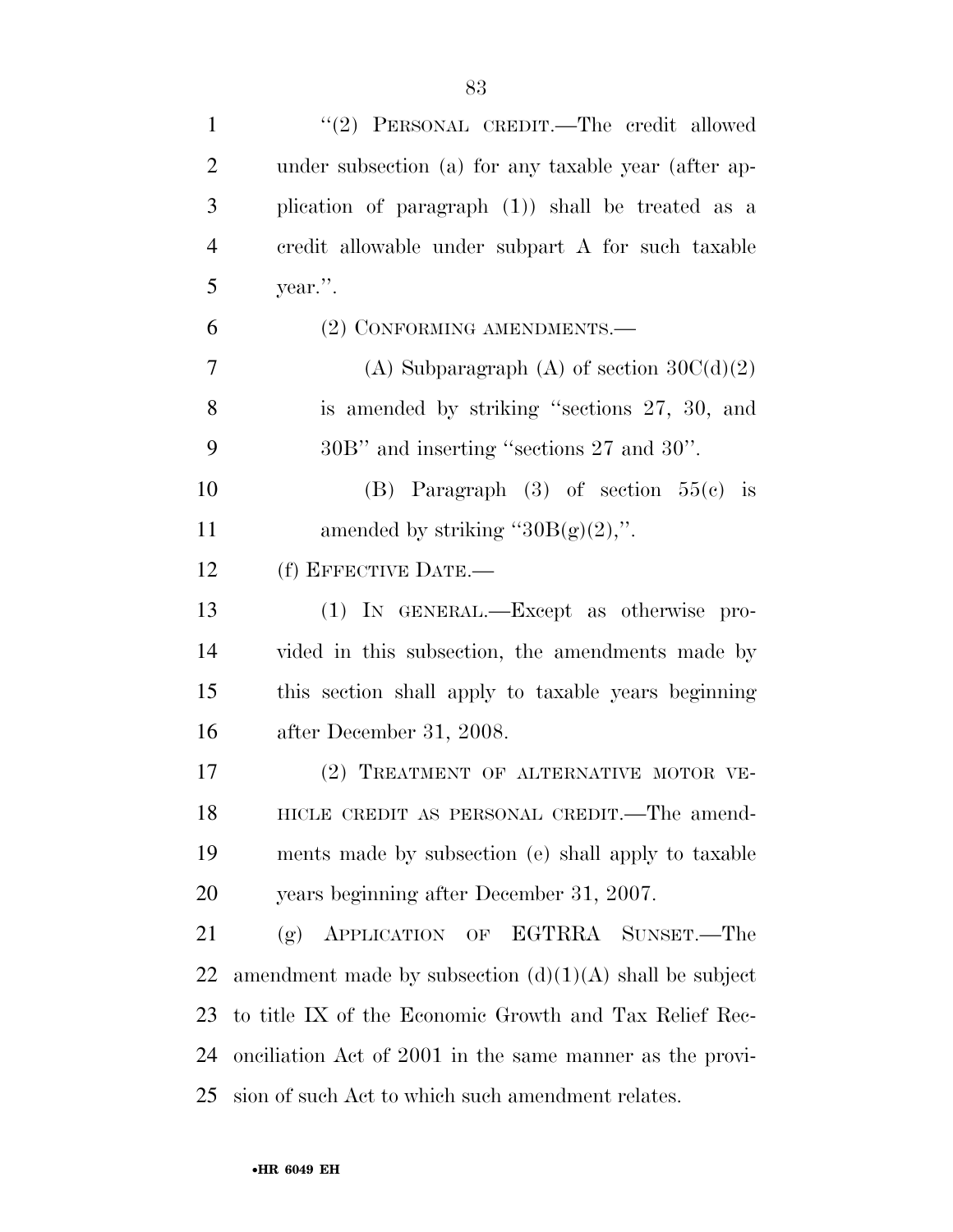| $\mathbf{1}$   | "(2) PERSONAL CREDIT.—The credit allowed                  |
|----------------|-----------------------------------------------------------|
| $\overline{2}$ | under subsection (a) for any taxable year (after ap-      |
| 3              | plication of paragraph (1)) shall be treated as a         |
| $\overline{4}$ | credit allowable under subpart A for such taxable         |
| 5              | year.".                                                   |
| 6              | (2) CONFORMING AMENDMENTS.—                               |
| 7              | (A) Subparagraph (A) of section $30C(d)(2)$               |
| 8              | is amended by striking "sections 27, 30, and              |
| 9              | 30B" and inserting "sections 27 and 30".                  |
| 10             | (B) Paragraph $(3)$ of section $55(e)$ is                 |
| 11             | amended by striking " $30B(g)(2)$ ,".                     |
| 12             | (f) EFFECTIVE DATE.—                                      |
| 13             | (1) IN GENERAL.—Except as otherwise pro-                  |
| 14             | vided in this subsection, the amendments made by          |
| 15             | this section shall apply to taxable years beginning       |
| 16             | after December 31, 2008.                                  |
| 17             | (2) TREATMENT OF ALTERNATIVE MOTOR VE-                    |
| 18             | HICLE CREDIT AS PERSONAL CREDIT.—The amend-               |
| 19             | ments made by subsection (e) shall apply to taxable       |
| 20             | years beginning after December 31, 2007.                  |
| 21             | APPLICATION OF EGTRRA SUNSET.-The<br>(g)                  |
| 22             | amendment made by subsection $(d)(1)(A)$ shall be subject |
| 23             | to title IX of the Economic Growth and Tax Relief Rec-    |
| 24             | onciliation Act of 2001 in the same manner as the provi-  |
| 25             | sion of such Act to which such amendment relates.         |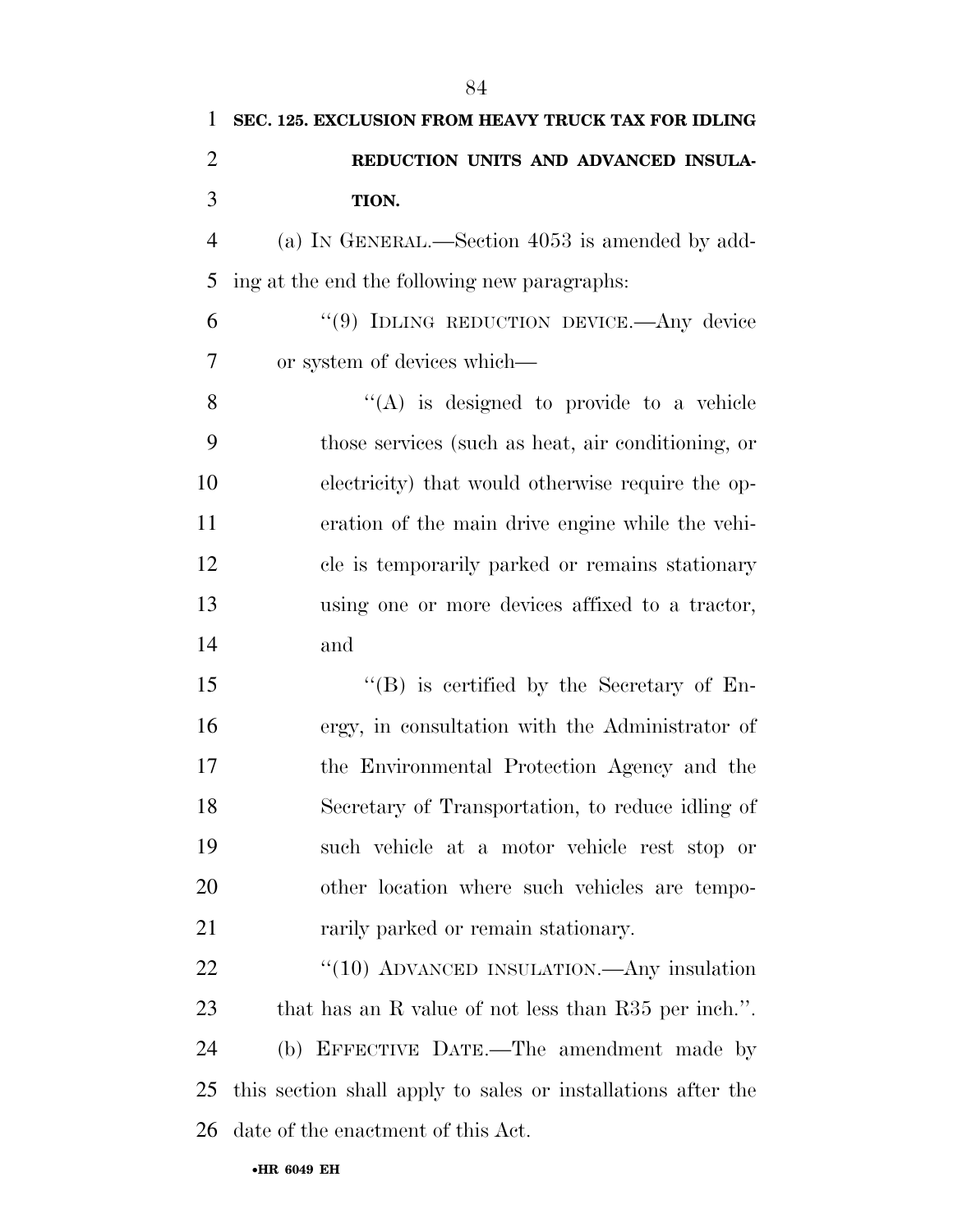| 1              | SEC. 125. EXCLUSION FROM HEAVY TRUCK TAX FOR IDLING          |
|----------------|--------------------------------------------------------------|
| $\overline{2}$ | REDUCTION UNITS AND ADVANCED INSULA-                         |
| 3              | TION.                                                        |
| $\overline{4}$ | (a) IN GENERAL.—Section 4053 is amended by add-              |
| 5              | ing at the end the following new paragraphs:                 |
| 6              | "(9) IDLING REDUCTION DEVICE. Any device                     |
| $\overline{7}$ | or system of devices which—                                  |
| 8              | "(A) is designed to provide to a vehicle                     |
| 9              | those services (such as heat, air conditioning, or           |
| 10             | electricity) that would otherwise require the op-            |
| 11             | eration of the main drive engine while the vehi-             |
| 12             | cle is temporarily parked or remains stationary              |
| 13             | using one or more devices affixed to a tractor,              |
| 14             | and                                                          |
| 15             | $\lq\lq (B)$ is certified by the Secretary of En-            |
| 16             | ergy, in consultation with the Administrator of              |
| 17             | the Environmental Protection Agency and the                  |
| 18             | Secretary of Transportation, to reduce idling of             |
| 19             | such vehicle at a motor vehicle rest stop or                 |
| 20             | other location where such vehicles are tempo-                |
| 21             | rarily parked or remain stationary.                          |
| 22             | " $(10)$ ADVANCED INSULATION.—Any insulation                 |
| 23             | that has an R value of not less than R35 per inch.".         |
| 24             | (b) EFFECTIVE DATE.—The amendment made by                    |
| 25             | this section shall apply to sales or installations after the |
| 26             | date of the enactment of this Act.                           |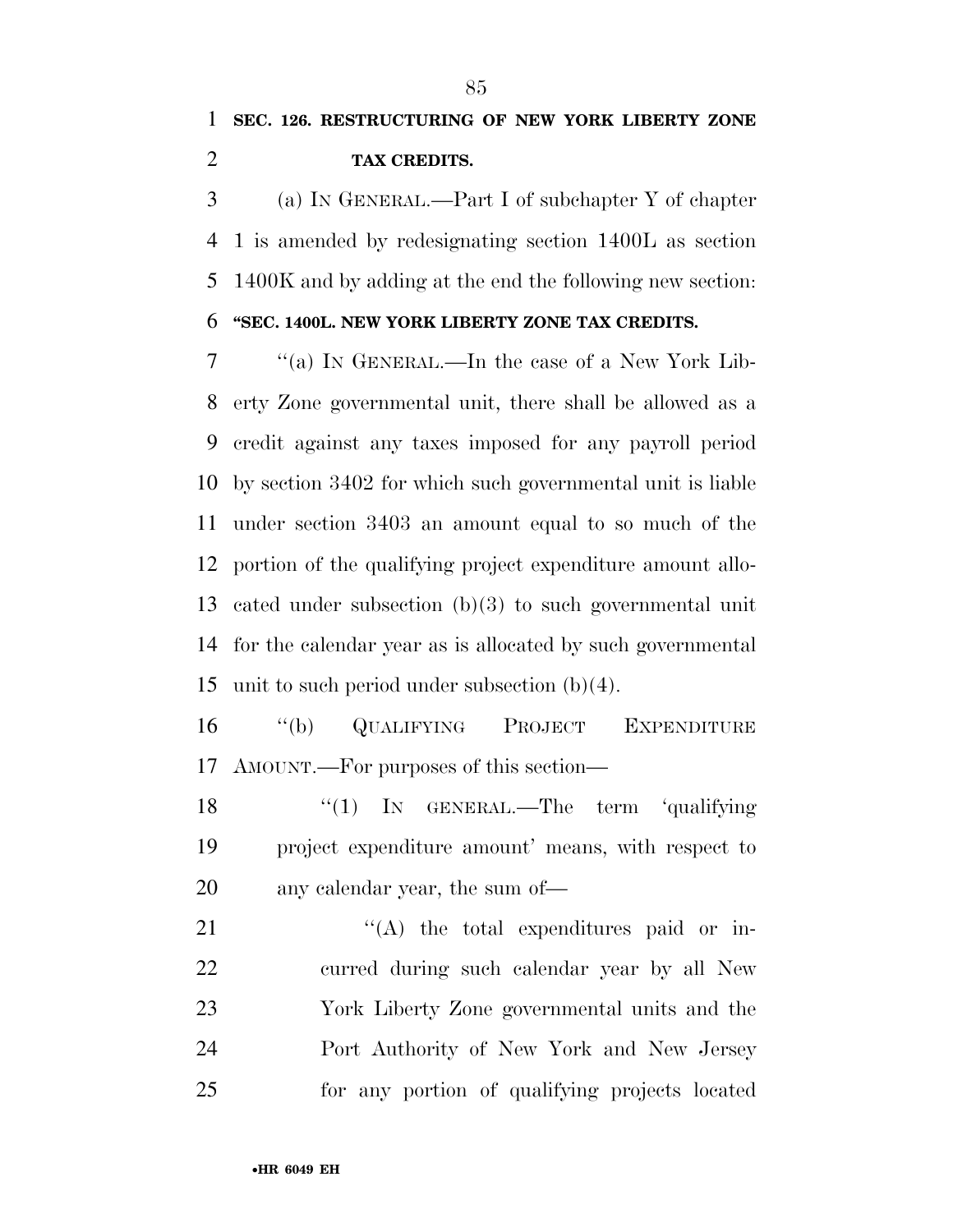(a) IN GENERAL.—Part I of subchapter Y of chapter 1 is amended by redesignating section 1400L as section 1400K and by adding at the end the following new section:

## **''SEC. 1400L. NEW YORK LIBERTY ZONE TAX CREDITS.**

 ''(a) IN GENERAL.—In the case of a New York Lib- erty Zone governmental unit, there shall be allowed as a credit against any taxes imposed for any payroll period by section 3402 for which such governmental unit is liable under section 3403 an amount equal to so much of the portion of the qualifying project expenditure amount allo- cated under subsection (b)(3) to such governmental unit for the calendar year as is allocated by such governmental unit to such period under subsection (b)(4).

 ''(b) QUALIFYING PROJECT EXPENDITURE AMOUNT.—For purposes of this section—

18 "(1) In GENERAL.—The term 'qualifying project expenditure amount' means, with respect to any calendar year, the sum of—

 $\langle (A)$  the total expenditures paid or in- curred during such calendar year by all New York Liberty Zone governmental units and the Port Authority of New York and New Jersey for any portion of qualifying projects located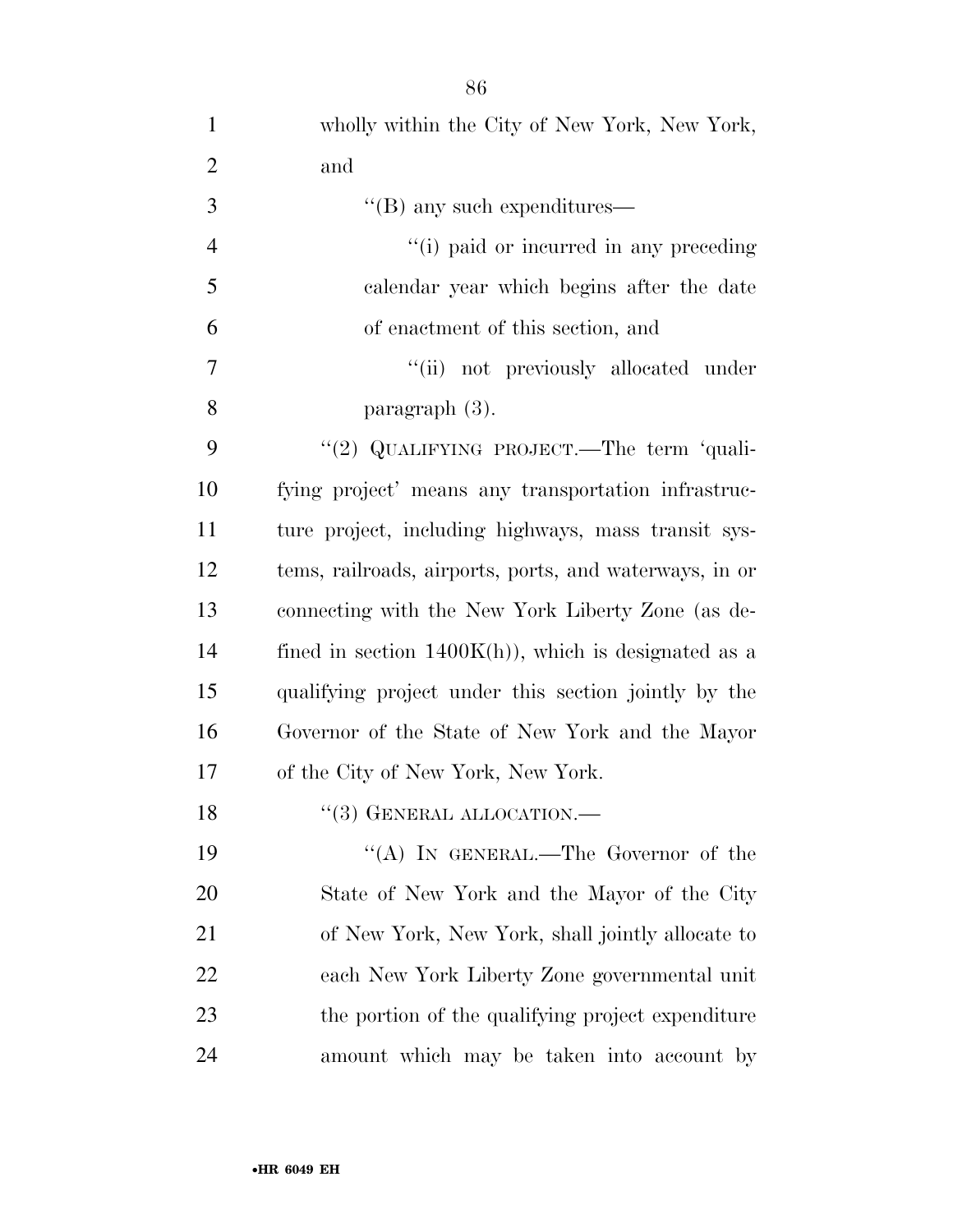wholly within the City of New York, New York, and  $"({\rm B})$  any such expenditures—  $(i)$  paid or incurred in any preceding calendar year which begins after the date of enactment of this section, and 7 ''(ii) not previously allocated under paragraph (3). 9 "(2) QUALIFYING PROJECT.—The term 'quali- fying project' means any transportation infrastruc- ture project, including highways, mass transit sys- tems, railroads, airports, ports, and waterways, in or connecting with the New York Liberty Zone (as de-14 fined in section  $1400K(h)$ , which is designated as a qualifying project under this section jointly by the Governor of the State of New York and the Mayor of the City of New York, New York. 18 "(3) GENERAL ALLOCATION.— 19 "(A) IN GENERAL.—The Governor of the State of New York and the Mayor of the City of New York, New York, shall jointly allocate to each New York Liberty Zone governmental unit

 the portion of the qualifying project expenditure amount which may be taken into account by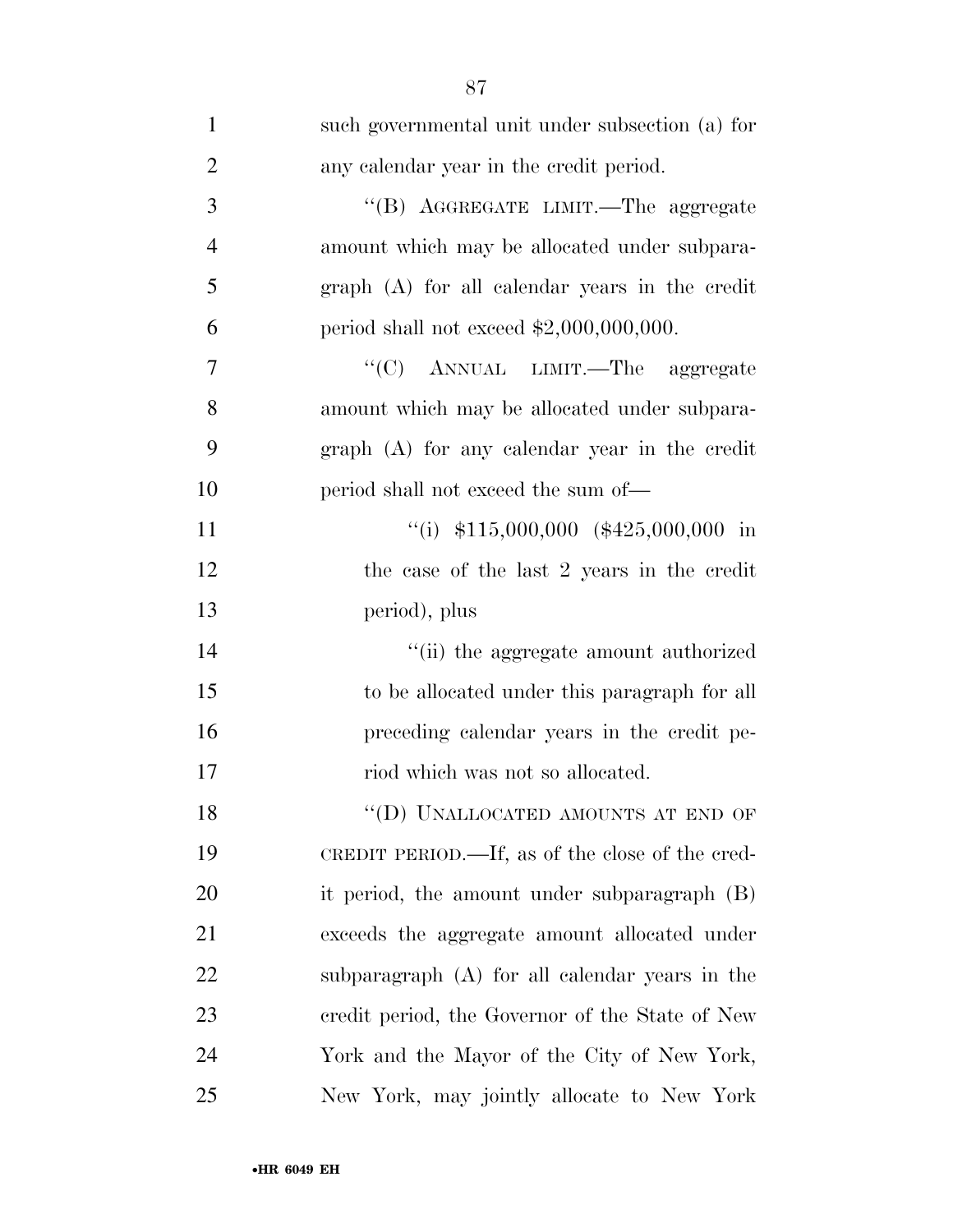| $\mathbf{1}$   | such governmental unit under subsection (a) for |
|----------------|-------------------------------------------------|
| $\overline{2}$ | any calendar year in the credit period.         |
| $\mathfrak{Z}$ | "(B) AGGREGATE LIMIT.—The aggregate             |
| $\overline{4}$ | amount which may be allocated under subpara-    |
| 5              | graph (A) for all calendar years in the credit  |
| 6              | period shall not exceed $$2,000,000,000$ .      |
| 7              | "(C) ANNUAL LIMIT.—The aggregate                |
| 8              | amount which may be allocated under subpara-    |
| 9              | graph (A) for any calendar year in the credit   |
| 10             | period shall not exceed the sum of—             |
| 11             | "(i) $$115,000,000$ (\$425,000,000 in           |
| 12             | the case of the last 2 years in the credit      |
| 13             | period), plus                                   |
| 14             | "(ii) the aggregate amount authorized           |
| 15             | to be allocated under this paragraph for all    |
| 16             | preceding calendar years in the credit pe-      |
| 17             | riod which was not so allocated.                |
| 18             | "(D) UNALLOCATED AMOUNTS AT END OF              |
| 19             | CREDIT PERIOD.—If, as of the close of the cred- |
| 20             | it period, the amount under subparagraph $(B)$  |
| 21             | exceeds the aggregate amount allocated under    |
| 22             | subparagraph (A) for all calendar years in the  |
| 23             | credit period, the Governor of the State of New |
| 24             | York and the Mayor of the City of New York,     |
| 25             | New York, may jointly allocate to New York      |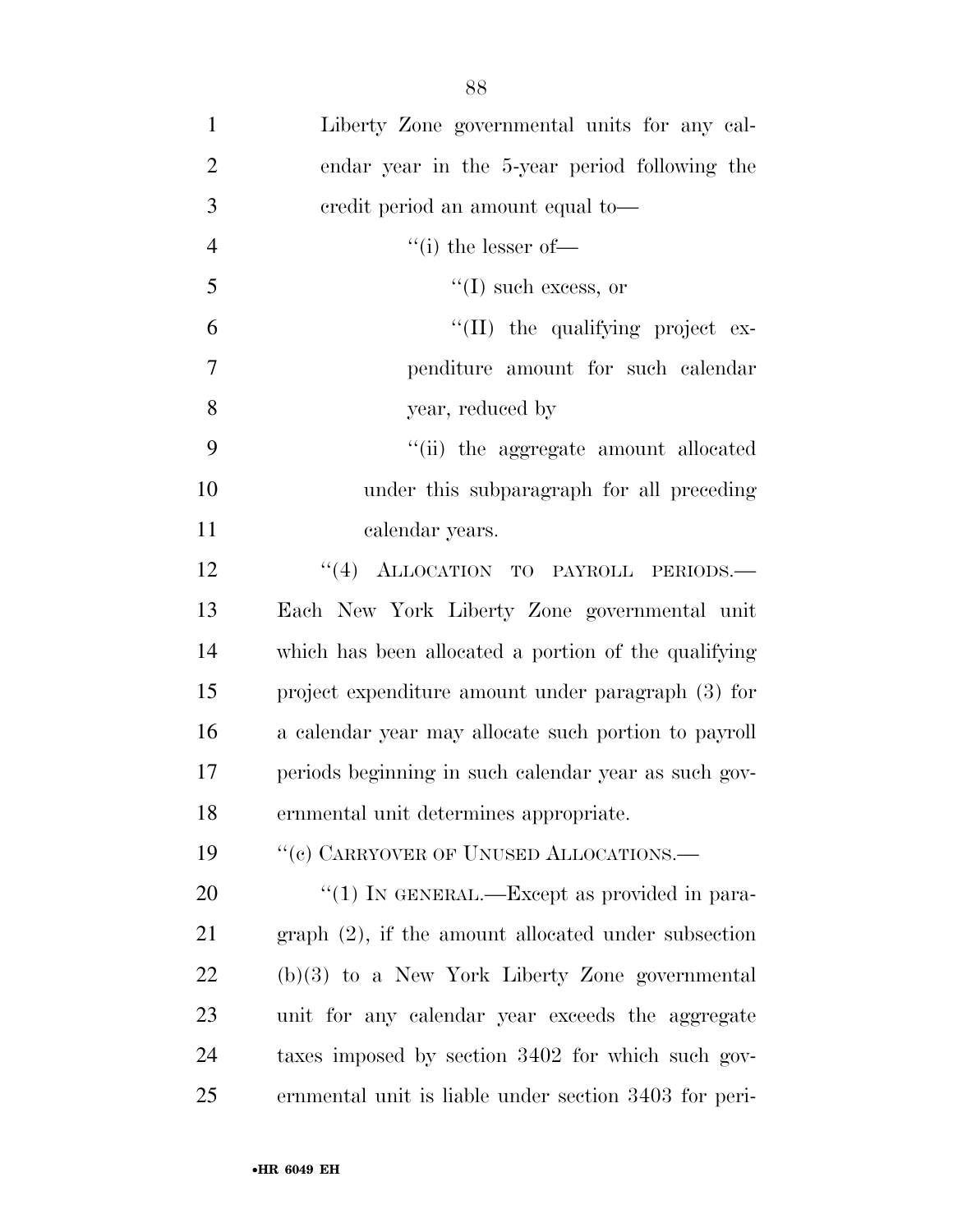| $\mathbf{1}$   | Liberty Zone governmental units for any cal-           |
|----------------|--------------------------------------------------------|
| $\overline{2}$ | endar year in the 5-year period following the          |
| 3              | eredit period an amount equal to-                      |
| $\overline{4}$ | "(i) the lesser of—                                    |
| 5              | $\lq\lq$ (I) such excess, or                           |
| 6              | $\lq$ (II) the qualifying project ex-                  |
| 7              | penditure amount for such calendar                     |
| 8              | year, reduced by                                       |
| 9              | "(ii) the aggregate amount allocated                   |
| 10             | under this subparagraph for all preceding              |
| 11             | calendar years.                                        |
| 12             | "(4) ALLOCATION TO PAYROLL PERIODS.-                   |
| 13             | Each New York Liberty Zone governmental unit           |
| 14             | which has been allocated a portion of the qualifying   |
| 15             | project expenditure amount under paragraph (3) for     |
| 16             | a calendar year may allocate such portion to payroll   |
| 17             | periods beginning in such calendar year as such gov-   |
| 18             | ernmental unit determines appropriate.                 |
| 19             | "(c) CARRYOVER OF UNUSED ALLOCATIONS.-                 |
| <b>20</b>      | "(1) IN GENERAL.—Except as provided in para-           |
| 21             | $graph (2)$ , if the amount allocated under subsection |
| 22             | $(b)(3)$ to a New York Liberty Zone governmental       |
| 23             | unit for any calendar year exceeds the aggregate       |
| 24             | taxes imposed by section 3402 for which such gov-      |
| 25             | ernmental unit is liable under section 3403 for peri-  |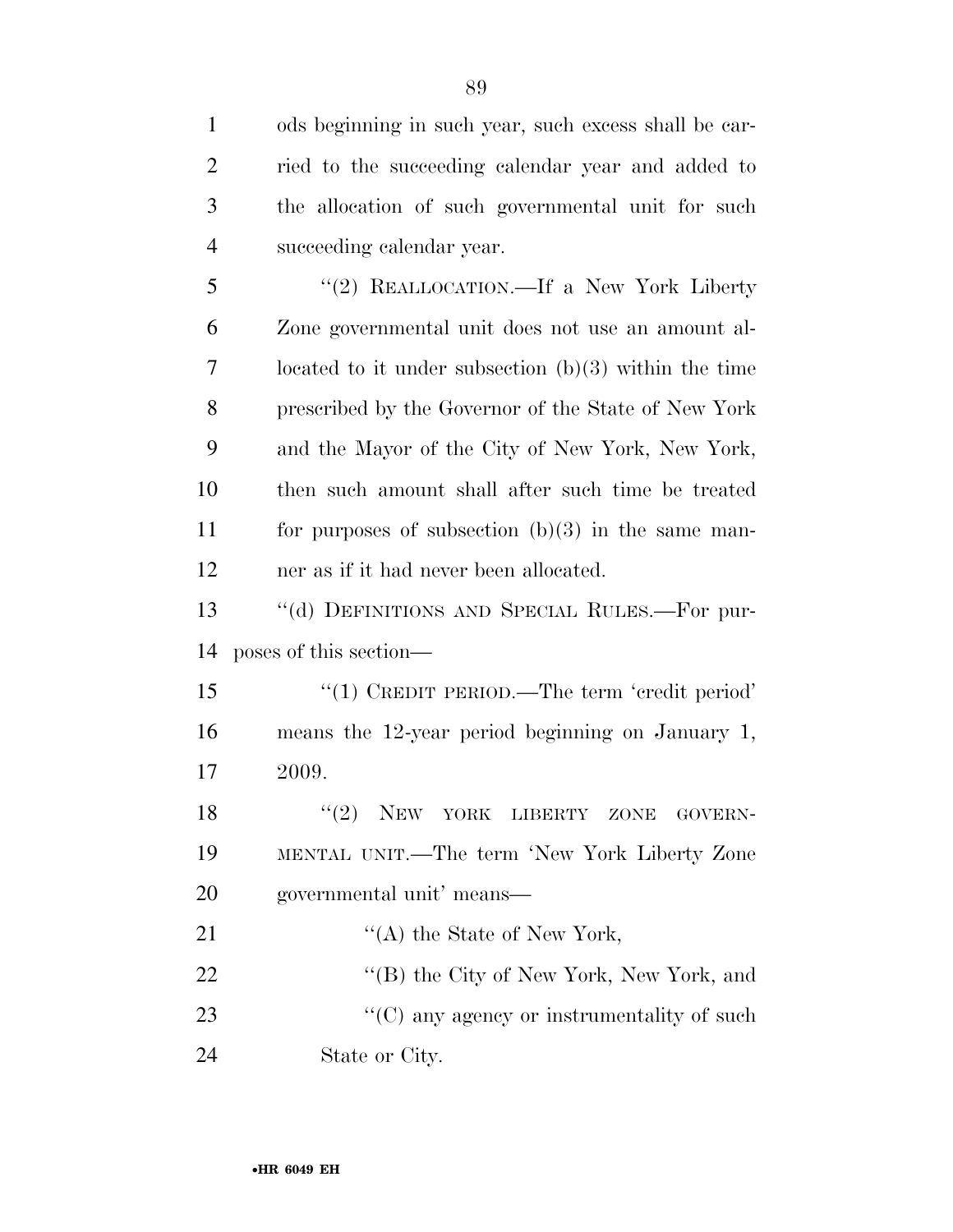| $\mathbf{1}$   | ods beginning in such year, such excess shall be car-   |
|----------------|---------------------------------------------------------|
| $\overline{2}$ | ried to the succeeding calendar year and added to       |
| 3              | the allocation of such governmental unit for such       |
| $\overline{4}$ | succeeding calendar year.                               |
| 5              | "(2) REALLOCATION.—If a New York Liberty                |
| 6              | Zone governmental unit does not use an amount al-       |
| 7              | located to it under subsection $(b)(3)$ within the time |
| 8              | prescribed by the Governor of the State of New York     |
| 9              | and the Mayor of the City of New York, New York,        |
| 10             | then such amount shall after such time be treated       |
| 11             | for purposes of subsection $(b)(3)$ in the same man-    |
| 12             | ner as if it had never been allocated.                  |
|                |                                                         |
| 13             | "(d) DEFINITIONS AND SPECIAL RULES.—For pur-            |
| 14             | poses of this section—                                  |
| 15             | "(1) CREDIT PERIOD.—The term 'credit period'            |
| 16             | means the $12$ -year period beginning on January 1,     |
| 17             | 2009.                                                   |
| 18             | "(2) NEW YORK LIBERTY ZONE GOVERN-                      |
| 19             | MENTAL UNIT.—The term 'New York Liberty Zone            |
| 20             | governmental unit' means—                               |
| 21             | "(A) the State of New York,                             |
| 22             | "(B) the City of New York, New York, and                |
| 23             | "(C) any agency or instrumentality of such              |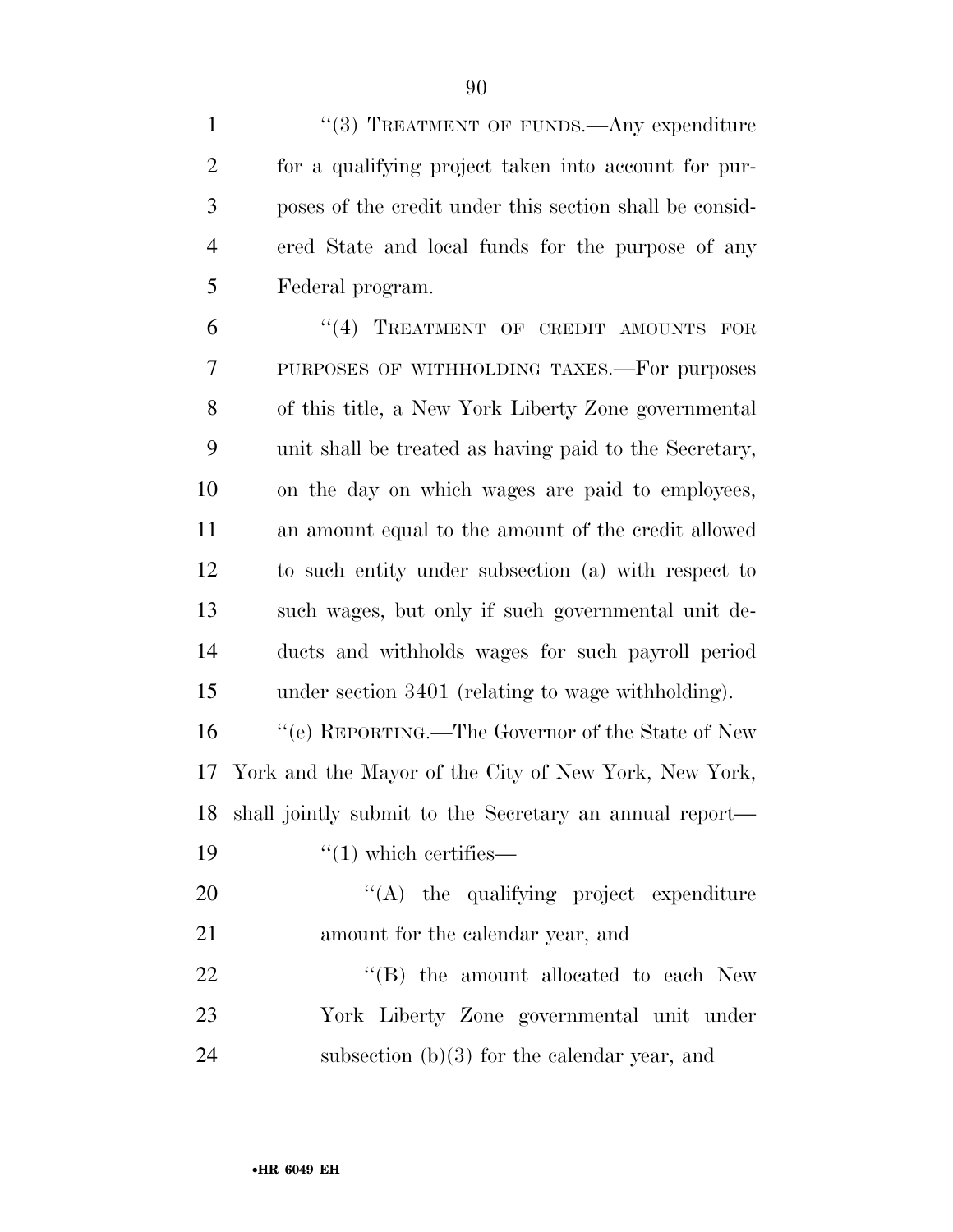1 "(3) TREATMENT OF FUNDS.—Any expenditure for a qualifying project taken into account for pur- poses of the credit under this section shall be consid-ered State and local funds for the purpose of any

Federal program.

6 "(4) TREATMENT OF CREDIT AMOUNTS FOR PURPOSES OF WITHHOLDING TAXES.—For purposes of this title, a New York Liberty Zone governmental unit shall be treated as having paid to the Secretary, on the day on which wages are paid to employees, an amount equal to the amount of the credit allowed to such entity under subsection (a) with respect to such wages, but only if such governmental unit de- ducts and withholds wages for such payroll period under section 3401 (relating to wage withholding).

 ''(e) REPORTING.—The Governor of the State of New York and the Mayor of the City of New York, New York, shall jointly submit to the Secretary an annual report—  $\frac{1}{2}$   $\frac{1}{2}$  which certifies —

 $\langle (A)$  the qualifying project expenditure amount for the calendar year, and 22 "'(B) the amount allocated to each New York Liberty Zone governmental unit under subsection (b)(3) for the calendar year, and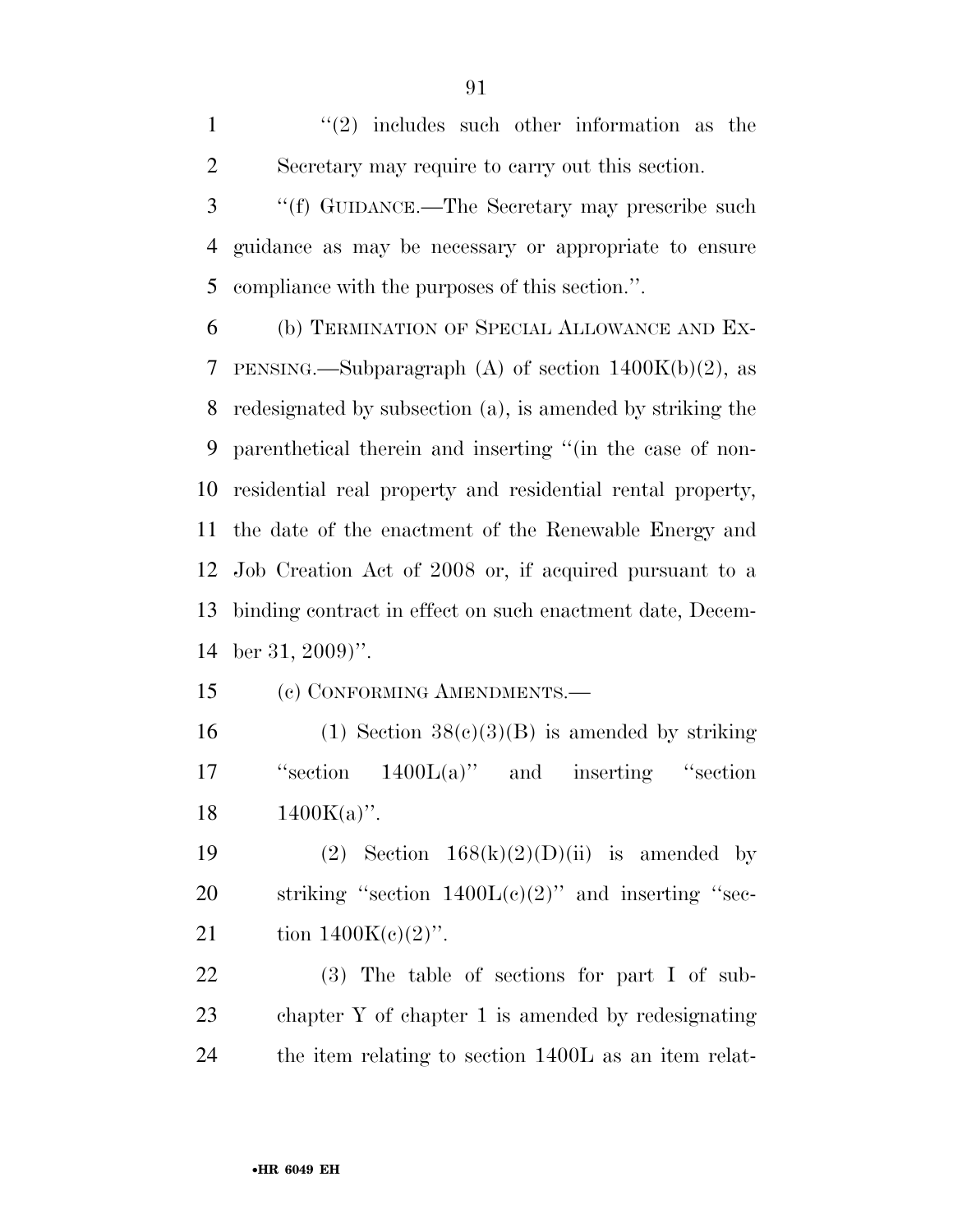$\mathcal{L}(2)$  includes such other information as the Secretary may require to carry out this section.

 ''(f) GUIDANCE.—The Secretary may prescribe such guidance as may be necessary or appropriate to ensure compliance with the purposes of this section.''.

 (b) TERMINATION OF SPECIAL ALLOWANCE AND EX-7 PENSING.—Subparagraph (A) of section  $1400K(b)(2)$ , as redesignated by subsection (a), is amended by striking the parenthetical therein and inserting ''(in the case of non- residential real property and residential rental property, the date of the enactment of the Renewable Energy and Job Creation Act of 2008 or, if acquired pursuant to a binding contract in effect on such enactment date, Decem-ber 31, 2009)''.

(c) CONFORMING AMENDMENTS.—

16 (1) Section  $38(c)(3)(B)$  is amended by striking ''section 1400L(a)'' and inserting ''section 18  $1400K(a)$ ".

19 (2) Section  $168(k)(2)(D)(ii)$  is amended by 20 striking "section  $1400L(c)(2)$ " and inserting "sec-21 tion  $1400K(e)(2)$ ".

 (3) The table of sections for part I of sub- chapter Y of chapter 1 is amended by redesignating the item relating to section 1400L as an item relat-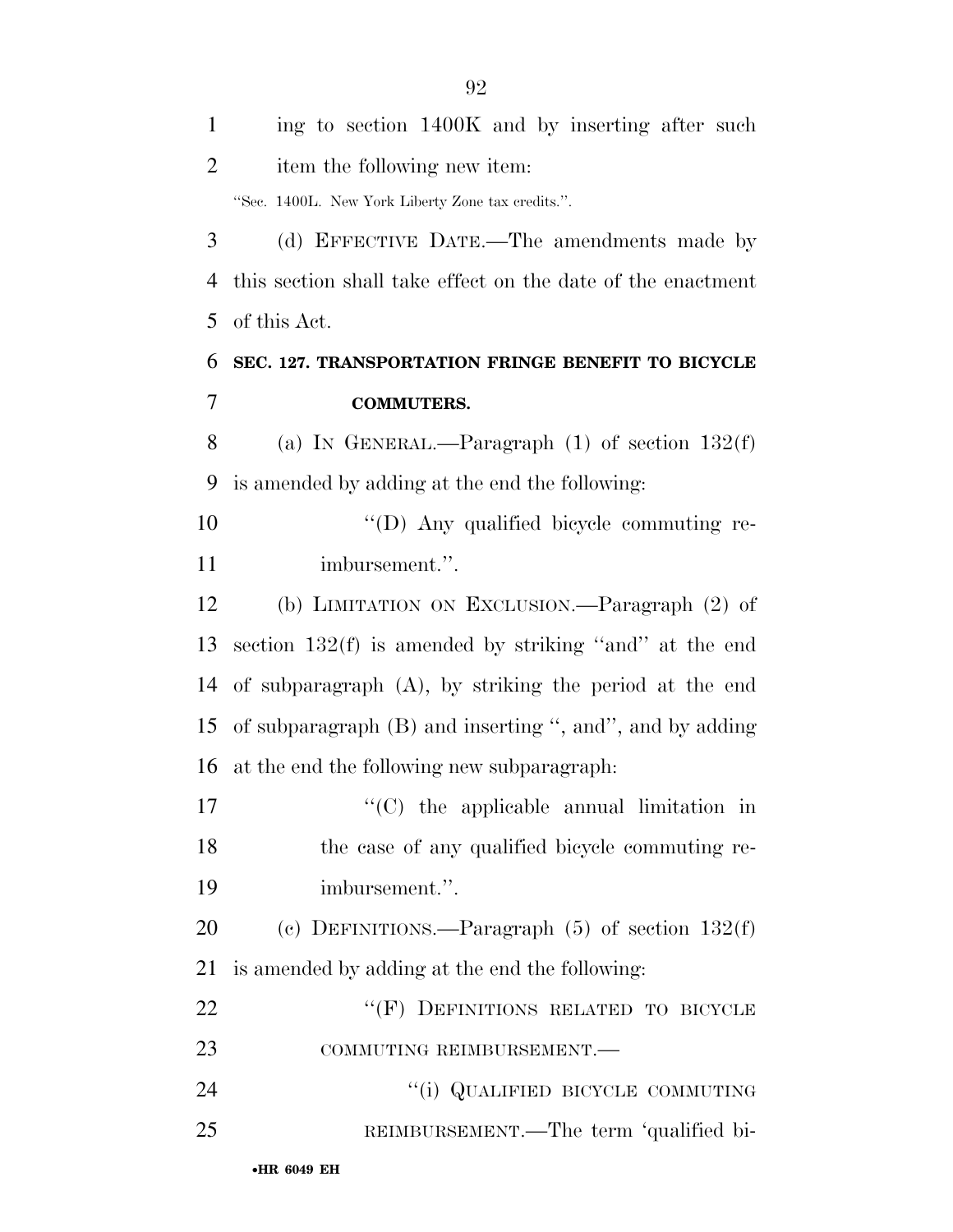| $\mathbf{1}$   | ing to section 1400K and by inserting after such            |
|----------------|-------------------------------------------------------------|
| $\overline{2}$ | item the following new item:                                |
|                | "Sec. 1400L. New York Liberty Zone tax credits.".           |
| 3              | (d) EFFECTIVE DATE.—The amendments made by                  |
| 4              | this section shall take effect on the date of the enactment |
| 5              | of this Act.                                                |
| 6              | SEC. 127. TRANSPORTATION FRINGE BENEFIT TO BICYCLE          |
| 7              | <b>COMMUTERS.</b>                                           |
| 8              | (a) IN GENERAL.—Paragraph $(1)$ of section $132(f)$         |
| 9              | is amended by adding at the end the following:              |
| 10             | "(D) Any qualified bicycle commuting re-                    |
| 11             | imbursement.".                                              |
| 12             | (b) LIMITATION ON EXCLUSION.—Paragraph (2) of               |
| 13             | section $132(f)$ is amended by striking "and" at the end    |
| 14             | of subparagraph $(A)$ , by striking the period at the end   |
| 15             | of subparagraph $(B)$ and inserting ", and", and by adding  |
| 16             | at the end the following new subparagraph:                  |
| 17             | $\lq\lq$ (C) the applicable annual limitation in            |
| 18             | the case of any qualified bicycle commuting re-             |
| 19             | imbursement.".                                              |
| 20             | (c) DEFINITIONS.—Paragraph $(5)$ of section $132(f)$        |
| 21             | is amended by adding at the end the following:              |
| 22             | "(F) DEFINITIONS RELATED TO BICYCLE                         |
| 23             | COMMUTING REIMBURSEMENT.-                                   |
| 24             | "(i) QUALIFIED BICYCLE COMMUTING                            |
| 25             | REIMBURSEMENT.—The term 'qualified bi-                      |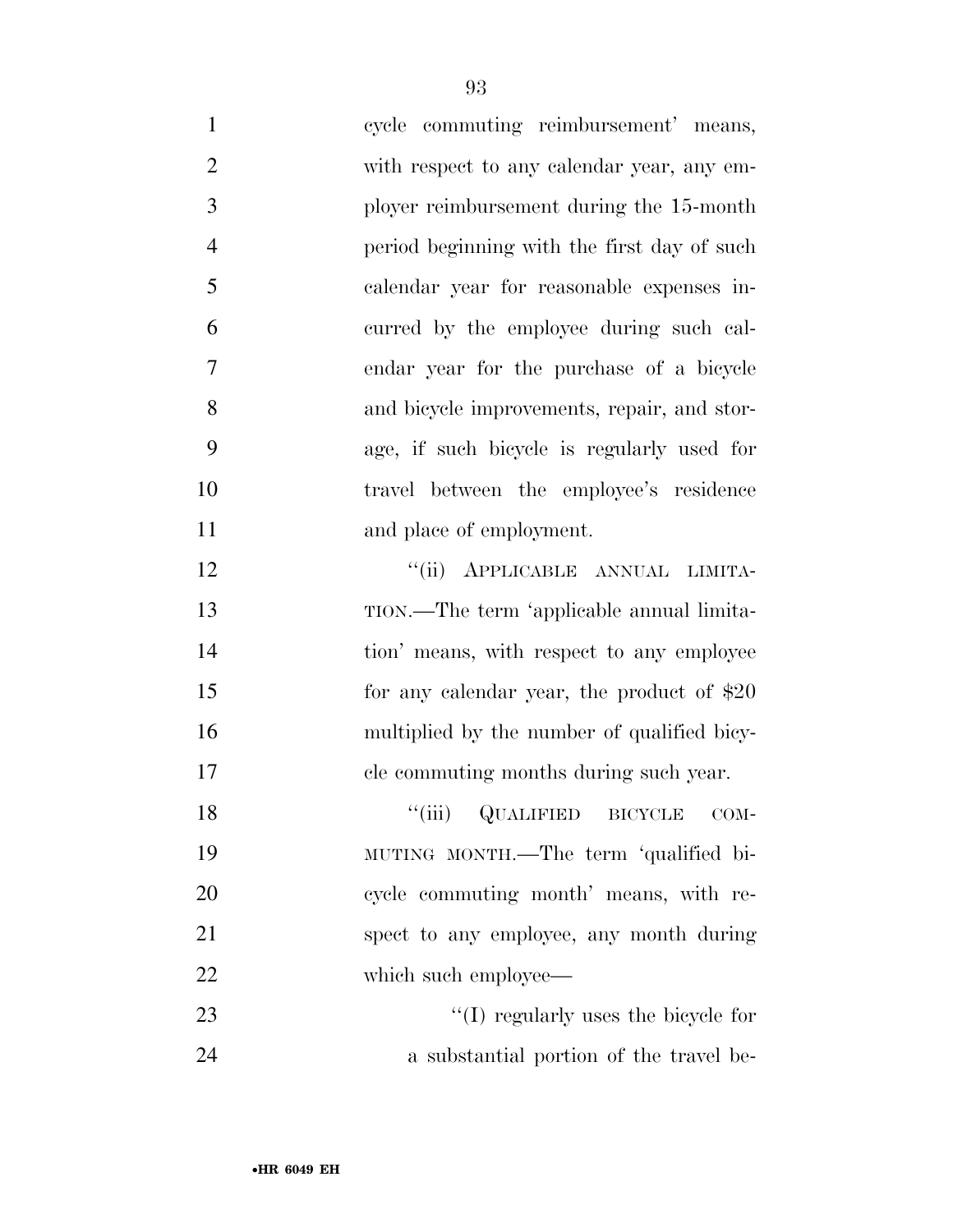cycle commuting reimbursement' means, with respect to any calendar year, any em- ployer reimbursement during the 15-month period beginning with the first day of such calendar year for reasonable expenses in- curred by the employee during such cal- endar year for the purchase of a bicycle and bicycle improvements, repair, and stor- age, if such bicycle is regularly used for travel between the employee's residence 11 and place of employment. **''**(ii) APPLICABLE ANNUAL LIMITA-

 TION.—The term 'applicable annual limita-14 tion' means, with respect to any employee 15 for any calendar year, the product of \$20 multiplied by the number of qualified bicy-cle commuting months during such year.

18 "(iii) QUALIFIED BICYCLE COM- MUTING MONTH.—The term 'qualified bi- cycle commuting month' means, with re- spect to any employee, any month during 22 which such employee—

23  $\frac{1}{2}$  (I) regularly uses the bicycle for a substantial portion of the travel be-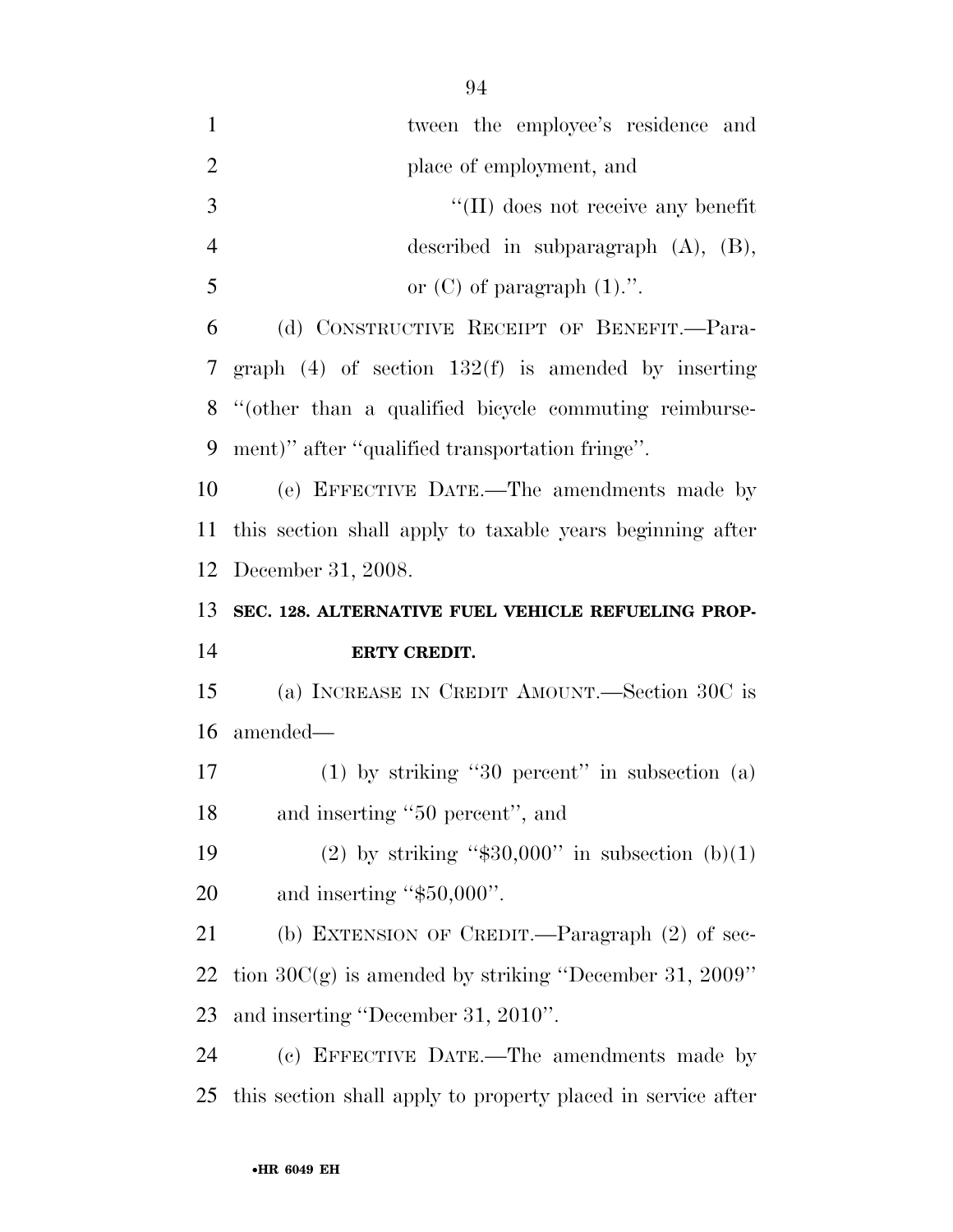| $\mathbf{1}$   | tween the employee's residence and                           |
|----------------|--------------------------------------------------------------|
| $\overline{2}$ | place of employment, and                                     |
| $\mathfrak{Z}$ | $\lq$ (II) does not receive any benefit                      |
| $\overline{4}$ | described in subparagraph $(A)$ , $(B)$ ,                    |
| 5              | or $(C)$ of paragraph $(1)$ .".                              |
| 6              | (d) CONSTRUCTIVE RECEIPT OF BENEFIT.—Para-                   |
| 7              | graph $(4)$ of section $132(f)$ is amended by inserting      |
| 8              | "(other than a qualified bicycle commuting reimburse-        |
| 9              | ment)" after "qualified transportation fringe".              |
| 10             | (e) EFFECTIVE DATE.—The amendments made by                   |
| <sup>11</sup>  | this section shall apply to taxable years beginning after    |
| 12             | December 31, 2008.                                           |
| 13             | SEC. 128. ALTERNATIVE FUEL VEHICLE REFUELING PROP-           |
|                |                                                              |
| 14             | ERTY CREDIT.                                                 |
| 15             | (a) INCREASE IN CREDIT AMOUNT.—Section 30C is                |
| 16             | amended—                                                     |
| 17             | $(1)$ by striking "30 percent" in subsection $(a)$           |
| 18             | and inserting "50 percent", and                              |
| 19             | (2) by striking " $$30,000"$ in subsection (b)(1)            |
| 20             | and inserting "\$50,000".                                    |
| 21             | (b) EXTENSION OF CREDIT.—Paragraph (2) of sec-               |
| 22             | tion $30C(g)$ is amended by striking "December 31, 2009"     |
| 23             | and inserting "December 31, 2010".                           |
| 24             | (c) EFFECTIVE DATE.—The amendments made by                   |
| 25             | this section shall apply to property placed in service after |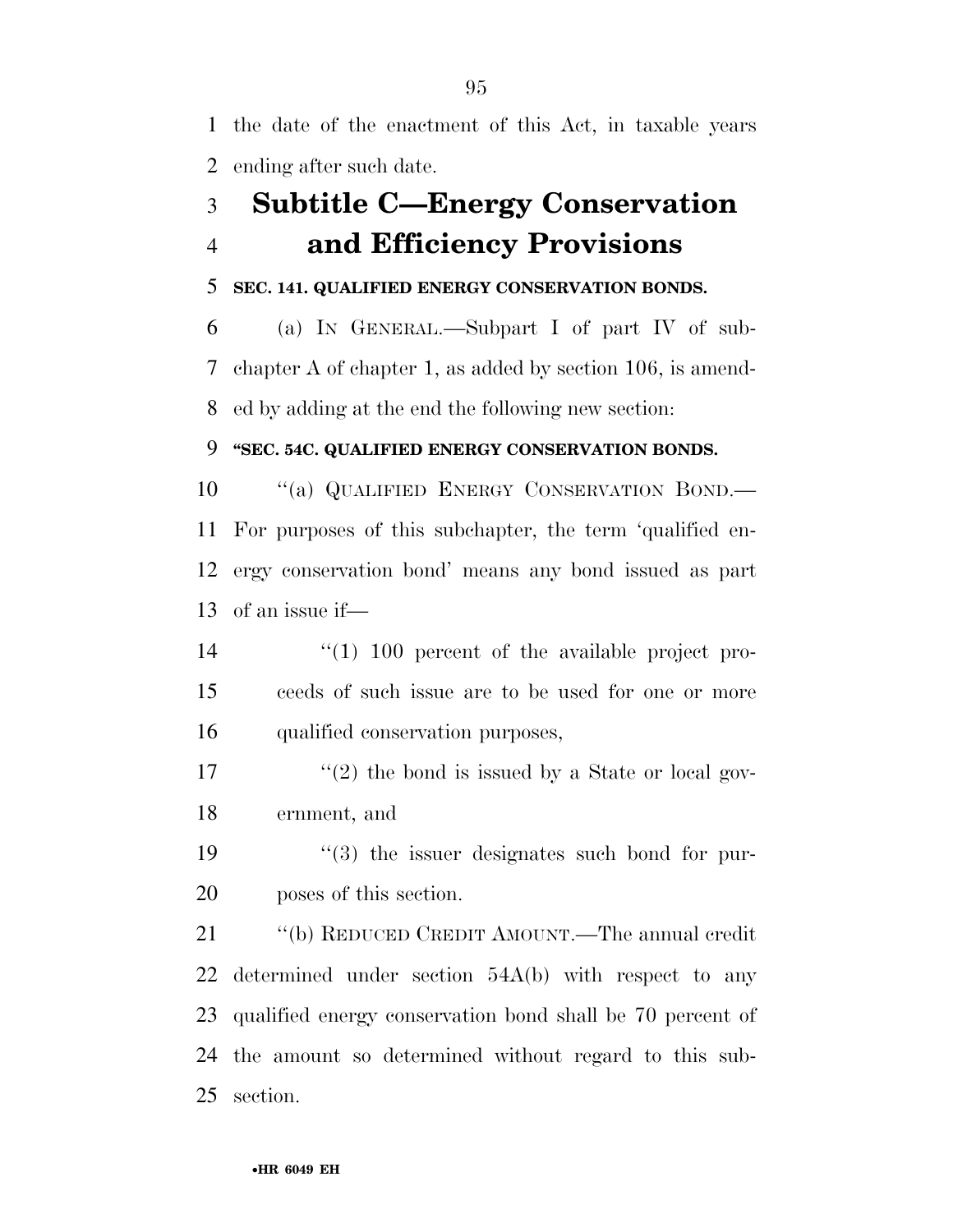the date of the enactment of this Act, in taxable years ending after such date.

## **Subtitle C—Energy Conservation and Efficiency Provisions**

## **SEC. 141. QUALIFIED ENERGY CONSERVATION BONDS.**

 (a) IN GENERAL.—Subpart I of part IV of sub- chapter A of chapter 1, as added by section 106, is amend-ed by adding at the end the following new section:

## **''SEC. 54C. QUALIFIED ENERGY CONSERVATION BONDS.**

10 "(a) QUALIFIED ENERGY CONSERVATION BOND.— For purposes of this subchapter, the term 'qualified en- ergy conservation bond' means any bond issued as part of an issue if—

- ''(1) 100 percent of the available project pro- ceeds of such issue are to be used for one or more qualified conservation purposes,
- 17  $\frac{17}{20}$  the bond is issued by a State or local gov-ernment, and
- 19 ''(3) the issuer designates such bond for pur-poses of this section.

 ''(b) REDUCED CREDIT AMOUNT.—The annual credit determined under section 54A(b) with respect to any qualified energy conservation bond shall be 70 percent of the amount so determined without regard to this sub-section.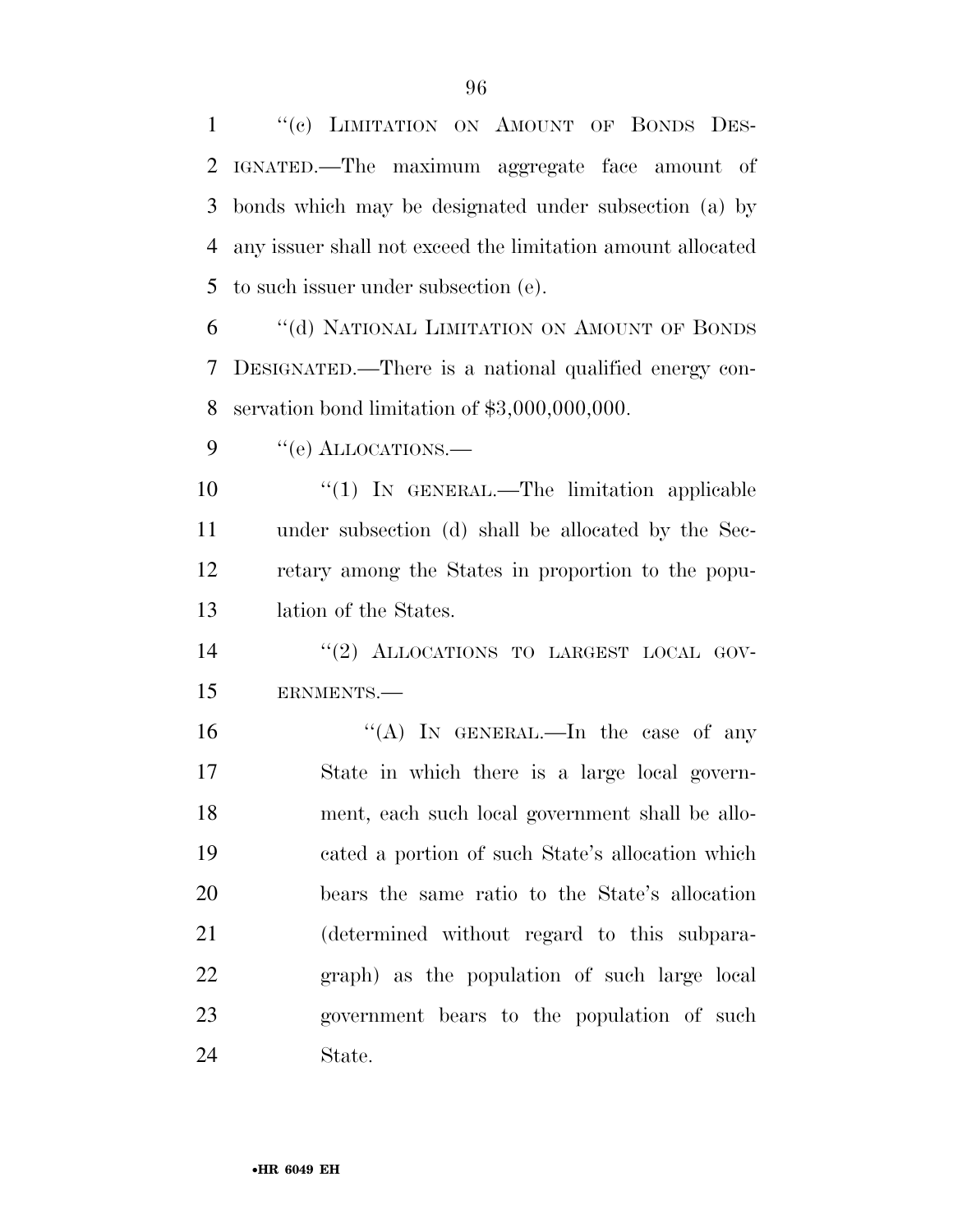1 "(c) LIMITATION ON AMOUNT OF BONDS DES- IGNATED.—The maximum aggregate face amount of bonds which may be designated under subsection (a) by any issuer shall not exceed the limitation amount allocated to such issuer under subsection (e).

 ''(d) NATIONAL LIMITATION ON AMOUNT OF BONDS DESIGNATED.—There is a national qualified energy con-servation bond limitation of \$3,000,000,000.

9 "(e) ALLOCATIONS.—

 $\frac{1}{1}$  In GENERAL.—The limitation applicable under subsection (d) shall be allocated by the Sec- retary among the States in proportion to the popu-lation of the States.

14  $(2)$  ALLOCATIONS TO LARGEST LOCAL GOV-ERNMENTS.—

 $((A)$  In GENERAL.—In the case of any State in which there is a large local govern- ment, each such local government shall be allo- cated a portion of such State's allocation which bears the same ratio to the State's allocation (determined without regard to this subpara- graph) as the population of such large local government bears to the population of such State.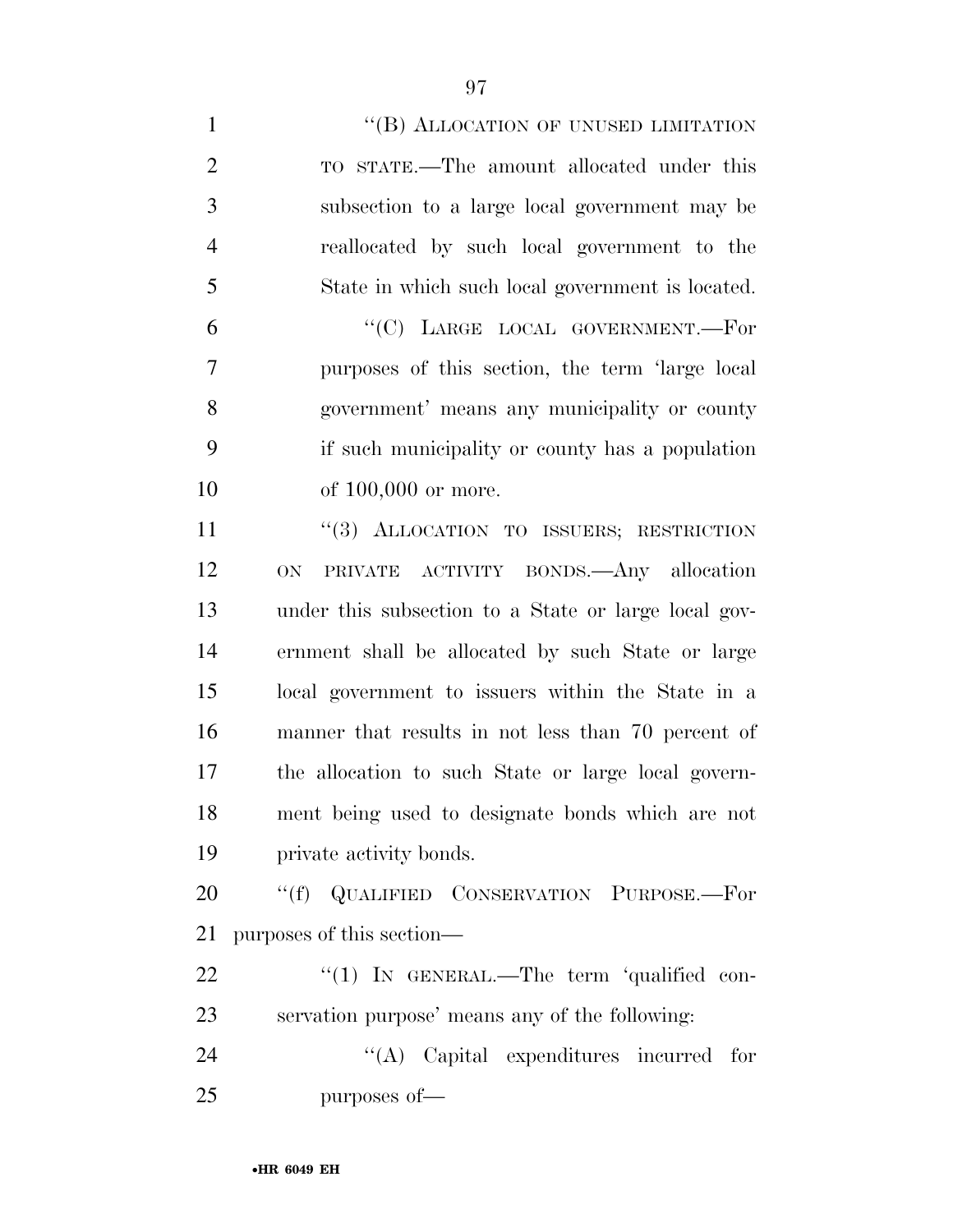| $\mathbf{1}$   | "(B) ALLOCATION OF UNUSED LIMITATION                 |
|----------------|------------------------------------------------------|
| $\overline{2}$ | TO STATE.—The amount allocated under this            |
| 3              | subsection to a large local government may be        |
| $\overline{4}$ | reallocated by such local government to the          |
| 5              | State in which such local government is located.     |
| 6              | "(C) LARGE LOCAL GOVERNMENT.-For                     |
| $\overline{7}$ | purposes of this section, the term 'large local      |
| 8              | government' means any municipality or county         |
| 9              | if such municipality or county has a population      |
| 10             | of $100,000$ or more.                                |
| 11             | "(3) ALLOCATION TO ISSUERS; RESTRICTION              |
| 12             | PRIVATE ACTIVITY BONDS.—Any allocation<br><b>ON</b>  |
| 13             | under this subsection to a State or large local gov- |
| 14             | ernment shall be allocated by such State or large    |
| 15             | local government to issuers within the State in a    |
| 16             | manner that results in not less than 70 percent of   |
| 17             | the allocation to such State or large local govern-  |
| 18             | ment being used to designate bonds which are not     |
| 19             | private activity bonds.                              |
| 20             | "(f) QUALIFIED CONSERVATION PURPOSE.—For             |
| 21             | purposes of this section—                            |
| 22             | " $(1)$ IN GENERAL.—The term 'qualified con-         |
| 23             | servation purpose' means any of the following:       |
| 24             | $\lq\lq$ Capital expenditures incurred for           |
| 25             | purposes of-                                         |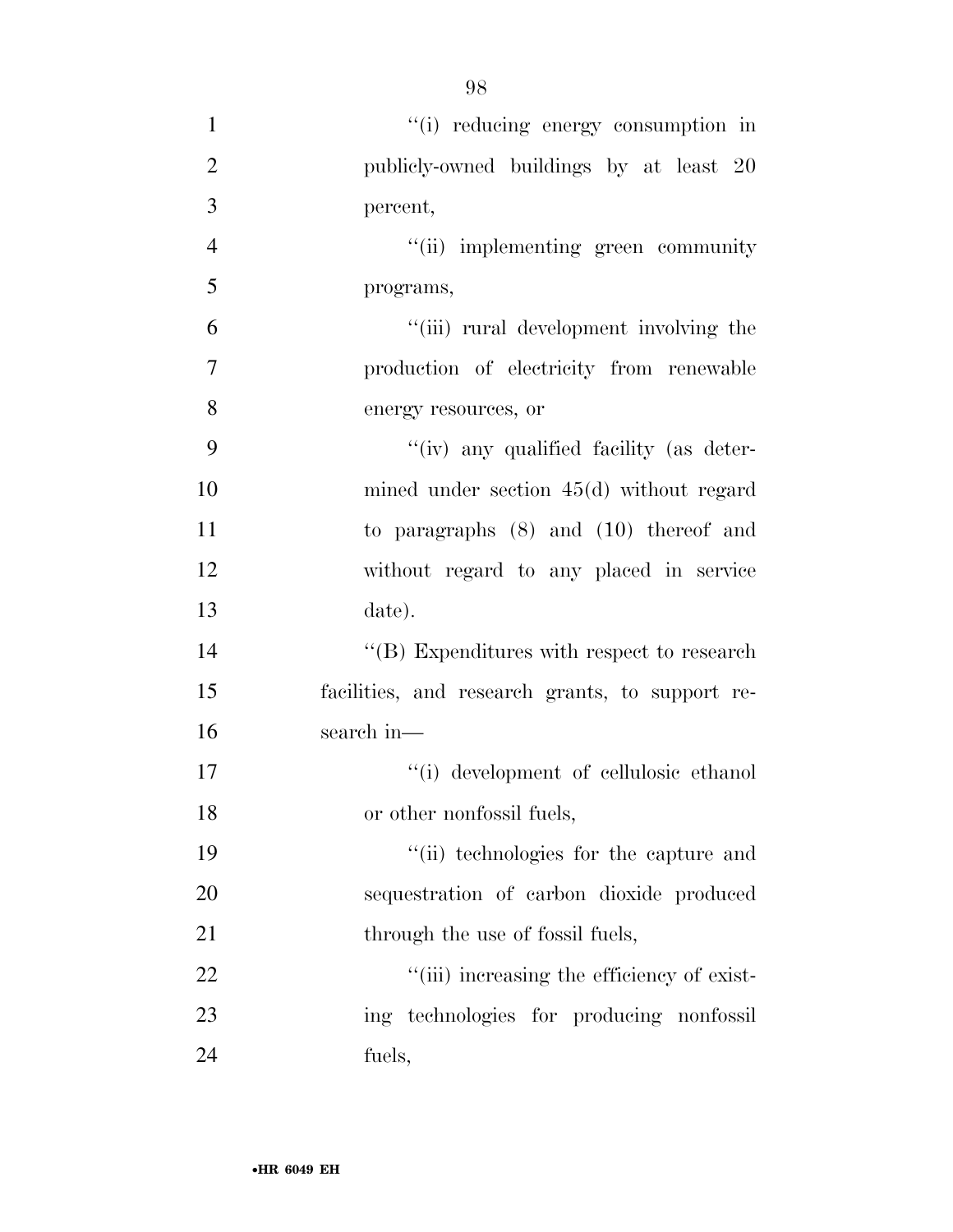$"(i)$  reducing energy consumption in publicly-owned buildings by at least 20 percent, ''(ii) implementing green community programs, ''(iii) rural development involving the production of electricity from renewable energy resources, or ''(iv) any qualified facility (as deter- mined under section 45(d) without regard to paragraphs (8) and (10) thereof and without regard to any placed in service date). 14 ''(B) Expenditures with respect to research facilities, and research grants, to support re- search in—  $\qquad$  ''(i) development of cellulosic ethanol or other nonfossil fuels, ''(ii) technologies for the capture and sequestration of carbon dioxide produced 21 through the use of fossil fuels,  $\frac{1}{2}$   $\frac{1}{2}$   $\frac{1}{2}$  increasing the efficiency of exist-ing technologies for producing nonfossil

•**HR 6049 EH**

fuels,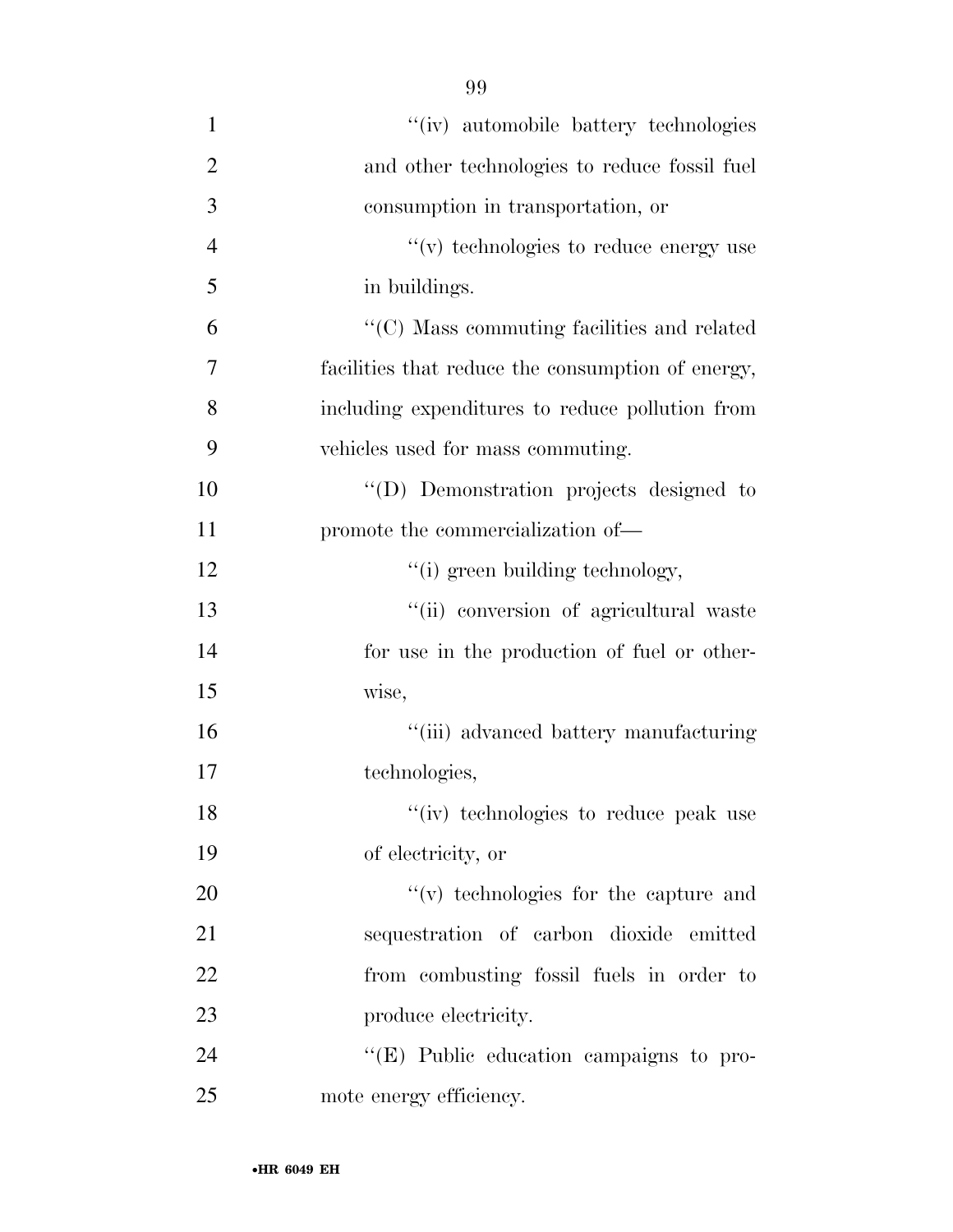| $\mathbf{1}$   | "(iv) automobile battery technologies             |
|----------------|---------------------------------------------------|
| $\overline{2}$ | and other technologies to reduce fossil fuel      |
| 3              | consumption in transportation, or                 |
| $\overline{4}$ | $\lq\lq$ (v) technologies to reduce energy use    |
| 5              | in buildings.                                     |
| 6              | "(C) Mass commuting facilities and related        |
| 7              | facilities that reduce the consumption of energy, |
| 8              | including expenditures to reduce pollution from   |
| 9              | vehicles used for mass commuting.                 |
| 10             | "(D) Demonstration projects designed to           |
| 11             | promote the commercialization of—                 |
| 12             | "(i) green building technology,                   |
| 13             | "(ii) conversion of agricultural waste            |
| 14             | for use in the production of fuel or other-       |
| 15             | wise,                                             |
| 16             | "(iii) advanced battery manufacturing             |
| 17             | technologies,                                     |
| 18             | "(iv) technologies to reduce peak use             |
| 19             | of electricity, or                                |
| 20             | "(v) technologies for the capture and             |
| 21             | sequestration of carbon dioxide emitted           |
| 22             | from combusting fossil fuels in order to          |
| 23             | produce electricity.                              |
| 24             | $\lq\lq$ (E) Public education campaigns to pro-   |
| 25             | mote energy efficiency.                           |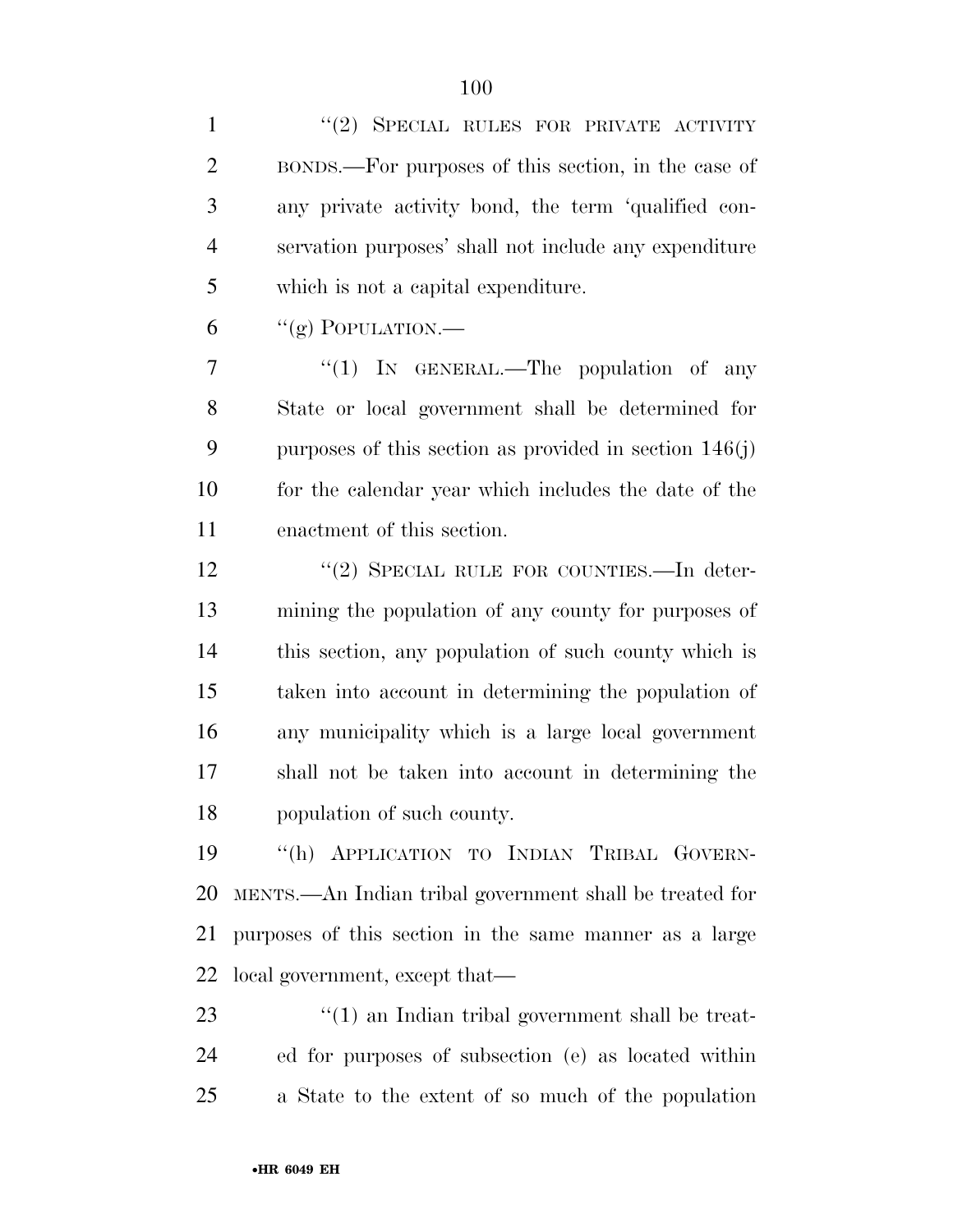1 ''(2) SPECIAL RULES FOR PRIVATE ACTIVITY BONDS.—For purposes of this section, in the case of any private activity bond, the term 'qualified con- servation purposes' shall not include any expenditure which is not a capital expenditure.

"(g) POPULATION.—

7 "(1) In GENERAL.—The population of any State or local government shall be determined for purposes of this section as provided in section 146(j) for the calendar year which includes the date of the enactment of this section.

12 "(2) SPECIAL RULE FOR COUNTIES.—In deter- mining the population of any county for purposes of this section, any population of such county which is taken into account in determining the population of any municipality which is a large local government shall not be taken into account in determining the population of such county.

 ''(h) APPLICATION TO INDIAN TRIBAL GOVERN- MENTS.—An Indian tribal government shall be treated for purposes of this section in the same manner as a large local government, except that—

23 ''(1) an Indian tribal government shall be treat- ed for purposes of subsection (e) as located within a State to the extent of so much of the population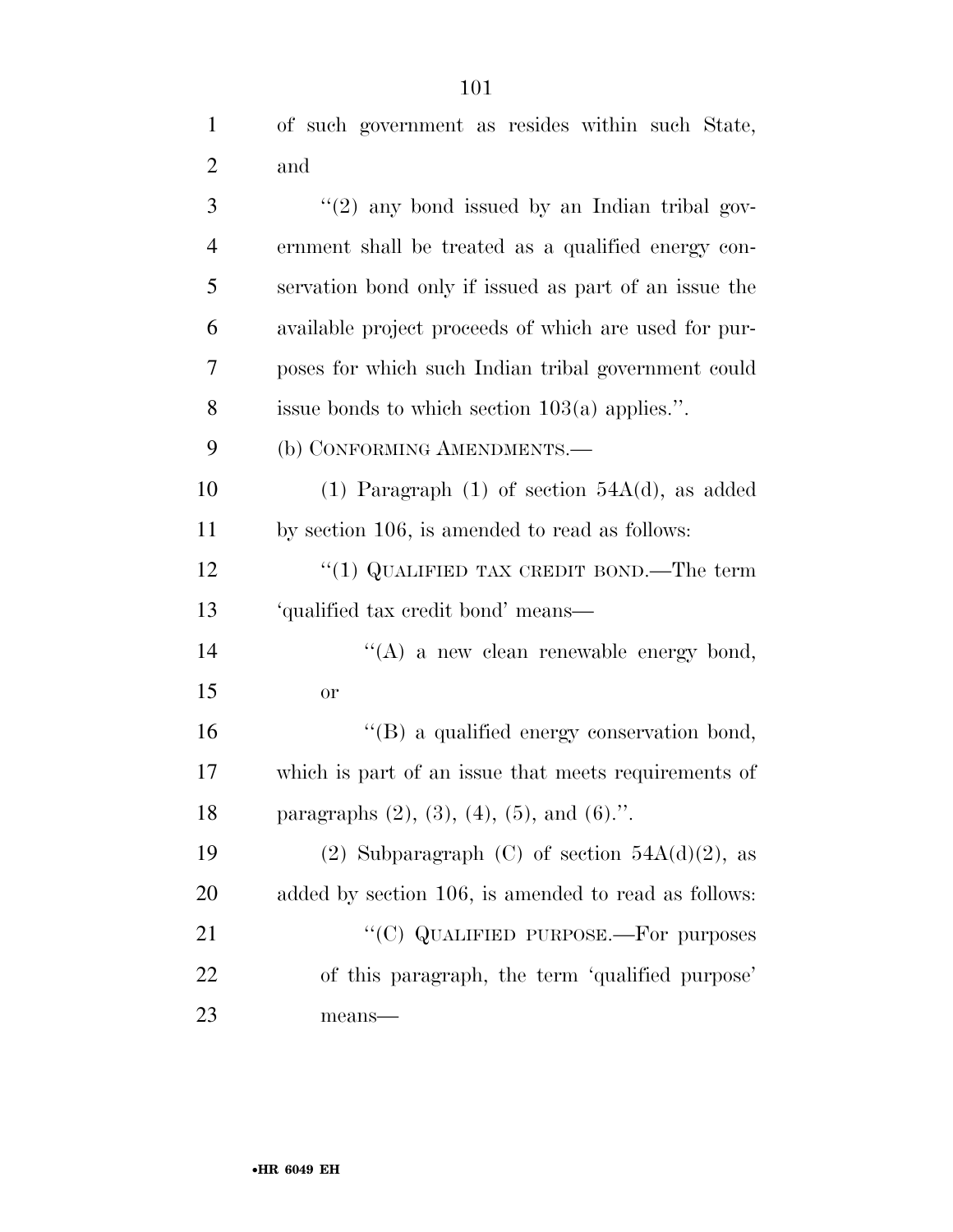| 1              | of such government as resides within such State,      |
|----------------|-------------------------------------------------------|
| 2              | and                                                   |
| 3              | $\lq(2)$ any bond issued by an Indian tribal gov-     |
| $\overline{4}$ | ernment shall be treated as a qualified energy con-   |
| 5              | servation bond only if issued as part of an issue the |
| 6              | available project proceeds of which are used for pur- |
| 7              | poses for which such Indian tribal government could   |
| 8              | issue bonds to which section $103(a)$ applies.".      |
| 9              | (b) CONFORMING AMENDMENTS.-                           |
| 10             | (1) Paragraph (1) of section $54A(d)$ , as added      |
| 11             | by section 106, is amended to read as follows:        |
| $\sim$         |                                                       |

 ''(1) QUALIFIED TAX CREDIT BOND.—The term 'qualified tax credit bond' means—

14 ''(A) a new clean renewable energy bond, or

 ''(B) a qualified energy conservation bond, which is part of an issue that meets requirements of paragraphs (2), (3), (4), (5), and (6).''.

19 (2) Subparagraph (C) of section  $54A(d)(2)$ , as added by section 106, is amended to read as follows: 21 "(C) QUALIFIED PURPOSE.—For purposes of this paragraph, the term 'qualified purpose' means—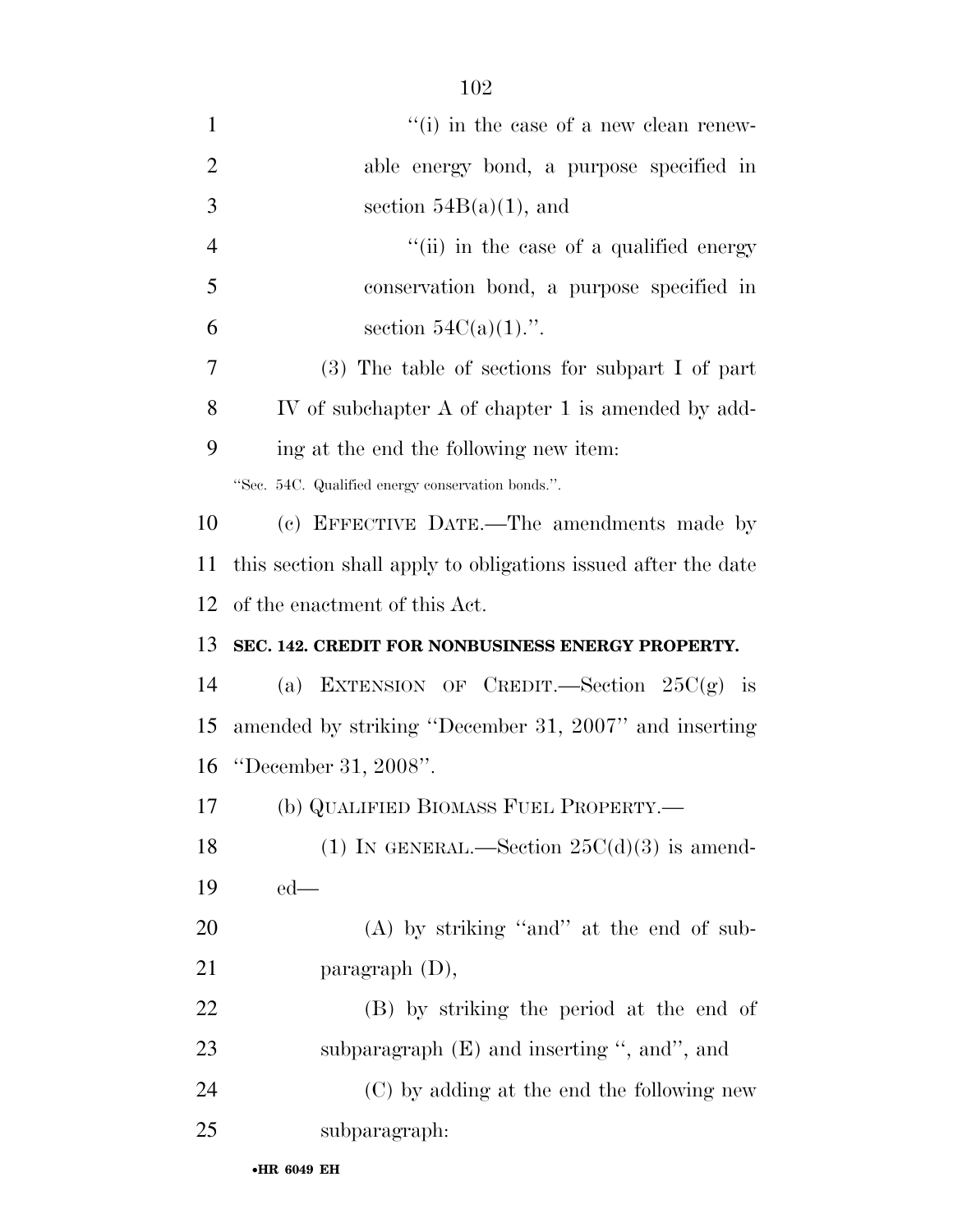| $\mathbf{1}$   | $f'(i)$ in the case of a new clean renew-                     |
|----------------|---------------------------------------------------------------|
| $\overline{2}$ | able energy bond, a purpose specified in                      |
| 3              | section $54B(a)(1)$ , and                                     |
| $\overline{4}$ | "(ii) in the case of a qualified energy                       |
| 5              | conservation bond, a purpose specified in                     |
| 6              | section $54C(a)(1)$ .".                                       |
| 7              | $(3)$ The table of sections for subpart I of part             |
| 8              | IV of subchapter A of chapter 1 is amended by add-            |
| 9              | ing at the end the following new item:                        |
|                | "Sec. 54C. Qualified energy conservation bonds.".             |
| 10             | (c) EFFECTIVE DATE.—The amendments made by                    |
| 11             | this section shall apply to obligations issued after the date |
| 12             | of the enactment of this Act.                                 |
| 13             | SEC. 142. CREDIT FOR NONBUSINESS ENERGY PROPERTY.             |
| 14             | (a) EXTENSION OF CREDIT.—Section $25C(g)$ is                  |
| 15             | amended by striking "December 31, 2007" and inserting         |
|                |                                                               |
| 16             | "December 31, 2008".                                          |
| 17             | (b) QUALIFIED BIOMASS FUEL PROPERTY.—                         |
| 18             | (1) IN GENERAL.—Section $25C(d)(3)$ is amend-                 |
| 19             | $ed$ —                                                        |
| 20             | $(A)$ by striking "and" at the end of sub-                    |
| 21             | paragraph $(D)$ ,                                             |
| 22             | (B) by striking the period at the end of                      |
| 23             | subparagraph $(E)$ and inserting ", and", and                 |
| 24             | (C) by adding at the end the following new                    |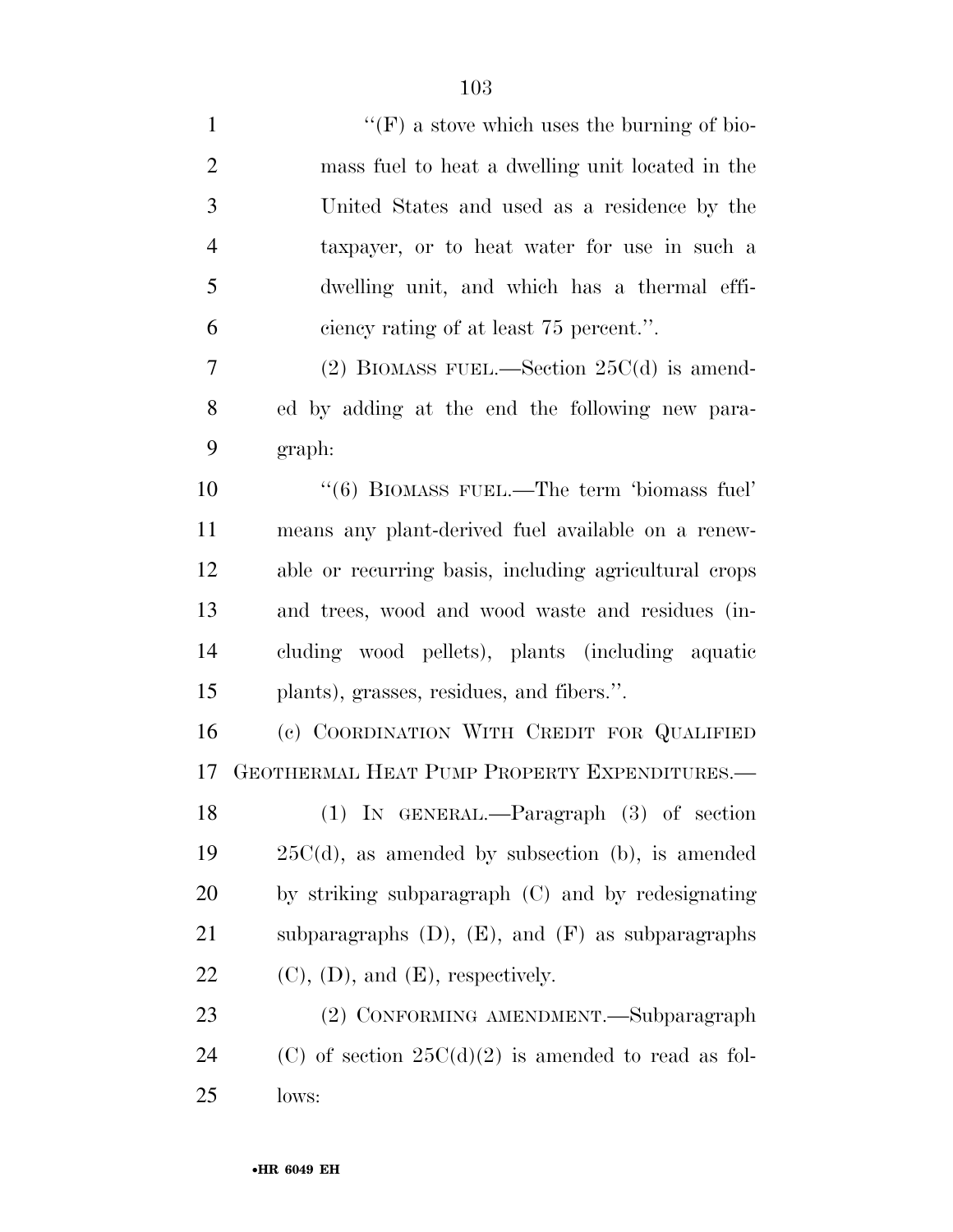| $\mathbf{1}$   | "(F) a stove which uses the burning of bio-              |
|----------------|----------------------------------------------------------|
| $\overline{2}$ | mass fuel to heat a dwelling unit located in the         |
| 3              | United States and used as a residence by the             |
| $\overline{4}$ | taxpayer, or to heat water for use in such a             |
| 5              | dwelling unit, and which has a thermal effi-             |
| 6              | ciency rating of at least 75 percent.".                  |
| 7              | (2) BIOMASS FUEL.—Section $25C(d)$ is amend-             |
| 8              | ed by adding at the end the following new para-          |
| 9              | graph:                                                   |
| 10             | "(6) BIOMASS FUEL.—The term 'biomass fuel'               |
| 11             | means any plant-derived fuel available on a renew-       |
| 12             | able or recurring basis, including agricultural crops    |
| 13             | and trees, wood and wood waste and residues (in-         |
| 14             | cluding wood pellets), plants (including aquatic         |
| 15             | plants), grasses, residues, and fibers.".                |
| 16             | (c) COORDINATION WITH CREDIT FOR QUALIFIED               |
| 17             | GEOTHERMAL HEAT PUMP PROPERTY EXPENDITURES.-             |
| 18             | (1) IN GENERAL.—Paragraph (3) of section                 |
| 19             | $25C(d)$ , as amended by subsection (b), is amended      |
| 20             | by striking subparagraph (C) and by redesignating        |
| 21             | subparagraphs $(D)$ , $(E)$ , and $(F)$ as subparagraphs |
| 22             | $(C)$ , $(D)$ , and $(E)$ , respectively.                |
| 23             | (2) CONFORMING AMENDMENT.—Subparagraph                   |
| 24             | (C) of section $25C(d)(2)$ is amended to read as fol-    |
| 25             | lows:                                                    |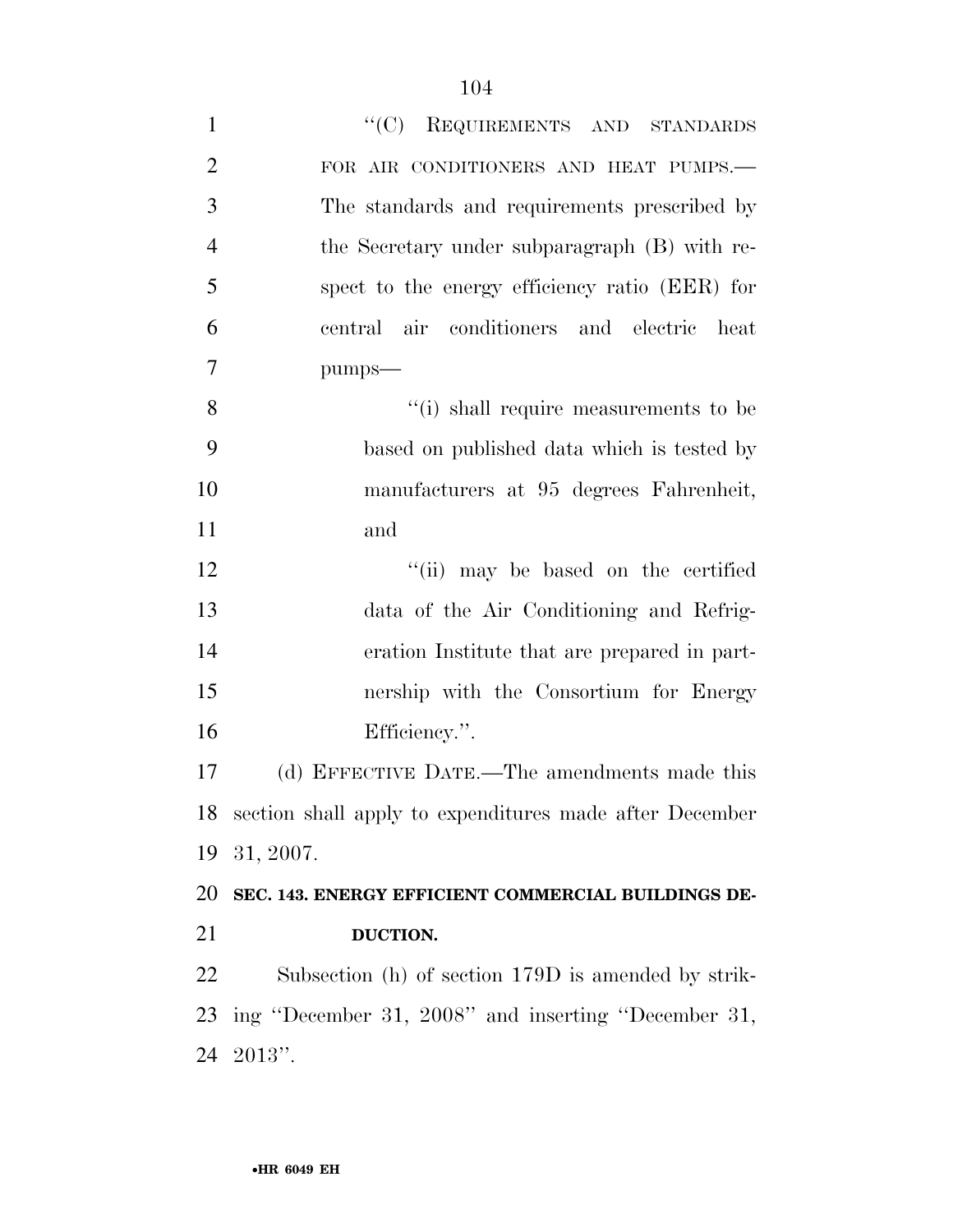| $\mathbf{1}$   | "(C) REQUIREMENTS AND STANDARDS                            |
|----------------|------------------------------------------------------------|
| $\overline{2}$ | FOR AIR CONDITIONERS AND HEAT PUMPS.-                      |
| 3              | The standards and requirements prescribed by               |
| $\overline{4}$ | the Secretary under subparagraph (B) with re-              |
| 5              | spect to the energy efficiency ratio (EER) for             |
| 6              | central air conditioners and electric<br>heat              |
| $\overline{7}$ | pumps-                                                     |
| 8              | "(i) shall require measurements to be                      |
| 9              | based on published data which is tested by                 |
| 10             | manufacturers at 95 degrees Fahrenheit,                    |
| 11             | and                                                        |
| 12             | "(ii) may be based on the certified                        |
| 13             | data of the Air Conditioning and Refrig-                   |
| 14             | eration Institute that are prepared in part-               |
| 15             | nership with the Consortium for Energy                     |
| 16             | Efficiency.".                                              |
| 17             | (d) EFFECTIVE DATE.—The amendments made this               |
|                | 18 section shall apply to expenditures made after December |
| 19             | 31, 2007.                                                  |
| 20             | SEC. 143. ENERGY EFFICIENT COMMERCIAL BUILDINGS DE-        |
| 21             | DUCTION.                                                   |
| 22             | Subsection (h) of section 179D is amended by strik-        |
| 23             | ing "December 31, 2008" and inserting "December 31,        |
| 24             | $2013"$ .                                                  |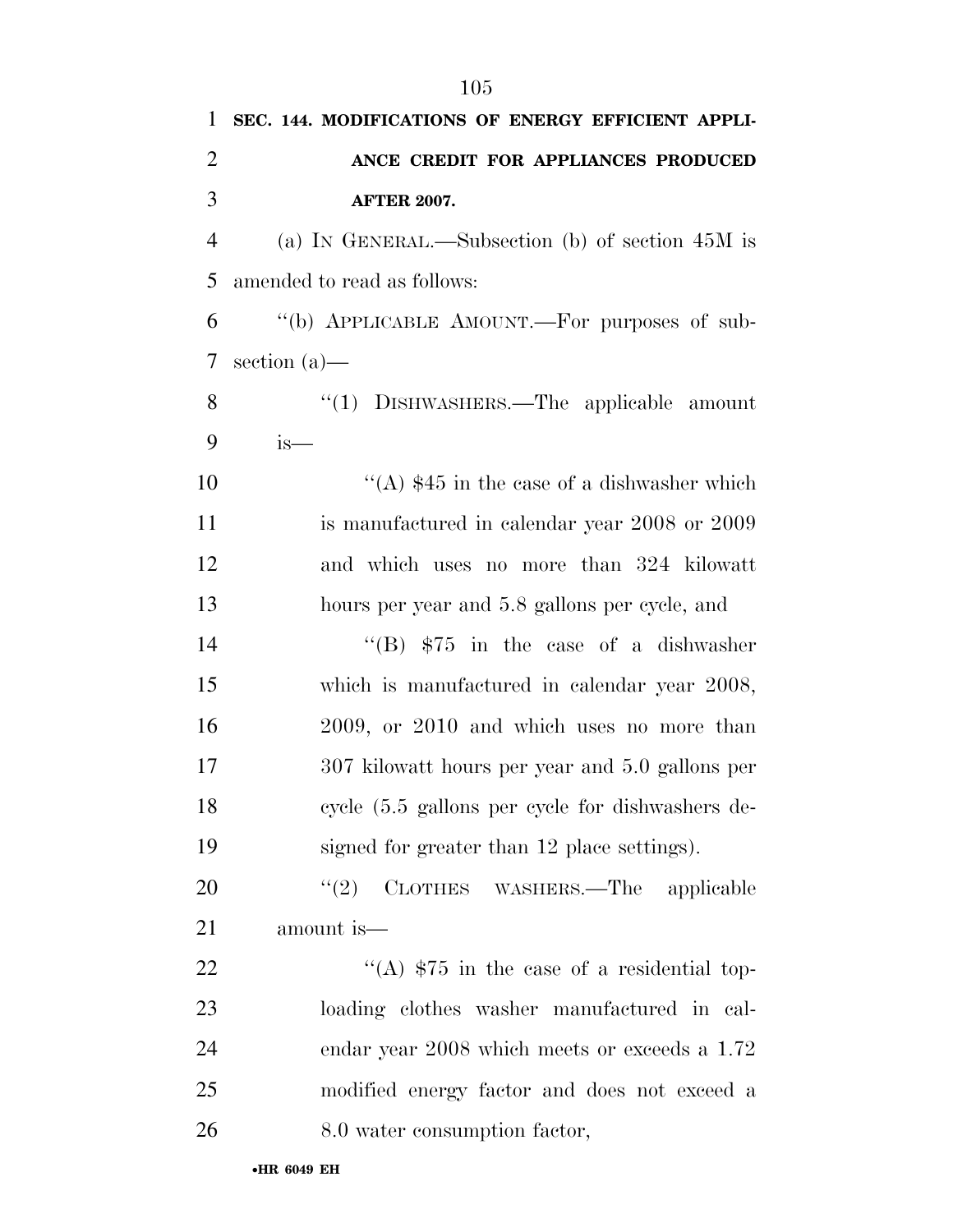| 1              | SEC. 144. MODIFICATIONS OF ENERGY EFFICIENT APPLI- |
|----------------|----------------------------------------------------|
| 2              | ANCE CREDIT FOR APPLIANCES PRODUCED                |
| 3              | <b>AFTER 2007.</b>                                 |
| $\overline{4}$ | (a) IN GENERAL.—Subsection (b) of section $45M$ is |
| 5              | amended to read as follows:                        |
| 6              | "(b) APPLICABLE AMOUNT.—For purposes of sub-       |
| 7              | section $(a)$ —                                    |
| 8              | "(1) DISHWASHERS.—The applicable amount            |
| 9              | is—                                                |
| 10             | "(A) $$45$ in the case of a dishwasher which       |
| 11             | is manufactured in calendar year 2008 or 2009      |
| 12             | and which uses no more than 324 kilowatt           |
| 13             | hours per year and 5.8 gallons per cycle, and      |
| 14             | "(B) $$75$ in the case of a dishwasher             |
| 15             | which is manufactured in calendar year 2008,       |
| 16             | 2009, or 2010 and which uses no more than          |
| 17             | 307 kilowatt hours per year and 5.0 gallons per    |
| 18             | cycle (5.5 gallons per cycle for dishwashers de-   |
| 19             | signed for greater than 12 place settings).        |
| 20             | (2)<br>CLOTHES WASHERS.—The applicable             |
| 21             | amount is—                                         |
| 22             | "(A) $$75$ in the case of a residential top-       |
| 23             | loading clothes washer manufactured in cal-        |
| 24             | endar year 2008 which meets or exceeds a 1.72      |
| 25             | modified energy factor and does not exceed a       |
| 26             | 8.0 water consumption factor,                      |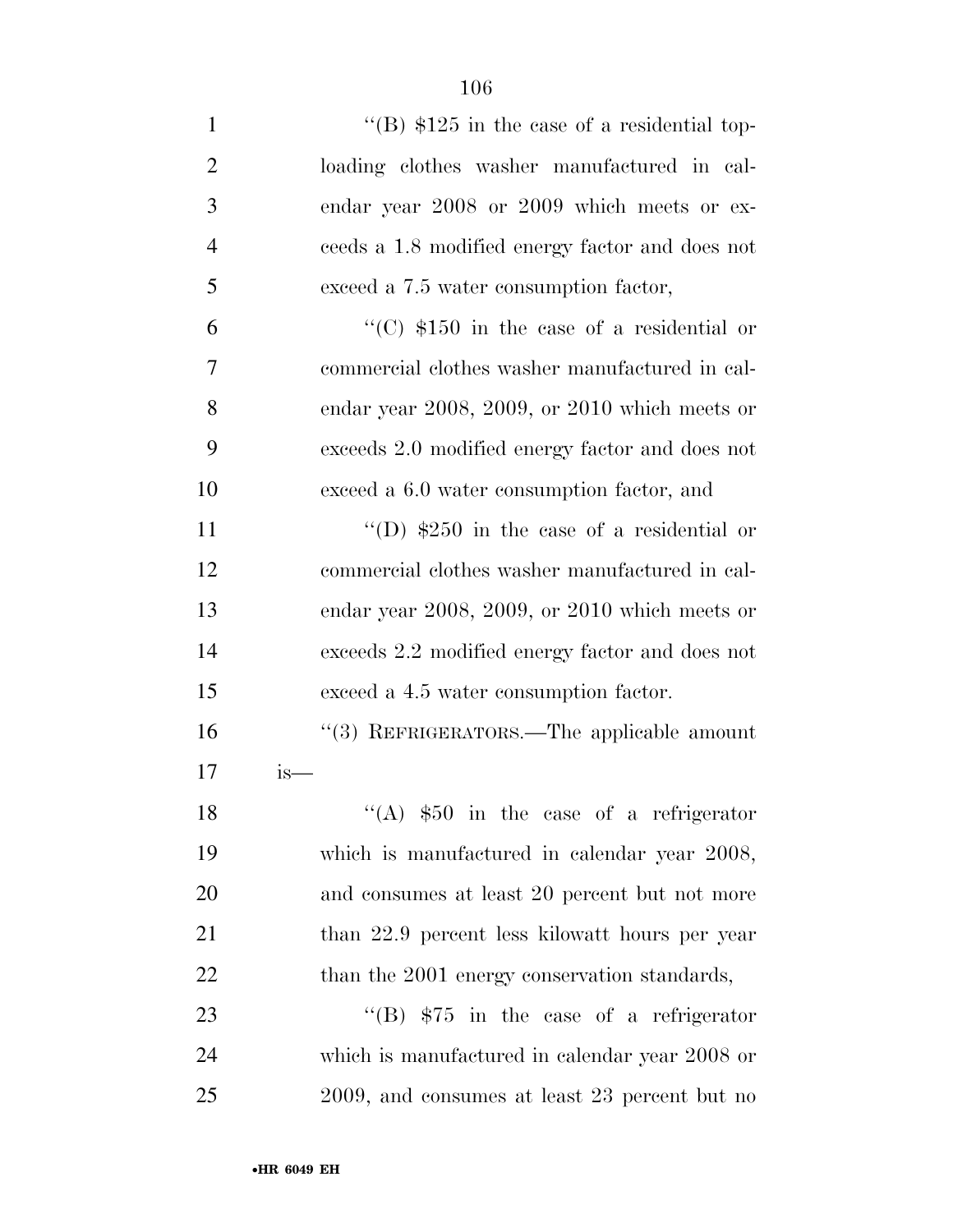$\text{``(B) $125 in the case of a residual top-}$  loading clothes washer manufactured in cal- endar year 2008 or 2009 which meets or ex- ceeds a 1.8 modified energy factor and does not exceed a 7.5 water consumption factor,  $\frac{1}{2}$  (C) \$150 in the case of a residential or commercial clothes washer manufactured in cal- endar year 2008, 2009, or 2010 which meets or exceeds 2.0 modified energy factor and does not exceed a 6.0 water consumption factor, and 11 ''(D)  $$250$  in the case of a residential or commercial clothes washer manufactured in cal- endar year 2008, 2009, or 2010 which meets or exceeds 2.2 modified energy factor and does not exceed a 4.5 water consumption factor. ''(3) REFRIGERATORS.—The applicable amount is— 18 ''(A)  $$50$  in the case of a refrigerator which is manufactured in calendar year 2008,

 and consumes at least 20 percent but not more 21 than 22.9 percent less kilowatt hours per year 22 than the 2001 energy conservation standards,

23 "'(B)  $$75$  in the case of a refrigerator which is manufactured in calendar year 2008 or 2009, and consumes at least 23 percent but no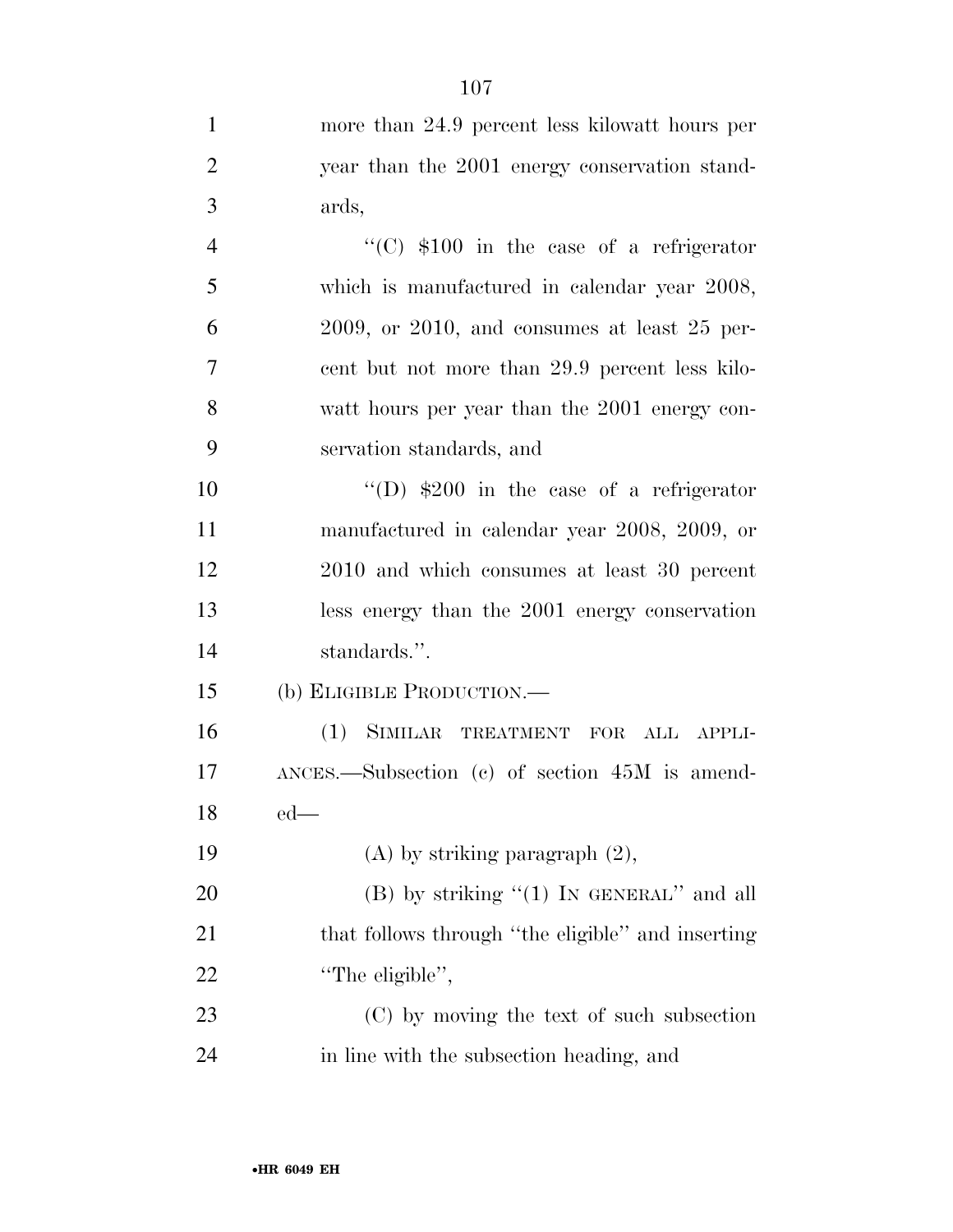|                | 107                                                  |
|----------------|------------------------------------------------------|
| $\mathbf{1}$   | more than 24.9 percent less kilowatt hours per       |
| $\overline{2}$ | year than the 2001 energy conservation stand-        |
| 3              | ards,                                                |
| $\overline{4}$ | "(C) $$100$ in the case of a refrigerator            |
| 5              | which is manufactured in calendar year 2008,         |
| 6              | $2009$ , or $2010$ , and consumes at least $25$ per- |
| 7              | cent but not more than 29.9 percent less kilo-       |
| 8              | watt hours per year than the 2001 energy con-        |
| 9              | servation standards, and                             |
| 10             | "(D) $$200$ in the case of a refrigerator            |
| 11             | manufactured in calendar year 2008, 2009, or         |
| 12             | 2010 and which consumes at least 30 percent          |
| 13             | less energy than the 2001 energy conservation        |
| 14             | standards.".                                         |
| 15             | (b) ELIGIBLE PRODUCTION.—                            |
| 16             | (1) SIMILAR TREATMENT FOR ALL APPLI-                 |
| 17             | $ANCES.$ Subsection (c) of section $45M$ is amend-   |
| 18             | $ed$ —                                               |
| 19             | $(A)$ by striking paragraph $(2)$ ,                  |
| 20             | $(B)$ by striking " $(1)$ In GENERAL" and all        |
| 21             | that follows through "the eligible" and inserting    |
| 22             | "The eligible",                                      |
| 23             | (C) by moving the text of such subsection            |
| 24             | in line with the subsection heading, and             |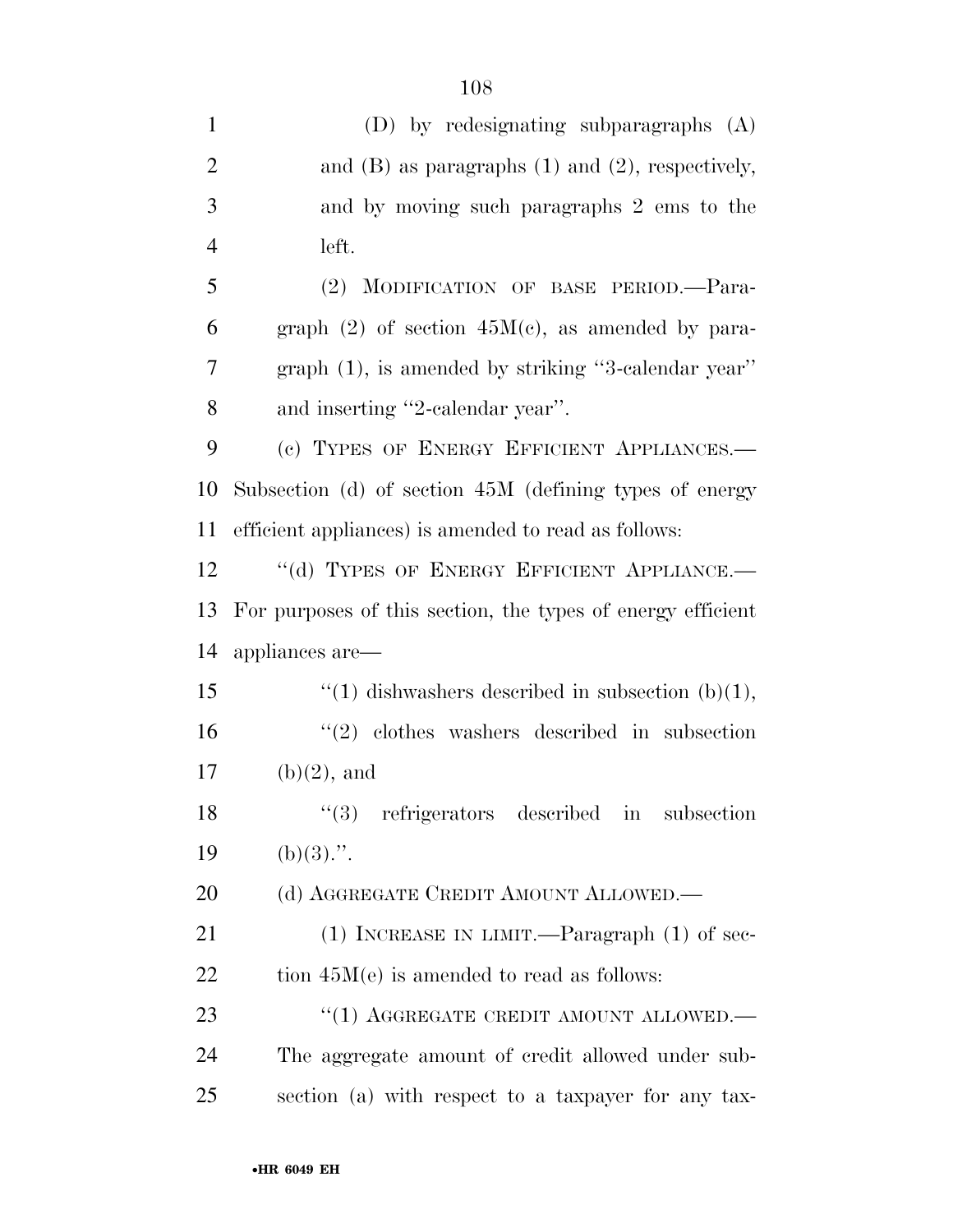| $\mathbf{1}$   | (D) by redesignating subparagraphs (A)                      |
|----------------|-------------------------------------------------------------|
| $\overline{2}$ | and $(B)$ as paragraphs $(1)$ and $(2)$ , respectively,     |
| 3              | and by moving such paragraphs 2 ems to the                  |
| $\overline{4}$ | left.                                                       |
| 5              | (2) MODIFICATION OF BASE PERIOD.-Para-                      |
| 6              | graph $(2)$ of section $45M(c)$ , as amended by para-       |
| 7              | $graph(1)$ , is amended by striking "3-calendar year"       |
| 8              | and inserting "2-calendar year".                            |
| 9              | (c) TYPES OF ENERGY EFFICIENT APPLIANCES.-                  |
| 10             | Subsection (d) of section 45M (defining types of energy     |
| 11             | efficient appliances) is amended to read as follows:        |
| 12             | "(d) TYPES OF ENERGY EFFICIENT APPLIANCE.-                  |
| 13             | For purposes of this section, the types of energy efficient |
| 14             | appliances are-                                             |
| 15             | "(1) dishwashers described in subsection $(b)(1)$ ,         |
| 16             | $(2)$ clothes washers described in subsection               |
| 17             | $(b)(2)$ , and                                              |
| 18             | ``(3)<br>refrigerators described in<br>subsection           |
| 19             | $(b)(3)$ .".                                                |
| 20             | (d) AGGREGATE CREDIT AMOUNT ALLOWED.—                       |
| 21             | $(1)$ INCREASE IN LIMIT.—Paragraph $(1)$ of sec-            |
| 22             | tion $45M(e)$ is amended to read as follows:                |
| 23             | "(1) AGGREGATE CREDIT AMOUNT ALLOWED.—                      |
| 24             | The aggregate amount of credit allowed under sub-           |
| 25             | section (a) with respect to a taxpayer for any tax-         |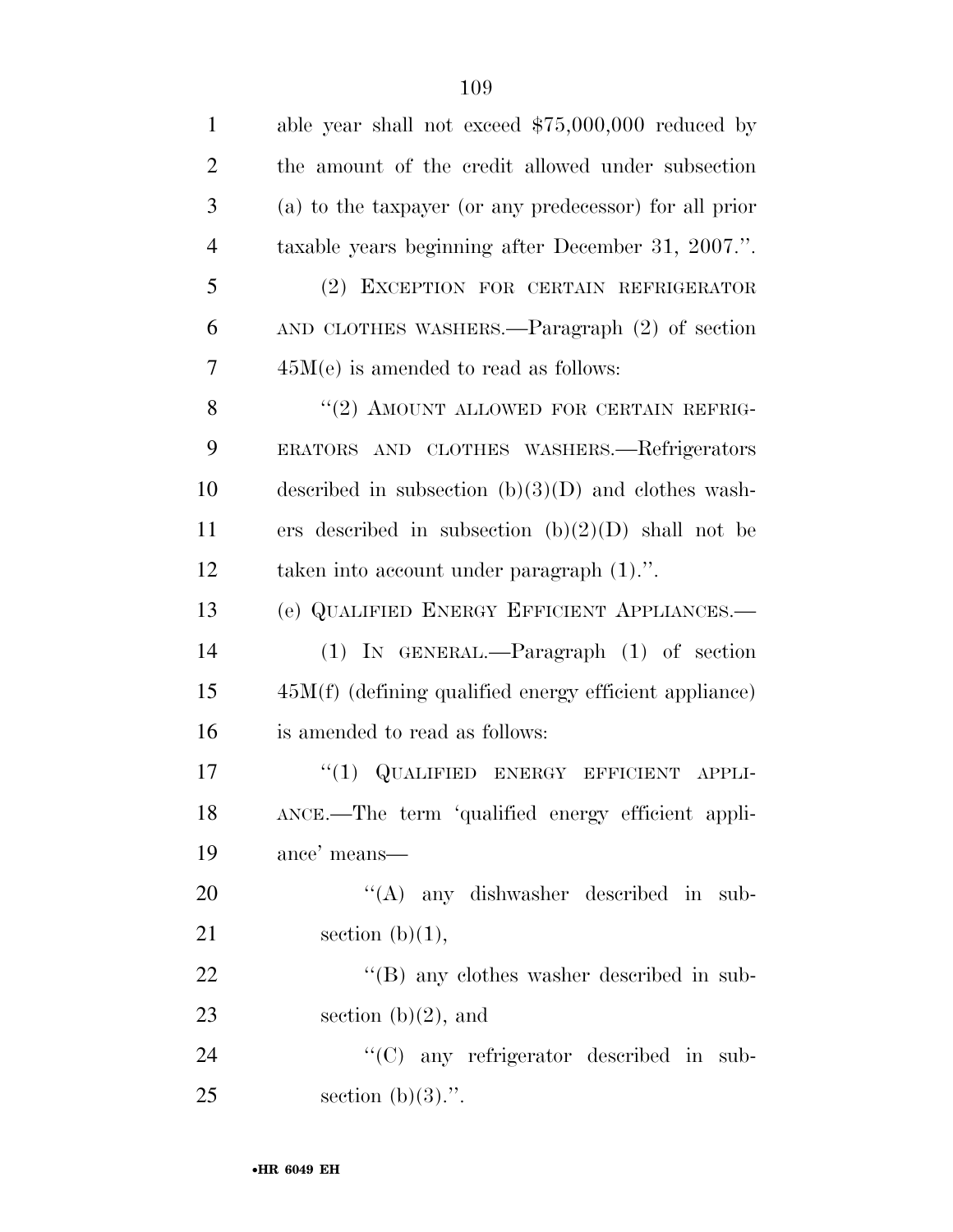| $\mathbf{1}$   | able year shall not exceed $$75,000,000$ reduced by      |
|----------------|----------------------------------------------------------|
| $\overline{2}$ | the amount of the credit allowed under subsection        |
| 3              | (a) to the taxpayer (or any predecessor) for all prior   |
| $\overline{4}$ | taxable years beginning after December 31, 2007.".       |
| 5              | (2) EXCEPTION FOR CERTAIN REFRIGERATOR                   |
| 6              | AND CLOTHES WASHERS.—Paragraph (2) of section            |
| 7              | $45M(e)$ is amended to read as follows:                  |
| 8              | "(2) AMOUNT ALLOWED FOR CERTAIN REFRIG-                  |
| 9              | ERATORS AND CLOTHES WASHERS.—Refrigerators               |
| 10             | described in subsection $(b)(3)(D)$ and clothes wash-    |
| 11             | ers described in subsection $(b)(2)(D)$ shall not be     |
| 12             | taken into account under paragraph $(1)$ .".             |
| 13             | (e) QUALIFIED ENERGY EFFICIENT APPLIANCES.-              |
| 14             | $(1)$ IN GENERAL.—Paragraph $(1)$ of section             |
| 15             | $45M(f)$ (defining qualified energy efficient appliance) |
| 16             | is amended to read as follows:                           |
| 17             | "(1) QUALIFIED ENERGY EFFICIENT APPLI-                   |
| 18             | ANCE.—The term 'qualified energy efficient appli-        |
| 19             | ance' means—                                             |
| 20             | "(A) any dishwasher described in sub-                    |
| 21             | section $(b)(1)$ ,                                       |
| 22             | $\lq\lq (B)$ any clothes washer described in sub-        |
| 23             | section $(b)(2)$ , and                                   |
| 24             | "(C) any refrigerator described in sub-                  |
| 25             | section $(b)(3)$ .".                                     |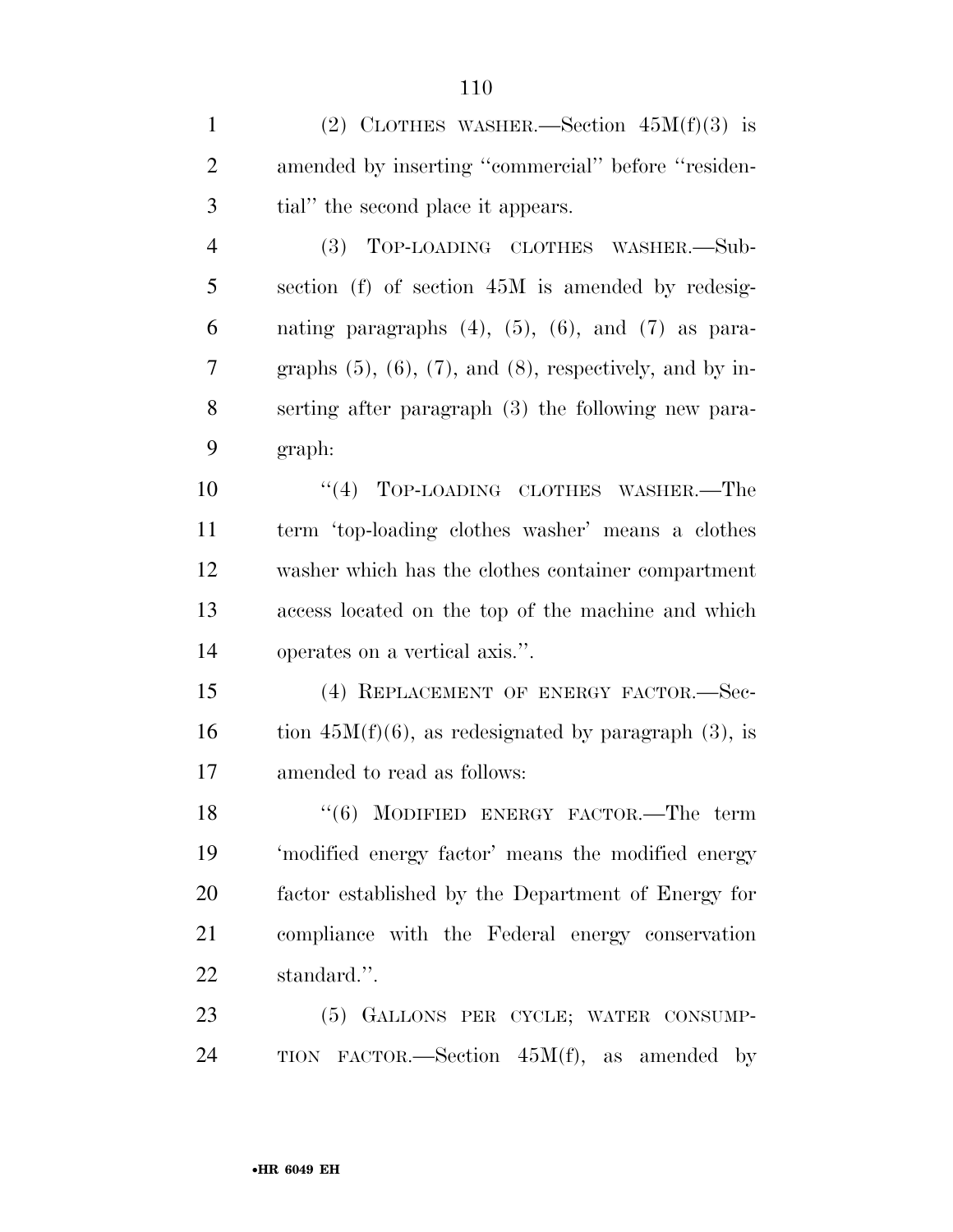1 (2) CLOTHES WASHER.—Section  $45M(f)(3)$  is amended by inserting ''commercial'' before ''residen-tial'' the second place it appears.

 (3) TOP-LOADING CLOTHES WASHER.—Sub- section (f) of section 45M is amended by redesig-6 nating paragraphs  $(4)$ ,  $(5)$ ,  $(6)$ , and  $(7)$  as para-7 graphs  $(5)$ ,  $(6)$ ,  $(7)$ , and  $(8)$ , respectively, and by in- serting after paragraph (3) the following new para-graph:

 $(4)$  TOP-LOADING CLOTHES WASHER.—The term 'top-loading clothes washer' means a clothes washer which has the clothes container compartment access located on the top of the machine and which operates on a vertical axis.''.

 (4) REPLACEMENT OF ENERGY FACTOR.—Sec-16 tion  $45M(f)(6)$ , as redesignated by paragraph (3), is amended to read as follows:

18 "(6) MODIFIED ENERGY FACTOR.—The term 'modified energy factor' means the modified energy factor established by the Department of Energy for compliance with the Federal energy conservation standard.''.

 (5) GALLONS PER CYCLE; WATER CONSUMP-TION FACTOR.—Section 45M(f), as amended by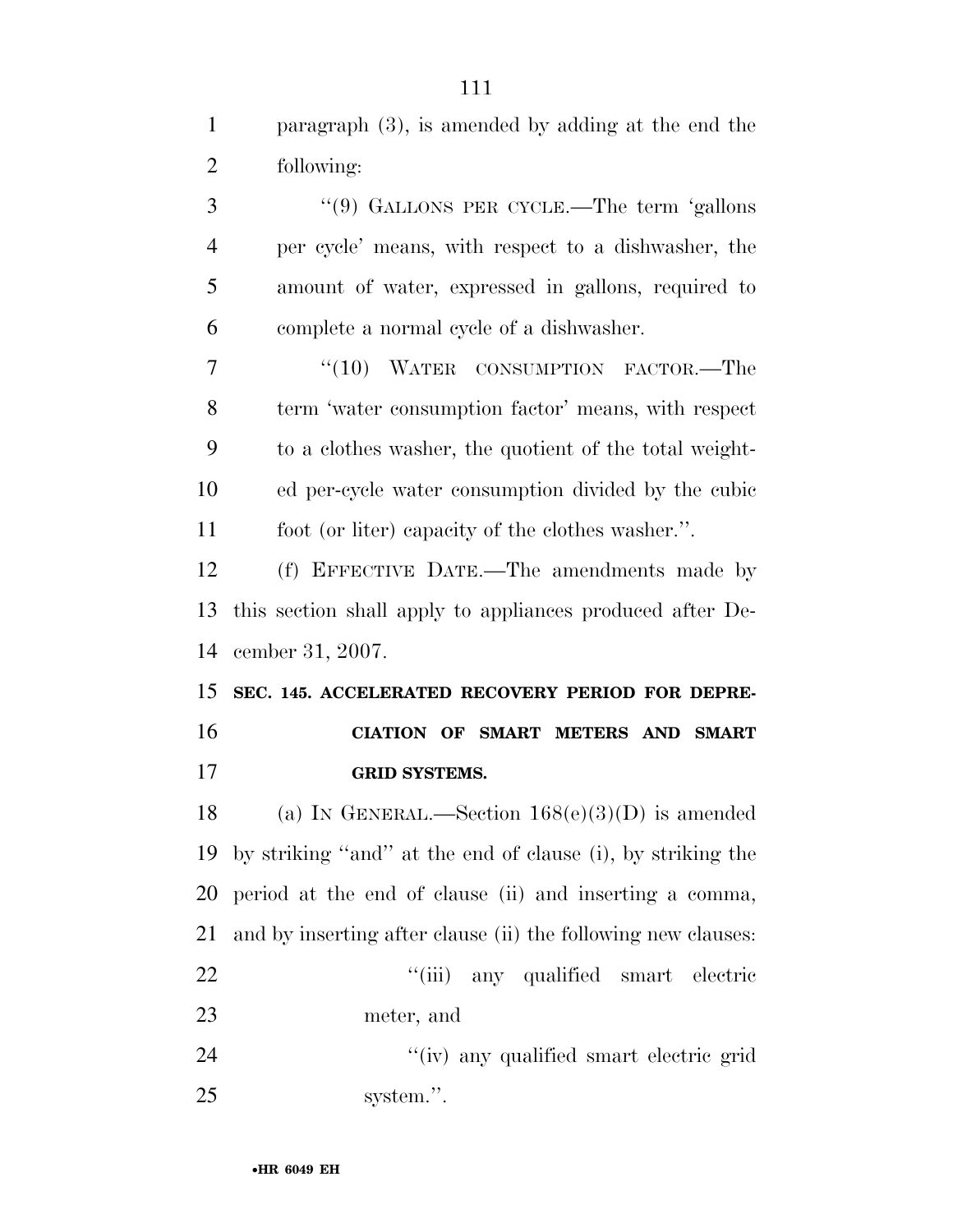paragraph (3), is amended by adding at the end the following: ''(9) GALLONS PER CYCLE.—The term 'gallons per cycle' means, with respect to a dishwasher, the amount of water, expressed in gallons, required to complete a normal cycle of a dishwasher. 7 "(10) WATER CONSUMPTION FACTOR.—The term 'water consumption factor' means, with respect to a clothes washer, the quotient of the total weight- ed per-cycle water consumption divided by the cubic foot (or liter) capacity of the clothes washer.''. (f) EFFECTIVE DATE.—The amendments made by this section shall apply to appliances produced after De- cember 31, 2007. **SEC. 145. ACCELERATED RECOVERY PERIOD FOR DEPRE- CIATION OF SMART METERS AND SMART GRID SYSTEMS.**  18 (a) IN GENERAL.—Section  $168(e)(3)(D)$  is amended by striking ''and'' at the end of clause (i), by striking the period at the end of clause (ii) and inserting a comma, and by inserting after clause (ii) the following new clauses: 22 ''(iii) any qualified smart electric meter, and 24 ''(iv) any qualified smart electric grid system.''.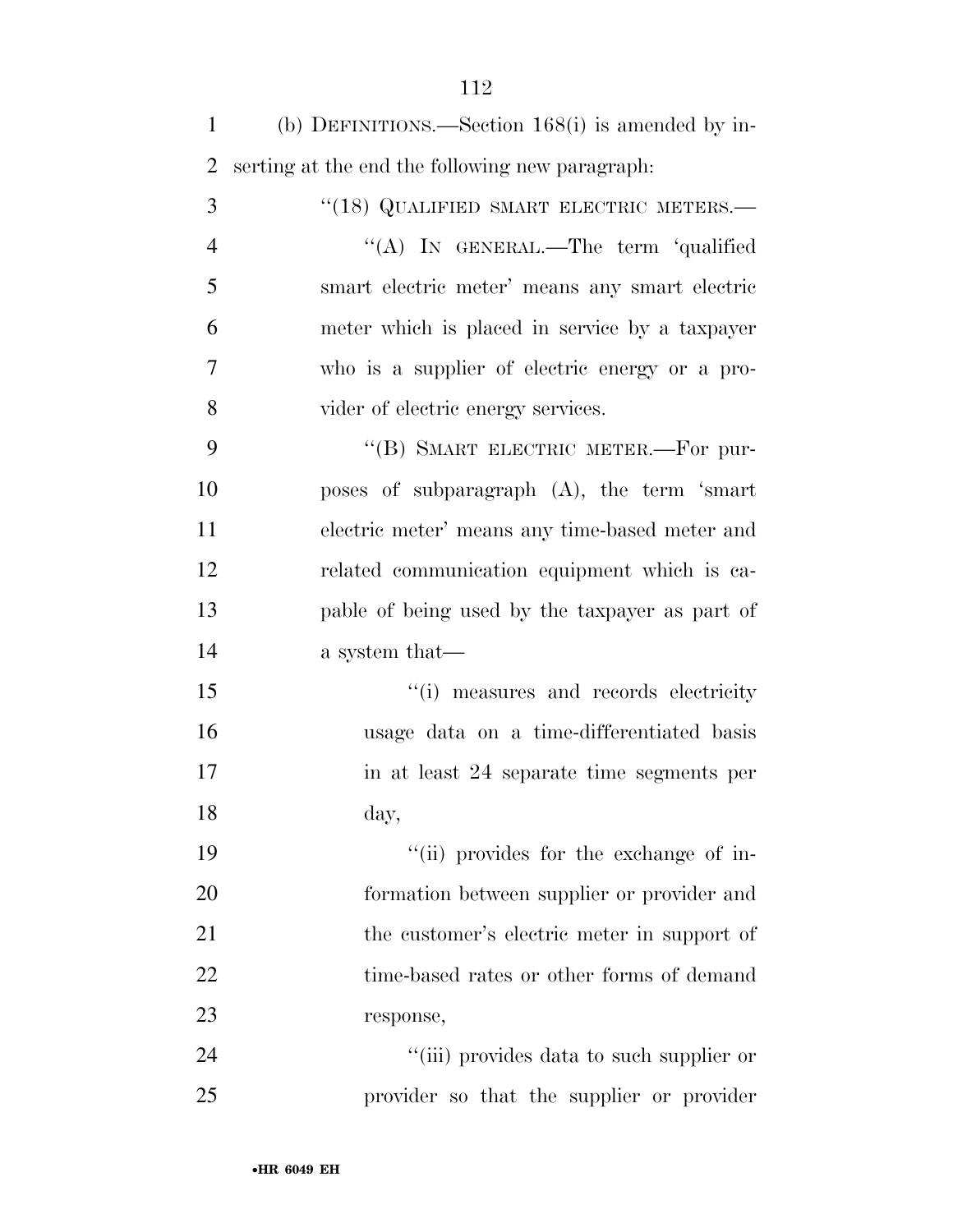(b) DEFINITIONS.—Section 168(i) is amended by in-serting at the end the following new paragraph:

3 "(18) QUALIFIED SMART ELECTRIC METERS.— ''(A) IN GENERAL.—The term 'qualified smart electric meter' means any smart electric meter which is placed in service by a taxpayer who is a supplier of electric energy or a pro-vider of electric energy services.

9 "(B) SMART ELECTRIC METER.—For pur- poses of subparagraph (A), the term 'smart electric meter' means any time-based meter and related communication equipment which is ca- pable of being used by the taxpayer as part of a system that—

 $"$ (i) measures and records electricity usage data on a time-differentiated basis in at least 24 separate time segments per day,

19  $\frac{1}{10}$  provides for the exchange of in- formation between supplier or provider and 21 the customer's electric meter in support of 22 time-based rates or other forms of demand response,

24 ''(iii) provides data to such supplier or provider so that the supplier or provider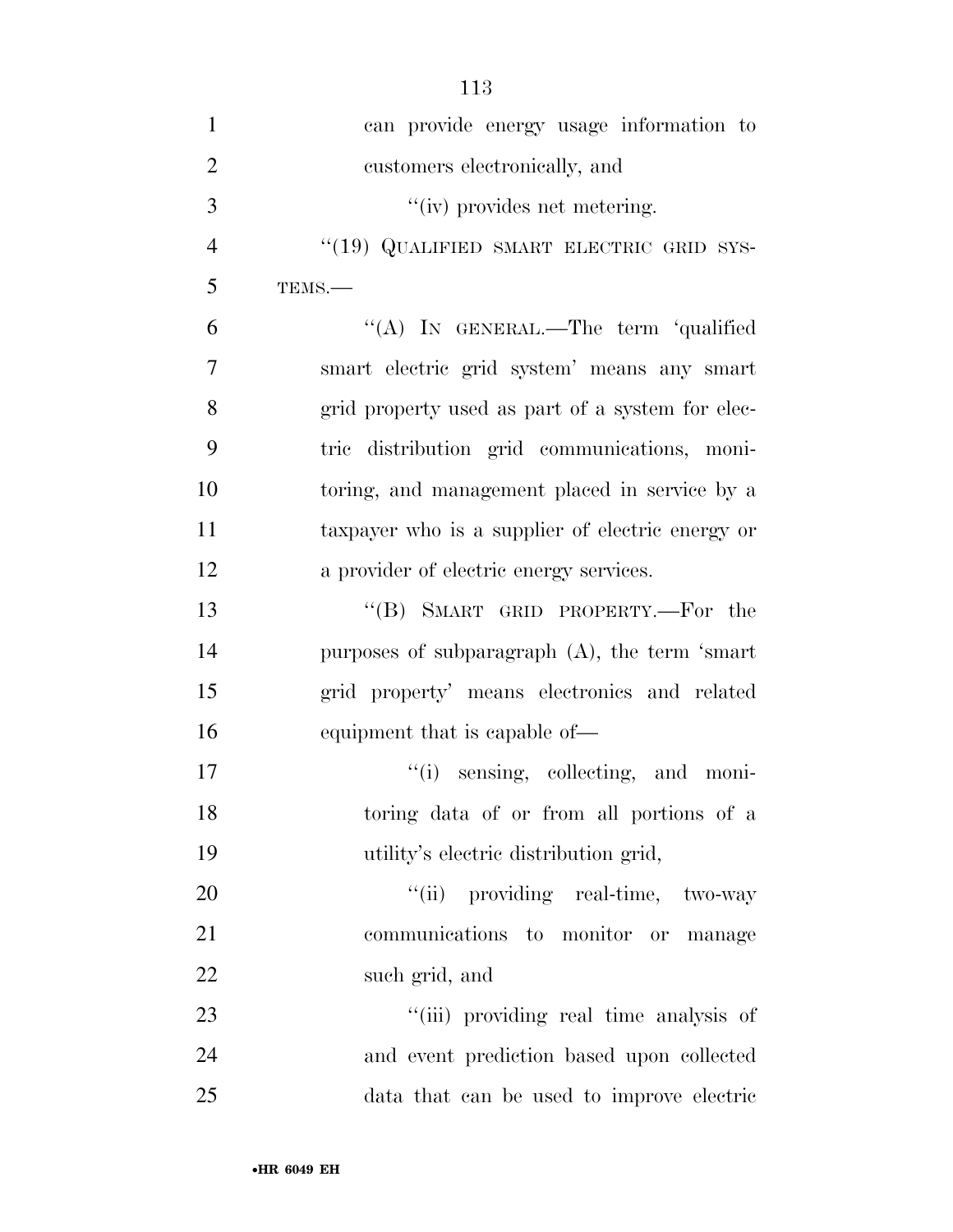| $\mathbf{1}$   | can provide energy usage information to          |
|----------------|--------------------------------------------------|
| $\overline{2}$ | customers electronically, and                    |
| 3              | "(iv) provides net metering.                     |
| $\overline{4}$ | "(19) QUALIFIED SMART ELECTRIC GRID SYS-         |
| 5              | TEMS.-                                           |
| 6              | "(A) IN GENERAL.—The term 'qualified             |
| 7              | smart electric grid system' means any smart      |
| 8              | grid property used as part of a system for elec- |
| 9              | tric distribution grid communications, moni-     |
| 10             | toring, and management placed in service by a    |
| 11             | taxpayer who is a supplier of electric energy or |
| 12             | a provider of electric energy services.          |
| 13             | "(B) SMART GRID PROPERTY.—For the                |
| 14             | purposes of subparagraph $(A)$ , the term 'smart |
| 15             | grid property' means electronics and related     |
| 16             | equipment that is capable of—                    |
| 17             | "(i) sensing, collecting, and moni-              |
| 18             | toring data of or from all portions of a         |
| 19             | utility's electric distribution grid,            |
| 20             | "(ii) providing real-time, two-way               |
| 21             | communications to monitor or manage              |
| 22             | such grid, and                                   |
| 23             | "(iii) providing real time analysis of           |
| 24             | and event prediction based upon collected        |
| 25             | data that can be used to improve electric        |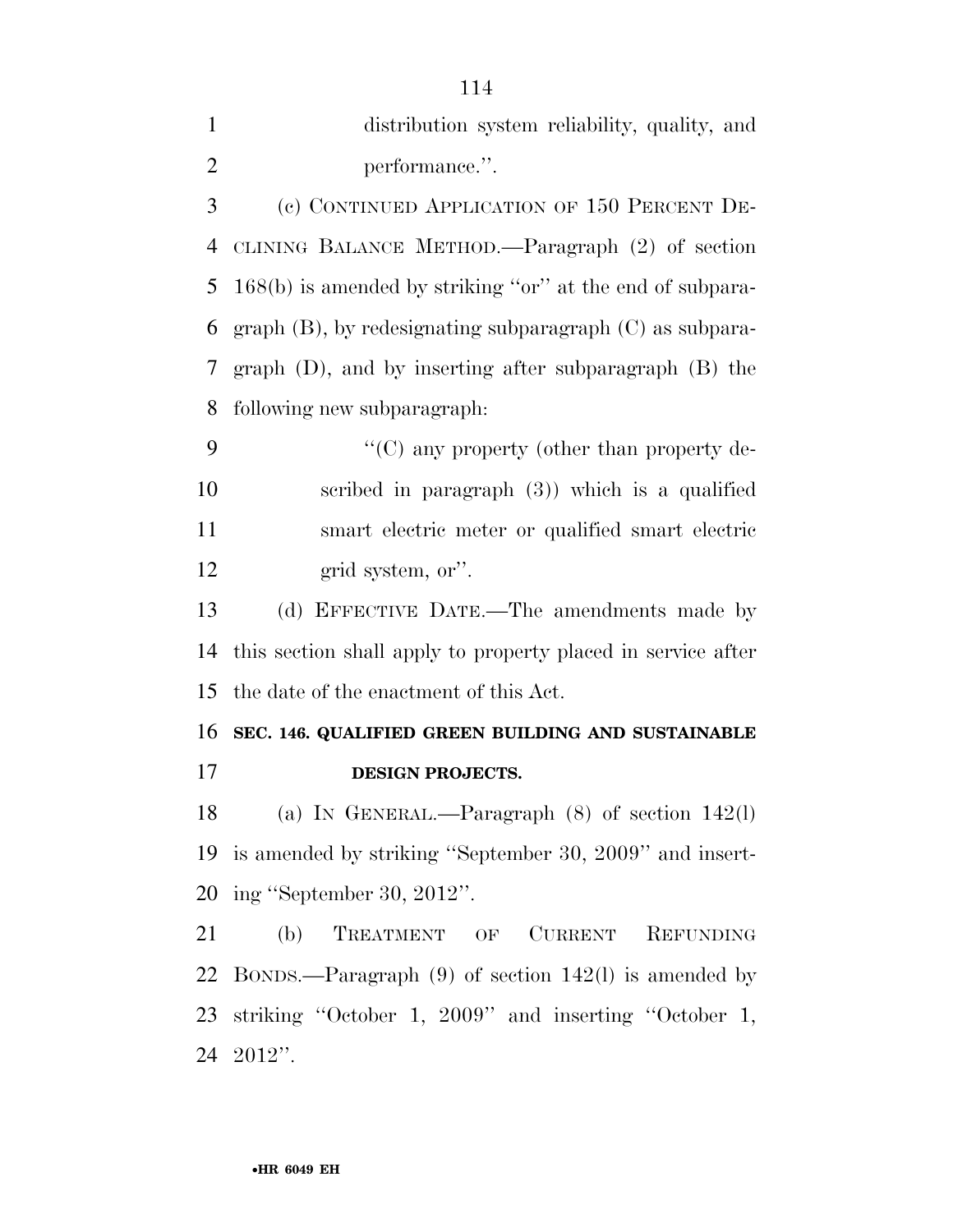| $\mathbf{1}$   | distribution system reliability, quality, and                 |
|----------------|---------------------------------------------------------------|
| $\overline{2}$ | performance.".                                                |
| 3              | (c) CONTINUED APPLICATION OF 150 PERCENT DE-                  |
| $\overline{4}$ | CLINING BALANCE METHOD.—Paragraph (2) of section              |
| 5              | $168(b)$ is amended by striking "or" at the end of subpara-   |
| 6              | graph $(B)$ , by redesignating subparagraph $(C)$ as subpara- |
| 7              | graph $(D)$ , and by inserting after subparagraph $(B)$ the   |
| 8              | following new subparagraph:                                   |
| 9              | "(C) any property (other than property de-                    |
| 10             | scribed in paragraph $(3)$ ) which is a qualified             |
| 11             | smart electric meter or qualified smart electric              |
| 12             | grid system, or".                                             |
| 13             | (d) EFFECTIVE DATE.—The amendments made by                    |
| 14             | this section shall apply to property placed in service after  |
| 15             | the date of the enactment of this Act.                        |
| 16             | SEC. 146. QUALIFIED GREEN BUILDING AND SUSTAINABLE            |
| 17             | <b>DESIGN PROJECTS.</b>                                       |
| 18             | (a) IN GENERAL.—Paragraph $(8)$ of section 142(l)             |
| 19             | is amended by striking "September 30, 2009" and insert-       |
| 20             | ing "September 30, 2012".                                     |
| 21             | TREATMENT OF<br>CURRENT REFUNDING<br>(b)                      |
| 22             | BONDS.—Paragraph $(9)$ of section 142(l) is amended by        |
| 23             | striking "October 1, 2009" and inserting "October 1,          |

2012''.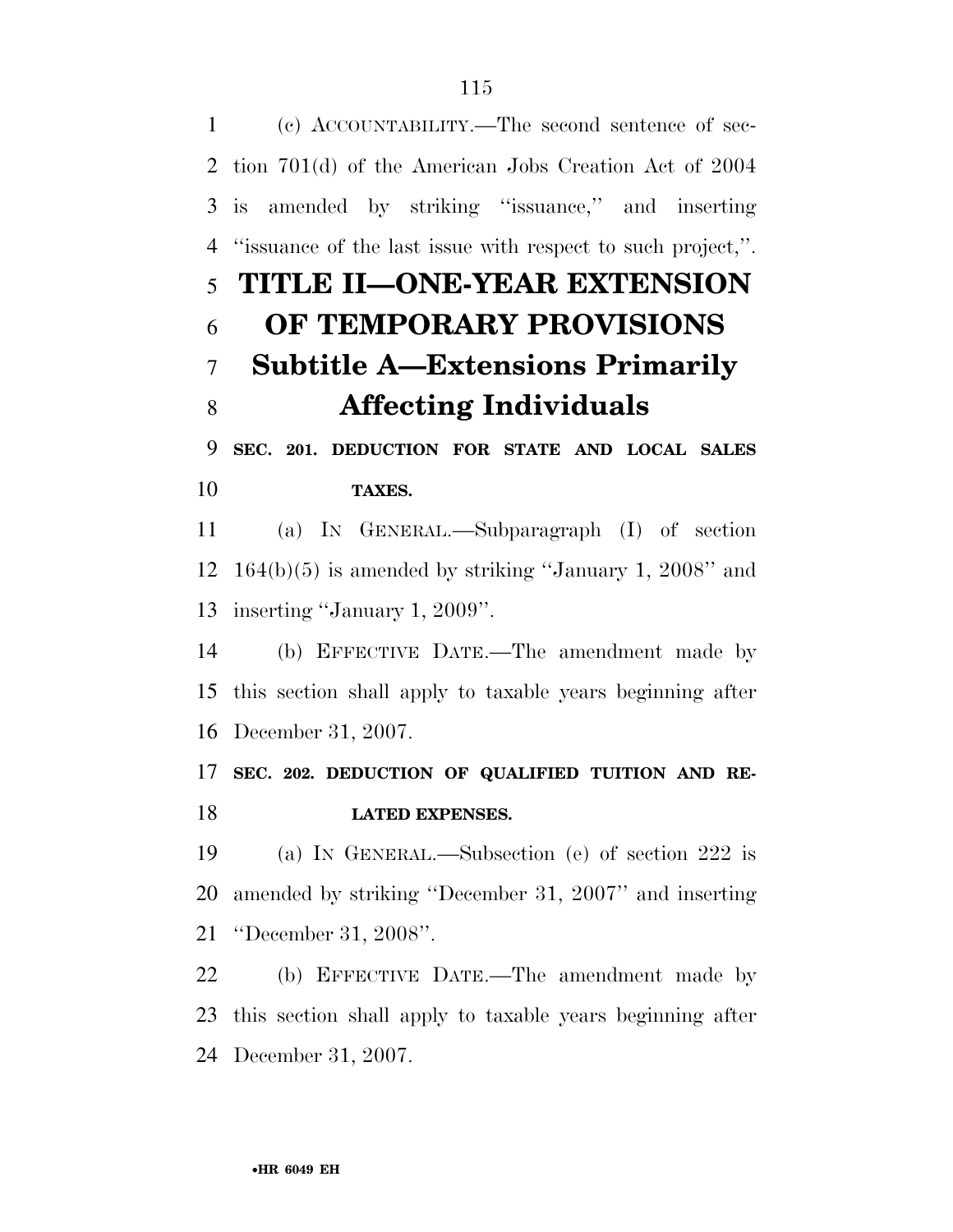(c) ACCOUNTABILITY.—The second sentence of sec- tion 701(d) of the American Jobs Creation Act of 2004 is amended by striking ''issuance,'' and inserting ''issuance of the last issue with respect to such project,''. **TITLE II—ONE-YEAR EXTENSION OF TEMPORARY PROVISIONS Subtitle A—Extensions Primarily Affecting Individuals SEC. 201. DEDUCTION FOR STATE AND LOCAL SALES TAXES.**  (a) IN GENERAL.—Subparagraph (I) of section 164(b)(5) is amended by striking ''January 1, 2008'' and inserting ''January 1, 2009''. (b) EFFECTIVE DATE.—The amendment made by this section shall apply to taxable years beginning after December 31, 2007. **SEC. 202. DEDUCTION OF QUALIFIED TUITION AND RE- LATED EXPENSES.**  (a) IN GENERAL.—Subsection (e) of section 222 is amended by striking ''December 31, 2007'' and inserting ''December 31, 2008''. (b) EFFECTIVE DATE.—The amendment made by this section shall apply to taxable years beginning after

December 31, 2007.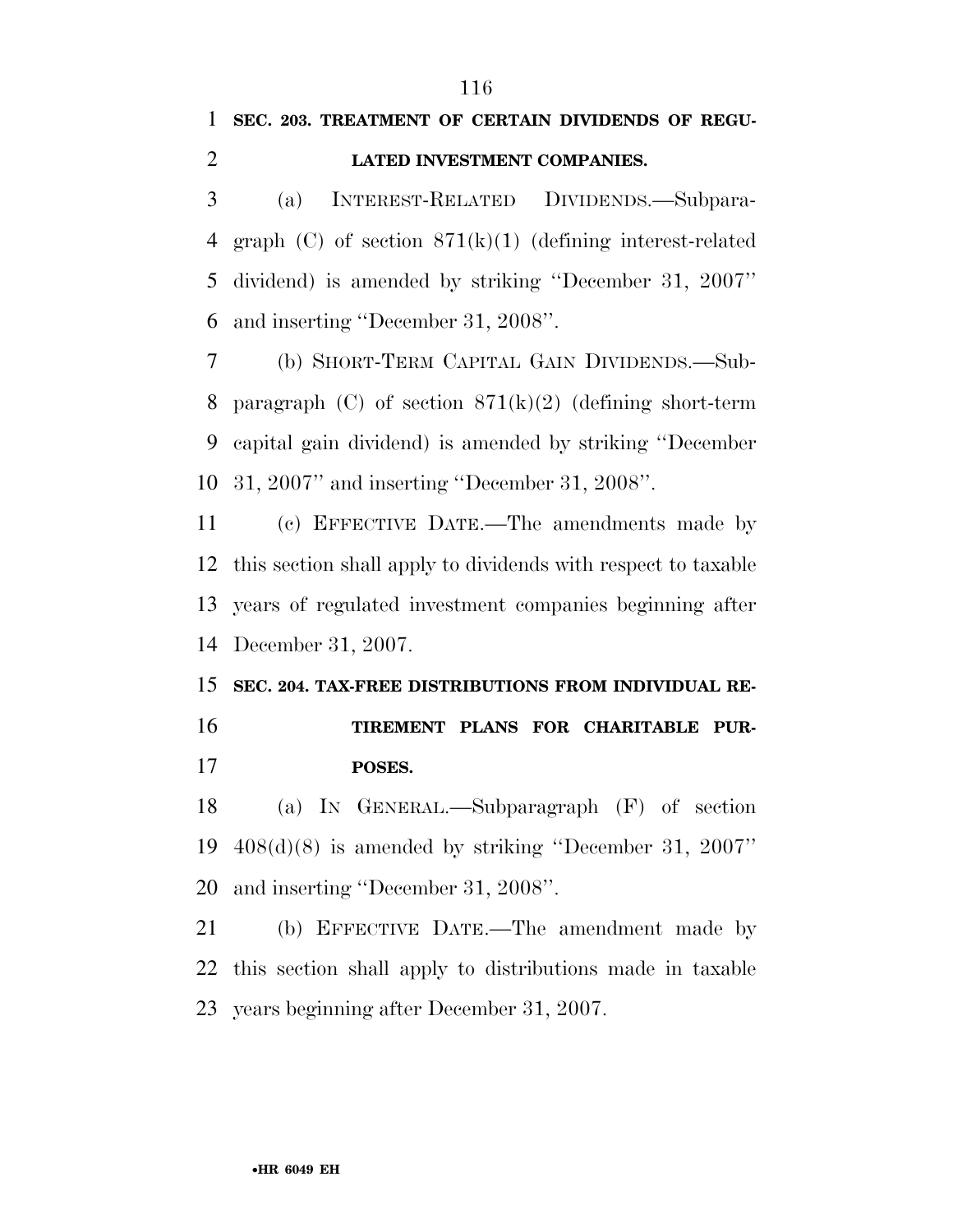## **SEC. 203. TREATMENT OF CERTAIN DIVIDENDS OF REGU-LATED INVESTMENT COMPANIES.**

 (a) INTEREST-RELATED DIVIDENDS.—Subpara- graph (C) of section 871(k)(1) (defining interest-related dividend) is amended by striking ''December 31, 2007'' and inserting ''December 31, 2008''.

 (b) SHORT-TERM CAPITAL GAIN DIVIDENDS.—Sub-8 paragraph (C) of section  $871(k)(2)$  (defining short-term capital gain dividend) is amended by striking ''December 31, 2007'' and inserting ''December 31, 2008''.

 (c) EFFECTIVE DATE.—The amendments made by this section shall apply to dividends with respect to taxable years of regulated investment companies beginning after December 31, 2007.

# **SEC. 204. TAX-FREE DISTRIBUTIONS FROM INDIVIDUAL RE- TIREMENT PLANS FOR CHARITABLE PUR-POSES.**

 (a) IN GENERAL.—Subparagraph (F) of section 408(d)(8) is amended by striking ''December 31, 2007'' and inserting ''December 31, 2008''.

 (b) EFFECTIVE DATE.—The amendment made by this section shall apply to distributions made in taxable years beginning after December 31, 2007.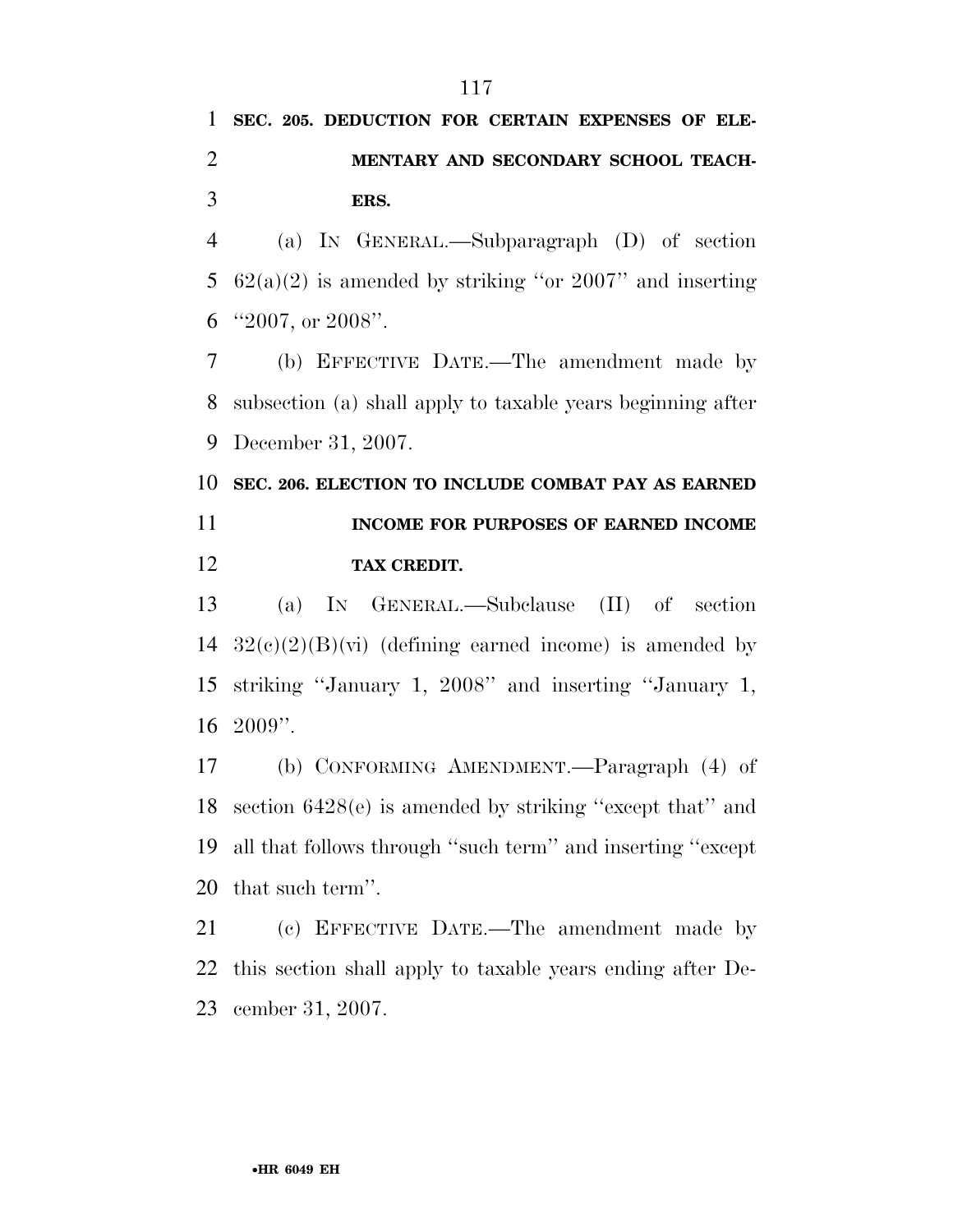# **SEC. 205. DEDUCTION FOR CERTAIN EXPENSES OF ELE- MENTARY AND SECONDARY SCHOOL TEACH-ERS.**

 (a) IN GENERAL.—Subparagraph (D) of section 5  $62(a)(2)$  is amended by striking "or  $2007$ " and inserting ''2007, or 2008''.

 (b) EFFECTIVE DATE.—The amendment made by subsection (a) shall apply to taxable years beginning after December 31, 2007.

 **SEC. 206. ELECTION TO INCLUDE COMBAT PAY AS EARNED INCOME FOR PURPOSES OF EARNED INCOME TAX CREDIT.** 

 (a) IN GENERAL.—Subclause (II) of section  $32(c)(2)(B)(vi)$  (defining earned income) is amended by striking ''January 1, 2008'' and inserting ''January 1,  $16\text{ }2009$ ".

 (b) CONFORMING AMENDMENT.—Paragraph (4) of section 6428(e) is amended by striking ''except that'' and all that follows through ''such term'' and inserting ''except that such term''.

 (c) EFFECTIVE DATE.—The amendment made by this section shall apply to taxable years ending after De-cember 31, 2007.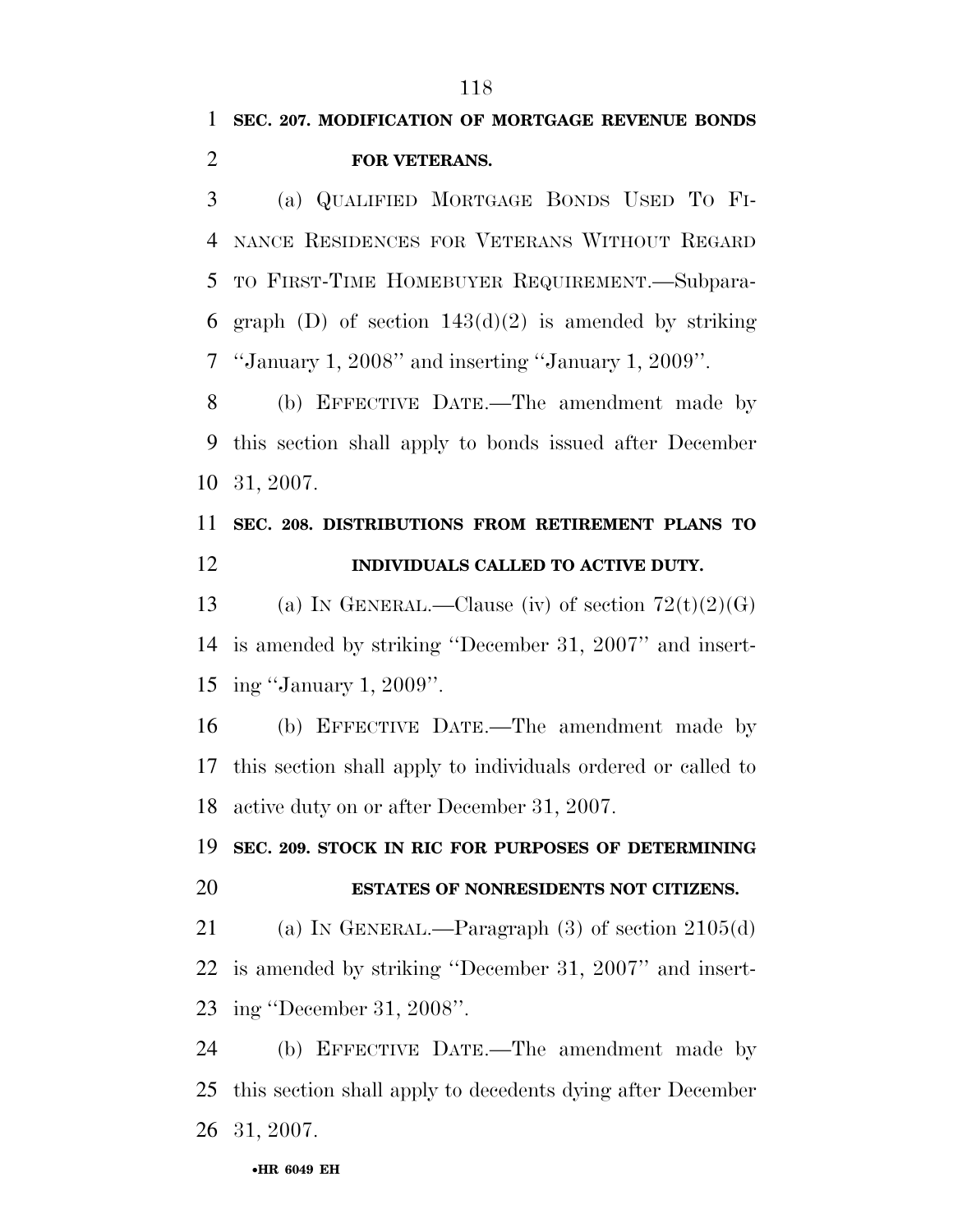# **SEC. 207. MODIFICATION OF MORTGAGE REVENUE BONDS FOR VETERANS.**

 (a) QUALIFIED MORTGAGE BONDS USED TO FI- NANCE RESIDENCES FOR VETERANS WITHOUT REGARD TO FIRST-TIME HOMEBUYER REQUIREMENT.—Subpara-6 graph (D) of section  $143(d)(2)$  is amended by striking ''January 1, 2008'' and inserting ''January 1, 2009''.

 (b) EFFECTIVE DATE.—The amendment made by this section shall apply to bonds issued after December 31, 2007.

# **SEC. 208. DISTRIBUTIONS FROM RETIREMENT PLANS TO INDIVIDUALS CALLED TO ACTIVE DUTY.**

13 (a) IN GENERAL.—Clause (iv) of section  $72(t)(2)(G)$  is amended by striking ''December 31, 2007'' and insert-ing ''January 1, 2009''.

 (b) EFFECTIVE DATE.—The amendment made by this section shall apply to individuals ordered or called to active duty on or after December 31, 2007.

# **SEC. 209. STOCK IN RIC FOR PURPOSES OF DETERMINING ESTATES OF NONRESIDENTS NOT CITIZENS.**

 (a) IN GENERAL.—Paragraph (3) of section 2105(d) is amended by striking ''December 31, 2007'' and insert-ing ''December 31, 2008''.

 (b) EFFECTIVE DATE.—The amendment made by this section shall apply to decedents dying after December 31, 2007.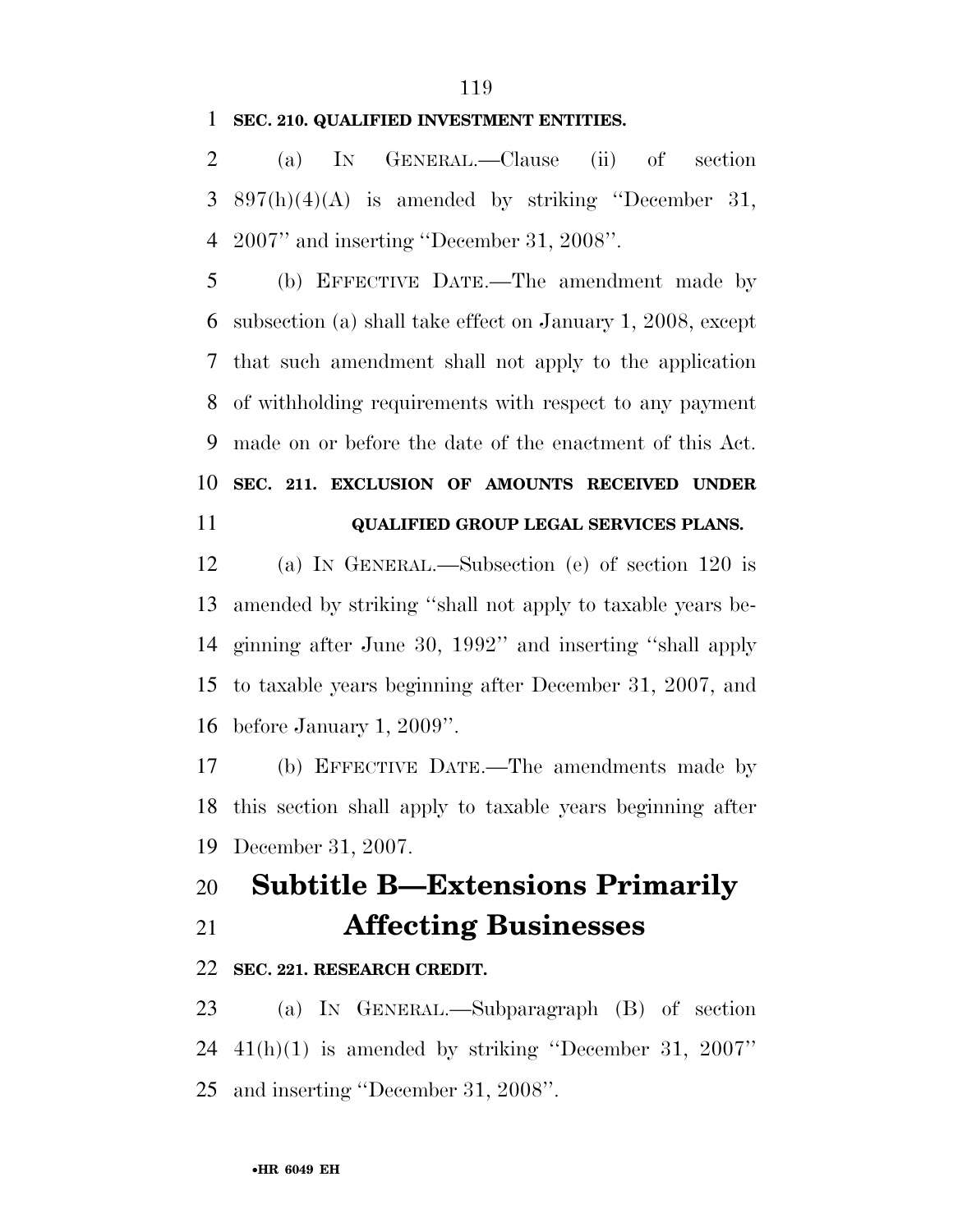#### **SEC. 210. QUALIFIED INVESTMENT ENTITIES.**

 (a) IN GENERAL.—Clause (ii) of section 3 897(h)(4)(A) is amended by striking "December 31, 2007'' and inserting ''December 31, 2008''.

 (b) EFFECTIVE DATE.—The amendment made by subsection (a) shall take effect on January 1, 2008, except that such amendment shall not apply to the application of withholding requirements with respect to any payment made on or before the date of the enactment of this Act. **SEC. 211. EXCLUSION OF AMOUNTS RECEIVED UNDER** 

**QUALIFIED GROUP LEGAL SERVICES PLANS.** 

 (a) IN GENERAL.—Subsection (e) of section 120 is amended by striking ''shall not apply to taxable years be- ginning after June 30, 1992'' and inserting ''shall apply to taxable years beginning after December 31, 2007, and before January 1, 2009''.

 (b) EFFECTIVE DATE.—The amendments made by this section shall apply to taxable years beginning after December 31, 2007.

# **Subtitle B—Extensions Primarily Affecting Businesses**

#### **SEC. 221. RESEARCH CREDIT.**

 (a) IN GENERAL.—Subparagraph (B) of section 41(h)(1) is amended by striking ''December 31, 2007'' and inserting ''December 31, 2008''.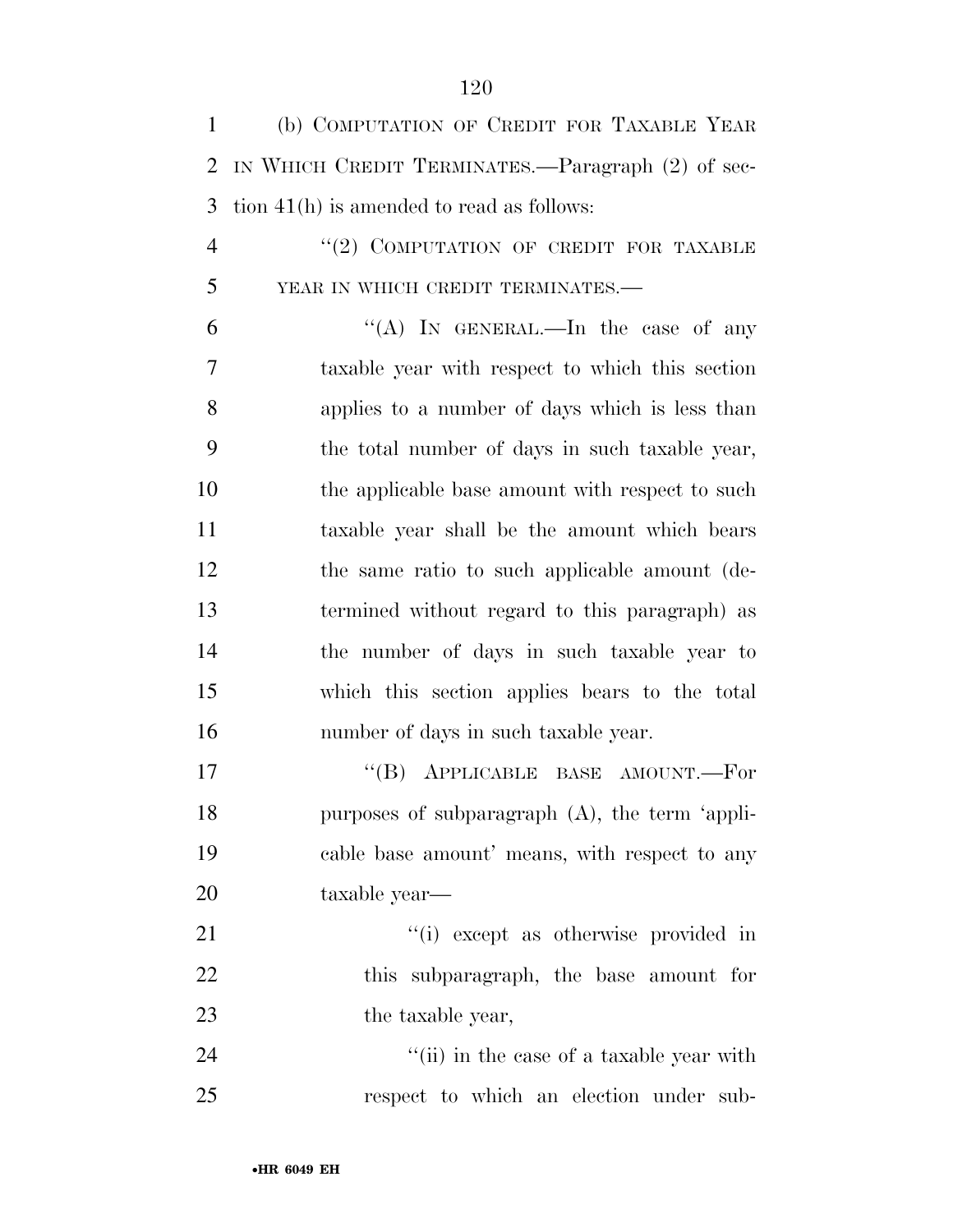| $\mathbf{1}$   | (b) COMPUTATION OF CREDIT FOR TAXABLE YEAR        |
|----------------|---------------------------------------------------|
| $\overline{2}$ | IN WHICH CREDIT TERMINATES.—Paragraph (2) of sec- |
| 3              | tion $41(h)$ is amended to read as follows:       |
| $\overline{4}$ | $``(2)$ COMPUTATION OF CREDIT FOR TAXABLE         |
| 5              | YEAR IN WHICH CREDIT TERMINATES.-                 |
| 6              | "(A) IN GENERAL.—In the case of any               |
| 7              | taxable year with respect to which this section   |
| 8              | applies to a number of days which is less than    |
| 9              | the total number of days in such taxable year,    |
| 10             | the applicable base amount with respect to such   |
| 11             | taxable year shall be the amount which bears      |
| 12             | the same ratio to such applicable amount (de-     |
| 13             | termined without regard to this paragraph) as     |
| 14             | the number of days in such taxable year to        |
| 15             | which this section applies bears to the total     |
| 16             | number of days in such taxable year.              |
| 17             | APPLICABLE BASE AMOUNT.-For<br>$\lq\lq (B)$       |
| 18             | purposes of subparagraph $(A)$ , the term 'appli- |
| 19             | cable base amount' means, with respect to any     |
| 20             | taxable year—                                     |
| 21             | "(i) except as otherwise provided in              |
| 22             | this subparagraph, the base amount for            |

23 the taxable year,

24 ''(ii) in the case of a taxable year with respect to which an election under sub-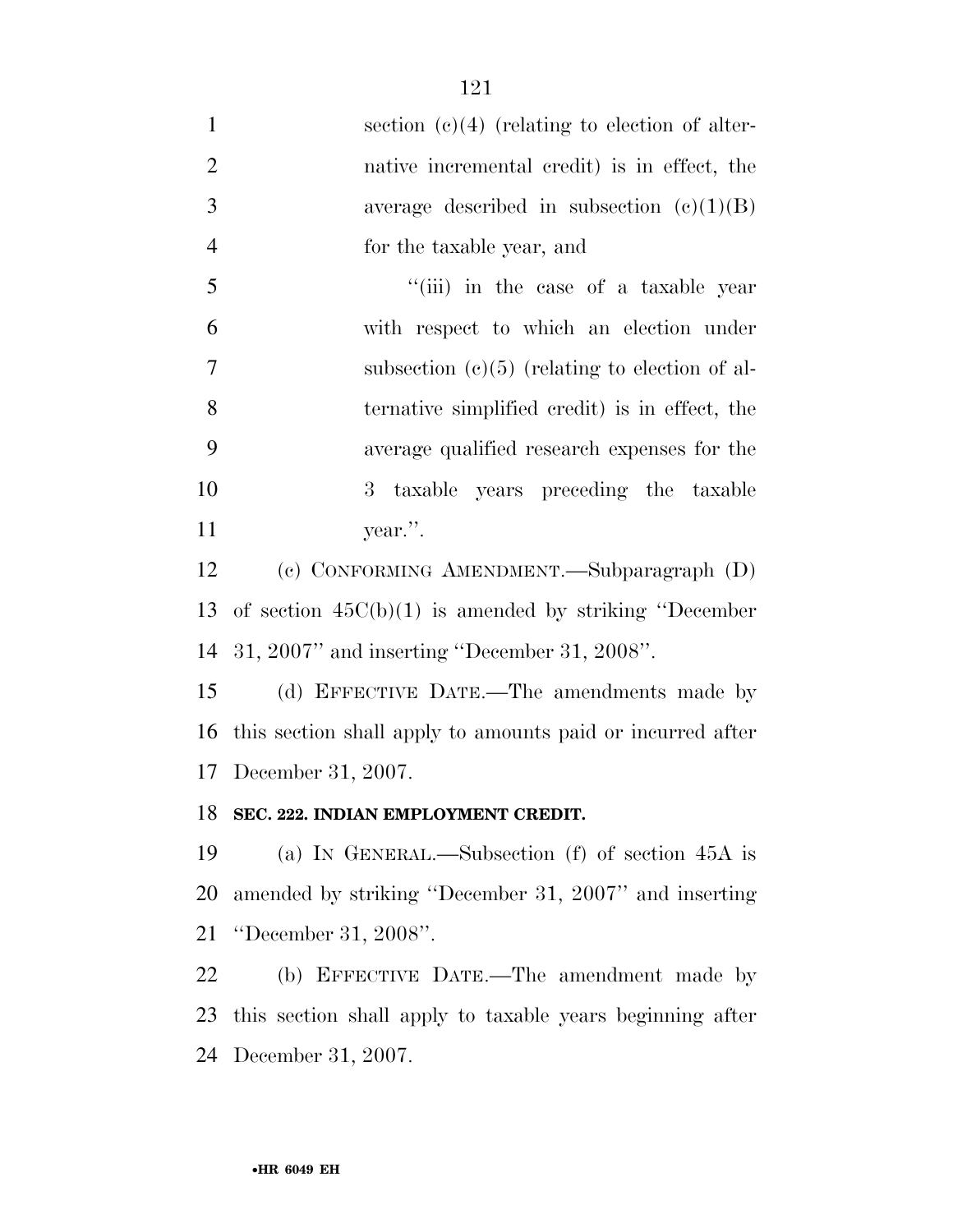1 section (c)(4) (relating to election of alter- native incremental credit) is in effect, the 3 average described in subsection  $(c)(1)(B)$  for the taxable year, and 5 ''(iii) in the case of a taxable year with respect to which an election under subsection (c)(5) (relating to election of al- ternative simplified credit) is in effect, the average qualified research expenses for the 3 taxable years preceding the taxable year.''.

 (c) CONFORMING AMENDMENT.—Subparagraph (D) of section 45C(b)(1) is amended by striking ''December 31, 2007'' and inserting ''December 31, 2008''.

 (d) EFFECTIVE DATE.—The amendments made by this section shall apply to amounts paid or incurred after December 31, 2007.

#### **SEC. 222. INDIAN EMPLOYMENT CREDIT.**

 (a) IN GENERAL.—Subsection (f) of section 45A is amended by striking ''December 31, 2007'' and inserting ''December 31, 2008''.

 (b) EFFECTIVE DATE.—The amendment made by this section shall apply to taxable years beginning after December 31, 2007.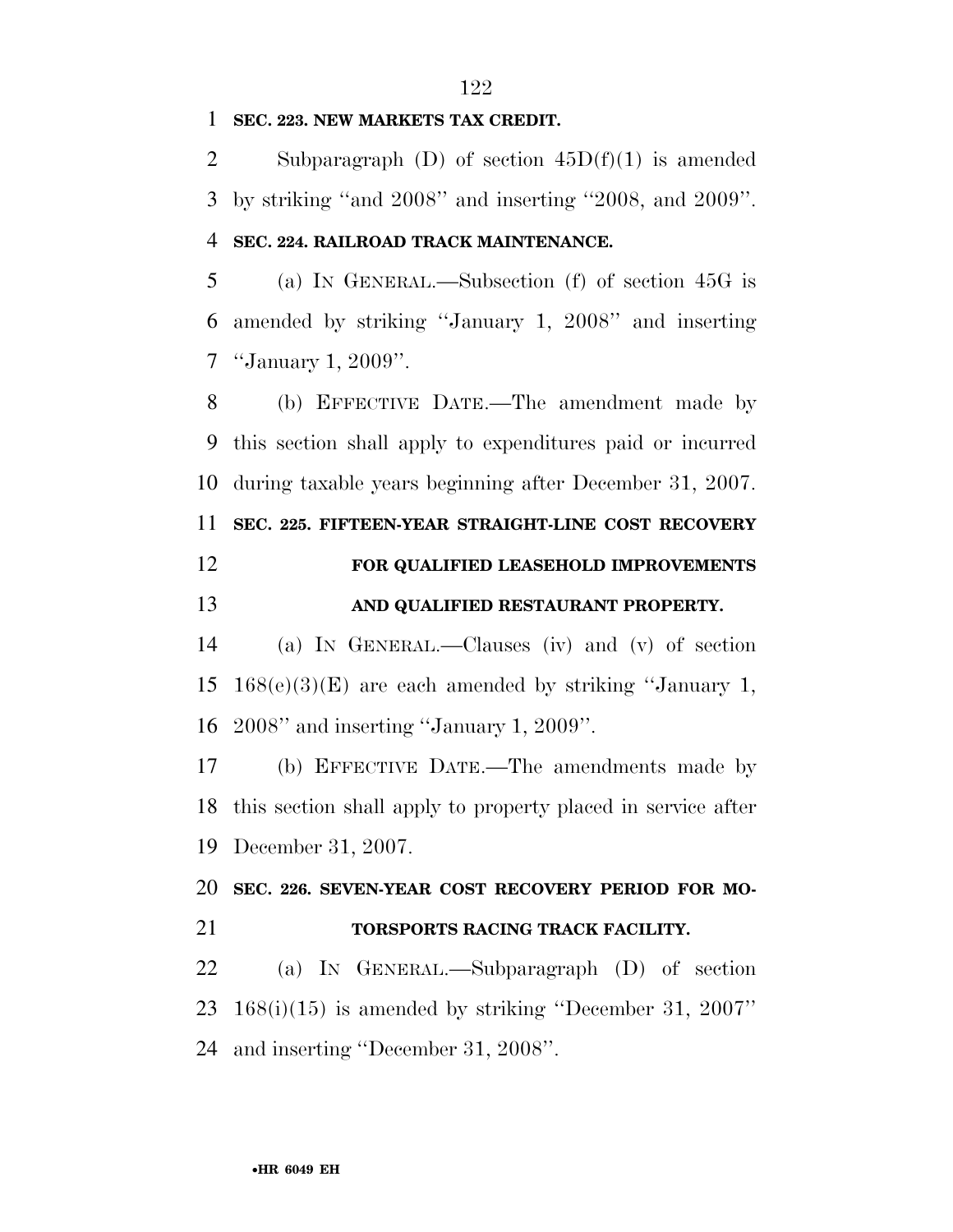#### **SEC. 223. NEW MARKETS TAX CREDIT.**

2 Subparagraph (D) of section  $45D(f)(1)$  is amended by striking ''and 2008'' and inserting ''2008, and 2009''.

#### **SEC. 224. RAILROAD TRACK MAINTENANCE.**

 (a) IN GENERAL.—Subsection (f) of section 45G is amended by striking ''January 1, 2008'' and inserting ''January 1, 2009''.

 (b) EFFECTIVE DATE.—The amendment made by this section shall apply to expenditures paid or incurred during taxable years beginning after December 31, 2007. **SEC. 225. FIFTEEN-YEAR STRAIGHT-LINE COST RECOVERY FOR QUALIFIED LEASEHOLD IMPROVEMENTS** 

#### **AND QUALIFIED RESTAURANT PROPERTY.**

 (a) IN GENERAL.—Clauses (iv) and (v) of section 15 168(e)(3)(E) are each amended by striking "January 1, 2008'' and inserting ''January 1, 2009''.

 (b) EFFECTIVE DATE.—The amendments made by this section shall apply to property placed in service after December 31, 2007.

**SEC. 226. SEVEN-YEAR COST RECOVERY PERIOD FOR MO-**

#### **TORSPORTS RACING TRACK FACILITY.**

 (a) IN GENERAL.—Subparagraph (D) of section 168(i)(15) is amended by striking ''December 31, 2007'' and inserting ''December 31, 2008''.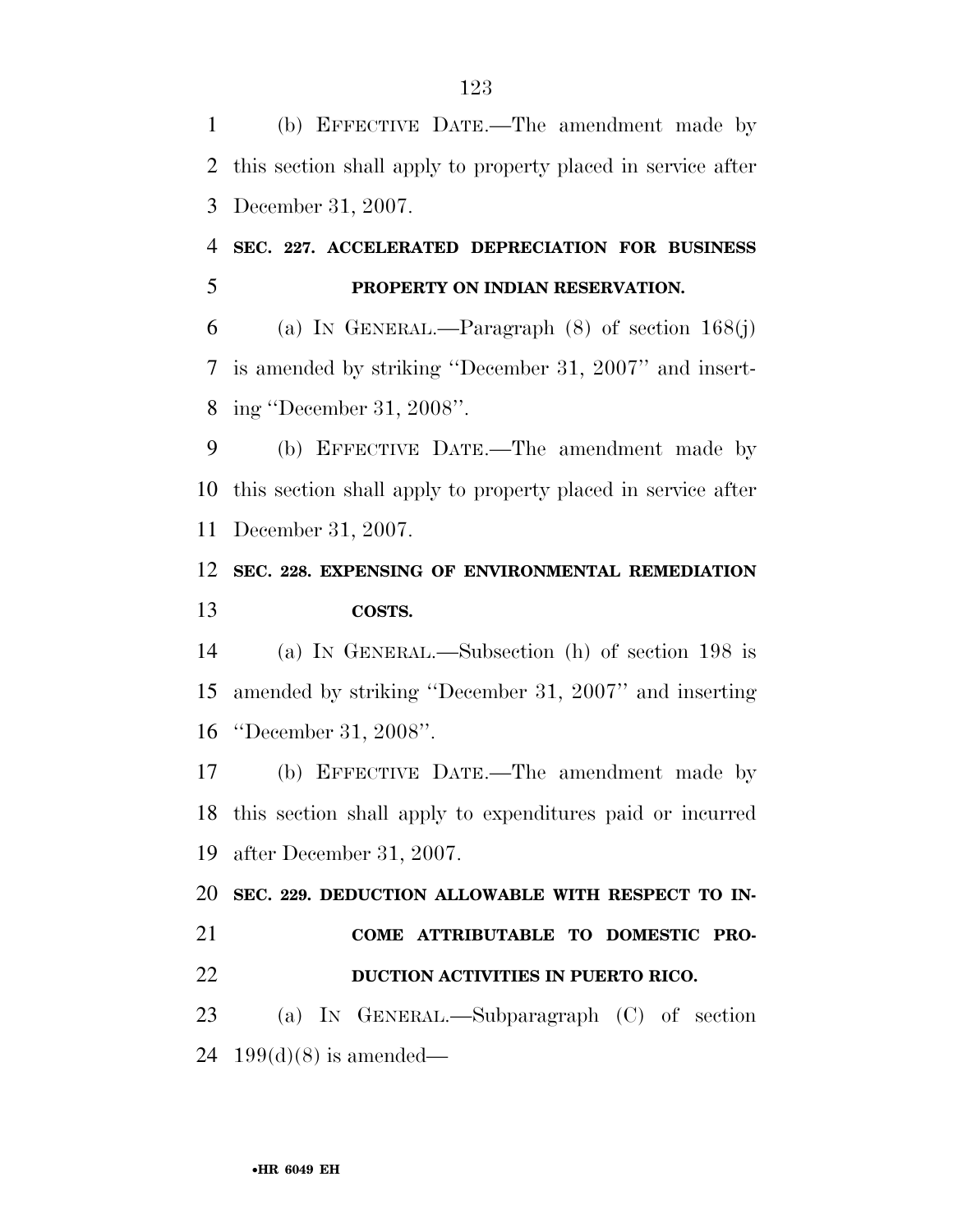(b) EFFECTIVE DATE.—The amendment made by this section shall apply to property placed in service after December 31, 2007.

# **SEC. 227. ACCELERATED DEPRECIATION FOR BUSINESS PROPERTY ON INDIAN RESERVATION.**

 (a) IN GENERAL.—Paragraph (8) of section 168(j) is amended by striking ''December 31, 2007'' and insert-ing ''December 31, 2008''.

 (b) EFFECTIVE DATE.—The amendment made by this section shall apply to property placed in service after December 31, 2007.

### **SEC. 228. EXPENSING OF ENVIRONMENTAL REMEDIATION COSTS.**

 (a) IN GENERAL.—Subsection (h) of section 198 is amended by striking ''December 31, 2007'' and inserting ''December 31, 2008''.

 (b) EFFECTIVE DATE.—The amendment made by this section shall apply to expenditures paid or incurred after December 31, 2007.

 **SEC. 229. DEDUCTION ALLOWABLE WITH RESPECT TO IN- COME ATTRIBUTABLE TO DOMESTIC PRO- DUCTION ACTIVITIES IN PUERTO RICO.**  (a) IN GENERAL.—Subparagraph (C) of section 24 199(d)(8) is amended—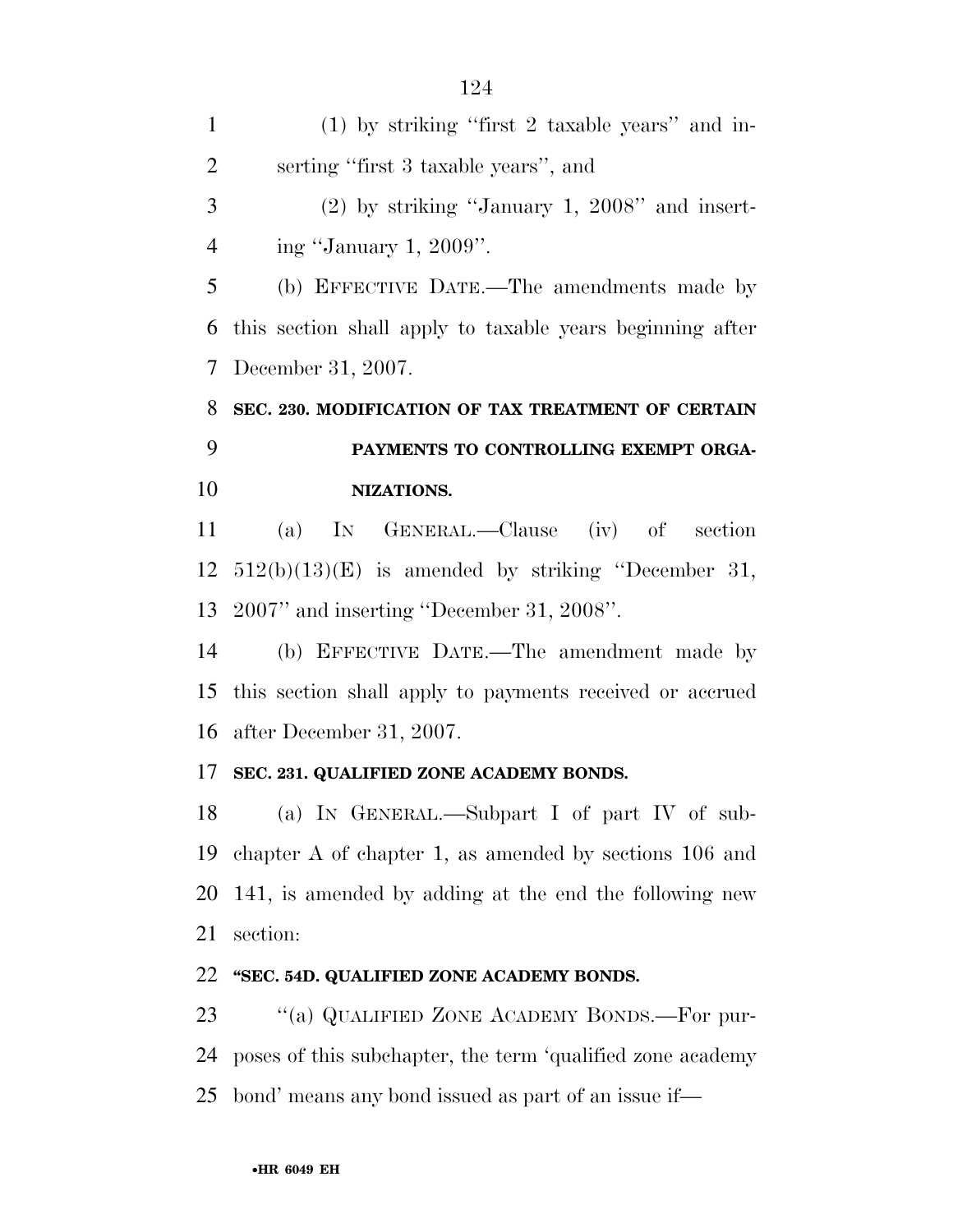(1) by striking ''first 2 taxable years'' and in- serting ''first 3 taxable years'', and (2) by striking ''January 1, 2008'' and insert- ing ''January 1, 2009''. (b) EFFECTIVE DATE.—The amendments made by this section shall apply to taxable years beginning after December 31, 2007. **SEC. 230. MODIFICATION OF TAX TREATMENT OF CERTAIN PAYMENTS TO CONTROLLING EXEMPT ORGA-NIZATIONS.** 

 (a) IN GENERAL.—Clause (iv) of section 512(b)(13)(E) is amended by striking ''December 31, 2007'' and inserting ''December 31, 2008''.

 (b) EFFECTIVE DATE.—The amendment made by this section shall apply to payments received or accrued after December 31, 2007.

#### **SEC. 231. QUALIFIED ZONE ACADEMY BONDS.**

 (a) IN GENERAL.—Subpart I of part IV of sub- chapter A of chapter 1, as amended by sections 106 and 141, is amended by adding at the end the following new section:

#### **''SEC. 54D. QUALIFIED ZONE ACADEMY BONDS.**

23 "(a) QUALIFIED ZONE ACADEMY BONDS.—For pur- poses of this subchapter, the term 'qualified zone academy bond' means any bond issued as part of an issue if—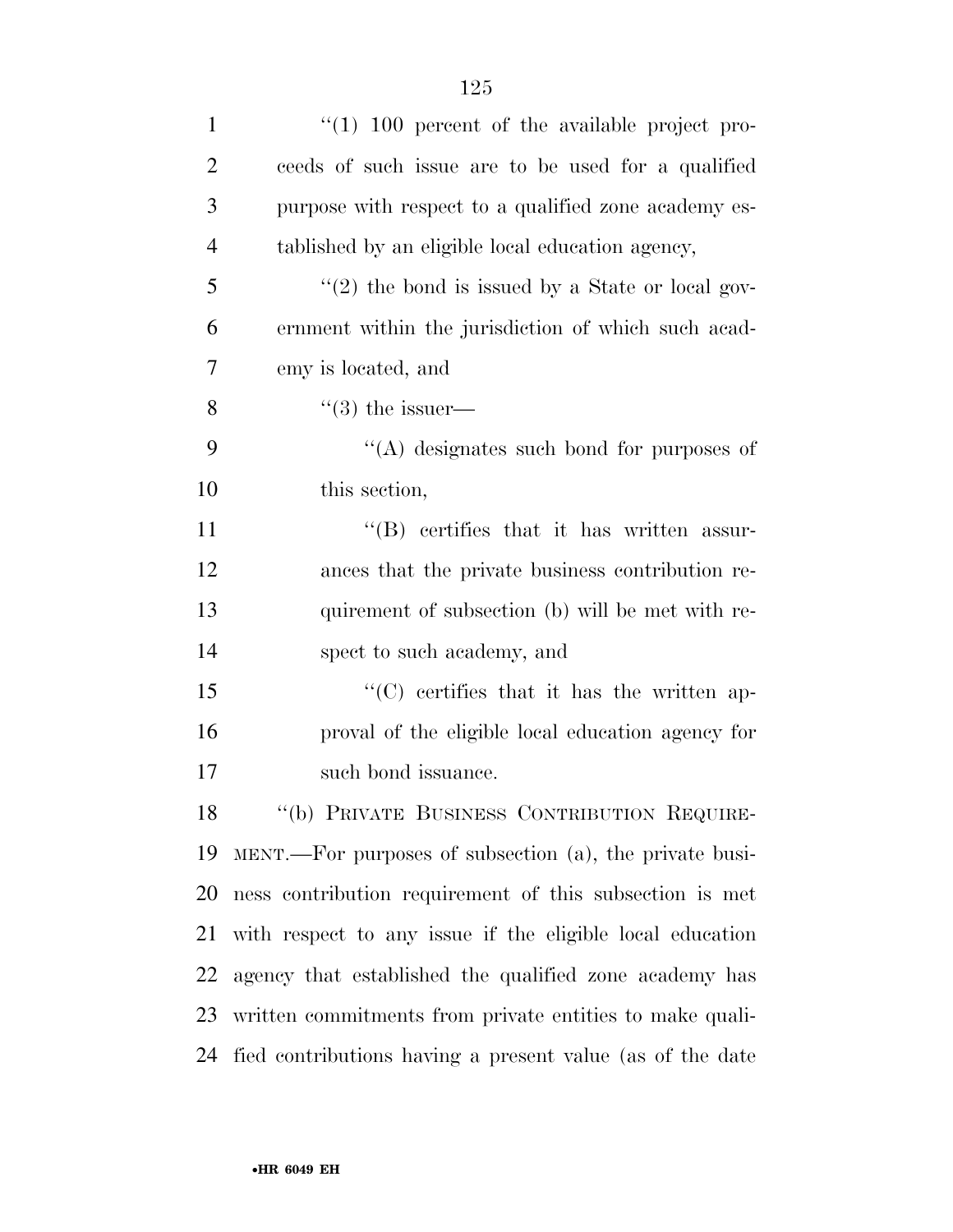| $\mathbf{1}$   | $\lq(1)$ 100 percent of the available project pro-        |
|----------------|-----------------------------------------------------------|
| $\overline{2}$ | ceeds of such issue are to be used for a qualified        |
| 3              | purpose with respect to a qualified zone academy es-      |
| 4              | tablished by an eligible local education agency,          |
| 5              | $\lq(2)$ the bond is issued by a State or local gov-      |
| 6              | ernment within the jurisdiction of which such a cad-      |
| 7              | emy is located, and                                       |
| 8              | $\lq(3)$ the issuer—                                      |
| 9              | $\lq\lq$ designates such bond for purposes of             |
| 10             | this section,                                             |
| 11             | "(B) certifies that it has written assur-                 |
| 12             | ances that the private business contribution re-          |
| 13             | quirement of subsection (b) will be met with re-          |
| 14             | spect to such academy, and                                |
| 15             | "(C) certifies that it has the written ap-                |
| 16             | proval of the eligible local education agency for         |
| 17             | such bond issuance.                                       |
| 18             | "(b) PRIVATE BUSINESS CONTRIBUTION REQUIRE-               |
| 19             | MENT.—For purposes of subsection (a), the private busi-   |
| 20             | ness contribution requirement of this subsection is met   |
| 21             | with respect to any issue if the eligible local education |
| 22             | agency that established the qualified zone academy has    |
| 23             | written commitments from private entities to make quali-  |
| 24             | fied contributions having a present value (as of the date |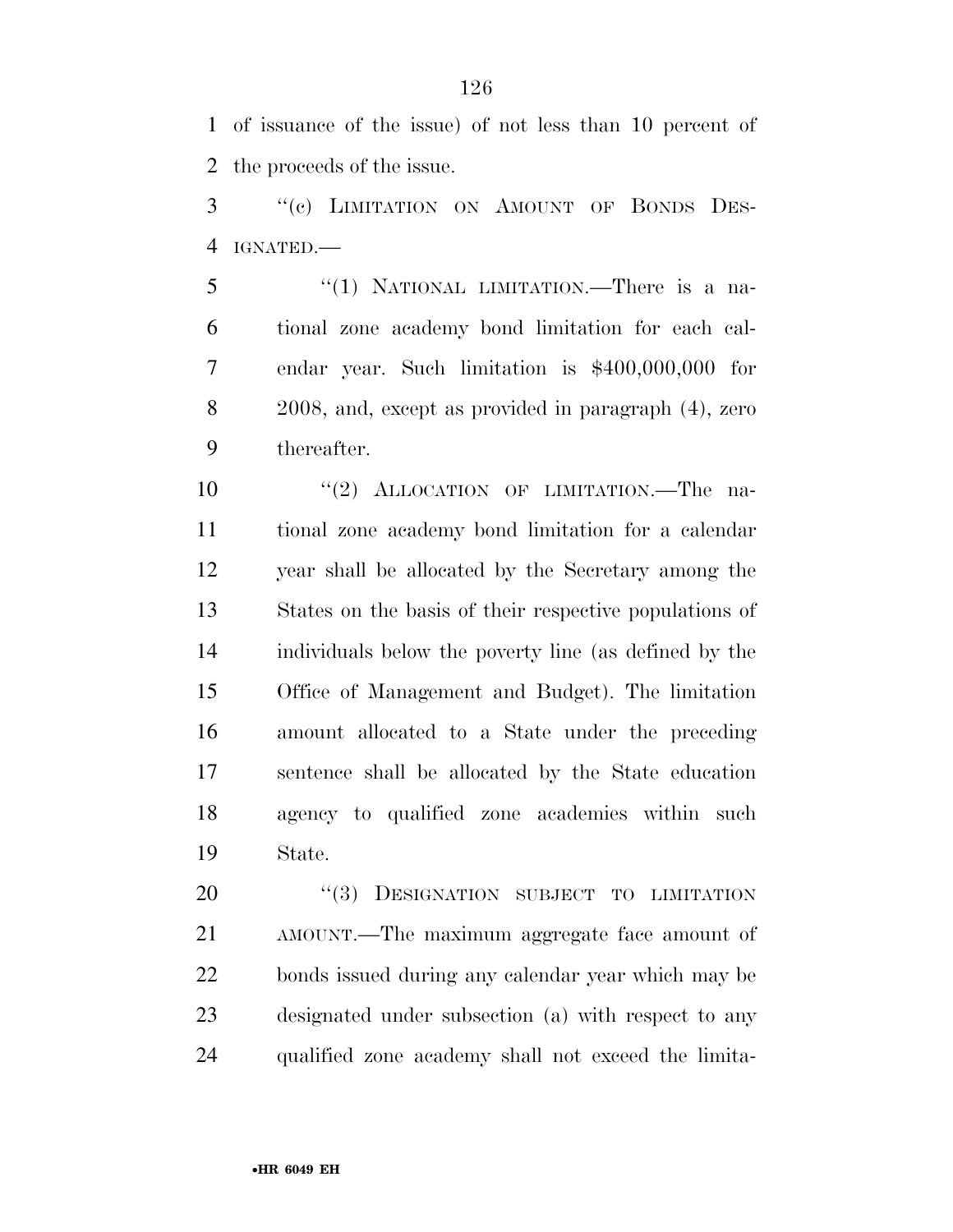of issuance of the issue) of not less than 10 percent of the proceeds of the issue.

 ''(c) LIMITATION ON AMOUNT OF BONDS DES-IGNATED.—

 ''(1) NATIONAL LIMITATION.—There is a na- tional zone academy bond limitation for each cal- endar year. Such limitation is \$400,000,000 for 2008, and, except as provided in paragraph (4), zero thereafter.

 $(2)$  ALLOCATION OF LIMITATION. The na- tional zone academy bond limitation for a calendar year shall be allocated by the Secretary among the States on the basis of their respective populations of individuals below the poverty line (as defined by the Office of Management and Budget). The limitation amount allocated to a State under the preceding sentence shall be allocated by the State education agency to qualified zone academies within such State.

20 "(3) DESIGNATION SUBJECT TO LIMITATION AMOUNT.—The maximum aggregate face amount of bonds issued during any calendar year which may be designated under subsection (a) with respect to any qualified zone academy shall not exceed the limita-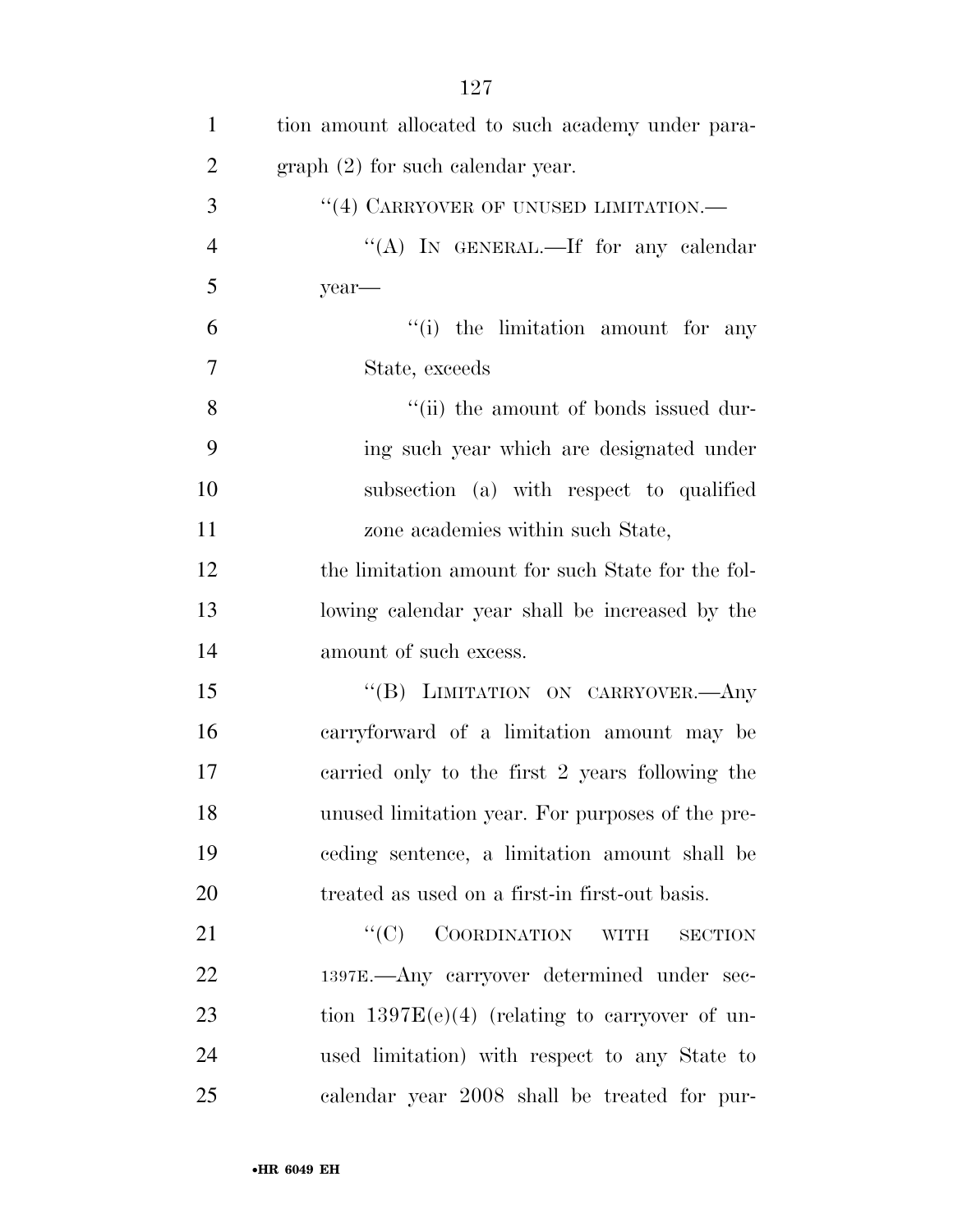| $\mathbf{1}$   | tion amount allocated to such academy under para- |
|----------------|---------------------------------------------------|
| $\overline{2}$ | $graph (2)$ for such calendar year.               |
| 3              | "(4) CARRYOVER OF UNUSED LIMITATION.—             |
| $\overline{4}$ | "(A) IN GENERAL.—If for any calendar              |
| 5              | year-                                             |
| 6              | "(i) the limitation amount for any                |
| $\overline{7}$ | State, exceeds                                    |
| 8              | "(ii) the amount of bonds issued dur-             |
| 9              | ing such year which are designated under          |
| 10             | subsection (a) with respect to qualified          |
| 11             | zone academies within such State,                 |
| 12             | the limitation amount for such State for the fol- |
| 13             | lowing calendar year shall be increased by the    |
| 14             | amount of such excess.                            |
| 15             | "(B) LIMITATION ON CARRYOVER.- Any                |
| 16             | carryforward of a limitation amount may be        |
| 17             | carried only to the first 2 years following the   |
| 18             | unused limitation year. For purposes of the pre-  |
| 19             | ceding sentence, a limitation amount shall be     |
| 20             | treated as used on a first-in first-out basis.    |
| 21             | $``(C)$ COORDINATION WITH<br><b>SECTION</b>       |
| 22             | 1397E.—Any carryover determined under sec-        |
| 23             | tion $1397E(e)(4)$ (relating to carryover of un-  |
| 24             | used limitation) with respect to any State to     |
| 25             | calendar year 2008 shall be treated for pur-      |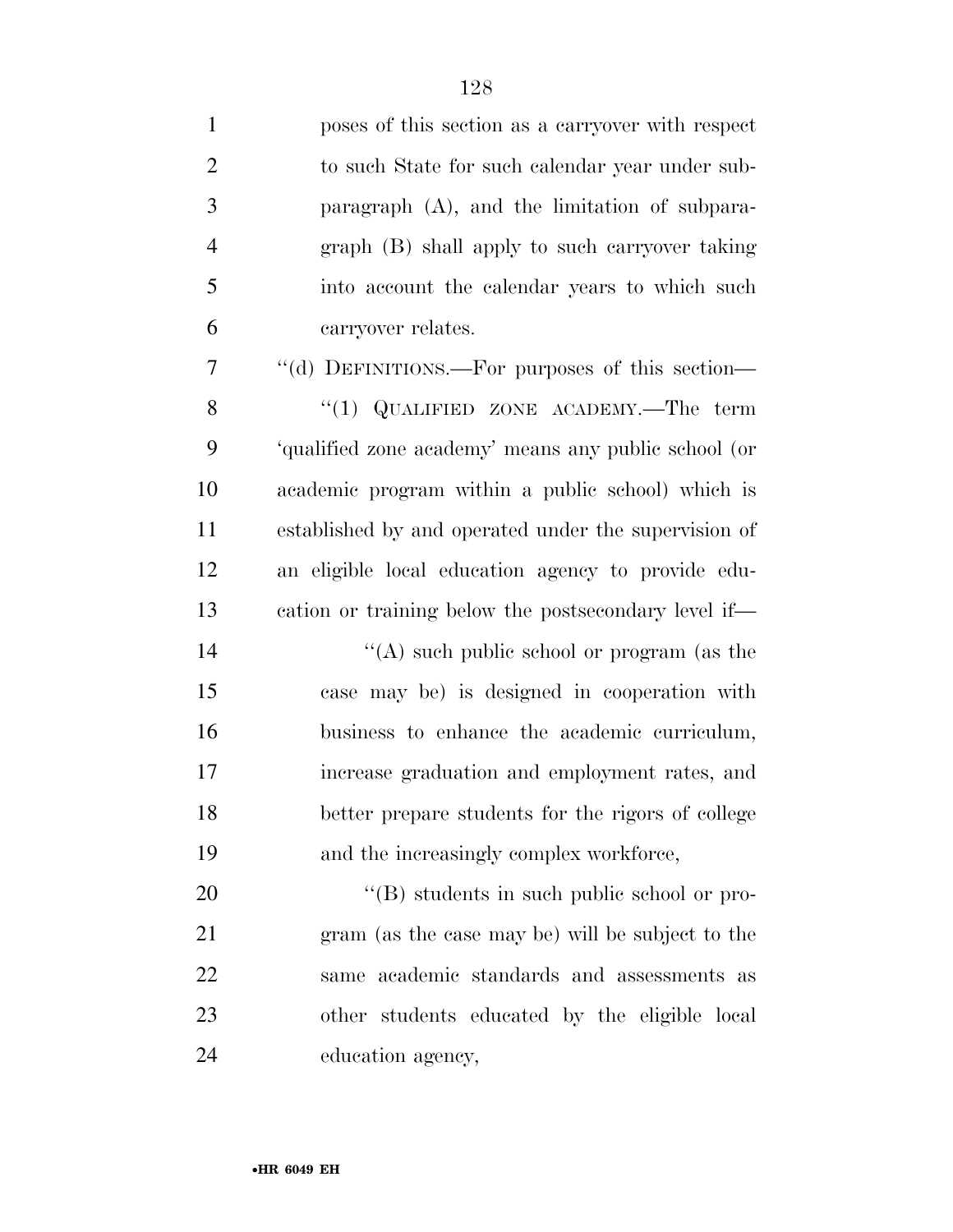| $\mathbf{1}$   | poses of this section as a carryover with respect    |
|----------------|------------------------------------------------------|
| $\overline{2}$ | to such State for such calendar year under sub-      |
| 3              | paragraph $(A)$ , and the limitation of subpara-     |
| $\overline{4}$ | graph (B) shall apply to such carryover taking       |
| 5              | into account the calendar years to which such        |
| 6              | carryover relates.                                   |
| 7              | "(d) DEFINITIONS.—For purposes of this section—      |
| 8              | "(1) QUALIFIED ZONE ACADEMY.—The term                |
| 9              | 'qualified zone academy' means any public school (or |
| 10             | academic program within a public school) which is    |
| 11             | established by and operated under the supervision of |
| 12             | an eligible local education agency to provide edu-   |
| 13             | cation or training below the postsecondary level if— |
| 14             | "(A) such public school or program (as the           |
| 15             | case may be) is designed in cooperation with         |
| 16             | business to enhance the academic curriculum,         |
| 17             | increase graduation and employment rates, and        |
| 18             | better prepare students for the rigors of college    |
| 19             | and the increasingly complex workforce,              |
| 20             | $\lq\lq (B)$ students in such public school or pro-  |
| 21             | gram (as the case may be) will be subject to the     |
| 22             | same academic standards and assessments as           |
| 23             | other students educated by the eligible local        |
| 24             | education agency,                                    |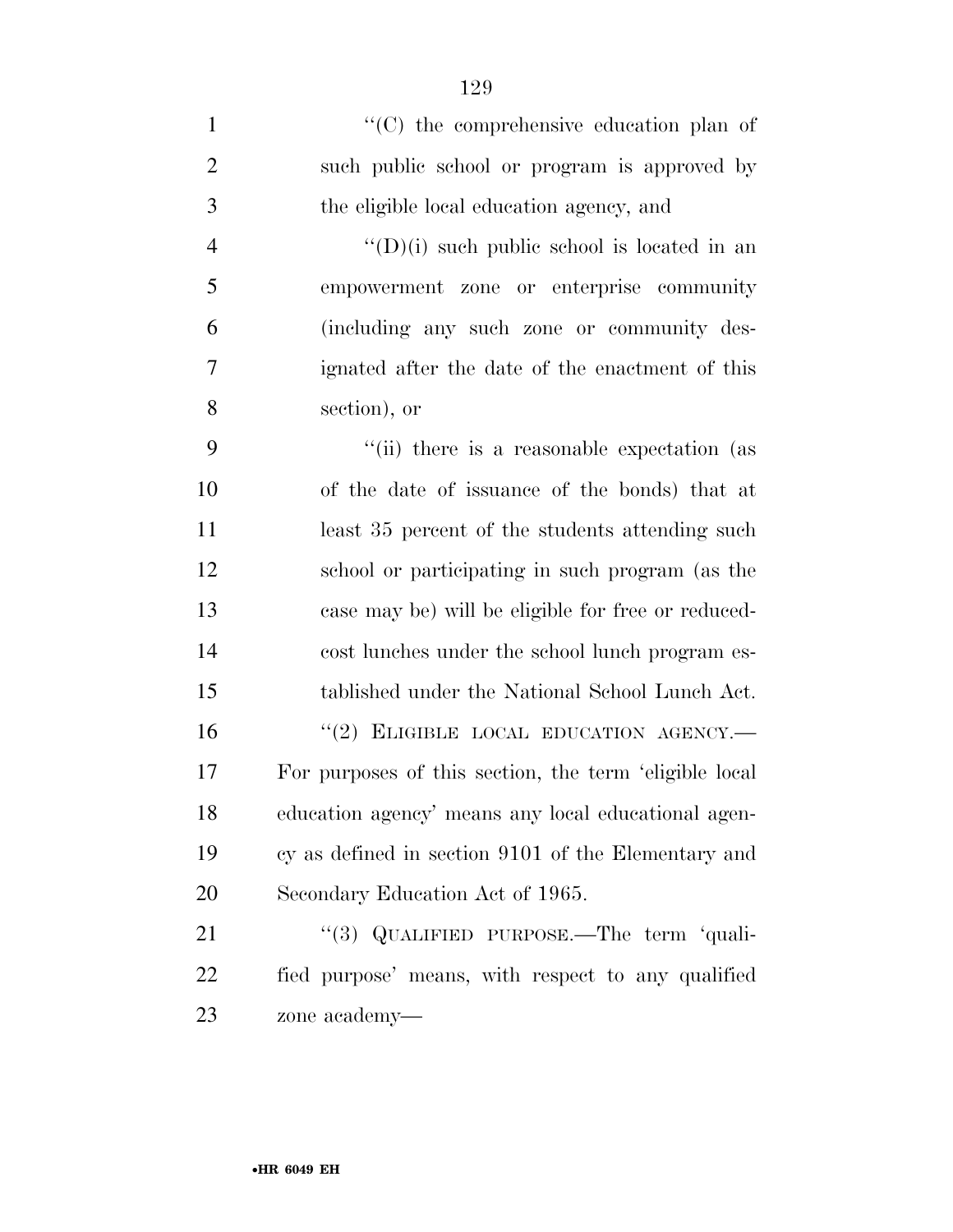$\langle ^{\prime}(C) \rangle$  the comprehensive education plan of such public school or program is approved by the eligible local education agency, and  $''(D)(i)$  such public school is located in an empowerment zone or enterprise community (including any such zone or community des- ignated after the date of the enactment of this section), or 9 ''(ii) there is a reasonable expectation (as of the date of issuance of the bonds) that at 11 least 35 percent of the students attending such school or participating in such program (as the case may be) will be eligible for free or reduced- cost lunches under the school lunch program es- tablished under the National School Lunch Act. 16 "(2) ELIGIBLE LOCAL EDUCATION AGENCY.— For purposes of this section, the term 'eligible local education agency' means any local educational agen- cy as defined in section 9101 of the Elementary and Secondary Education Act of 1965. 21 "(3) QUALIFIED PURPOSE.—The term 'quali-fied purpose' means, with respect to any qualified

zone academy—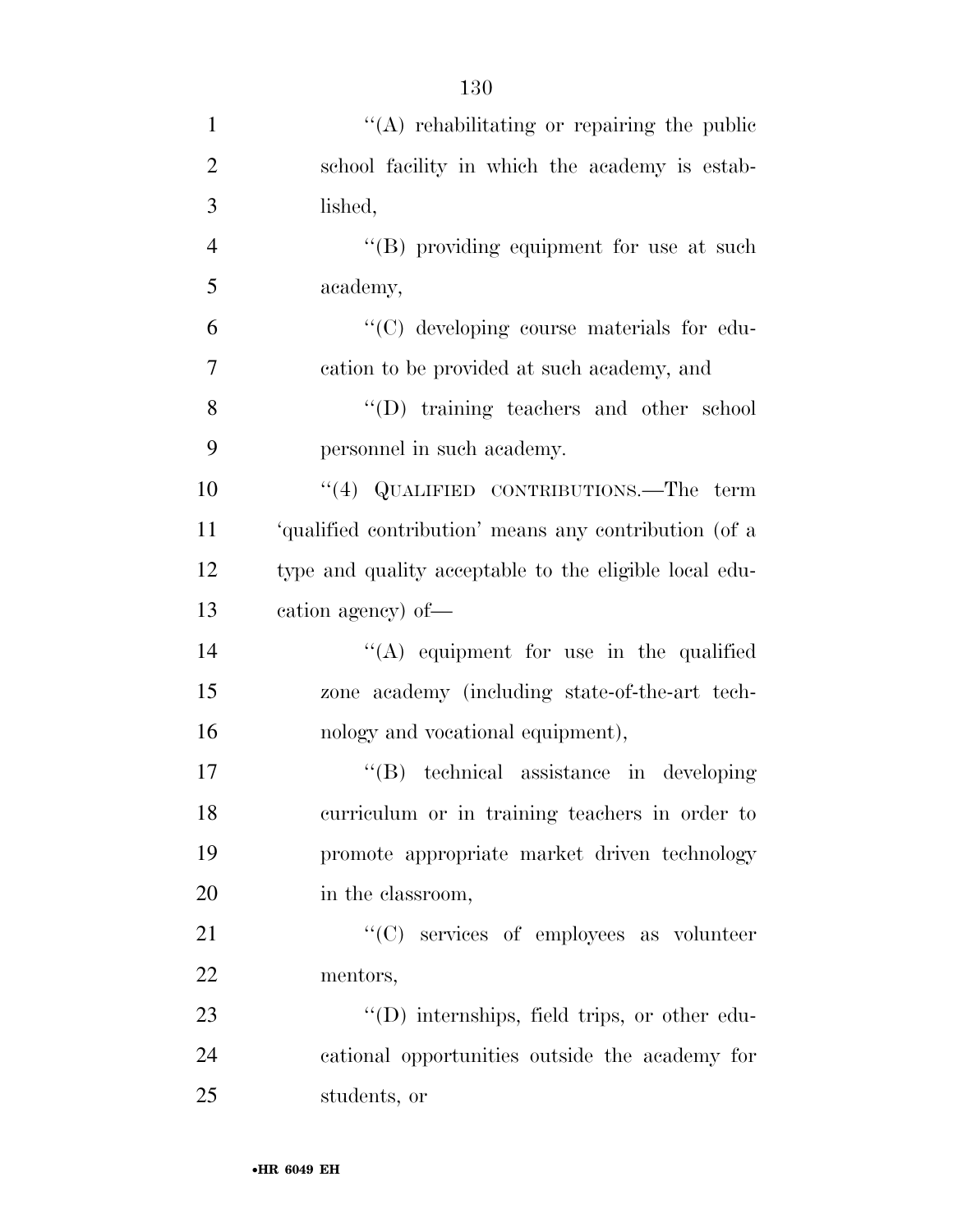| $\mathbf{1}$   | "(A) rehabilitating or repairing the public            |
|----------------|--------------------------------------------------------|
| $\overline{2}$ | school facility in which the academy is estab-         |
| 3              | lished,                                                |
| $\overline{4}$ | "(B) providing equipment for use at such               |
| 5              | academy,                                               |
| 6              | "(C) developing course materials for edu-              |
| 7              | cation to be provided at such academy, and             |
| 8              | "(D) training teachers and other school                |
| 9              | personnel in such academy.                             |
| 10             | "(4) QUALIFIED CONTRIBUTIONS.—The term                 |
| 11             | 'qualified contribution' means any contribution (of a  |
| 12             | type and quality acceptable to the eligible local edu- |
| 13             | cation agency) of-                                     |
| 14             | $\lq\lq$ equipment for use in the qualified            |
| 15             | zone academy (including state-of-the-art tech-         |
| 16             | nology and vocational equipment),                      |
| 17             | "(B) technical assistance in developing                |
| 18             | curriculum or in training teachers in order to         |
| 19             | promote appropriate market driven technology           |
| 20             | in the classroom,                                      |
| 21             | "(C) services of employees as volunteer                |
| 22             | mentors,                                               |
| 23             | "(D) internships, field trips, or other edu-           |
| 24             | cational opportunities outside the academy for         |
| 25             | students, or                                           |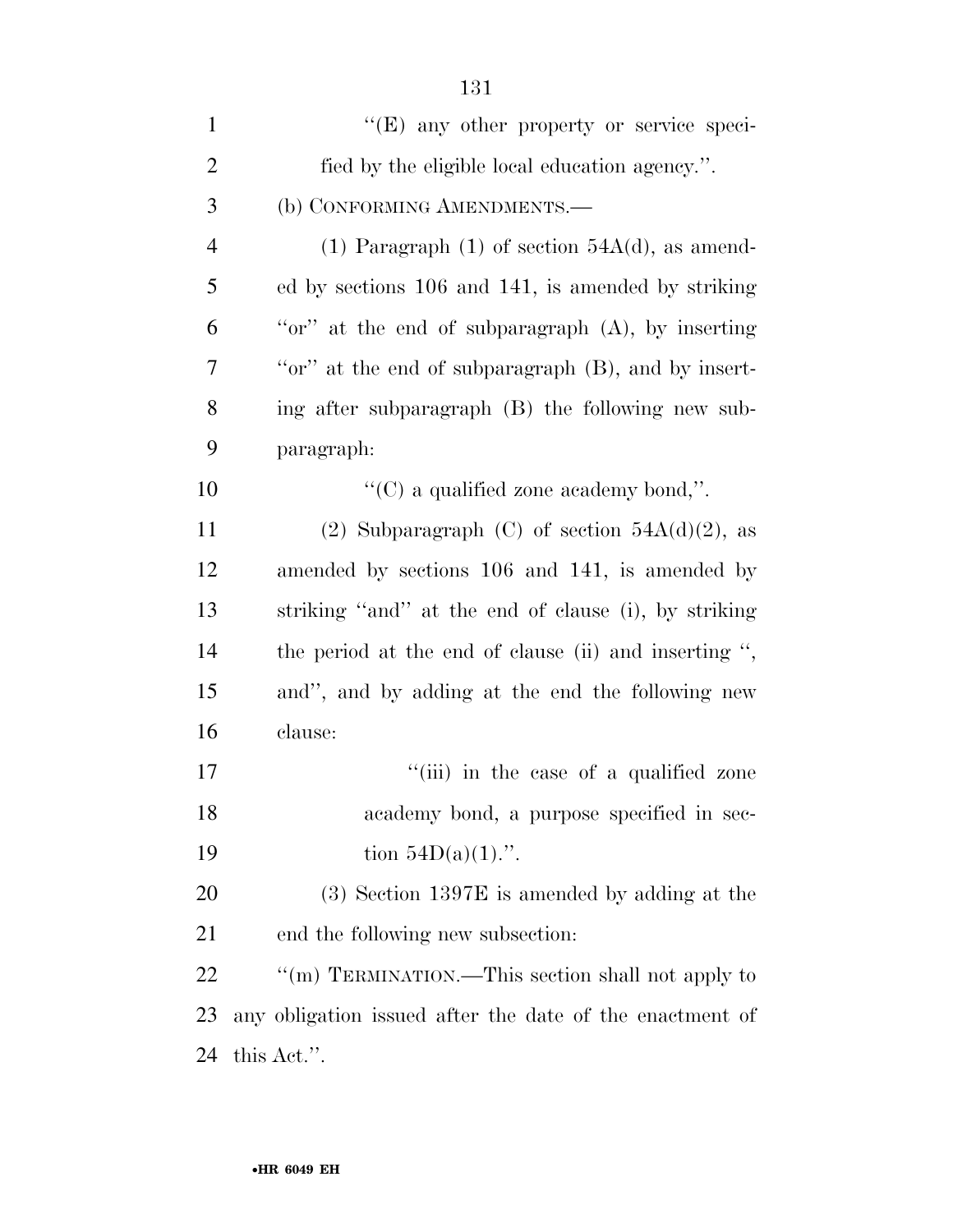| $\mathbf{1}$   | "(E) any other property or service speci-                    |
|----------------|--------------------------------------------------------------|
| $\overline{2}$ | fied by the eligible local education agency.".               |
| 3              | (b) CONFORMING AMENDMENTS.—                                  |
| $\overline{4}$ | (1) Paragraph (1) of section $54A(d)$ , as amend-            |
| 5              | ed by sections 106 and 141, is amended by striking           |
| 6              | "or" at the end of subparagraph (A), by inserting            |
| 7              | "or" at the end of subparagraph (B), and by insert-          |
| 8              | ing after subparagraph (B) the following new sub-            |
| 9              | paragraph:                                                   |
| 10             | " $(C)$ a qualified zone academy bond,".                     |
| 11             | (2) Subparagraph (C) of section $54A(d)(2)$ , as             |
| 12             | amended by sections 106 and 141, is amended by               |
| 13             | striking "and" at the end of clause (i), by striking         |
| 14             | the period at the end of clause (ii) and inserting $\cdot$ , |
| 15             | and", and by adding at the end the following new             |
| 16             | clause:                                                      |
| 17             | "(iii) in the case of a qualified zone                       |
| 18             | academy bond, a purpose specified in sec-                    |
| 19             | tion $54D(a)(1)$ .".                                         |
| 20             | $(3)$ Section 1397E is amended by adding at the              |
| 21             | end the following new subsection:                            |
| 22             | "(m) TERMINATION.—This section shall not apply to            |
| 23             | any obligation issued after the date of the enactment of     |
| 24             | this Act.".                                                  |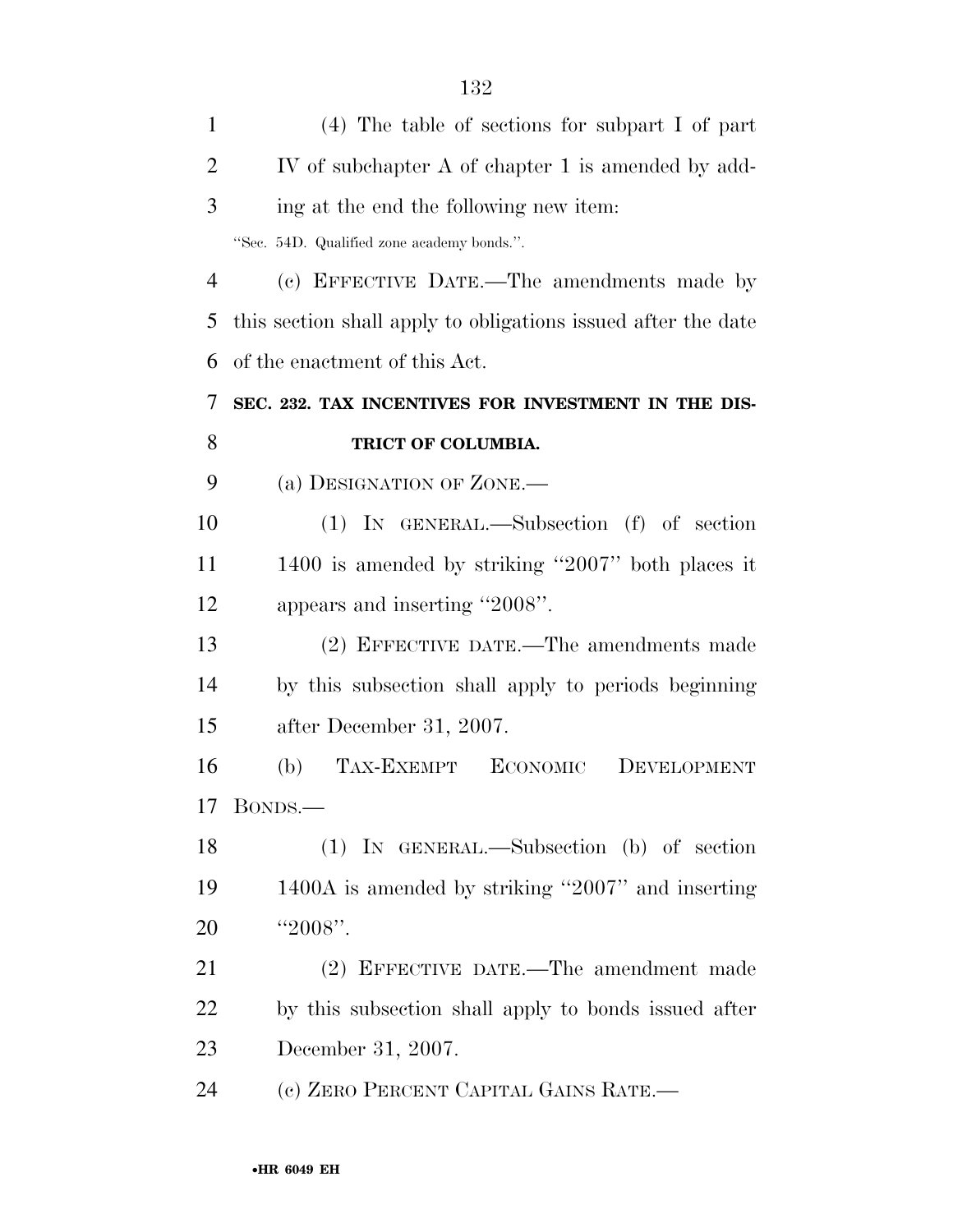| $\mathbf{1}$   | $(4)$ The table of sections for subpart I of part             |
|----------------|---------------------------------------------------------------|
| $\overline{2}$ | IV of subchapter A of chapter 1 is amended by add-            |
| 3              | ing at the end the following new item:                        |
|                | "Sec. 54D. Qualified zone academy bonds.".                    |
| $\overline{4}$ | (c) EFFECTIVE DATE.—The amendments made by                    |
| 5              | this section shall apply to obligations issued after the date |
| 6              | of the enactment of this Act.                                 |
| 7              | SEC. 232. TAX INCENTIVES FOR INVESTMENT IN THE DIS-           |
| 8              | TRICT OF COLUMBIA.                                            |
| 9              | (a) DESIGNATION OF ZONE.—                                     |
| 10             | $(1)$ IN GENERAL.—Subsection $(f)$ of section                 |
| 11             | 1400 is amended by striking "2007" both places it             |
| 12             | appears and inserting "2008".                                 |
| 13             | (2) EFFECTIVE DATE.—The amendments made                       |
| 14             | by this subsection shall apply to periods beginning           |
| 15             | after December 31, 2007.                                      |
| 16             | TAX-EXEMPT<br>ECONOMIC<br>(b)<br>DEVELOPMENT                  |
| 17             | BONDS.—                                                       |
| 18             | (1) IN GENERAL.—Subsection (b) of section                     |
| 19             | 1400A is amended by striking "2007" and inserting             |
| 20             | "2008".                                                       |
| 21             | (2) EFFECTIVE DATE.—The amendment made                        |
| 22             | by this subsection shall apply to bonds issued after          |
| 23             | December 31, 2007.                                            |
| 24             | (c) ZERO PERCENT CAPITAL GAINS RATE.—                         |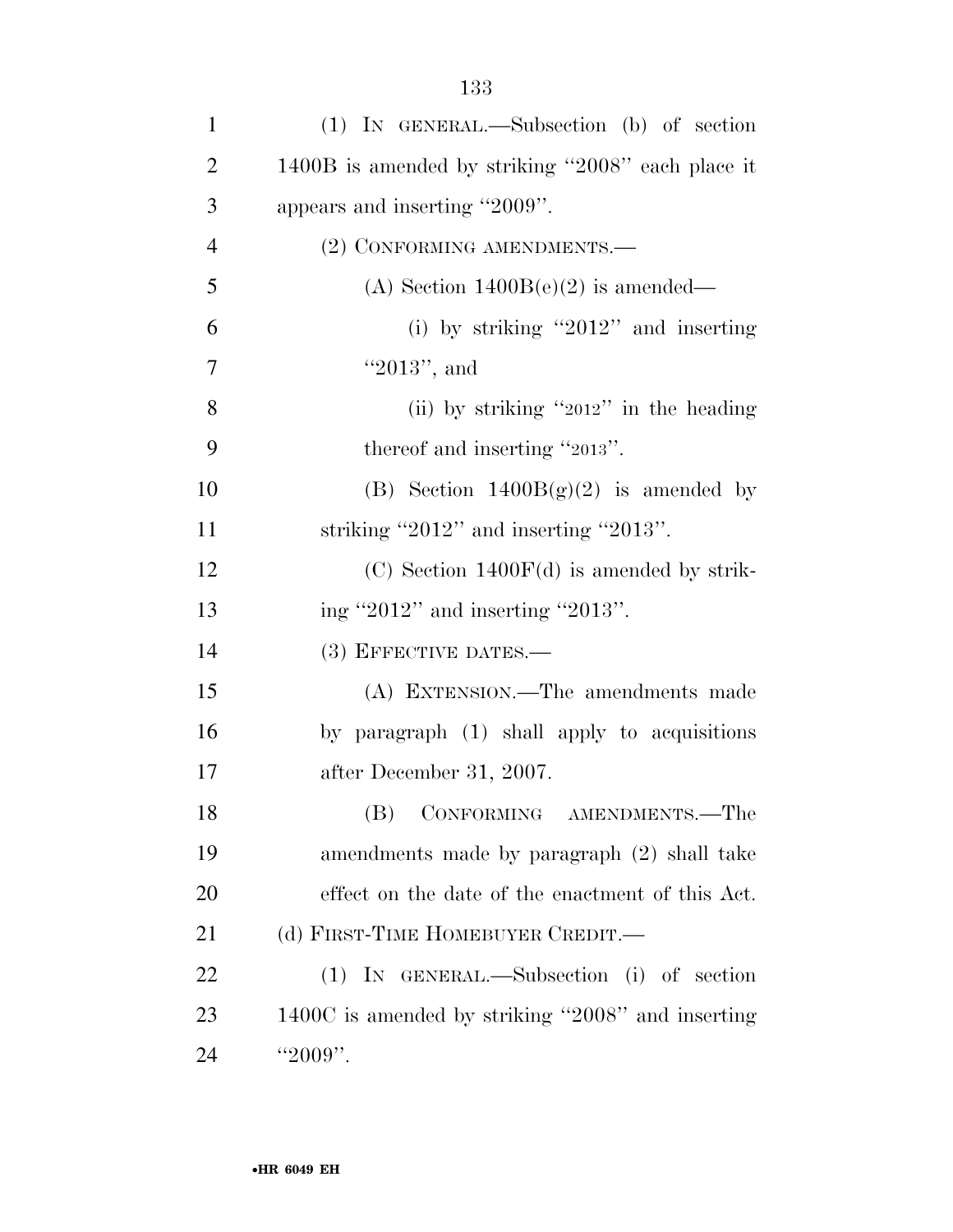| $\mathbf{1}$   | (1) IN GENERAL.—Subsection (b) of section         |
|----------------|---------------------------------------------------|
| $\overline{2}$ | 1400B is amended by striking "2008" each place it |
| 3              | appears and inserting "2009".                     |
| $\overline{4}$ | (2) CONFORMING AMENDMENTS.-                       |
| 5              | (A) Section $1400B(e)(2)$ is amended—             |
| 6              | (i) by striking "2012" and inserting              |
| 7              | "2013", and                                       |
| 8              | (ii) by striking "2012" in the heading            |
| 9              | thereof and inserting "2013".                     |
| 10             | (B) Section $1400B(g)(2)$ is amended by           |
| 11             | striking "2012" and inserting "2013".             |
| 12             | $(C)$ Section 1400 $F(d)$ is amended by strik-    |
| 13             | ing "2012" and inserting "2013".                  |
| 14             | (3) EFFECTIVE DATES.-                             |
| 15             | (A) EXTENSION.—The amendments made                |
| 16             | by paragraph (1) shall apply to acquisitions      |
| 17             | after December 31, 2007.                          |
| 18             | (B) CONFORMING AMENDMENTS.—The                    |
| 19             | amendments made by paragraph (2) shall take       |
| 20             | effect on the date of the enactment of this Act.  |
| 21             | (d) FIRST-TIME HOMEBUYER CREDIT.—                 |
| 22             | (1) IN GENERAL.—Subsection (i) of section         |
| 23             | 1400C is amended by striking "2008" and inserting |
| 24             | " $2009"$ .                                       |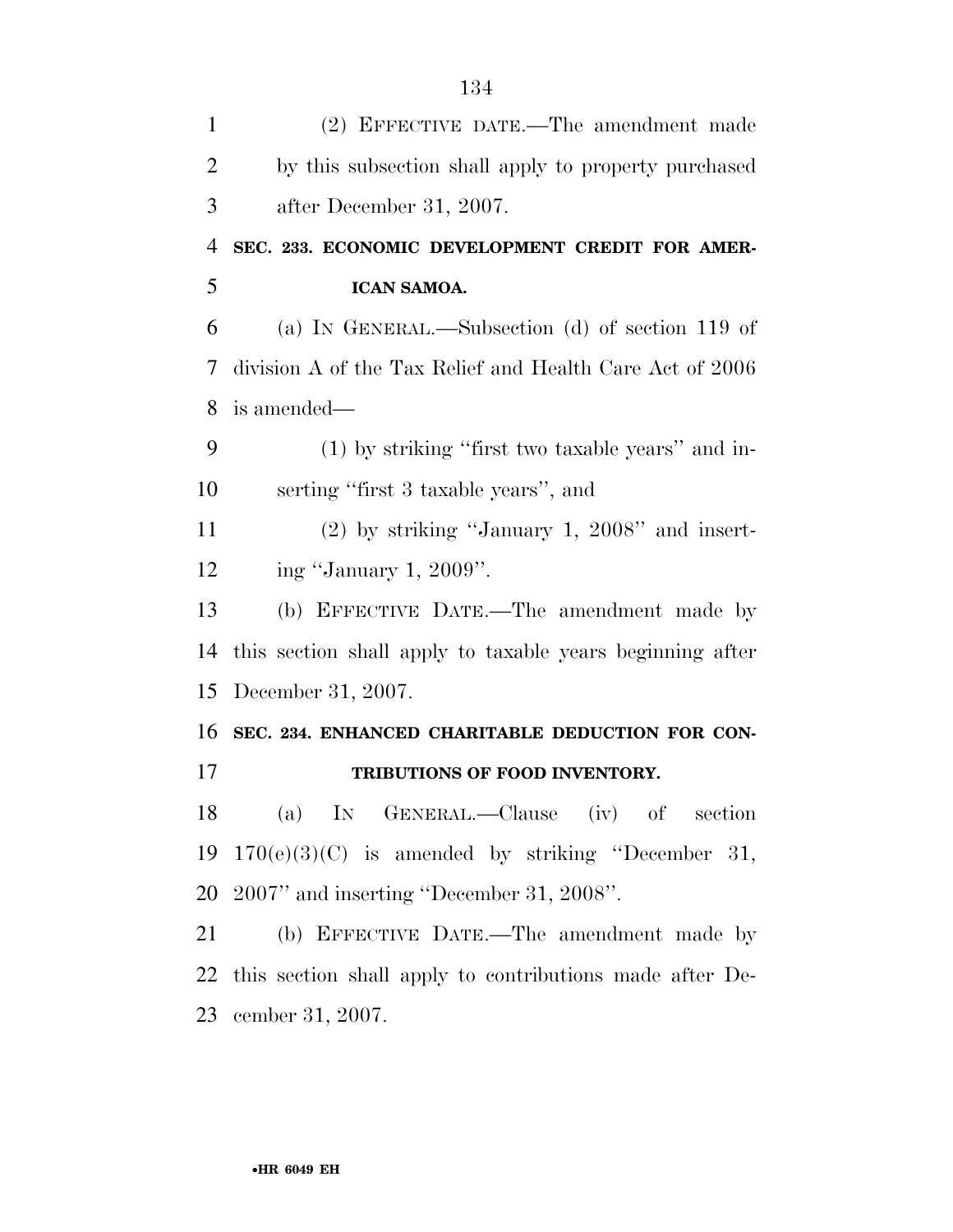| $\mathbf{1}$   | (2) EFFECTIVE DATE.—The amendment made                    |
|----------------|-----------------------------------------------------------|
| $\overline{2}$ | by this subsection shall apply to property purchased      |
| 3              | after December 31, 2007.                                  |
| 4              | SEC. 233. ECONOMIC DEVELOPMENT CREDIT FOR AMER-           |
| 5              | ICAN SAMOA.                                               |
| 6              | (a) IN GENERAL.—Subsection (d) of section 119 of          |
| 7              | division A of the Tax Relief and Health Care Act of 2006  |
| 8              | is amended—                                               |
| 9              | $(1)$ by striking "first two taxable years" and in-       |
| 10             | serting "first 3 taxable years", and                      |
| 11             | $(2)$ by striking "January 1, 2008" and insert-           |
| 12             | ing "January 1, 2009".                                    |
| 13             | (b) EFFECTIVE DATE.—The amendment made by                 |
| 14             | this section shall apply to taxable years beginning after |
| 15             | December 31, 2007.                                        |
| 16             | SEC. 234. ENHANCED CHARITABLE DEDUCTION FOR CON-          |
| 17             | TRIBUTIONS OF FOOD INVENTORY.                             |
| 18             | (a) IN GENERAL.—Clause (iv) of section                    |
| 19             | $170(e)(3)(C)$ is amended by striking "December 31,       |
| 20             | $2007"$ and inserting "December 31, 2008".                |
| 21             | (b) EFFECTIVE DATE.—The amendment made by                 |
| 22             | this section shall apply to contributions made after De-  |
| 23             | cember 31, 2007.                                          |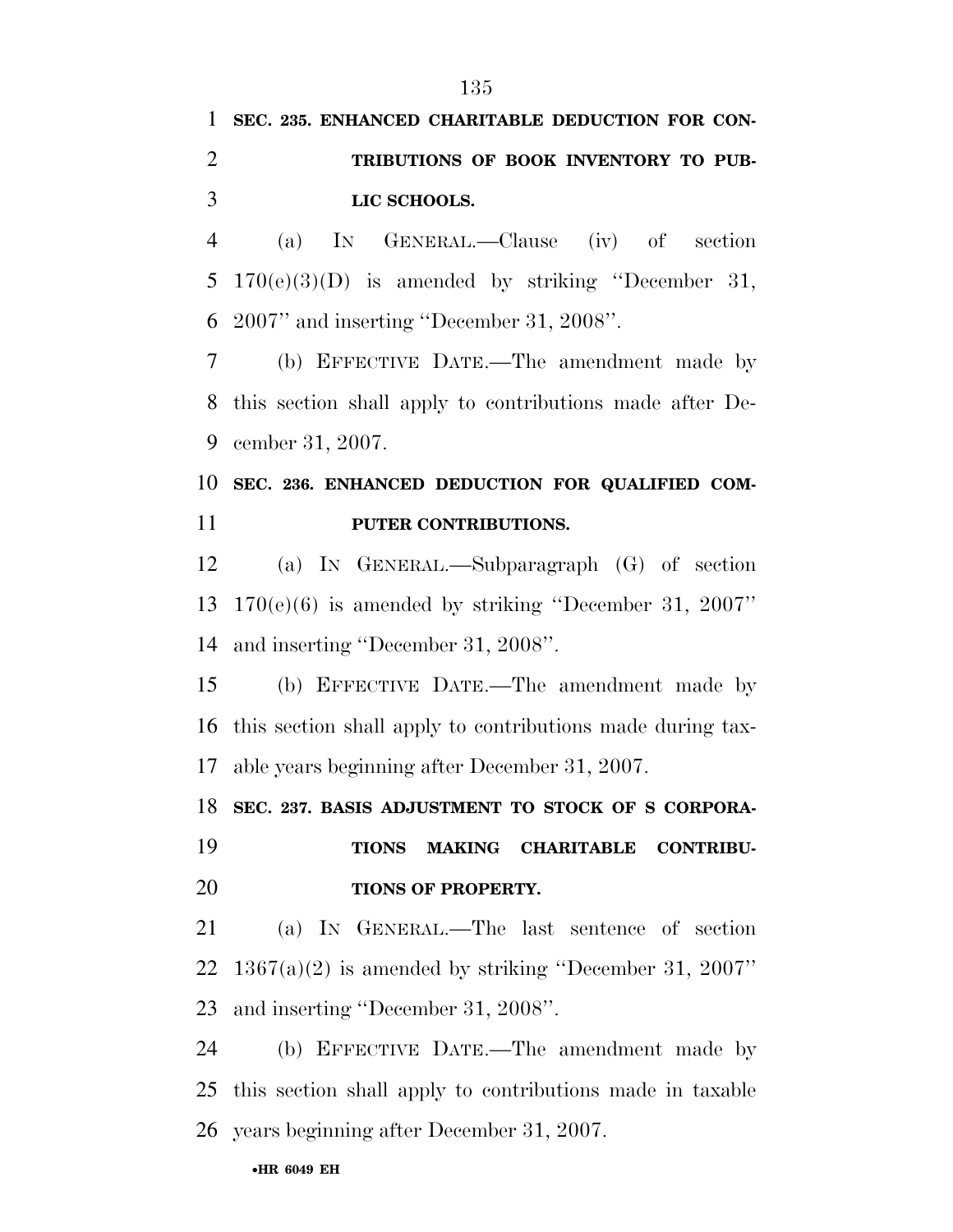# **SEC. 235. ENHANCED CHARITABLE DEDUCTION FOR CON- TRIBUTIONS OF BOOK INVENTORY TO PUB-LIC SCHOOLS.**

 (a) IN GENERAL.—Clause (iv) of section 170(e)(3)(D) is amended by striking ''December 31, 2007'' and inserting ''December 31, 2008''.

 (b) EFFECTIVE DATE.—The amendment made by this section shall apply to contributions made after De-cember 31, 2007.

## **SEC. 236. ENHANCED DEDUCTION FOR QUALIFIED COM-PUTER CONTRIBUTIONS.**

 (a) IN GENERAL.—Subparagraph (G) of section 170(e)(6) is amended by striking ''December 31, 2007'' and inserting ''December 31, 2008''.

 (b) EFFECTIVE DATE.—The amendment made by this section shall apply to contributions made during tax-able years beginning after December 31, 2007.

**SEC. 237. BASIS ADJUSTMENT TO STOCK OF S CORPORA-**

 **TIONS MAKING CHARITABLE CONTRIBU-TIONS OF PROPERTY.** 

 (a) IN GENERAL.—The last sentence of section 22  $1367(a)(2)$  is amended by striking "December 31, 2007" and inserting ''December 31, 2008''.

 (b) EFFECTIVE DATE.—The amendment made by this section shall apply to contributions made in taxable years beginning after December 31, 2007.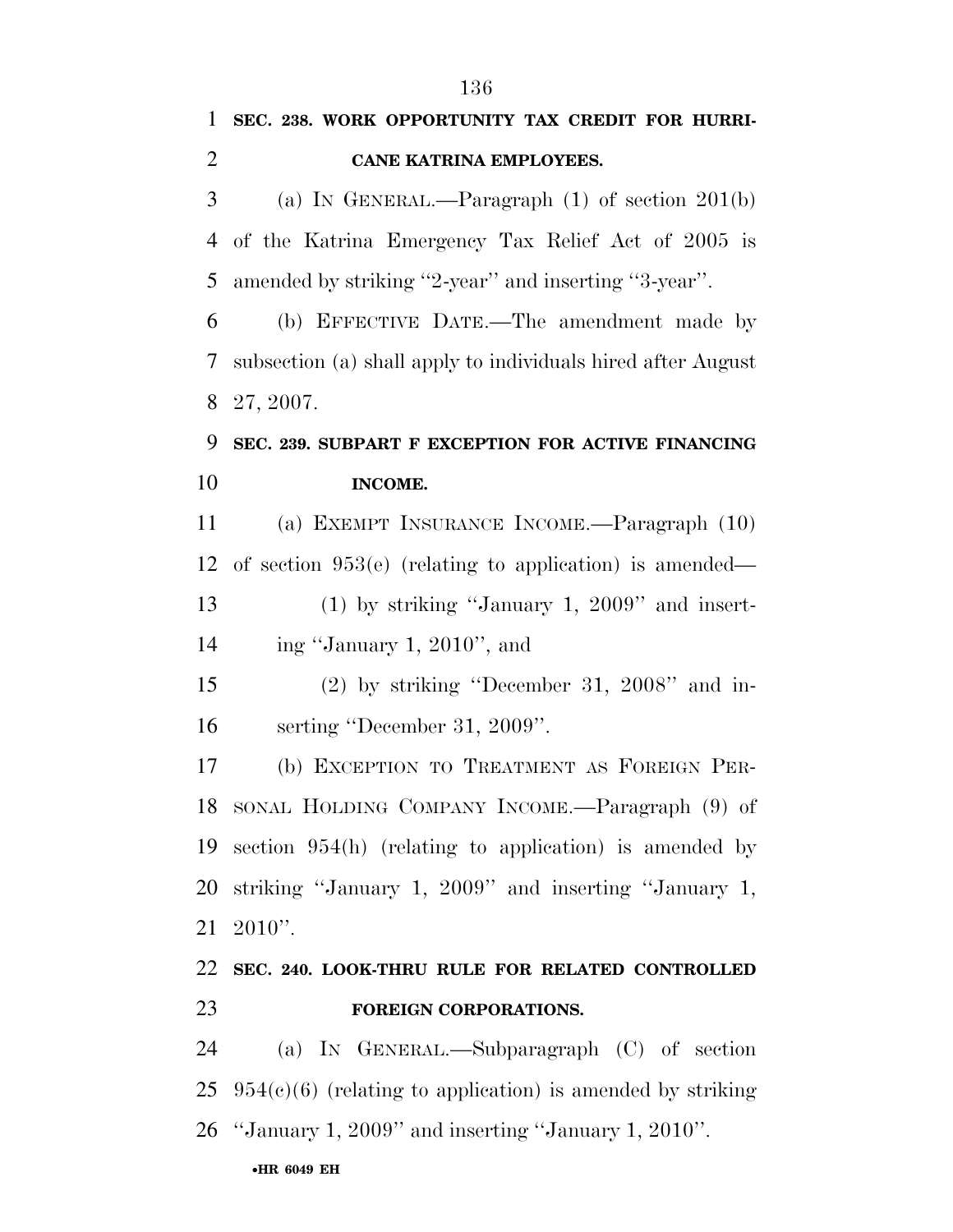|                | 136                                                                  |
|----------------|----------------------------------------------------------------------|
| $\mathbf{1}$   | SEC. 238. WORK OPPORTUNITY TAX CREDIT FOR HURRI-                     |
| $\overline{2}$ | <b>CANE KATRINA EMPLOYEES.</b>                                       |
| 3              | (a) IN GENERAL.—Paragraph $(1)$ of section $201(b)$                  |
| 4              | of the Katrina Emergency Tax Relief Act of 2005 is                   |
| 5              | amended by striking "2-year" and inserting "3-year".                 |
| 6              | (b) EFFECTIVE DATE.—The amendment made by                            |
| 7              | subsection (a) shall apply to individuals hired after August         |
| 8              | 27, 2007.                                                            |
| 9              | SEC. 239. SUBPART F EXCEPTION FOR ACTIVE FINANCING                   |
| 10             | <b>INCOME.</b>                                                       |
| 11             | (a) EXEMPT INSURANCE INCOME.—Paragraph (10)                          |
| 12             | of section $953(e)$ (relating to application) is amended—            |
| 13             | $(1)$ by striking "January 1, 2009" and insert-                      |
| 14             | ing "January 1, 2010", and                                           |
| 15             | $(2)$ by striking "December 31, 2008" and in-                        |
| 16             | serting "December 31, 2009".                                         |
| 17             | (b) EXCEPTION TO TREATMENT AS FOREIGN PER-                           |
|                | 18 SONAL HOLDING COMPANY INCOME.—Paragraph (9) of                    |
|                | 19 section 954(h) (relating to application) is amended by            |
| 20             | striking "January 1, 2009" and inserting "January 1,                 |
| 21             | $2010$ ".                                                            |
| 22             | SEC. 240. LOOK-THRU RULE FOR RELATED CONTROLLED                      |
| 23             | FOREIGN CORPORATIONS.                                                |
| 24             | (a) IN GENERAL.—Subparagraph (C) of section                          |
|                | $25\quad 954(c)(6)$ (relating to application) is amended by striking |

''January 1, 2009'' and inserting ''January 1, 2010''.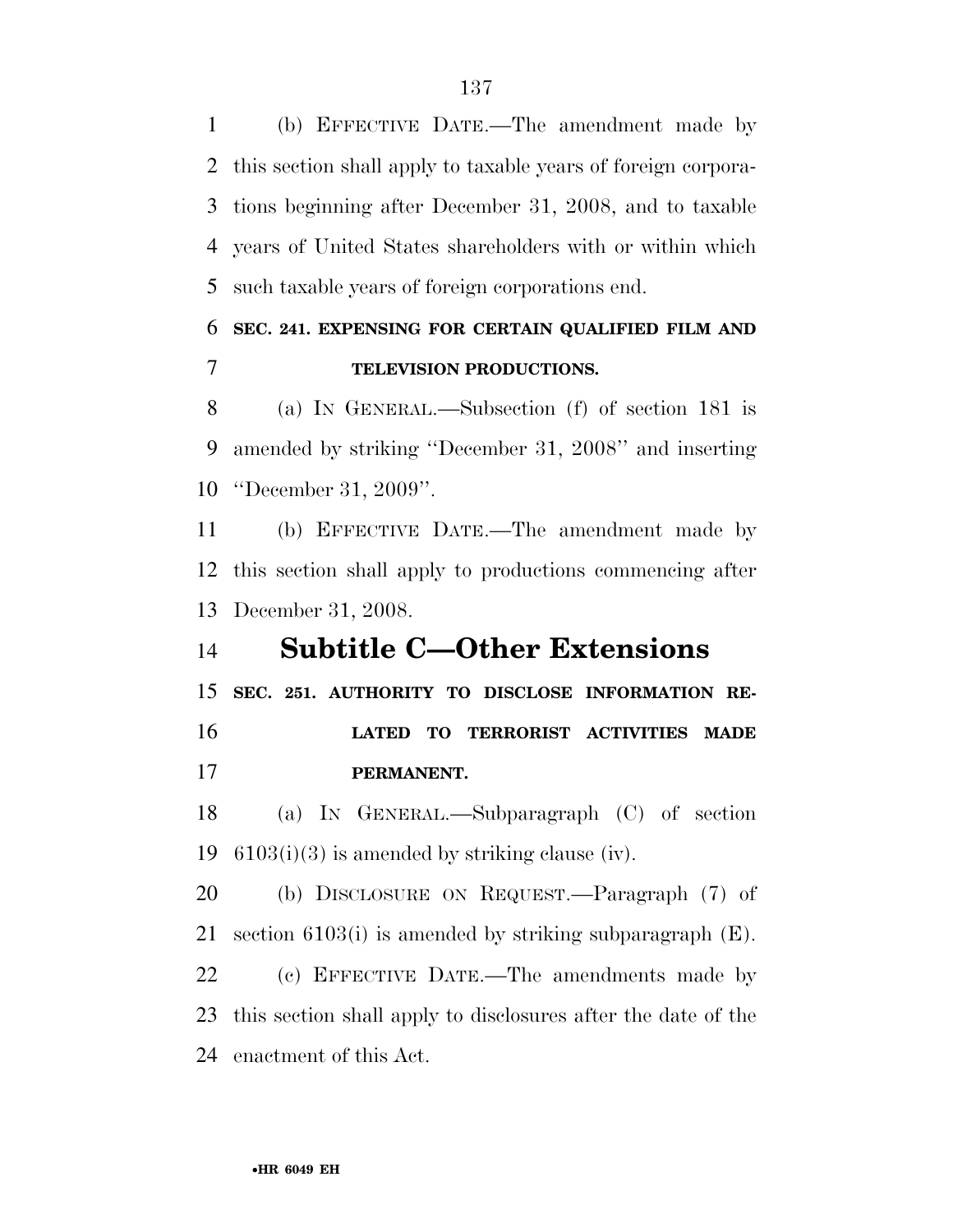(b) EFFECTIVE DATE.—The amendment made by this section shall apply to taxable years of foreign corpora- tions beginning after December 31, 2008, and to taxable years of United States shareholders with or within which such taxable years of foreign corporations end.

### **SEC. 241. EXPENSING FOR CERTAIN QUALIFIED FILM AND TELEVISION PRODUCTIONS.**

 (a) IN GENERAL.—Subsection (f) of section 181 is amended by striking ''December 31, 2008'' and inserting ''December 31, 2009''.

 (b) EFFECTIVE DATE.—The amendment made by this section shall apply to productions commencing after December 31, 2008.

### **Subtitle C—Other Extensions**

**SEC. 251. AUTHORITY TO DISCLOSE INFORMATION RE-**

 **LATED TO TERRORIST ACTIVITIES MADE PERMANENT.** 

 (a) IN GENERAL.—Subparagraph (C) of section 19  $6103(i)(3)$  is amended by striking clause (iv).

 (b) DISCLOSURE ON REQUEST.—Paragraph (7) of section 6103(i) is amended by striking subparagraph (E).

 (c) EFFECTIVE DATE.—The amendments made by this section shall apply to disclosures after the date of the enactment of this Act.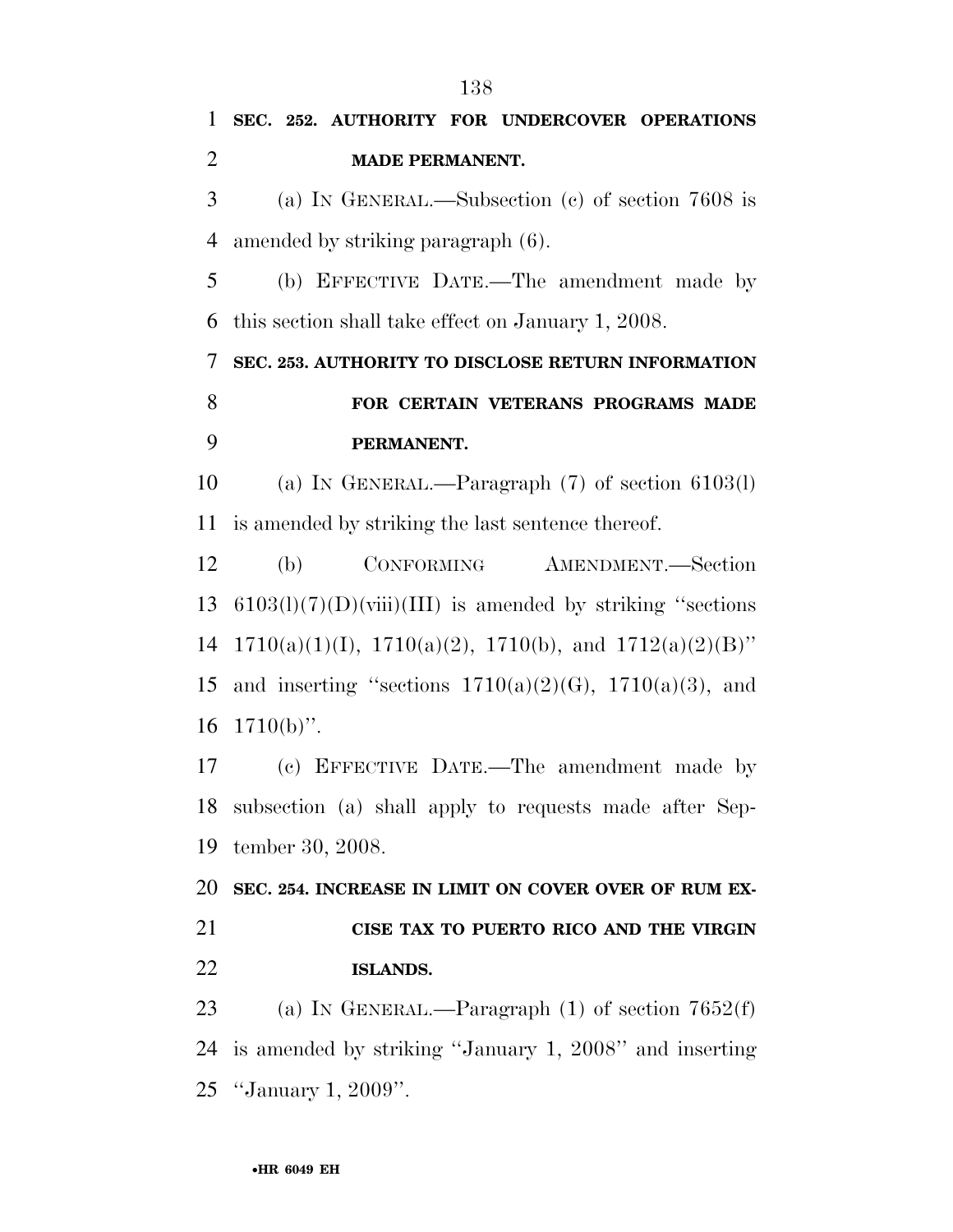**SEC. 252. AUTHORITY FOR UNDERCOVER OPERATIONS MADE PERMANENT.**  (a) IN GENERAL.—Subsection (c) of section 7608 is amended by striking paragraph (6). (b) EFFECTIVE DATE.—The amendment made by this section shall take effect on January 1, 2008. **SEC. 253. AUTHORITY TO DISCLOSE RETURN INFORMATION FOR CERTAIN VETERANS PROGRAMS MADE PERMANENT.**  (a) IN GENERAL.—Paragraph (7) of section 6103(l) is amended by striking the last sentence thereof. (b) CONFORMING AMENDMENT.—Section 13 6103(l)(7)(D)(viii)(III) is amended by striking "sections 14 1710(a)(1)(I), 1710(a)(2), 1710(b), and 1712(a)(2)(B)" 15 and inserting "sections  $1710(a)(2)(G)$ ,  $1710(a)(3)$ , and  $1710(b)$ ". (c) EFFECTIVE DATE.—The amendment made by subsection (a) shall apply to requests made after Sep- tember 30, 2008. **SEC. 254. INCREASE IN LIMIT ON COVER OVER OF RUM EX- CISE TAX TO PUERTO RICO AND THE VIRGIN ISLANDS.**  23 (a) IN GENERAL.—Paragraph (1) of section 7652(f) is amended by striking ''January 1, 2008'' and inserting ''January 1, 2009''.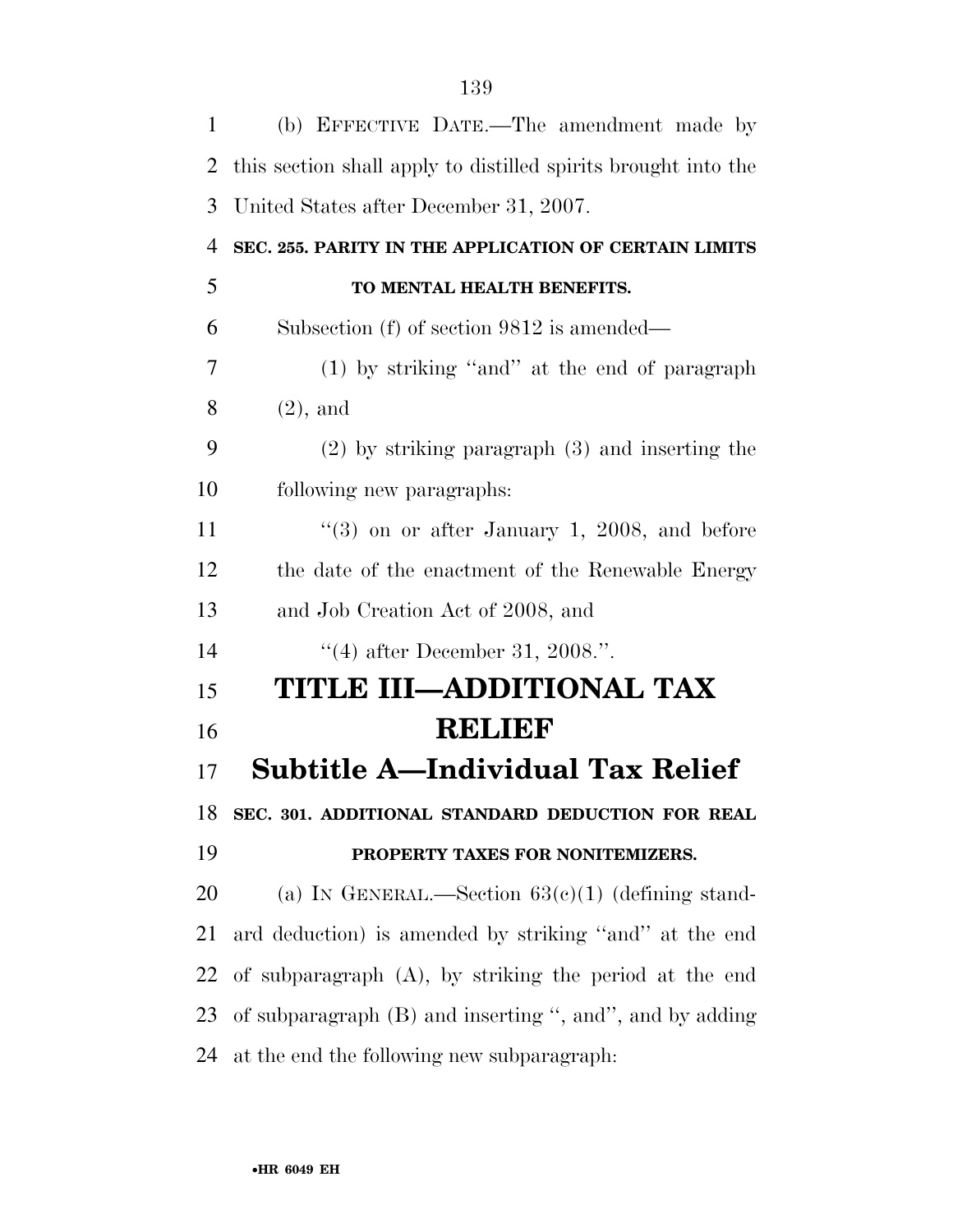| $\mathbf{1}$   | (b) EFFECTIVE DATE.—The amendment made by                      |
|----------------|----------------------------------------------------------------|
| 2              | this section shall apply to distilled spirits brought into the |
| 3              | United States after December 31, 2007.                         |
| $\overline{4}$ | SEC. 255. PARITY IN THE APPLICATION OF CERTAIN LIMITS          |
| 5              | TO MENTAL HEALTH BENEFITS.                                     |
| 6              | Subsection (f) of section 9812 is amended—                     |
| 7              | (1) by striking "and" at the end of paragraph                  |
| 8              | $(2)$ , and                                                    |
| 9              | $(2)$ by striking paragraph $(3)$ and inserting the            |
| 10             | following new paragraphs:                                      |
| 11             | " $(3)$ on or after January 1, 2008, and before                |
| 12             | the date of the enactment of the Renewable Energy              |
| 13             | and Job Creation Act of 2008, and                              |
| 14             | "(4) after December 31, 2008.".                                |
| 15             | TITLE III-ADDITIONAL TAX                                       |
| 16             | <b>RELIEF</b>                                                  |
| 17             | <b>Subtitle A-Individual Tax Relief</b>                        |
| 18             | SEC. 301. ADDITIONAL STANDARD DEDUCTION FOR REAL               |
| 19             | PROPERTY TAXES FOR NONITEMIZERS.                               |
| 20             | (a) IN GENERAL.—Section $63(c)(1)$ (defining stand-            |
| 21             | ard deduction) is amended by striking "and" at the end         |
| 22             | of subparagraph $(A)$ , by striking the period at the end      |
| 23             | of subparagraph (B) and inserting ", and", and by adding       |
| 24             | at the end the following new subparagraph:                     |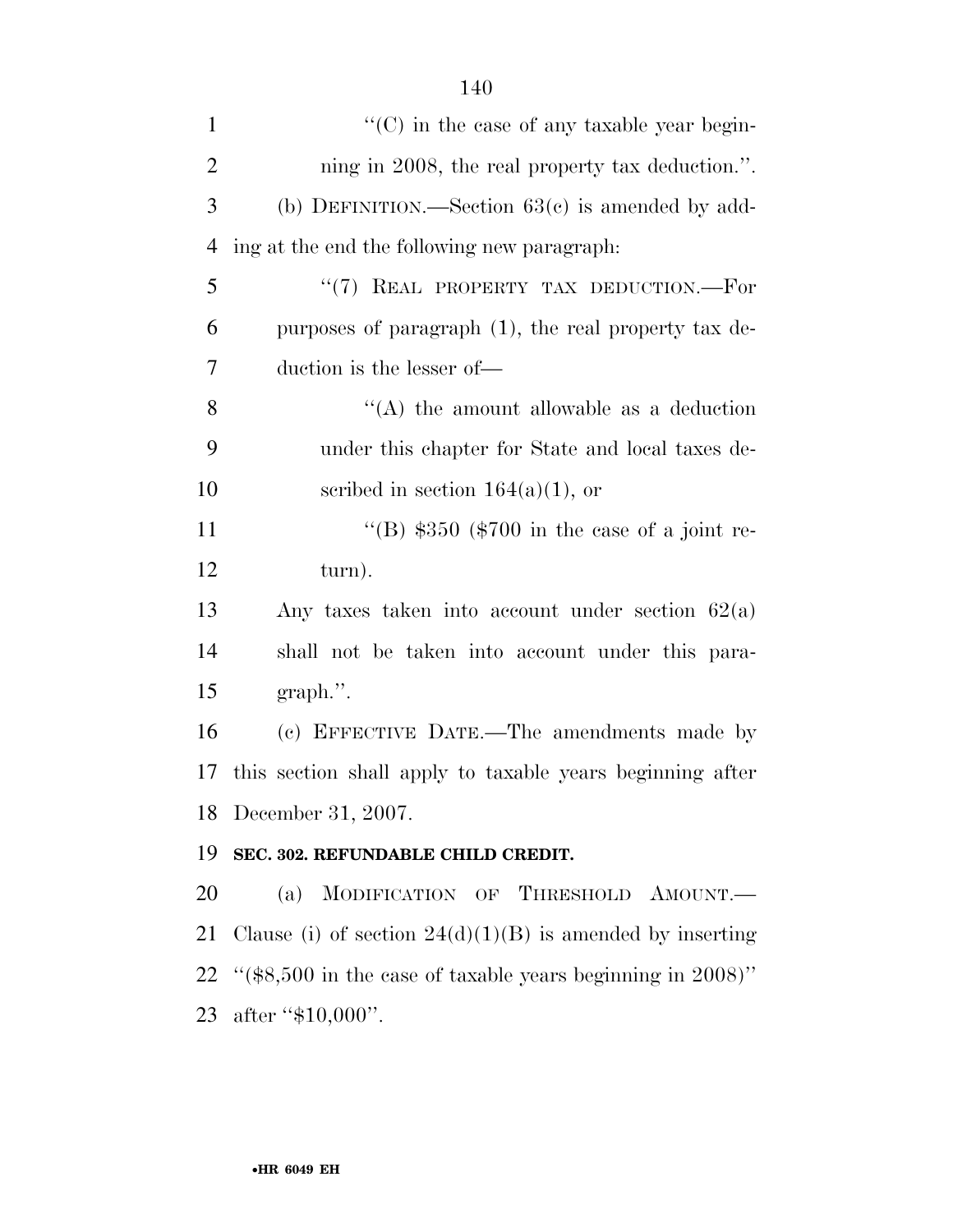| $\mathbf{1}$   | $\lq\lq$ (C) in the case of any taxable year begin-           |
|----------------|---------------------------------------------------------------|
| $\overline{2}$ | ning in 2008, the real property tax deduction.".              |
| 3              | (b) DEFINITION.—Section $63(c)$ is amended by add-            |
| $\overline{4}$ | ing at the end the following new paragraph.                   |
| 5              | "(7) REAL PROPERTY TAX DEDUCTION.—For                         |
| 6              | purposes of paragraph $(1)$ , the real property tax de-       |
| 7              | duction is the lesser of-                                     |
| 8              | "(A) the amount allowable as a deduction                      |
| 9              | under this chapter for State and local taxes de-              |
| 10             | scribed in section $164(a)(1)$ , or                           |
| 11             | "(B) $$350$ (\$700 in the case of a joint re-                 |
| 12             | turn).                                                        |
| 13             | Any taxes taken into account under section $62(a)$            |
| 14             | shall not be taken into account under this para-              |
| 15             | $graph$ .".                                                   |
| 16             | (c) EFFECTIVE DATE.—The amendments made by                    |
| 17             | this section shall apply to taxable years beginning after     |
| 18             | December 31, 2007.                                            |
| 19             | SEC. 302. REFUNDABLE CHILD CREDIT.                            |
| 20             | MODIFICATION OF THRESHOLD AMOUNT.<br>(a)                      |
| 21             | Clause (i) of section $24(d)(1)(B)$ is amended by inserting   |
| 22             | " $(\$8,500$ in the case of taxable years beginning in 2008)" |
| 23             | after " $$10,000$ ".                                          |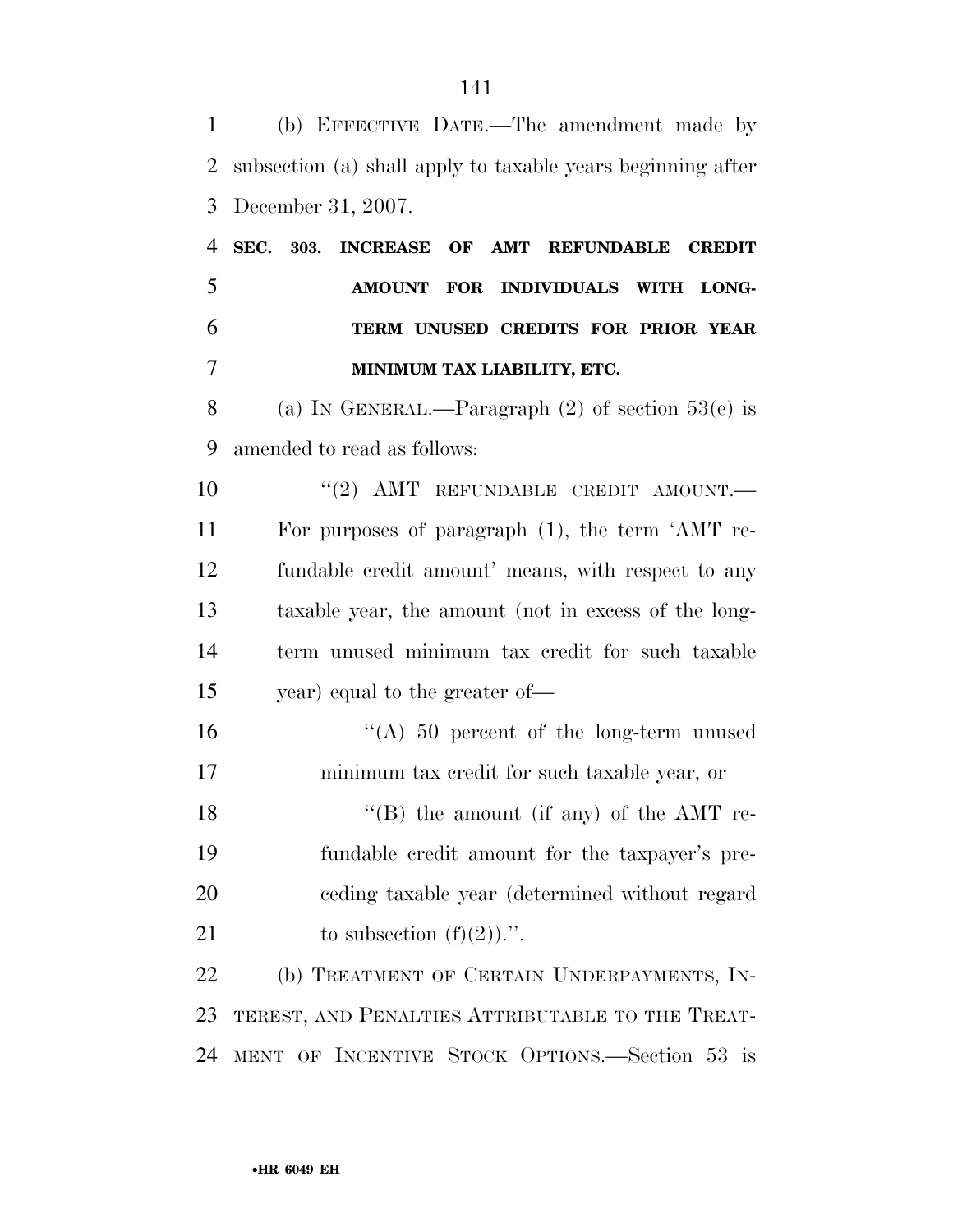(b) EFFECTIVE DATE.—The amendment made by subsection (a) shall apply to taxable years beginning after December 31, 2007. **SEC. 303. INCREASE OF AMT REFUNDABLE CREDIT AMOUNT FOR INDIVIDUALS WITH LONG- TERM UNUSED CREDITS FOR PRIOR YEAR MINIMUM TAX LIABILITY, ETC.**  (a) IN GENERAL.—Paragraph (2) of section 53(e) is amended to read as follows:  $(2)$  AMT REFUNDABLE CREDIT AMOUNT. For purposes of paragraph (1), the term 'AMT re- fundable credit amount' means, with respect to any taxable year, the amount (not in excess of the long- term unused minimum tax credit for such taxable year) equal to the greater of— ''(A) 50 percent of the long-term unused minimum tax credit for such taxable year, or 18 ''(B) the amount (if any) of the AMT re- fundable credit amount for the taxpayer's pre- ceding taxable year (determined without regard 21 to subsection  $(f)(2)$ .''. (b) TREATMENT OF CERTAIN UNDERPAYMENTS, IN- TEREST, AND PENALTIES ATTRIBUTABLE TO THE TREAT-MENT OF INCENTIVE STOCK OPTIONS.—Section 53 is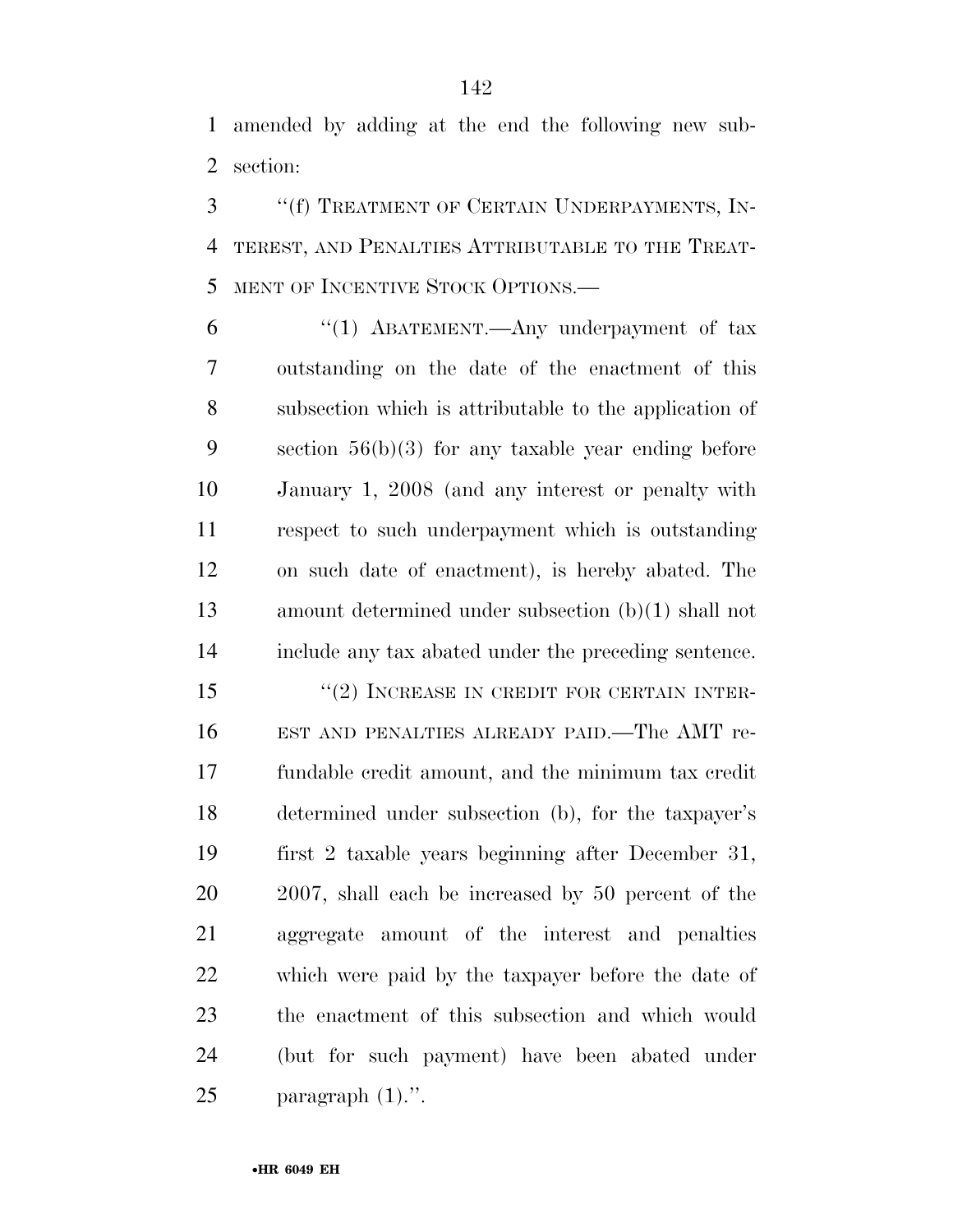amended by adding at the end the following new sub-section:

 ''(f) TREATMENT OF CERTAIN UNDERPAYMENTS, IN- TEREST, AND PENALTIES ATTRIBUTABLE TO THE TREAT-MENT OF INCENTIVE STOCK OPTIONS.—

6 "(1) ABATEMENT.—Any underpayment of tax outstanding on the date of the enactment of this subsection which is attributable to the application of section 56(b)(3) for any taxable year ending before January 1, 2008 (and any interest or penalty with respect to such underpayment which is outstanding on such date of enactment), is hereby abated. The amount determined under subsection (b)(1) shall not include any tax abated under the preceding sentence.

15 "(2) INCREASE IN CREDIT FOR CERTAIN INTER- EST AND PENALTIES ALREADY PAID.—The AMT re- fundable credit amount, and the minimum tax credit determined under subsection (b), for the taxpayer's first 2 taxable years beginning after December 31, 2007, shall each be increased by 50 percent of the aggregate amount of the interest and penalties which were paid by the taxpayer before the date of the enactment of this subsection and which would (but for such payment) have been abated under paragraph (1).''.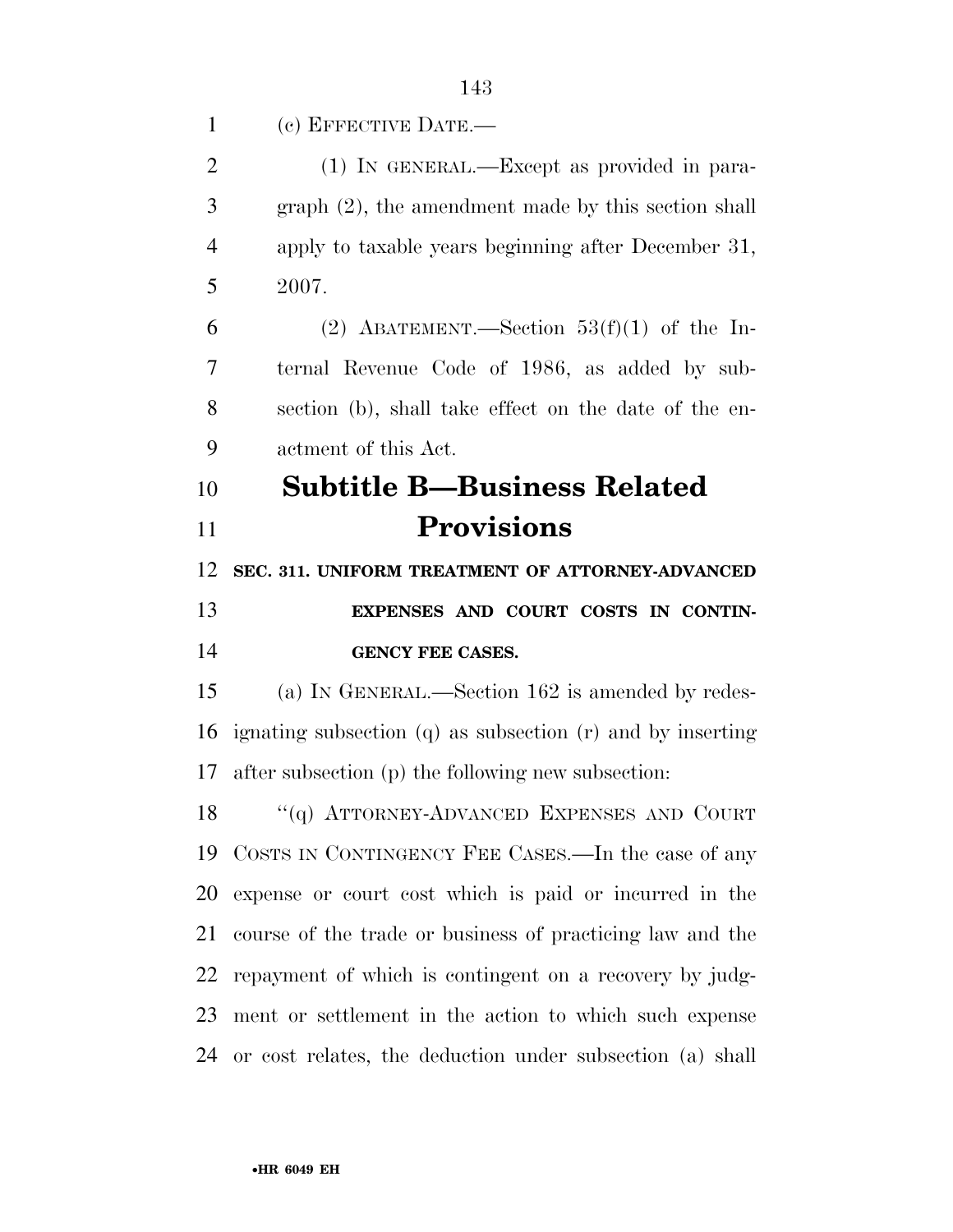(c) EFFECTIVE DATE.—

| $\overline{2}$ | (1) IN GENERAL.—Except as provided in para-                    |
|----------------|----------------------------------------------------------------|
| 3              | $graph(2)$ , the amendment made by this section shall          |
| $\overline{4}$ | apply to taxable years beginning after December 31,            |
| 5              | 2007.                                                          |
| 6              | (2) ABATEMENT.—Section $53(f)(1)$ of the In-                   |
| 7              | ternal Revenue Code of 1986, as added by sub-                  |
| 8              | section (b), shall take effect on the date of the en-          |
| 9              | actment of this Act.                                           |
| 10             | <b>Subtitle B-Business Related</b>                             |
| 11             | <b>Provisions</b>                                              |
| 12             | SEC. 311. UNIFORM TREATMENT OF ATTORNEY-ADVANCED               |
| 13             | EXPENSES AND COURT COSTS IN CONTIN-                            |
| 14             | <b>GENCY FEE CASES.</b>                                        |
| 15             | (a) IN GENERAL.—Section 162 is amended by redes-               |
| 16             |                                                                |
|                | ignating subsection $(q)$ as subsection $(r)$ and by inserting |
| 17             | after subsection (p) the following new subsection:             |
| 18             | "(q) ATTORNEY-ADVANCED EXPENSES AND COURT                      |
| 19             | COSTS IN CONTINGENCY FEE CASES.—In the case of any             |
| 20             | expense or court cost which is paid or incurred in the         |
| 21             | course of the trade or business of practicing law and the      |
| 22             | repayment of which is contingent on a recovery by judg-        |
| 23             | ment or settlement in the action to which such expense         |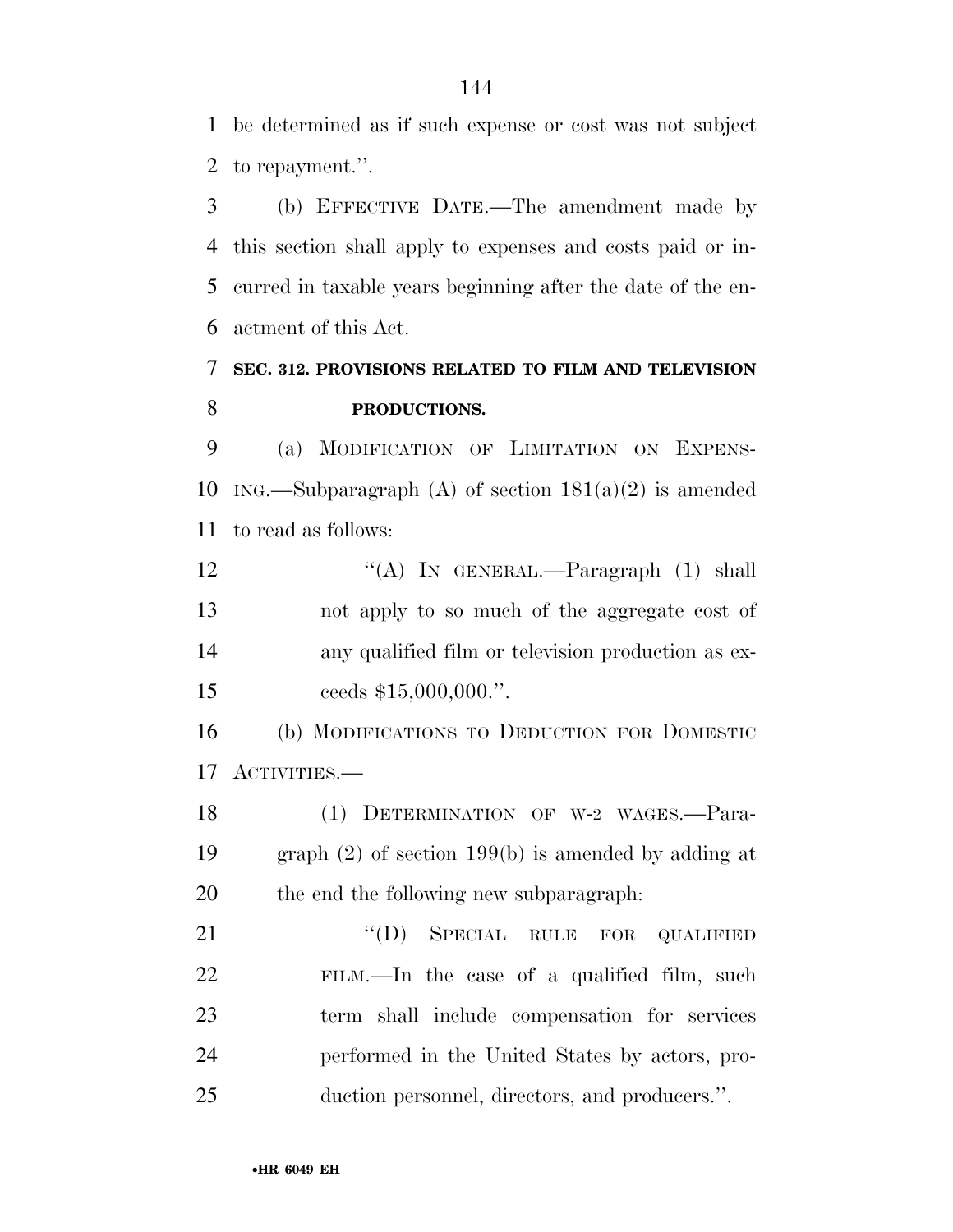be determined as if such expense or cost was not subject to repayment.''.

 (b) EFFECTIVE DATE.—The amendment made by this section shall apply to expenses and costs paid or in- curred in taxable years beginning after the date of the en-actment of this Act.

## **SEC. 312. PROVISIONS RELATED TO FILM AND TELEVISION PRODUCTIONS.**

 (a) MODIFICATION OF LIMITATION ON EXPENS-10 ING.—Subparagraph (A) of section  $181(a)(2)$  is amended to read as follows:

12 "(A) In GENERAL.—Paragraph (1) shall not apply to so much of the aggregate cost of any qualified film or television production as ex-15 ceeds \$15,000,000.".

 (b) MODIFICATIONS TO DEDUCTION FOR DOMESTIC ACTIVITIES.—

 (1) DETERMINATION OF W-2 WAGES.—Para- graph (2) of section 199(b) is amended by adding at the end the following new subparagraph:

21 "(D) SPECIAL RULE FOR QUALIFIED FILM.—In the case of a qualified film, such term shall include compensation for services performed in the United States by actors, pro-duction personnel, directors, and producers.''.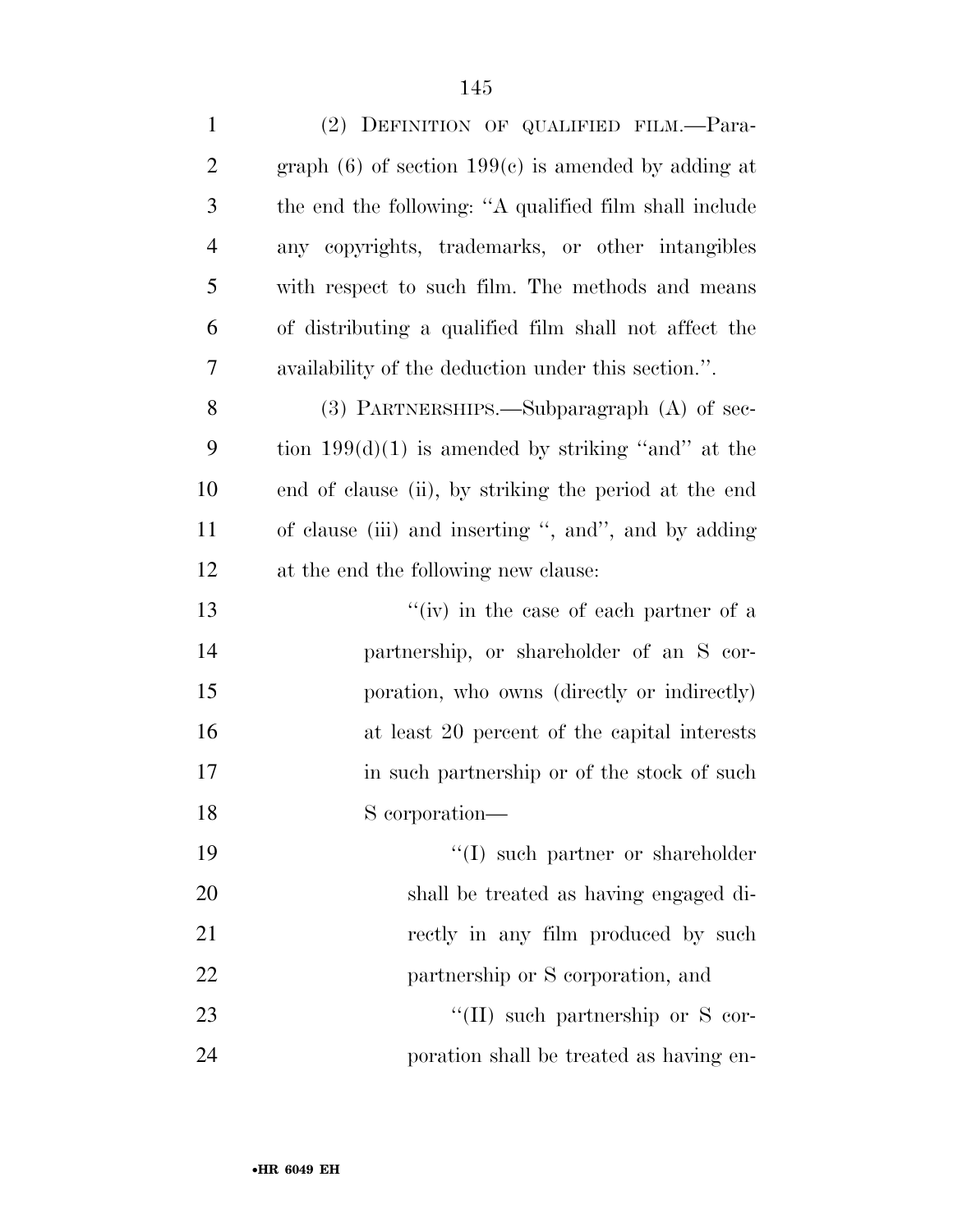| $\mathbf{1}$   | (2) DEFINITION OF QUALIFIED FILM.-Para-                  |
|----------------|----------------------------------------------------------|
| $\overline{2}$ | graph $(6)$ of section 199 $(c)$ is amended by adding at |
| 3              | the end the following: "A qualified film shall include   |
| $\overline{4}$ | any copyrights, trademarks, or other intangibles         |
| 5              | with respect to such film. The methods and means         |
| 6              | of distributing a qualified film shall not affect the    |
| 7              | availability of the deduction under this section.".      |
| 8              | $(3)$ PARTNERSHIPS.—Subparagraph $(A)$ of sec-           |
| 9              | tion $199(d)(1)$ is amended by striking "and" at the     |
| 10             | end of clause (ii), by striking the period at the end    |
| <sup>11</sup>  | of clause (iii) and inserting ", and", and by adding     |
| 12             | at the end the following new clause:                     |
| 13             | $f'(iv)$ in the case of each partner of a                |
| 14             | partnership, or shareholder of an S cor-                 |
| 15             | poration, who owns (directly or indirectly)              |
| 16             | at least 20 percent of the capital interests             |
| 17             | in such partnership or of the stock of such              |
| 18             | S corporation—                                           |
| 19             | "(I) such partner or shareholder                         |
| 20             | shall be treated as having engaged di-                   |
| 21             | rectly in any film produced by such                      |
| 22             | partnership or S corporation, and                        |
| 23             | $\lq\lq$ (II) such partnership or S cor-                 |
| 24             | poration shall be treated as having en-                  |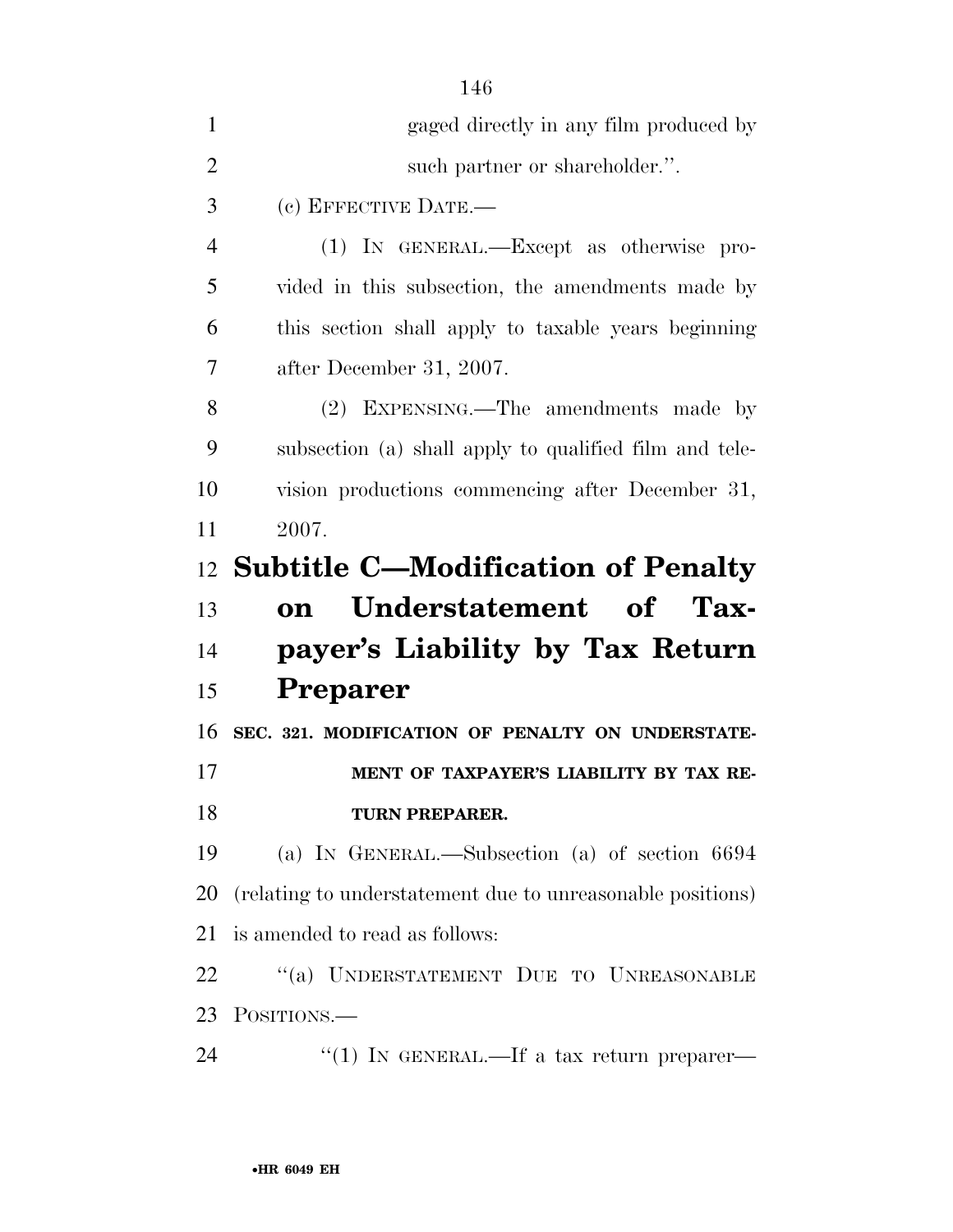| $\mathbf{1}$         | gaged directly in any film produced by                     |
|----------------------|------------------------------------------------------------|
| $\overline{2}$       | such partner or shareholder.".                             |
| 3                    | (c) EFFECTIVE DATE.-                                       |
| $\overline{4}$       | (1) IN GENERAL.—Except as otherwise pro-                   |
| 5                    | vided in this subsection, the amendments made by           |
| 6                    | this section shall apply to taxable years beginning        |
| 7                    | after December 31, 2007.                                   |
| 8                    | (2) EXPENSING.—The amendments made by                      |
| 9                    | subsection (a) shall apply to qualified film and tele-     |
| 10                   | vision productions commencing after December 31,           |
| 11                   | 2007.                                                      |
| 12                   | <b>Subtitle C—Modification of Penalty</b>                  |
| 13                   | Understatement of Tax-<br>on                               |
| 14                   | payer's Liability by Tax Return                            |
|                      |                                                            |
| 15                   | <b>Preparer</b>                                            |
| 16                   | SEC. 321. MODIFICATION OF PENALTY ON UNDERSTATE-           |
|                      | MENT OF TAXPAYER'S LIABILITY BY TAX RE-                    |
|                      | TURN PREPARER.                                             |
|                      | (a) IN GENERAL.—Subsection (a) of section 6694             |
| 17<br>18<br>19<br>20 | (relating to understatement due to unreasonable positions) |
| 21                   | is amended to read as follows:                             |
| 22                   | "(a) UNDERSTATEMENT DUE TO UNREASONABLE                    |
| 23                   | POSITIONS.                                                 |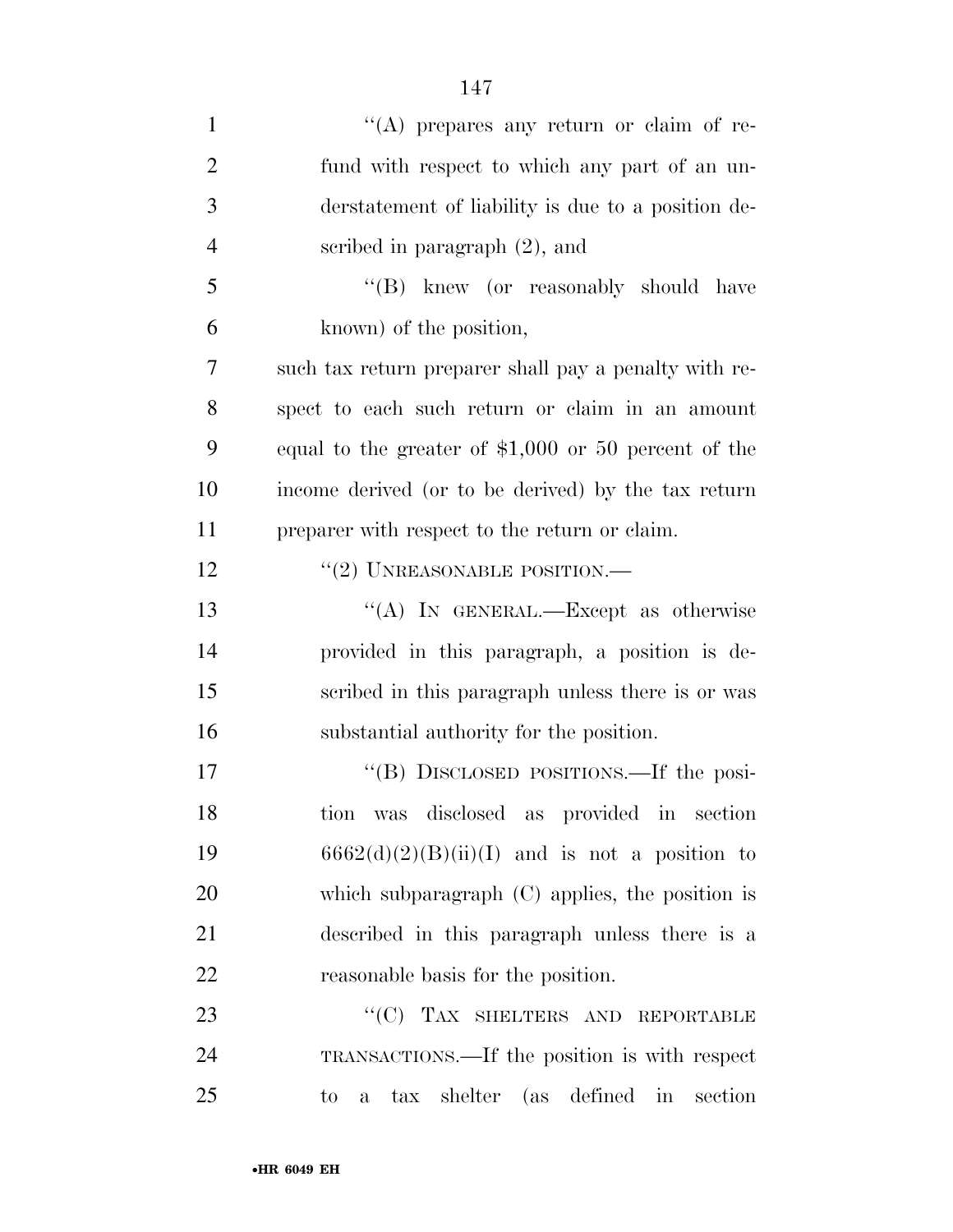| $\mathbf{1}$   | "(A) prepares any return or claim of re-                    |
|----------------|-------------------------------------------------------------|
| $\overline{2}$ | fund with respect to which any part of an un-               |
| 3              | derstatement of liability is due to a position de-          |
| $\overline{4}$ | scribed in paragraph $(2)$ , and                            |
| 5              | "(B) knew (or reasonably should have                        |
| 6              | known) of the position,                                     |
| 7              | such tax return preparer shall pay a penalty with re-       |
| 8              | spect to each such return or claim in an amount             |
| 9              | equal to the greater of $$1,000$ or 50 percent of the       |
| 10             | income derived (or to be derived) by the tax return         |
| 11             | preparer with respect to the return or claim.               |
| 12             | $``(2)$ UNREASONABLE POSITION.—                             |
| 13             | "(A) IN GENERAL.—Except as otherwise                        |
| 14             | provided in this paragraph, a position is de-               |
| 15             | scribed in this paragraph unless there is or was            |
| 16             | substantial authority for the position.                     |
| 17             | "(B) DISCLOSED POSITIONS.—If the posi-                      |
| 18             | was disclosed as provided in section<br>tion                |
| 19             | $6662(d)(2)(B)(ii)(I)$ and is not a position to             |
| 20             | which subparagraph (C) applies, the position is             |
| 21             | described in this paragraph unless there is a               |
| 22             | reasonable basis for the position.                          |
| 23             | "(C) TAX SHELTERS AND REPORTABLE                            |
| 24             | TRANSACTIONS.—If the position is with respect               |
| 25             | tax shelter (as defined in<br>section<br>to<br>$\mathbf{a}$ |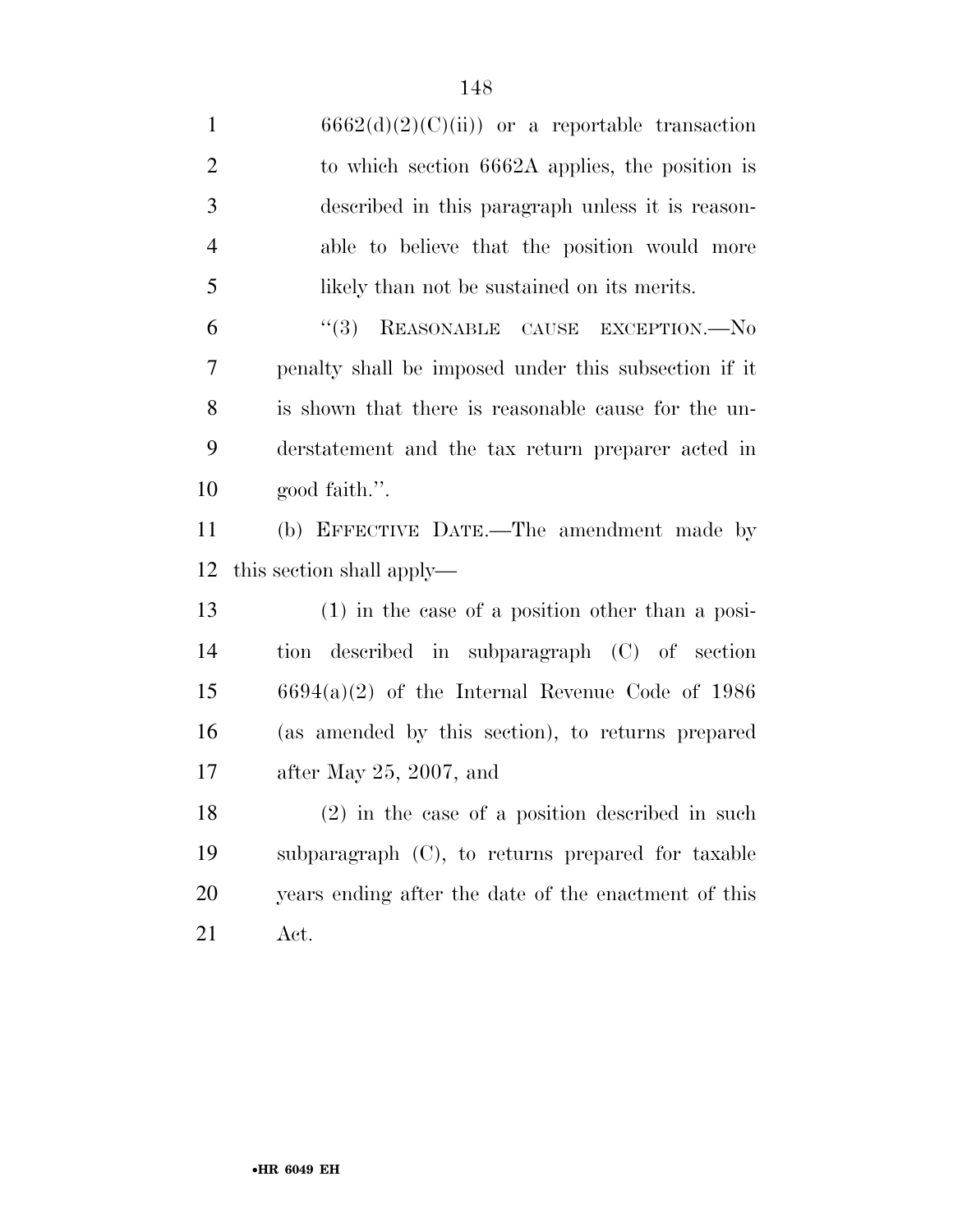1 6662(d)(2)(C)(ii)) or a reportable transaction to which section 6662A applies, the position is described in this paragraph unless it is reason- able to believe that the position would more likely than not be sustained on its merits. 6 "(3) REASONABLE CAUSE EXCEPTION.—No penalty shall be imposed under this subsection if it is shown that there is reasonable cause for the un- derstatement and the tax return preparer acted in good faith.''. (b) EFFECTIVE DATE.—The amendment made by this section shall apply— (1) in the case of a position other than a posi- tion described in subparagraph (C) of section 6694(a)(2) of the Internal Revenue Code of 1986 (as amended by this section), to returns prepared after May 25, 2007, and (2) in the case of a position described in such subparagraph (C), to returns prepared for taxable years ending after the date of the enactment of this Act.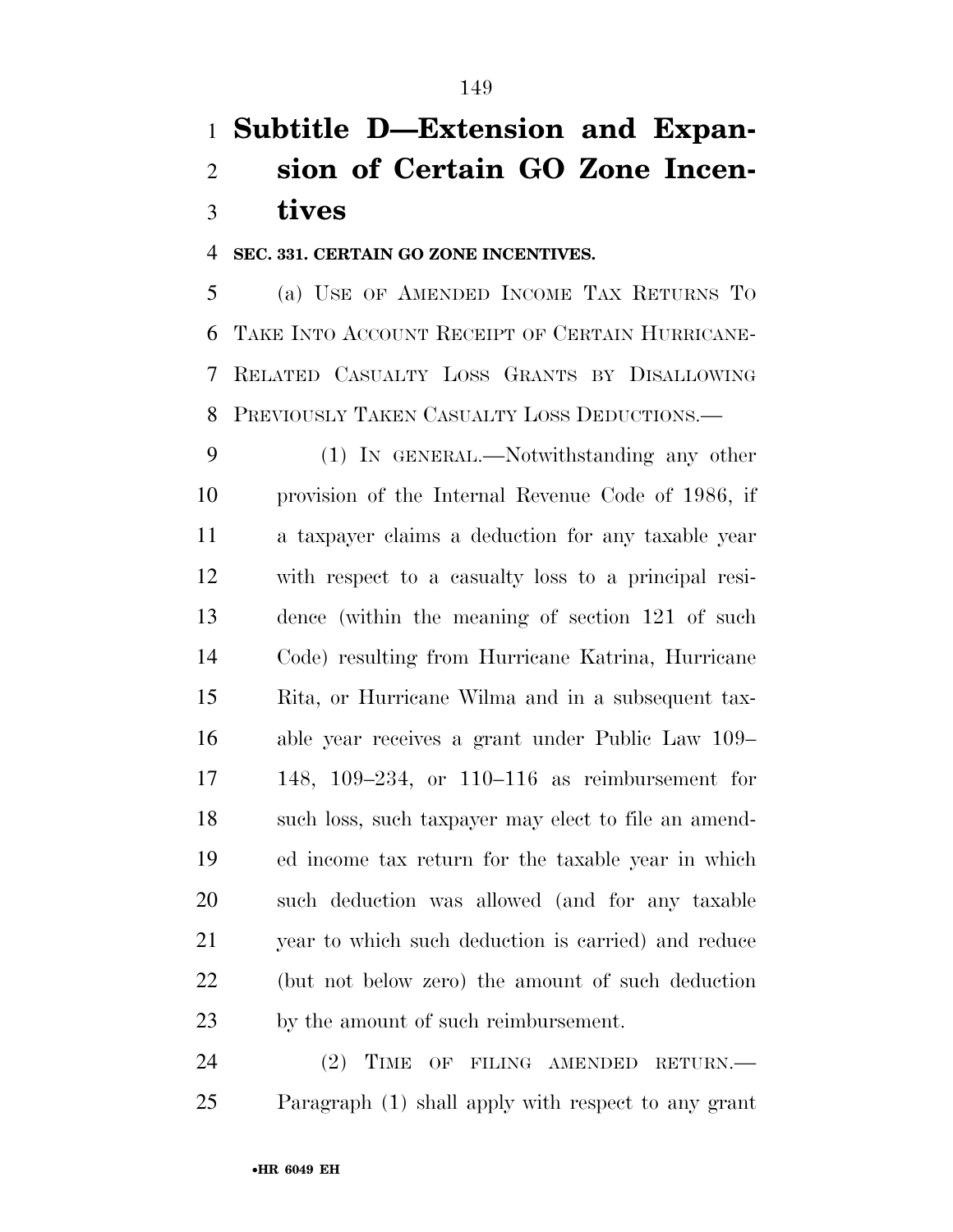### **Subtitle D—Extension and Expan- sion of Certain GO Zone Incen-tives**

#### **SEC. 331. CERTAIN GO ZONE INCENTIVES.**

 (a) USE OF AMENDED INCOME TAX RETURNS TO TAKE INTO ACCOUNT RECEIPT OF CERTAIN HURRICANE- RELATED CASUALTY LOSS GRANTS BY DISALLOWING PREVIOUSLY TAKEN CASUALTY LOSS DEDUCTIONS.—

 (1) IN GENERAL.—Notwithstanding any other provision of the Internal Revenue Code of 1986, if a taxpayer claims a deduction for any taxable year with respect to a casualty loss to a principal resi- dence (within the meaning of section 121 of such Code) resulting from Hurricane Katrina, Hurricane Rita, or Hurricane Wilma and in a subsequent tax- able year receives a grant under Public Law 109– 148, 109–234, or 110–116 as reimbursement for such loss, such taxpayer may elect to file an amend- ed income tax return for the taxable year in which such deduction was allowed (and for any taxable year to which such deduction is carried) and reduce (but not below zero) the amount of such deduction by the amount of such reimbursement.

24 (2) TIME OF FILING AMENDED RETURN.— Paragraph (1) shall apply with respect to any grant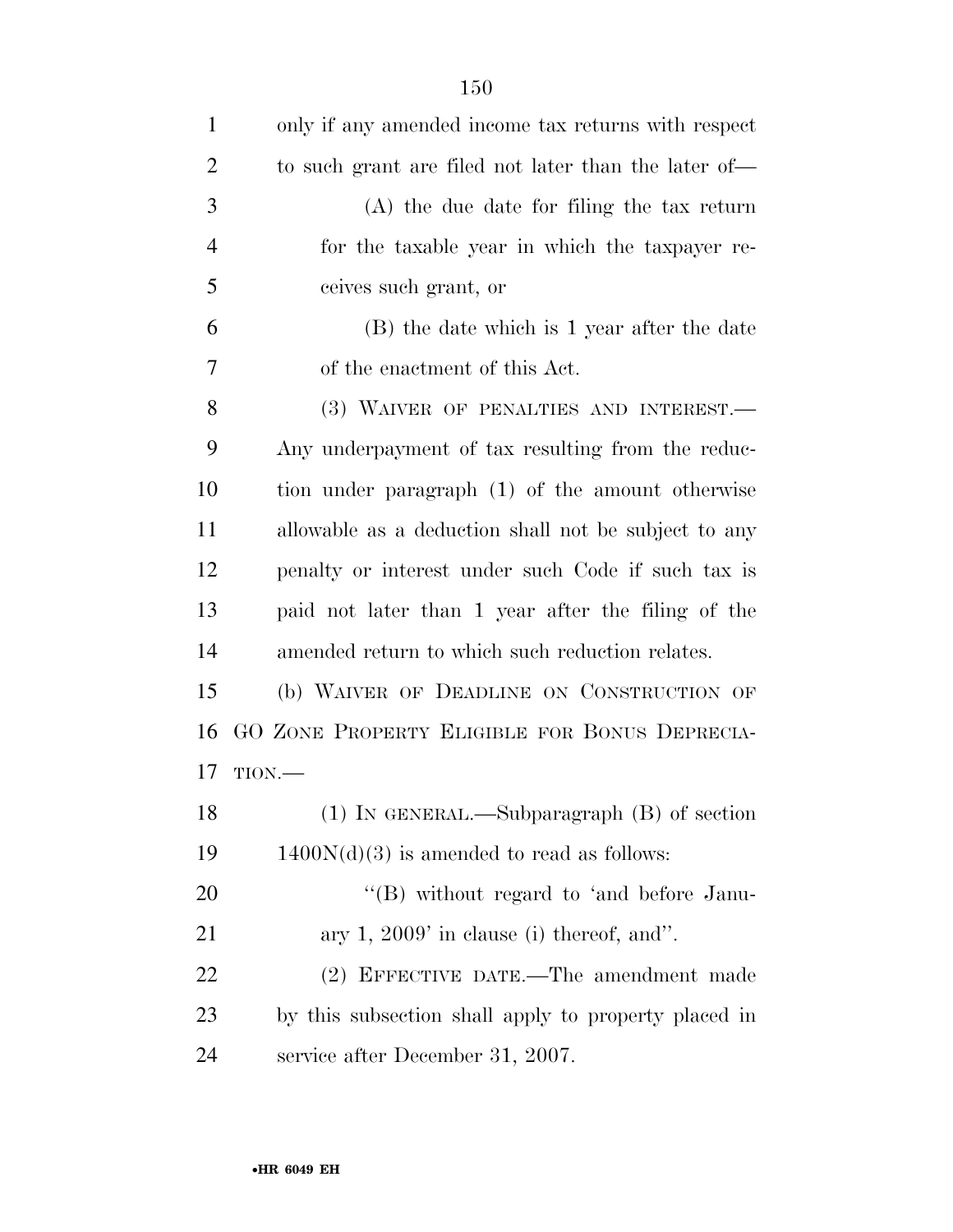| $\mathbf{1}$   | only if any amended income tax returns with respect  |
|----------------|------------------------------------------------------|
| $\overline{2}$ | to such grant are filed not later than the later of— |
| 3              | $(A)$ the due date for filing the tax return         |
| $\overline{4}$ | for the taxable year in which the taxpayer re-       |
| 5              | ceives such grant, or                                |
| 6              | (B) the date which is 1 year after the date          |
| 7              | of the enactment of this Act.                        |
| 8              | (3) WAIVER OF PENALTIES AND INTEREST.                |
| 9              | Any underpayment of tax resulting from the reduc-    |
| 10             | tion under paragraph (1) of the amount otherwise     |
| 11             | allowable as a deduction shall not be subject to any |
| 12             | penalty or interest under such Code if such tax is   |
| 13             | paid not later than 1 year after the filing of the   |
| 14             | amended return to which such reduction relates.      |
| 15             | (b) WAIVER OF DEADLINE ON CONSTRUCTION OF            |
| 16             | GO ZONE PROPERTY ELIGIBLE FOR BONUS DEPRECIA-        |
| 17             | TION.                                                |
| 18             | $(1)$ IN GENERAL.—Subparagraph $(B)$ of section      |
| 19             | $1400N(d)(3)$ is amended to read as follows:         |
| 20             | $\lq\lq (B)$ without regard to 'and before Janu-     |
| 21             | ary $1, 2009'$ in clause (i) thereof, and".          |
| 22             | (2) EFFECTIVE DATE.—The amendment made               |
| 23             | by this subsection shall apply to property placed in |
| 24             | service after December 31, 2007.                     |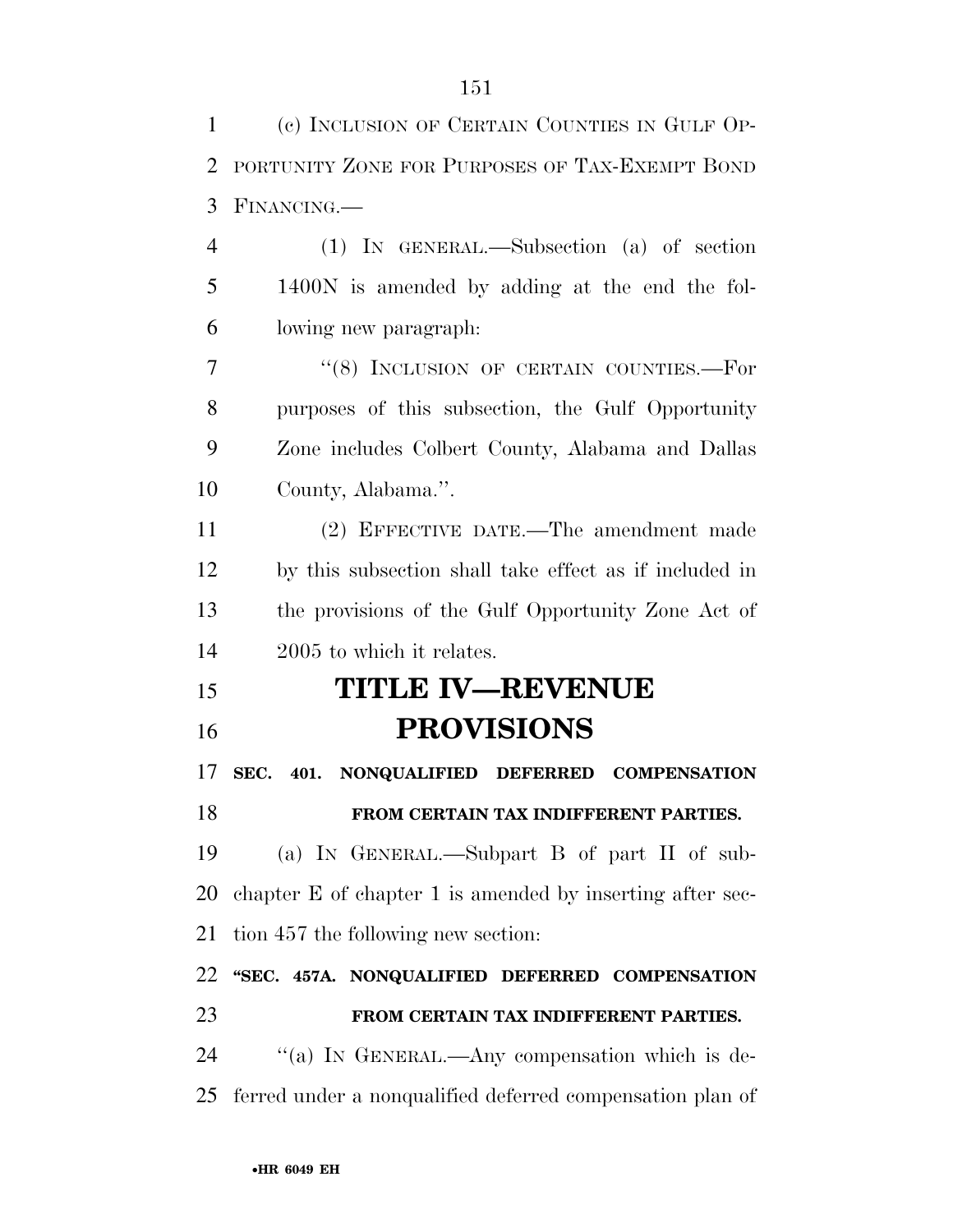| $\mathbf{1}$   | (c) INCLUSION OF CERTAIN COUNTIES IN GULF OP-             |
|----------------|-----------------------------------------------------------|
| $\overline{2}$ | PORTUNITY ZONE FOR PURPOSES OF TAX-EXEMPT BOND            |
| 3              | FINANCING.                                                |
| $\overline{4}$ | (1) IN GENERAL.—Subsection (a) of section                 |
| 5              | 1400N is amended by adding at the end the fol-            |
| 6              | lowing new paragraph.                                     |
| 7              | "(8) INCLUSION OF CERTAIN COUNTIES.-For                   |
| 8              | purposes of this subsection, the Gulf Opportunity         |
| 9              | Zone includes Colbert County, Alabama and Dallas          |
| 10             | County, Alabama.".                                        |
| 11             | (2) EFFECTIVE DATE.—The amendment made                    |
| 12             | by this subsection shall take effect as if included in    |
| 13             | the provisions of the Gulf Opportunity Zone Act of        |
| 14             | 2005 to which it relates.                                 |
|                |                                                           |
| 15             | <b>TITLE IV—REVENUE</b>                                   |
| 16             | <b>PROVISIONS</b>                                         |
| 17             | SEC. 401. NONQUALIFIED DEFERRED<br><b>COMPENSATION</b>    |
| 18             | FROM CERTAIN TAX INDIFFERENT PARTIES.                     |
| 19             | (a) IN GENERAL.—Subpart B of part II of sub-              |
|                | chapter E of chapter 1 is amended by inserting after sec- |
| 20<br>21       | tion 457 the following new section:                       |
| 22             | "SEC. 457A. NONQUALIFIED DEFERRED COMPENSATION            |
| 23             | FROM CERTAIN TAX INDIFFERENT PARTIES.                     |
| 24             | "(a) IN GENERAL.—Any compensation which is de-            |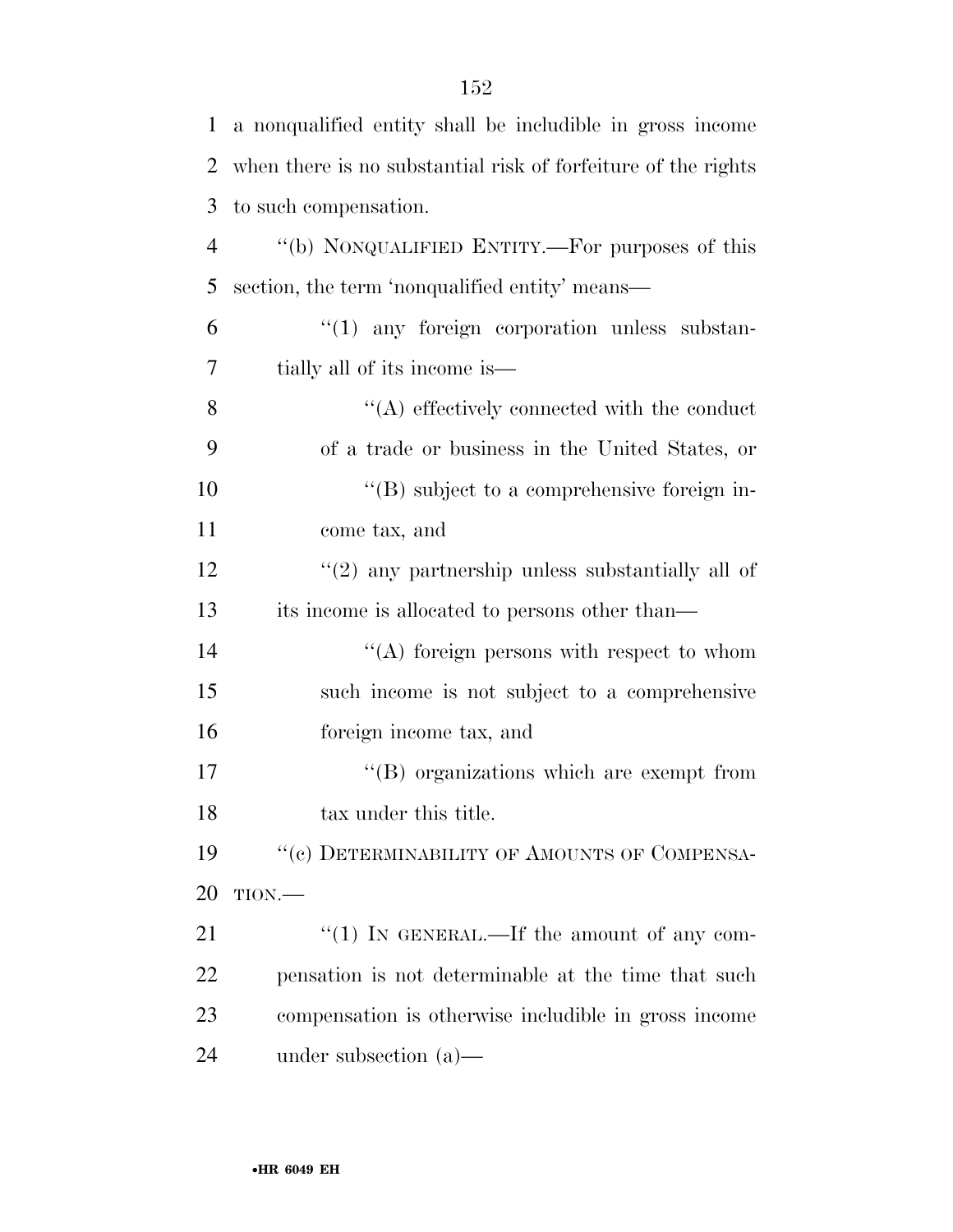| $\mathbf{1}$   | a nonqualified entity shall be includible in gross income     |
|----------------|---------------------------------------------------------------|
| 2              | when there is no substantial risk of forfeiture of the rights |
| 3              | to such compensation.                                         |
| $\overline{4}$ | "(b) NONQUALIFIED ENTITY.—For purposes of this                |
| 5              | section, the term 'nonqualified entity' means—                |
| 6              | $\lq(1)$ any foreign corporation unless substan-              |
| 7              | tially all of its income is—                                  |
| 8              | $\lq\lq$ effectively connected with the conduct               |
| 9              | of a trade or business in the United States, or               |
| 10             | $\lq\lq (B)$ subject to a comprehensive foreign in-           |
| 11             | come tax, and                                                 |
| 12             | $\lq(2)$ any partnership unless substantially all of          |
| 13             | its income is allocated to persons other than—                |
| 14             | $\lq\lq$ foreign persons with respect to whom                 |
| 15             | such income is not subject to a comprehensive                 |
| 16             | foreign income tax, and                                       |
| 17             | $\lq\lq$ organizations which are exempt from                  |
| 18             | tax under this title.                                         |
| 19             | "(c) DETERMINABILITY OF AMOUNTS OF COMPENSA-                  |
| 20             | TION.                                                         |
| 21             | " $(1)$ IN GENERAL.—If the amount of any com-                 |
| 22             | pensation is not determinable at the time that such           |
| 23             | compensation is otherwise includible in gross income          |
| 24             | under subsection $(a)$ —                                      |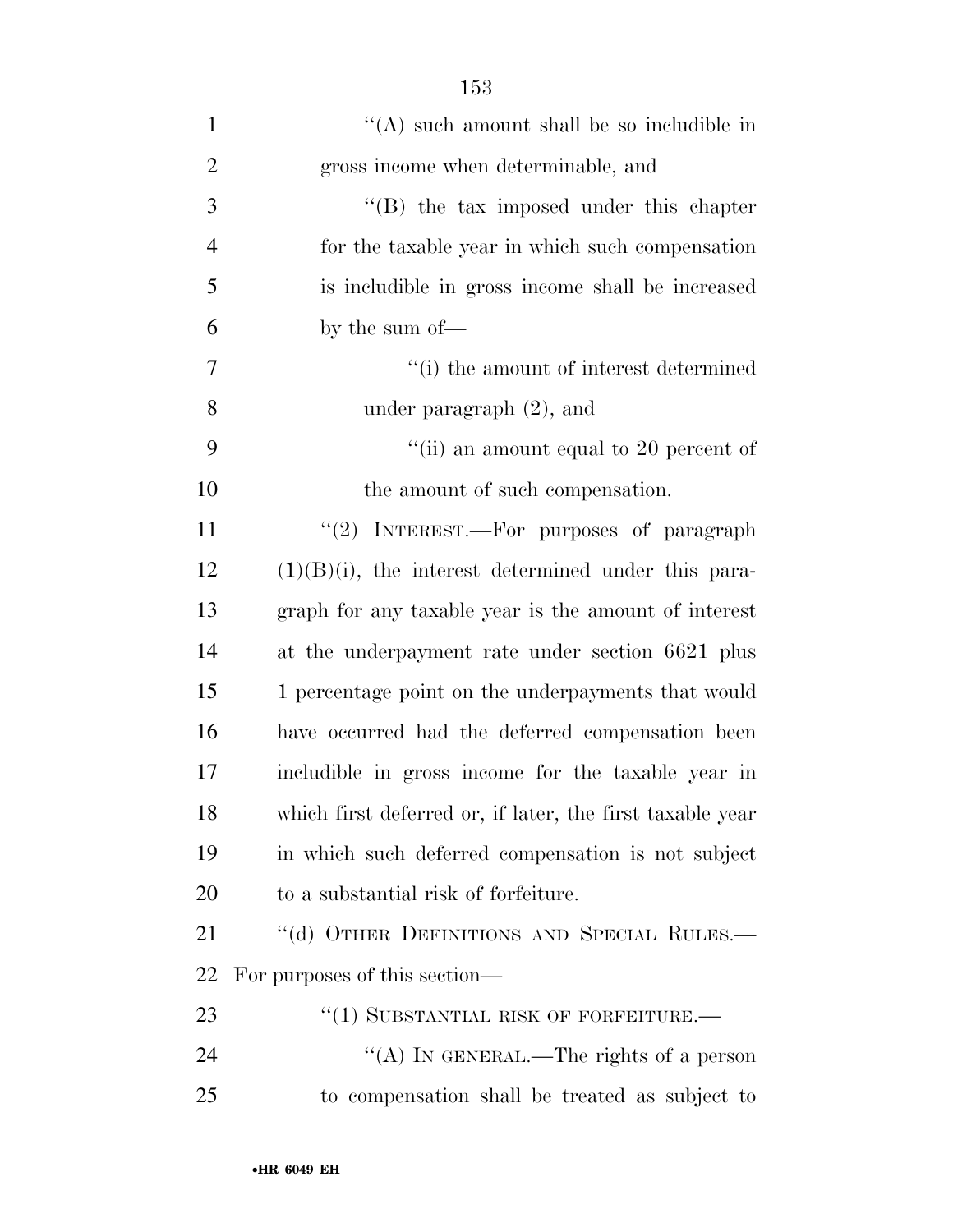| $\mathbf{1}$   | $\lq\lq$ such amount shall be so includible in            |
|----------------|-----------------------------------------------------------|
| $\overline{2}$ | gross income when determinable, and                       |
| 3              | "(B) the tax imposed under this chapter                   |
| $\overline{4}$ | for the taxable year in which such compensation           |
| 5              | is includible in gross income shall be increased          |
| 6              | by the sum of—                                            |
| $\tau$         | "(i) the amount of interest determined                    |
| 8              | under paragraph $(2)$ , and                               |
| 9              | "(ii) an amount equal to 20 percent of                    |
| 10             | the amount of such compensation.                          |
| 11             | " $(2)$ INTEREST.—For purposes of paragraph               |
| 12             | $(1)(B)(i)$ , the interest determined under this para-    |
| 13             | graph for any taxable year is the amount of interest      |
| 14             | at the underpayment rate under section 6621 plus          |
| 15             | 1 percentage point on the underpayments that would        |
| 16             | have occurred had the deferred compensation been          |
| 17             | includible in gross income for the taxable year in        |
| 18             | which first deferred or, if later, the first taxable year |
| 19             | in which such deferred compensation is not subject        |
| 20             | to a substantial risk of forfeiture.                      |
| 21             | "(d) OTHER DEFINITIONS AND SPECIAL RULES.-                |
| 22             | For purposes of this section—                             |
| 23             | "(1) SUBSTANTIAL RISK OF FORFEITURE.—                     |
| 24             | "(A) IN GENERAL.—The rights of a person                   |
| 25             | to compensation shall be treated as subject to            |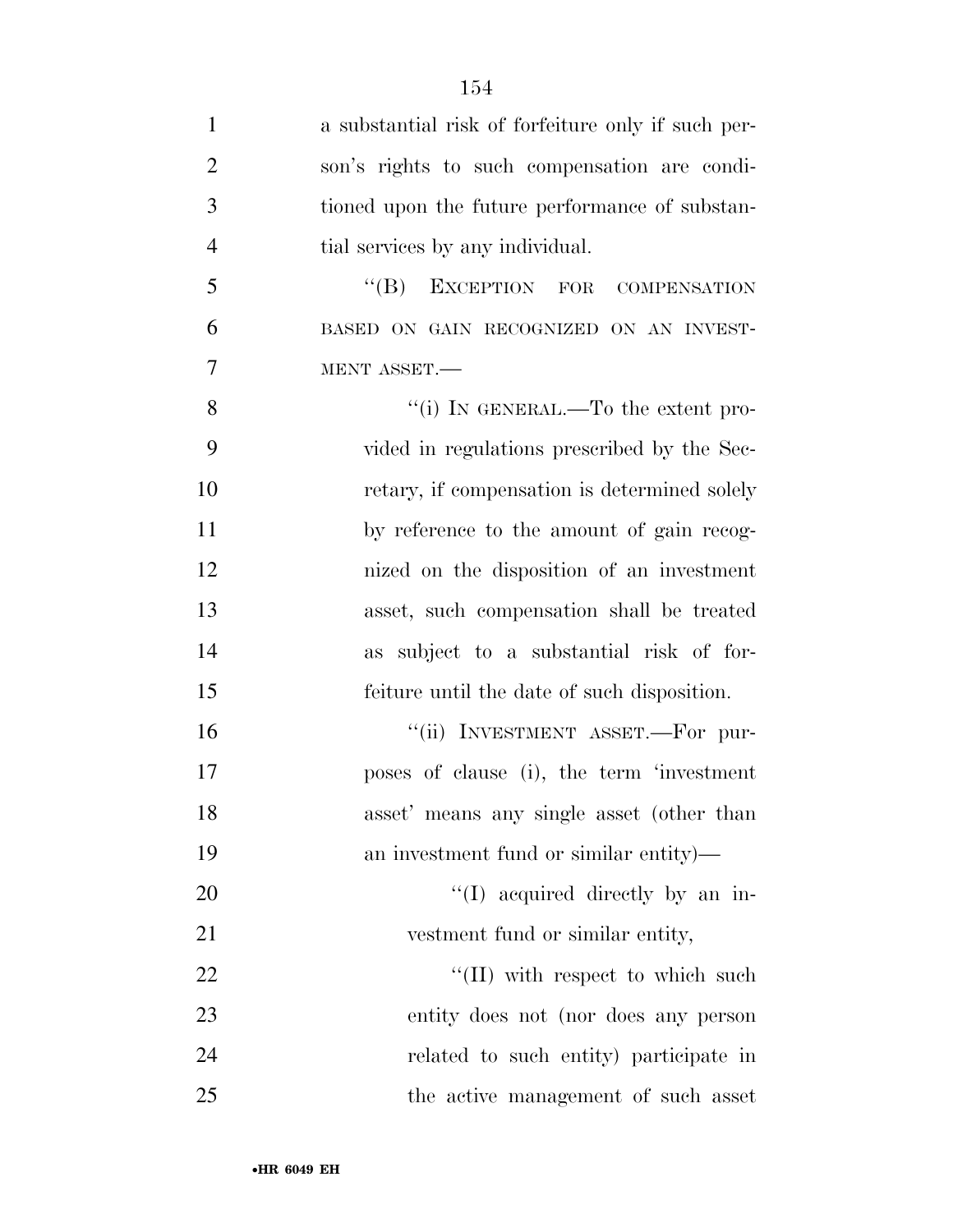| $\mathbf{1}$   | a substantial risk of forfeiture only if such per- |
|----------------|----------------------------------------------------|
| $\overline{2}$ | son's rights to such compensation are condi-       |
| 3              | tioned upon the future performance of substan-     |
| $\overline{4}$ | tial services by any individual.                   |
| 5              | $\lq\lq (B)$ EXCEPTION FOR<br>COMPENSATION         |
| 6              | BASED ON GAIN RECOGNIZED ON AN INVEST-             |
| 7              | MENT ASSET.                                        |
| 8              | "(i) IN GENERAL.—To the extent pro-                |
| 9              | vided in regulations prescribed by the Sec-        |
| 10             | retary, if compensation is determined solely       |
| 11             | by reference to the amount of gain recog-          |
| 12             | nized on the disposition of an investment          |
| 13             | asset, such compensation shall be treated          |
| 14             | subject to a substantial risk of for-<br>as        |
| 15             | feiture until the date of such disposition.        |
| 16             | "(ii) INVESTMENT ASSET.—For pur-                   |
| 17             | poses of clause (i), the term 'investment          |
| 18             | asset' means any single asset (other than          |
| 19             | an investment fund or similar entity)—             |
| 20             | "(I) acquired directly by an in-                   |
| 21             | vestment fund or similar entity,                   |
| 22             | "(II) with respect to which such                   |
| 23             | entity does not (nor does any person               |
| 24             | related to such entity) participate in             |
| 25             | the active management of such asset                |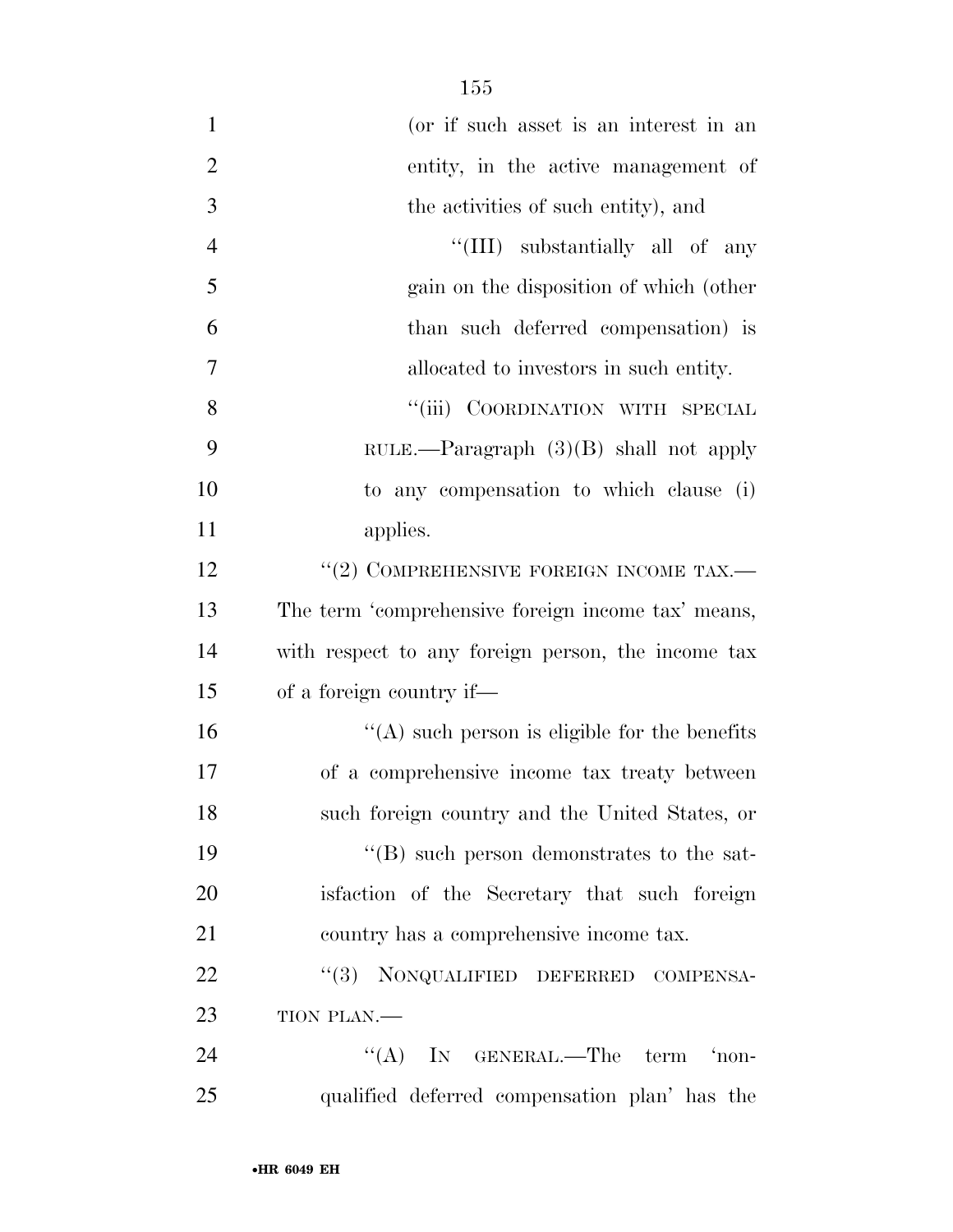| $\mathbf{1}$   | (or if such asset is an interest in an             |
|----------------|----------------------------------------------------|
| $\overline{2}$ | entity, in the active management of                |
| 3              | the activities of such entity), and                |
| $\overline{4}$ | "(III) substantially all of any                    |
| 5              | gain on the disposition of which (other            |
| 6              | than such deferred compensation) is                |
| 7              | allocated to investors in such entity.             |
| 8              | "(iii) COORDINATION WITH SPECIAL                   |
| 9              | RULE.—Paragraph $(3)(B)$ shall not apply           |
| 10             | to any compensation to which clause (i)            |
| 11             | applies.                                           |
| 12             | $``(2)$ COMPREHENSIVE FOREIGN INCOME TAX.—         |
| 13             | The term 'comprehensive foreign income tax' means, |
| 14             | with respect to any foreign person, the income tax |
| 15             | of a foreign country if—                           |
| 16             | $\lq\lq$ such person is eligible for the benefits  |
| 17             | of a comprehensive income tax treaty between       |
| 18             | such foreign country and the United States, or     |
| 19             | $\lq\lq (B)$ such person demonstrates to the sat-  |
| 20             | is faction of the Secretary that such foreign      |
| 21             | country has a comprehensive income tax.            |
| 22             | "(3) NONQUALIFIED DEFERRED COMPENSA-               |
| 23             | TION PLAN.-                                        |
| 24             | "(A) IN GENERAL.—The term 'non-                    |
| 25             | qualified deferred compensation plan' has the      |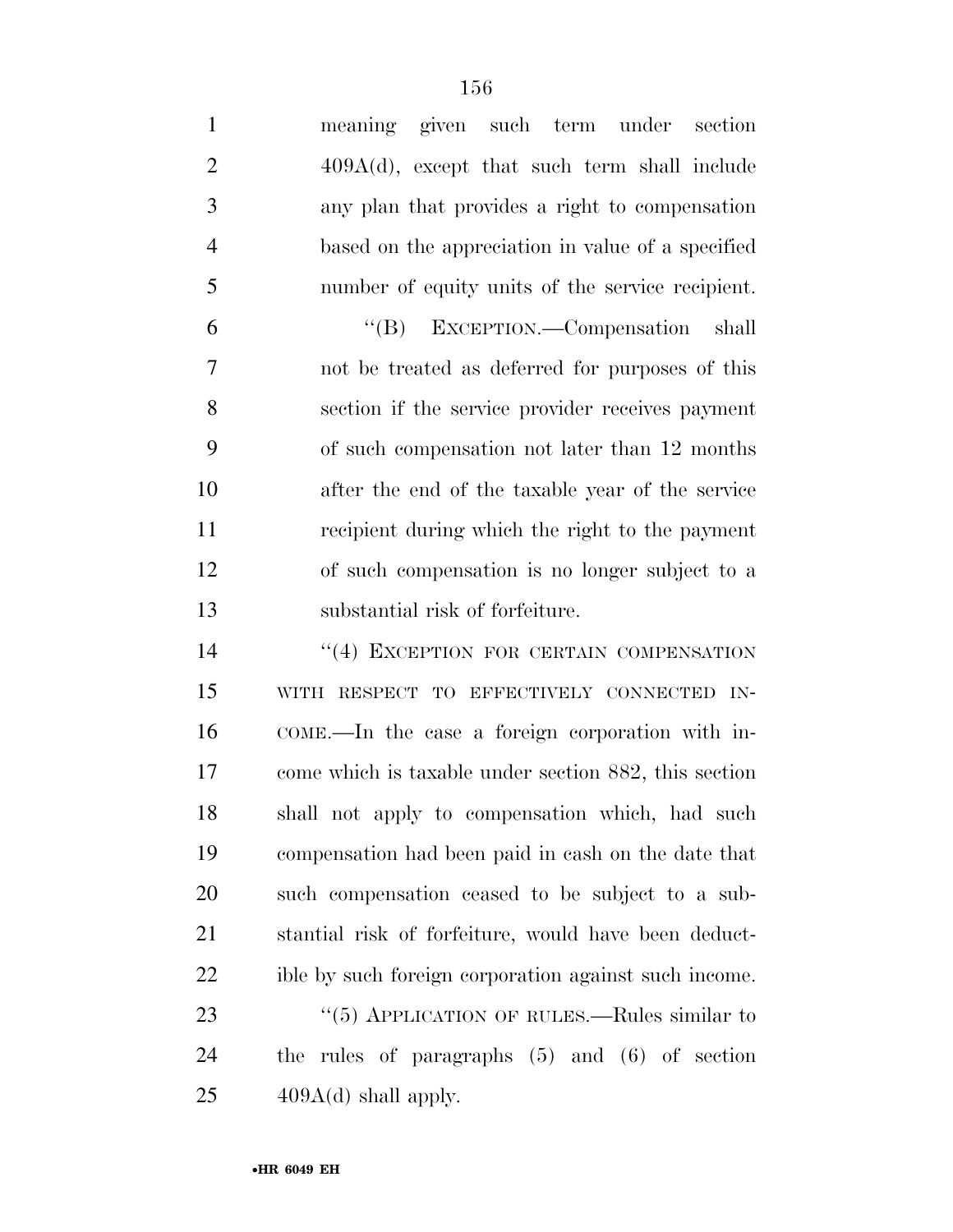| $\mathbf{1}$   | meaning given such term under<br>section              |
|----------------|-------------------------------------------------------|
| $\overline{2}$ | $409A(d)$ , except that such term shall include       |
| 3              | any plan that provides a right to compensation        |
| $\overline{4}$ | based on the appreciation in value of a specified     |
| 5              | number of equity units of the service recipient.      |
| 6              | "(B) EXCEPTION.—Compensation shall                    |
| 7              | not be treated as deferred for purposes of this       |
| 8              | section if the service provider receives payment      |
| 9              | of such compensation not later than 12 months         |
| 10             | after the end of the taxable year of the service      |
| 11             | recipient during which the right to the payment       |
| 12             | of such compensation is no longer subject to a        |
| 13             | substantial risk of forfeiture.                       |
| 14             | "(4) EXCEPTION FOR CERTAIN COMPENSATION               |
| 15             | WITH RESPECT TO EFFECTIVELY CONNECTED IN-             |
| 16             | COME.—In the case a foreign corporation with in-      |
| 17             | come which is taxable under section 882, this section |
| 18             | shall not apply to compensation which, had such       |
| 19             | compensation had been paid in cash on the date that   |
| 20             | such compensation ceased to be subject to a sub-      |
| 21             | stantial risk of forfeiture, would have been deduct-  |
| 22             | ible by such foreign corporation against such income. |
| 23             | " $(5)$ APPLICATION OF RULES.—Rules similar to        |
| 24             | the rules of paragraphs $(5)$ and $(6)$ of section    |
| 25             | $409A(d)$ shall apply.                                |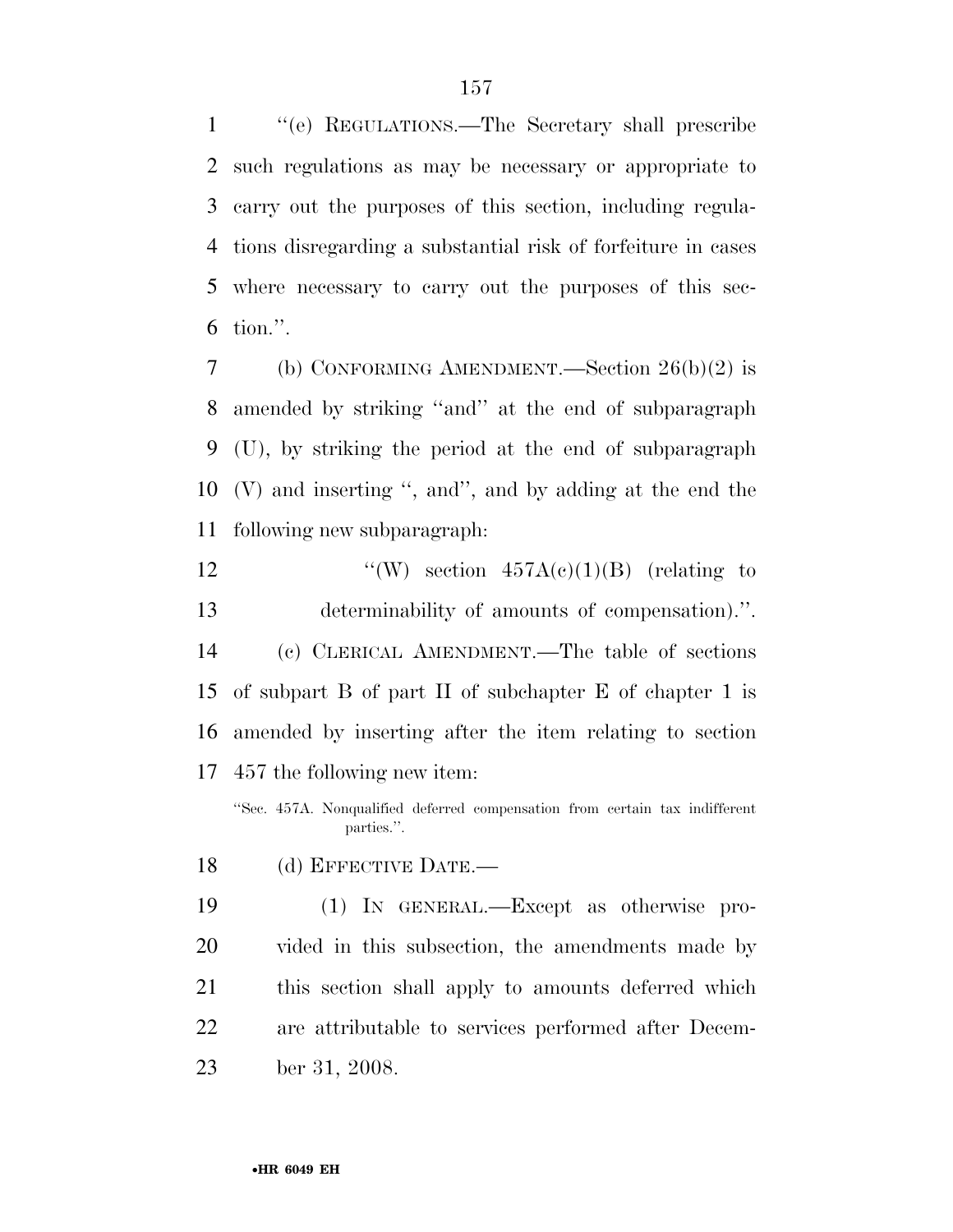''(e) REGULATIONS.—The Secretary shall prescribe such regulations as may be necessary or appropriate to carry out the purposes of this section, including regula- tions disregarding a substantial risk of forfeiture in cases where necessary to carry out the purposes of this sec-tion.''.

 (b) CONFORMING AMENDMENT.—Section 26(b)(2) is amended by striking ''and'' at the end of subparagraph (U), by striking the period at the end of subparagraph (V) and inserting '', and'', and by adding at the end the following new subparagraph:

 $\text{``(W)} \text{ section } 457A(c)(1)(B) \text{ (relating to)}$  determinability of amounts of compensation).''. (c) CLERICAL AMENDMENT.—The table of sections of subpart B of part II of subchapter E of chapter 1 is amended by inserting after the item relating to section 457 the following new item:

''Sec. 457A. Nonqualified deferred compensation from certain tax indifferent parties.''.

18 (d) EFFECTIVE DATE.

 (1) IN GENERAL.—Except as otherwise pro- vided in this subsection, the amendments made by this section shall apply to amounts deferred which are attributable to services performed after Decem-ber 31, 2008.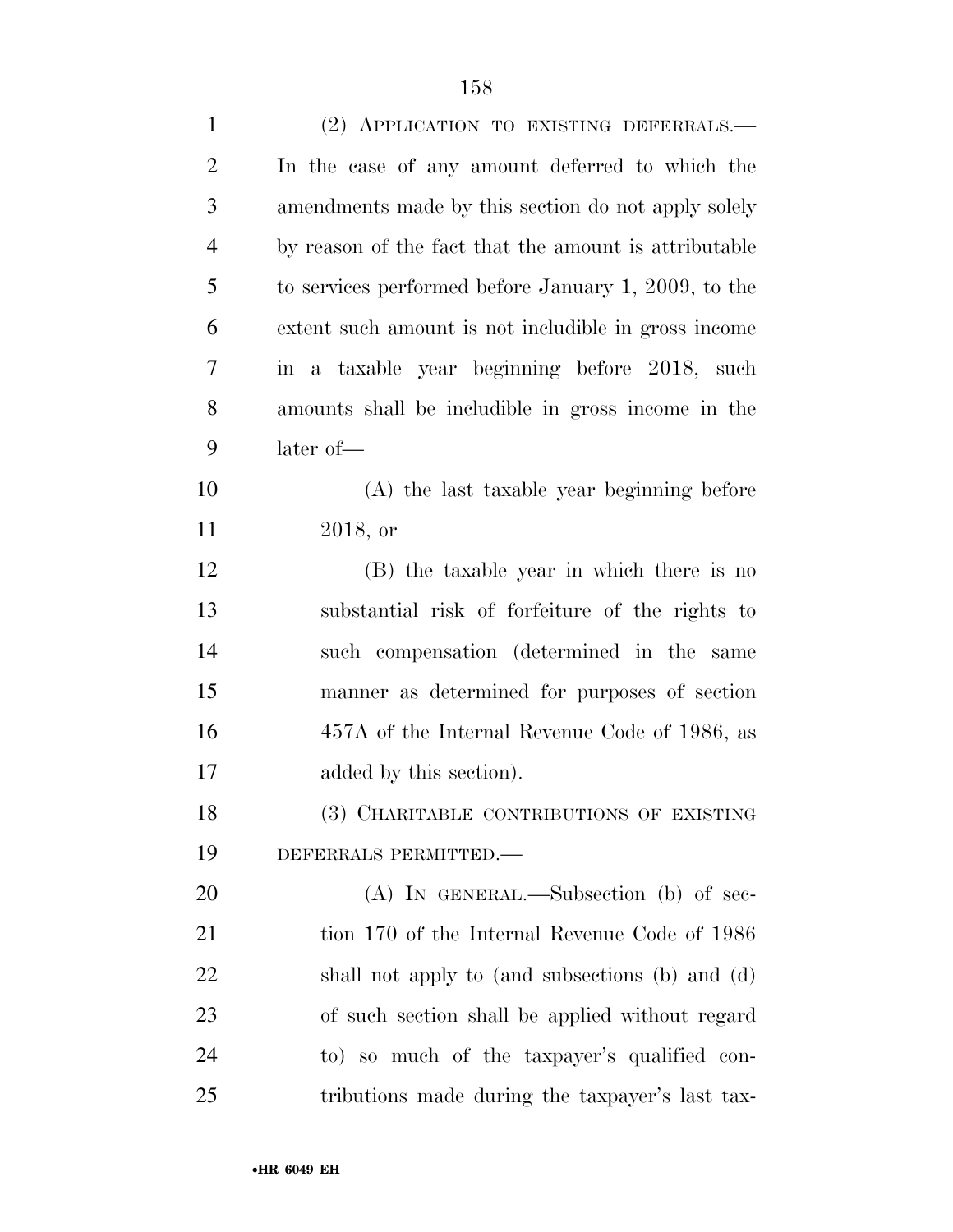| $\mathbf{1}$   | (2) APPLICATION TO EXISTING DEFERRALS.-               |
|----------------|-------------------------------------------------------|
| $\overline{2}$ | In the case of any amount deferred to which the       |
| 3              | amendments made by this section do not apply solely   |
| $\overline{4}$ | by reason of the fact that the amount is attributable |
| 5              | to services performed before January 1, 2009, to the  |
| 6              | extent such amount is not includible in gross income  |
| 7              | in a taxable year beginning before 2018, such         |
| 8              | amounts shall be includible in gross income in the    |
| 9              | later of-                                             |
| 10             | (A) the last taxable year beginning before            |
| 11             | 2018, or                                              |
| 12             | (B) the taxable year in which there is no             |
| 13             | substantial risk of forfeiture of the rights to       |
| 14             | such compensation (determined in the same             |
| 15             | manner as determined for purposes of section          |
| 16             | 457A of the Internal Revenue Code of 1986, as         |
| 17             | added by this section).                               |
| 18             | (3) CHARITABLE CONTRIBUTIONS OF EXISTING              |
| 19             | DEFERRALS PERMITTED.-                                 |
| 20             | $(A)$ In GENERAL.—Subsection (b) of sec-              |
| 21             | tion 170 of the Internal Revenue Code of 1986         |
| 22             | shall not apply to (and subsections (b) and (d)       |
| 23             | of such section shall be applied without regard       |
| 24             | to) so much of the taxpayer's qualified con-          |
| 25             | tributions made during the taxpayer's last tax-       |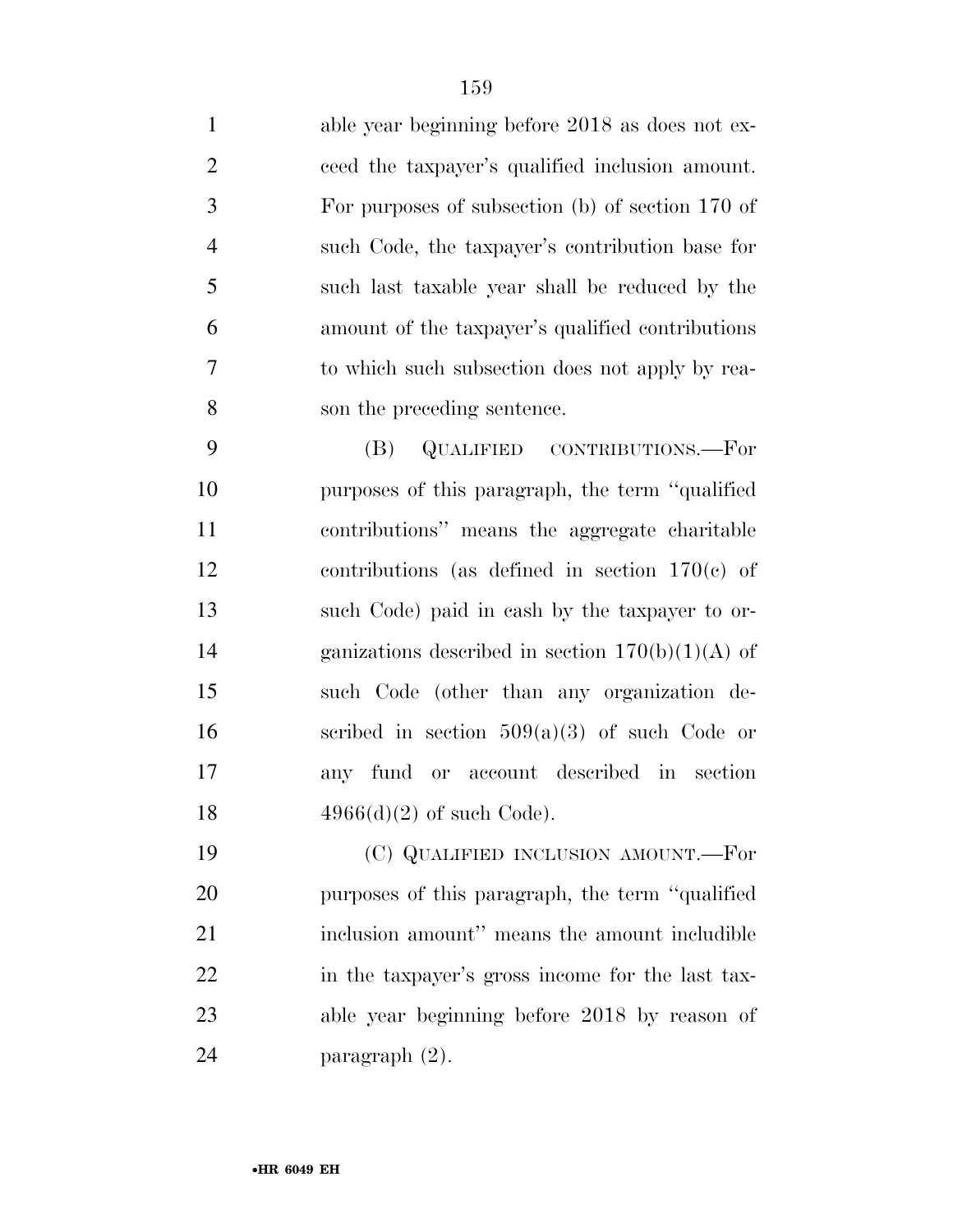able year beginning before 2018 as does not ex- ceed the taxpayer's qualified inclusion amount. For purposes of subsection (b) of section 170 of such Code, the taxpayer's contribution base for such last taxable year shall be reduced by the amount of the taxpayer's qualified contributions to which such subsection does not apply by rea-son the preceding sentence.

 (B) QUALIFIED CONTRIBUTIONS.—For purposes of this paragraph, the term ''qualified contributions'' means the aggregate charitable contributions (as defined in section 170(c) of such Code) paid in cash by the taxpayer to or-14 ganizations described in section  $170(b)(1)(A)$  of such Code (other than any organization de-16 secribed in section  $509(a)(3)$  of such Code or any fund or account described in section  $4966(d)(2)$  of such Code).

 (C) QUALIFIED INCLUSION AMOUNT.—For purposes of this paragraph, the term ''qualified inclusion amount'' means the amount includible in the taxpayer's gross income for the last tax- able year beginning before 2018 by reason of paragraph (2).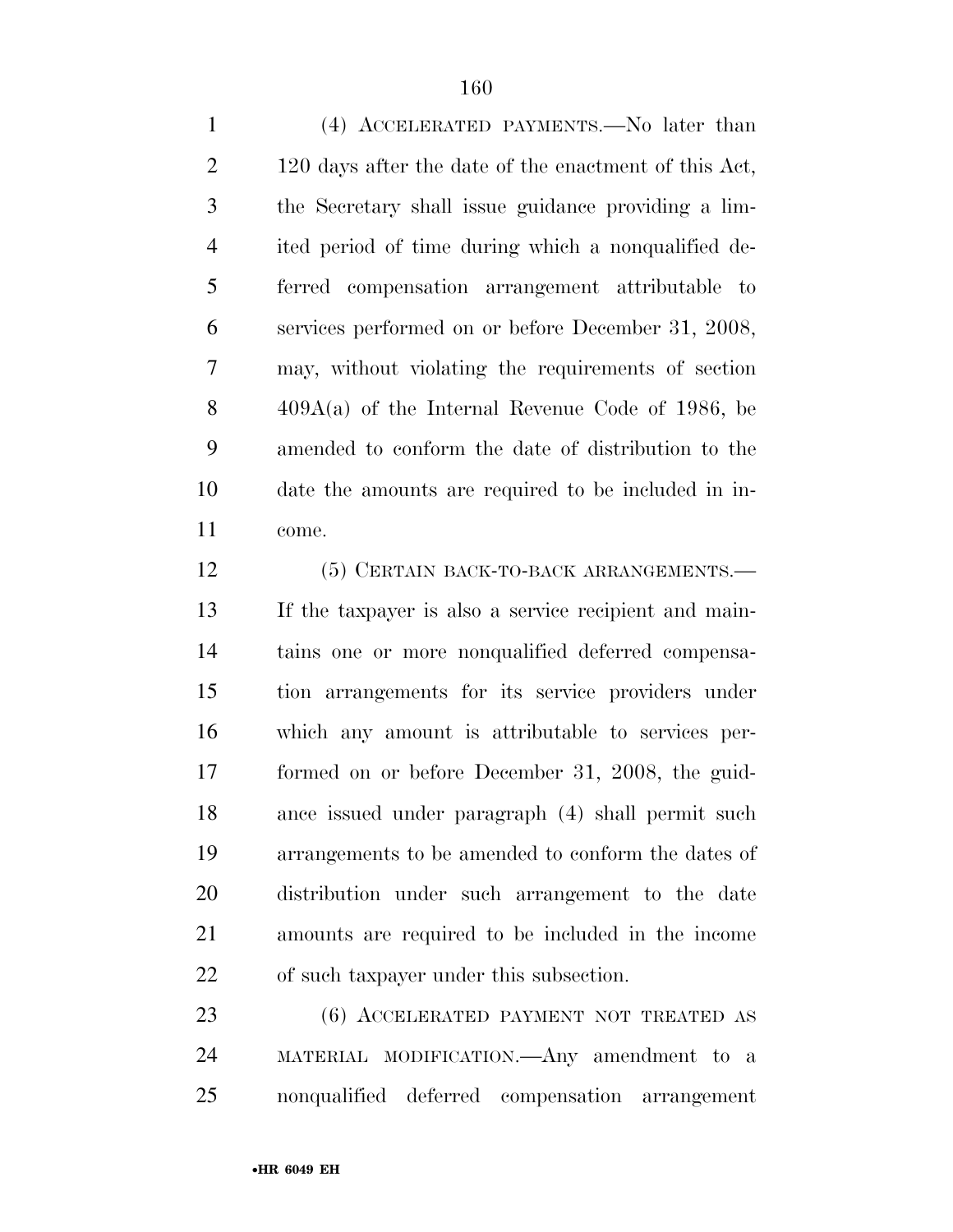(4) ACCELERATED PAYMENTS.—No later than 2 120 days after the date of the enactment of this Act, the Secretary shall issue guidance providing a lim- ited period of time during which a nonqualified de- ferred compensation arrangement attributable to services performed on or before December 31, 2008, may, without violating the requirements of section 409A(a) of the Internal Revenue Code of 1986, be amended to conform the date of distribution to the date the amounts are required to be included in in-come.

12 (5) CERTAIN BACK-TO-BACK ARRANGEMENTS. If the taxpayer is also a service recipient and main- tains one or more nonqualified deferred compensa- tion arrangements for its service providers under which any amount is attributable to services per- formed on or before December 31, 2008, the guid- ance issued under paragraph (4) shall permit such arrangements to be amended to conform the dates of distribution under such arrangement to the date amounts are required to be included in the income of such taxpayer under this subsection.

 (6) ACCELERATED PAYMENT NOT TREATED AS MATERIAL MODIFICATION.—Any amendment to a nonqualified deferred compensation arrangement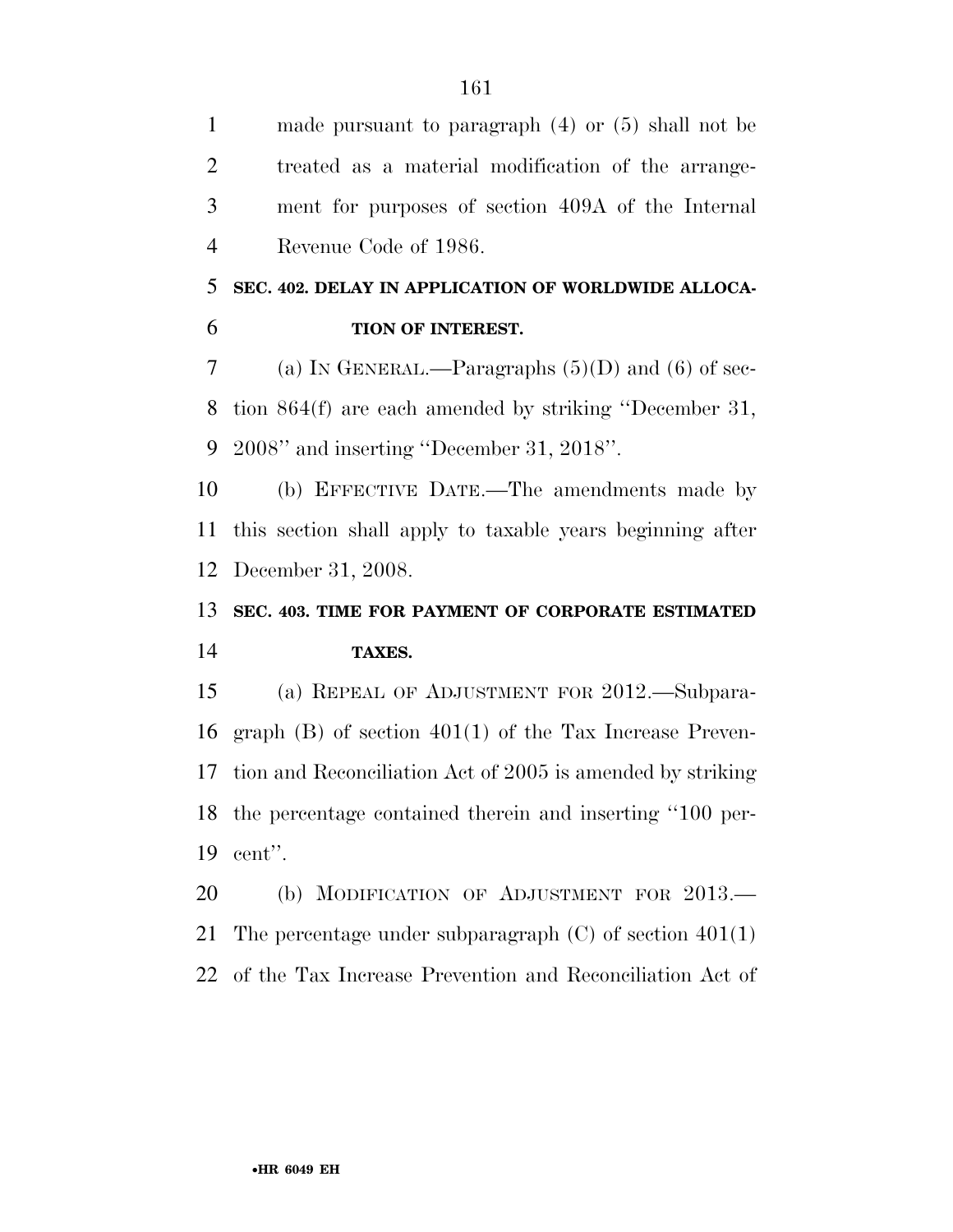made pursuant to paragraph (4) or (5) shall not be treated as a material modification of the arrange- ment for purposes of section 409A of the Internal Revenue Code of 1986.

#### **SEC. 402. DELAY IN APPLICATION OF WORLDWIDE ALLOCA-TION OF INTEREST.**

7 (a) In GENERAL.—Paragraphs  $(5)(D)$  and  $(6)$  of sec- tion 864(f) are each amended by striking ''December 31, 2008'' and inserting ''December 31, 2018''.

 (b) EFFECTIVE DATE.—The amendments made by this section shall apply to taxable years beginning after December 31, 2008.

#### **SEC. 403. TIME FOR PAYMENT OF CORPORATE ESTIMATED TAXES.**

 (a) REPEAL OF ADJUSTMENT FOR 2012.—Subpara- graph (B) of section 401(1) of the Tax Increase Preven- tion and Reconciliation Act of 2005 is amended by striking the percentage contained therein and inserting ''100 per-cent''.

20 (b) MODIFICATION OF ADJUSTMENT FOR 2013.

21 The percentage under subparagraph  $(C)$  of section  $401(1)$ 

of the Tax Increase Prevention and Reconciliation Act of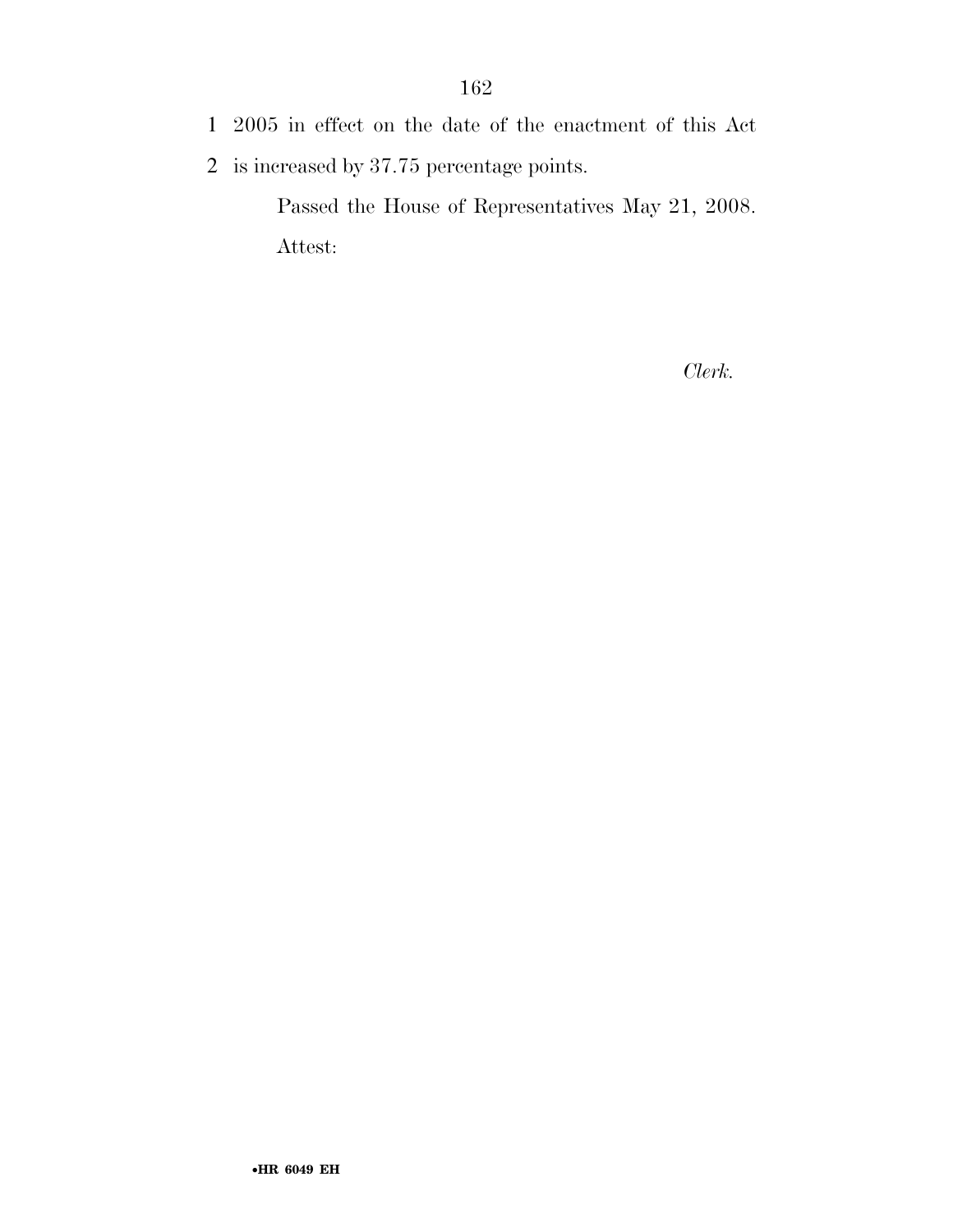- 1 2005 in effect on the date of the enactment of this Act
- 2 is increased by 37.75 percentage points.

Passed the House of Representatives May 21, 2008. Attest:

*Clerk.*